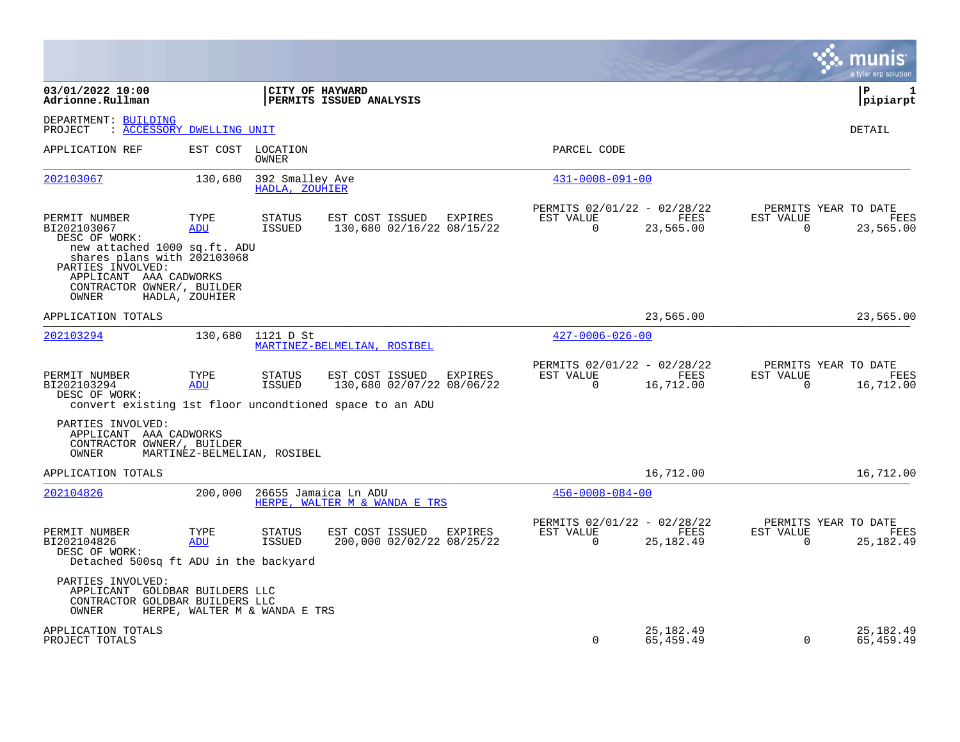|                                                                                                                                                   |                    |                                   |                                                                                                                 |         |                                                      |                          |                          | munis<br>a tyler erp solution                    |
|---------------------------------------------------------------------------------------------------------------------------------------------------|--------------------|-----------------------------------|-----------------------------------------------------------------------------------------------------------------|---------|------------------------------------------------------|--------------------------|--------------------------|--------------------------------------------------|
| 03/01/2022 10:00<br>Adrionne.Rullman                                                                                                              |                    | <b>CITY OF HAYWARD</b>            | <b>PERMITS ISSUED ANALYSIS</b>                                                                                  |         |                                                      |                          |                          | l P<br>1<br> pipiarpt                            |
| DEPARTMENT: BUILDING<br>: ACCESSORY DWELLING UNIT<br>PROJECT                                                                                      |                    |                                   |                                                                                                                 |         |                                                      |                          |                          | <b>DETAIL</b>                                    |
| APPLICATION REF                                                                                                                                   |                    | EST COST LOCATION<br>OWNER        |                                                                                                                 |         | PARCEL CODE                                          |                          |                          |                                                  |
| 202103067                                                                                                                                         | 130,680            | 392 Smalley Ave<br>HADLA, ZOUHIER |                                                                                                                 |         | $431 - 0008 - 091 - 00$                              |                          |                          |                                                  |
| PERMIT NUMBER<br>BI202103067<br>DESC OF WORK:                                                                                                     | TYPE<br>ADU        | <b>STATUS</b><br>ISSUED           | EST COST ISSUED EXPIRES<br>130,680 02/16/22 08/15/22                                                            |         | PERMITS 02/01/22 - 02/28/22<br>EST VALUE<br>$\Omega$ | FEES<br>23,565.00        | EST VALUE<br>$\Omega$    | PERMITS YEAR TO DATE<br><b>FEES</b><br>23,565.00 |
| new attached 1000 sq.ft. ADU<br>shares plans with 202103068<br>PARTIES INVOLVED:<br>APPLICANT AAA CADWORKS<br>CONTRACTOR OWNER/, BUILDER<br>OWNER | HADLA, ZOUHIER     |                                   |                                                                                                                 |         |                                                      |                          |                          |                                                  |
| APPLICATION TOTALS                                                                                                                                |                    |                                   |                                                                                                                 |         |                                                      | 23,565.00                |                          | 23,565.00                                        |
| 202103294                                                                                                                                         |                    | 130,680 1121 D St                 | MARTINEZ-BELMELIAN, ROSIBEL                                                                                     |         | $427 - 0006 - 026 - 00$                              |                          |                          |                                                  |
| PERMIT NUMBER<br>BI202103294<br>DESC OF WORK:                                                                                                     | TYPE<br>ADU        | <b>STATUS</b><br>ISSUED           | EST COST ISSUED EXPIRES<br>130,680 02/07/22 08/06/22<br>convert existing 1st floor uncondtioned space to an ADU |         | PERMITS 02/01/22 - 02/28/22<br>EST VALUE<br>$\Omega$ | FEES<br>16,712.00        | EST VALUE<br>$\mathbf 0$ | PERMITS YEAR TO DATE<br>FEES<br>16,712.00        |
| PARTIES INVOLVED:<br>APPLICANT AAA CADWORKS<br>CONTRACTOR OWNER/, BUILDER<br>OWNER                                                                |                    | MARTINEZ-BELMELIAN, ROSIBEL       |                                                                                                                 |         |                                                      |                          |                          |                                                  |
| APPLICATION TOTALS                                                                                                                                |                    |                                   |                                                                                                                 |         |                                                      | 16,712.00                |                          | 16,712.00                                        |
| 202104826                                                                                                                                         | 200,000            |                                   | 26655 Jamaica Ln ADU<br>HERPE, WALTER M & WANDA E TRS                                                           |         | $456 - 0008 - 084 - 00$                              |                          |                          |                                                  |
| PERMIT NUMBER<br>BI202104826<br>DESC OF WORK:<br>Detached 500sq ft ADU in the backyard                                                            | TYPE<br><b>ADU</b> | <b>STATUS</b><br>ISSUED           | EST COST ISSUED<br>200,000 02/02/22 08/25/22                                                                    | EXPIRES | PERMITS 02/01/22 - 02/28/22<br>EST VALUE<br>$\Omega$ | FEES<br>25, 182.49       | EST VALUE<br>$\Omega$    | PERMITS YEAR TO DATE<br>FEES<br>25, 182.49       |
| PARTIES INVOLVED:<br>APPLICANT GOLDBAR BUILDERS LLC<br>CONTRACTOR GOLDBAR BUILDERS LLC<br>OWNER                                                   |                    | HERPE, WALTER M & WANDA E TRS     |                                                                                                                 |         |                                                      |                          |                          |                                                  |
| APPLICATION TOTALS<br>PROJECT TOTALS                                                                                                              |                    |                                   |                                                                                                                 |         | $\Omega$                                             | 25, 182. 49<br>65,459.49 | $\Omega$                 | 25,182.49<br>65,459.49                           |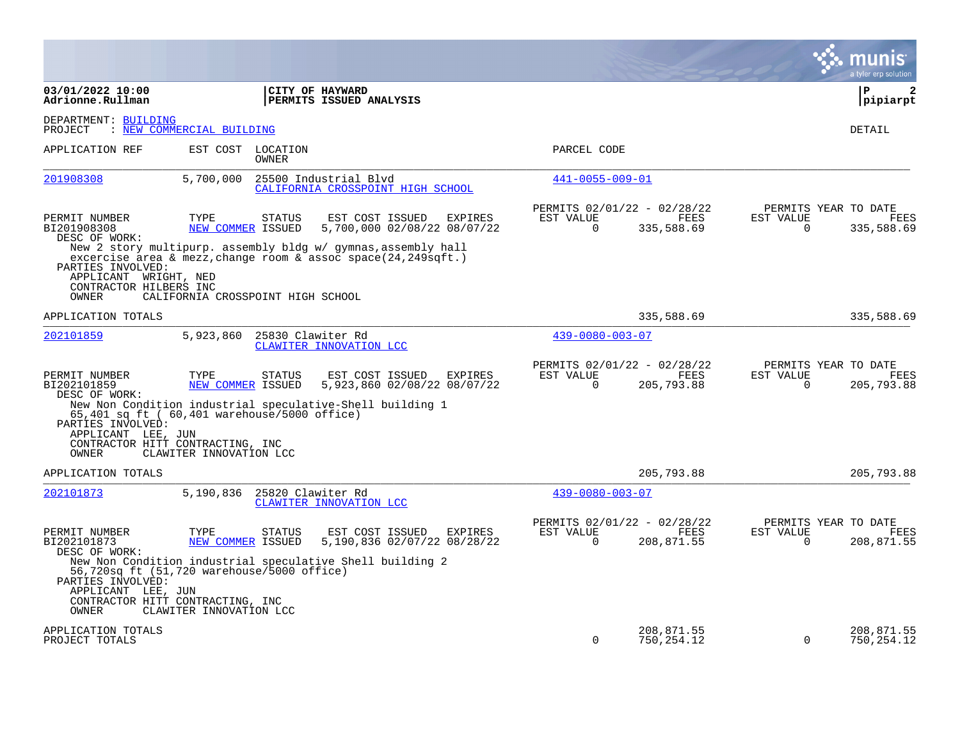|                                                                                                                                      |                                   |                   |                                                                                                                                                                                                       |           |                         |                                                          |                                                  | a tyler erp solution      |
|--------------------------------------------------------------------------------------------------------------------------------------|-----------------------------------|-------------------|-------------------------------------------------------------------------------------------------------------------------------------------------------------------------------------------------------|-----------|-------------------------|----------------------------------------------------------|--------------------------------------------------|---------------------------|
| 03/01/2022 10:00<br>Adrionne.Rullman                                                                                                 |                                   |                   | CITY OF HAYWARD<br>PERMITS ISSUED ANALYSIS                                                                                                                                                            |           |                         |                                                          |                                                  | l P<br>2<br> pipiarpt     |
| DEPARTMENT: BUILDING<br>PROJECT                                                                                                      | : NEW COMMERCIAL BUILDING         |                   |                                                                                                                                                                                                       |           |                         |                                                          |                                                  | DETAIL                    |
| APPLICATION REF                                                                                                                      | EST COST LOCATION                 | OWNER             |                                                                                                                                                                                                       |           | PARCEL CODE             |                                                          |                                                  |                           |
| 201908308                                                                                                                            | 5,700,000                         |                   | 25500 Industrial Blvd<br>CALIFORNIA CROSSPOINT HIGH SCHOOL                                                                                                                                            |           | 441-0055-009-01         |                                                          |                                                  |                           |
| PERMIT NUMBER<br>BI201908308<br>DESC OF WORK:                                                                                        | TYPE<br>NEW COMMER ISSUED         | <b>STATUS</b>     | EST COST ISSUED<br>EXPIRES<br>5,700,000 02/08/22 08/07/22<br>New 2 story multipurp. assembly bldg w/ gymnas, assembly hall<br>excercise area & mezz, change room & assoc space $(24, 249\sqrt{3}t)$ . | EST VALUE | $\Omega$                | PERMITS 02/01/22 - 02/28/22<br>FEES<br>335,588.69        | PERMITS YEAR TO DATE<br>EST VALUE<br>$\mathbf 0$ | FEES<br>335,588.69        |
| PARTIES INVOLVED:<br>APPLICANT WRIGHT, NED<br>CONTRACTOR HILBERS INC<br>OWNER                                                        | CALIFORNIA CROSSPOINT HIGH SCHOOL |                   |                                                                                                                                                                                                       |           |                         |                                                          |                                                  |                           |
| APPLICATION TOTALS                                                                                                                   |                                   |                   |                                                                                                                                                                                                       |           |                         | 335,588.69                                               |                                                  | 335,588.69                |
| 202101859                                                                                                                            | 5,923,860                         | 25830 Clawiter Rd | CLAWITER INNOVATION LCC                                                                                                                                                                               |           | $439 - 0080 - 003 - 07$ |                                                          |                                                  |                           |
| PERMIT NUMBER<br>BI202101859<br>DESC OF WORK:                                                                                        | TYPE<br>NEW COMMER ISSUED         | <b>STATUS</b>     | EST COST ISSUED<br>EXPIRES<br>5,923,860 02/08/22 08/07/22                                                                                                                                             | EST VALUE | $\Omega$                | PERMITS 02/01/22 - 02/28/22<br><b>FEES</b><br>205,793.88 | PERMITS YEAR TO DATE<br>EST VALUE<br>$\Omega$    | <b>FEES</b><br>205,793.88 |
| 65,401 sq ft ( 60,401 warehouse/5000 office)<br>PARTIES INVOLVED:<br>APPLICANT LEE, JUN<br>CONTRACTOR HITT CONTRACTING, INC<br>OWNER | CLAWITER INNOVATION LCC           |                   | New Non Condition industrial speculative-Shell building 1                                                                                                                                             |           |                         |                                                          |                                                  |                           |
| APPLICATION TOTALS                                                                                                                   |                                   |                   |                                                                                                                                                                                                       |           |                         | 205,793.88                                               |                                                  | 205,793.88                |
| 202101873                                                                                                                            | 5,190,836                         | 25820 Clawiter Rd | CLAWITER INNOVATION LCC                                                                                                                                                                               |           | $439 - 0080 - 003 - 07$ |                                                          |                                                  |                           |
| PERMIT NUMBER<br>BI202101873<br>DESC OF WORK:                                                                                        | TYPE<br>NEW COMMER ISSUED         | <b>STATUS</b>     | EST COST ISSUED<br>EXPIRES<br>5,190,836 02/07/22 08/28/22<br>New Non Condition industrial speculative Shell building 2                                                                                | EST VALUE | $\Omega$                | PERMITS 02/01/22 - 02/28/22<br>FEES<br>208,871.55        | PERMITS YEAR TO DATE<br>EST VALUE<br>$\Omega$    | <b>FEES</b><br>208,871.55 |
| 56,720sq ft (51,720 warehouse/5000 office)<br>PARTIES INVOLVED:<br>APPLICANT LEE, JUN<br>CONTRACTOR HITT CONTRACTING, INC<br>OWNER   | CLAWITER INNOVATION LCC           |                   |                                                                                                                                                                                                       |           |                         |                                                          |                                                  |                           |
| APPLICATION TOTALS<br>PROJECT TOTALS                                                                                                 |                                   |                   |                                                                                                                                                                                                       |           | $\Omega$                | 208,871.55<br>750, 254.12                                | $\Omega$                                         | 208,871.55<br>750, 254.12 |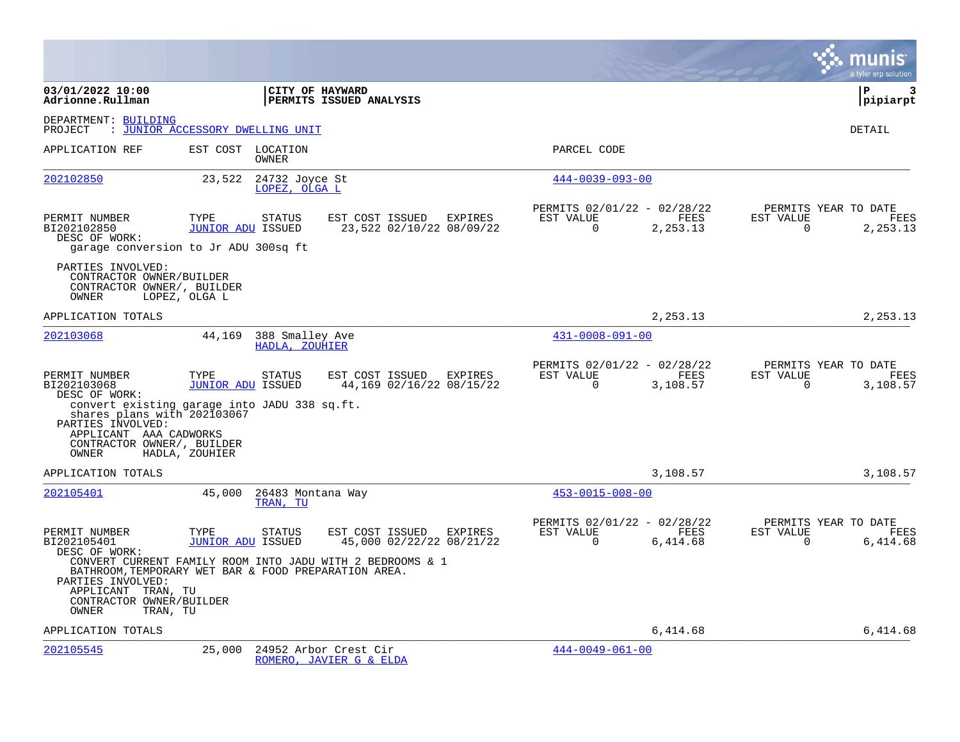|                                                                                                                                                                                                           |                                  |                                   |                                                           |           |                         |                                                        |                       | a tyler erp solution                     |
|-----------------------------------------------------------------------------------------------------------------------------------------------------------------------------------------------------------|----------------------------------|-----------------------------------|-----------------------------------------------------------|-----------|-------------------------|--------------------------------------------------------|-----------------------|------------------------------------------|
| 03/01/2022 10:00<br>Adrionne.Rullman                                                                                                                                                                      |                                  |                                   | CITY OF HAYWARD<br>PERMITS ISSUED ANALYSIS                |           |                         |                                                        |                       | l P<br>3<br> pipiarpt                    |
| DEPARTMENT: BUILDING<br>: JUNIOR ACCESSORY DWELLING UNIT<br>PROJECT                                                                                                                                       |                                  |                                   |                                                           |           |                         |                                                        |                       | DETAIL                                   |
| APPLICATION REF                                                                                                                                                                                           |                                  | EST COST LOCATION<br>OWNER        |                                                           |           | PARCEL CODE             |                                                        |                       |                                          |
| 202102850                                                                                                                                                                                                 | 23,522                           | 24732 Joyce St<br>LOPEZ, OLGA L   |                                                           |           | $444 - 0039 - 093 - 00$ |                                                        |                       |                                          |
| PERMIT NUMBER<br>BI202102850<br>DESC OF WORK:<br>garage conversion to Jr ADU 300sq ft                                                                                                                     | TYPE<br><b>JUNIOR ADU ISSUED</b> | <b>STATUS</b>                     | EST COST ISSUED EXPIRES<br>23,522 02/10/22 08/09/22       | EST VALUE | $\Omega$                | PERMITS 02/01/22 - 02/28/22<br>FEES<br>2,253.13        | EST VALUE<br>$\Omega$ | PERMITS YEAR TO DATE<br>FEES<br>2,253.13 |
| PARTIES INVOLVED:<br>CONTRACTOR OWNER/BUILDER<br>CONTRACTOR OWNER/, BUILDER<br>OWNER                                                                                                                      | LOPEZ, OLGA L                    |                                   |                                                           |           |                         |                                                        |                       |                                          |
| APPLICATION TOTALS                                                                                                                                                                                        |                                  |                                   |                                                           |           |                         | 2,253.13                                               |                       | 2,253.13                                 |
| 202103068                                                                                                                                                                                                 | 44,169                           | 388 Smalley Ave<br>HADLA, ZOUHIER |                                                           |           | $431 - 0008 - 091 - 00$ |                                                        |                       |                                          |
| PERMIT NUMBER<br>BI202103068<br>DESC OF WORK:<br>convert existing garage into JADU 338 sq.ft.<br>shares plans with 202103067<br>PARTIES INVOLVED:<br>APPLICANT AAA CADWORKS<br>CONTRACTOR OWNER/, BUILDER | TYPE<br><b>JUNIOR ADU ISSUED</b> | <b>STATUS</b>                     | EST COST ISSUED<br>EXPIRES<br>44,169 02/16/22 08/15/22    | EST VALUE | $\Omega$                | PERMITS 02/01/22 - 02/28/22<br><b>FEES</b><br>3,108.57 | EST VALUE<br>$\Omega$ | PERMITS YEAR TO DATE<br>FEES<br>3,108.57 |
| OWNER                                                                                                                                                                                                     | HADLA, ZOUHIER                   |                                   |                                                           |           |                         |                                                        |                       |                                          |
| APPLICATION TOTALS                                                                                                                                                                                        |                                  |                                   |                                                           |           |                         | 3,108.57                                               |                       | 3,108.57                                 |
| 202105401                                                                                                                                                                                                 | 45,000                           | 26483 Montana Way<br>TRAN, TU     |                                                           |           | $453 - 0015 - 008 - 00$ |                                                        |                       |                                          |
| PERMIT NUMBER<br>BI202105401<br>DESC OF WORK:                                                                                                                                                             | TYPE<br><b>JUNIOR ADU ISSUED</b> | <b>STATUS</b>                     | EST COST ISSUED EXPIRES<br>45,000 02/22/22 08/21/22       | EST VALUE | $\Omega$                | PERMITS 02/01/22 - 02/28/22<br>FEES<br>6,414.68        | EST VALUE<br>$\Omega$ | PERMITS YEAR TO DATE<br>FEES<br>6,414.68 |
| BATHROOM, TEMPORARY WET BAR & FOOD PREPARATION AREA.<br>PARTIES INVOLVED:<br>APPLICANT TRAN, TU<br>CONTRACTOR OWNER/BUILDER<br>OWNER<br>TRAN, TU                                                          |                                  |                                   | CONVERT CURRENT FAMILY ROOM INTO JADU WITH 2 BEDROOMS & 1 |           |                         |                                                        |                       |                                          |
| APPLICATION TOTALS                                                                                                                                                                                        |                                  |                                   |                                                           |           |                         | 6,414.68                                               |                       | 6,414.68                                 |
| 202105545                                                                                                                                                                                                 | 25,000                           |                                   | 24952 Arbor Crest Cir<br>ROMERO, JAVIER G & ELDA          |           | $444 - 0049 - 061 - 00$ |                                                        |                       |                                          |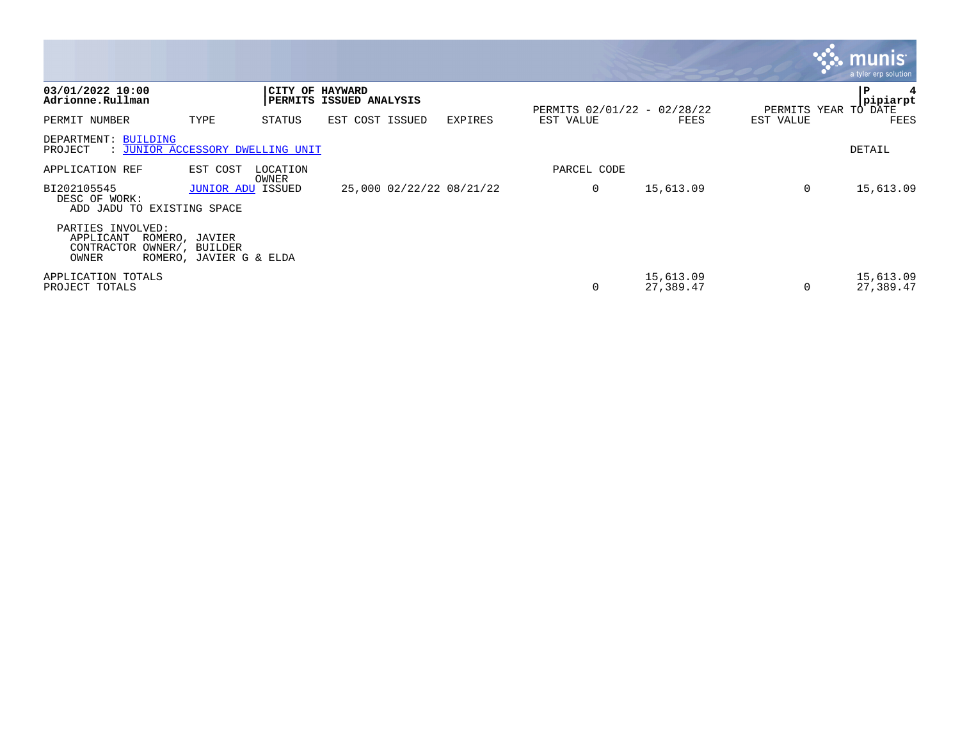|                                                                     |                                                              |                        |                          |                |                             |                        |                      | $\mathbf{3}$ : munist<br>a tyler erp solution |
|---------------------------------------------------------------------|--------------------------------------------------------------|------------------------|--------------------------|----------------|-----------------------------|------------------------|----------------------|-----------------------------------------------|
| 03/01/2022 10:00<br>Adrionne.Rullman                                |                                                              | <b>CITY OF HAYWARD</b> | PERMITS ISSUED ANALYSIS  |                | PERMITS 02/01/22 - 02/28/22 |                        | PERMITS YEAR TO DATE | P<br>pipiarpt                                 |
| PERMIT NUMBER                                                       | TYPE                                                         | STATUS                 | EST COST ISSUED          | <b>EXPIRES</b> | EST VALUE                   | FEES                   | EST VALUE            | FEES                                          |
| DEPARTMENT: BUILDING<br>: JUNIOR ACCESSORY DWELLING UNIT<br>PROJECT |                                                              |                        |                          |                |                             |                        |                      | DETAIL                                        |
| APPLICATION REF                                                     | EST COST                                                     | LOCATION<br>OWNER      |                          |                | PARCEL CODE                 |                        |                      |                                               |
| BI202105545<br>DESC OF WORK:<br>ADD JADU TO EXISTING SPACE          | <b>JUNIOR ADU ISSUED</b>                                     |                        | 25,000 02/22/22 08/21/22 |                | 0                           | 15,613.09              | 0                    | 15,613.09                                     |
| PARTIES INVOLVED:<br>APPLICANT<br>CONTRACTOR<br>OWNER               | ROMERO, JAVIER<br>OWNER/, BUILDER<br>ROMERO, JAVIER G & ELDA |                        |                          |                |                             |                        |                      |                                               |
| APPLICATION TOTALS<br>PROJECT TOTALS                                |                                                              |                        |                          |                | 0                           | 15,613.09<br>27,389.47 | 0                    | 15,613.09<br>27,389.47                        |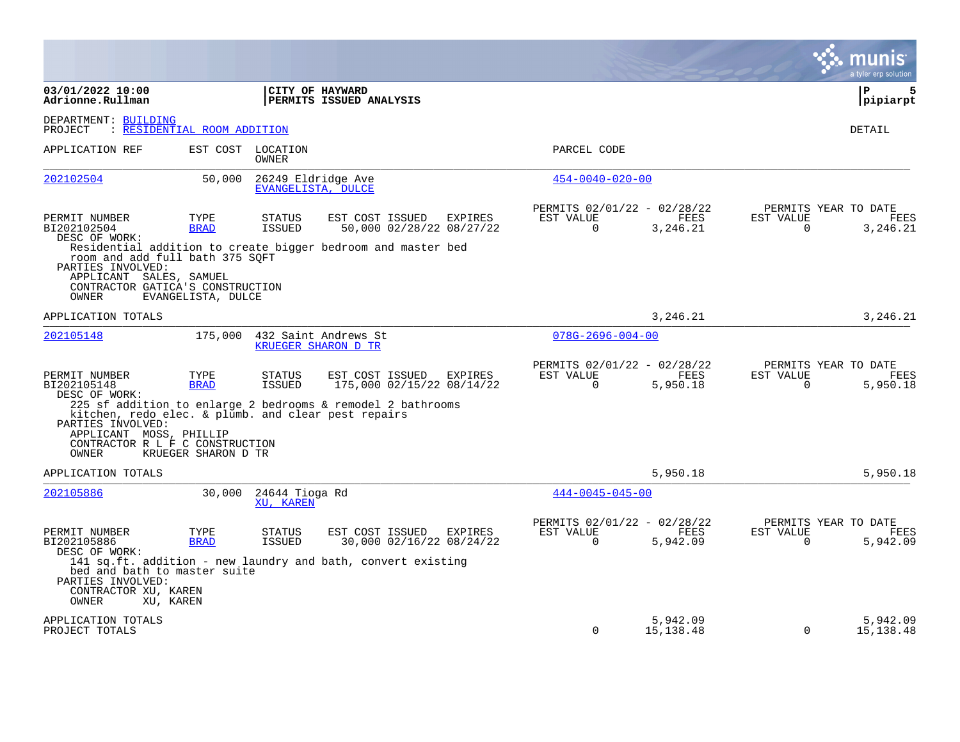|                                                                                                                                                 |                     |                                          |                                                                                                             |         |                                                      |                         |                       | a tyler erp solution                            |
|-------------------------------------------------------------------------------------------------------------------------------------------------|---------------------|------------------------------------------|-------------------------------------------------------------------------------------------------------------|---------|------------------------------------------------------|-------------------------|-----------------------|-------------------------------------------------|
| 03/01/2022 10:00<br>Adrionne.Rullman                                                                                                            |                     | CITY OF HAYWARD                          | PERMITS ISSUED ANALYSIS                                                                                     |         |                                                      |                         |                       | P<br>5<br> pipiarpt                             |
| DEPARTMENT: BUILDING<br>: RESIDENTIAL ROOM ADDITION<br>PROJECT                                                                                  |                     |                                          |                                                                                                             |         |                                                      |                         |                       | <b>DETAIL</b>                                   |
| APPLICATION REF                                                                                                                                 |                     | EST COST LOCATION<br>OWNER               |                                                                                                             |         | PARCEL CODE                                          |                         |                       |                                                 |
| 202102504                                                                                                                                       | 50,000              | 26249 Eldridge Ave<br>EVANGELISTA, DULCE |                                                                                                             |         | $454 - 0040 - 020 - 00$                              |                         |                       |                                                 |
| PERMIT NUMBER<br>BI202102504<br>DESC OF WORK:                                                                                                   | TYPE<br><b>BRAD</b> | <b>STATUS</b><br>ISSUED                  | EST COST ISSUED<br>50,000 02/28/22 08/27/22<br>Residential addition to create bigger bedroom and master bed | EXPIRES | PERMITS 02/01/22 - 02/28/22<br>EST VALUE<br>$\Omega$ | FEES<br>3,246.21        | EST VALUE<br>$\Omega$ | PERMITS YEAR TO DATE<br>FEES<br>3,246.21        |
| room and add full bath 375 SQFT<br>PARTIES INVOLVED:<br>APPLICANT SALES, SAMUEL<br>CONTRACTOR GATICA'S CONSTRUCTION<br>OWNER                    | EVANGELISTA, DULCE  |                                          |                                                                                                             |         |                                                      |                         |                       |                                                 |
| APPLICATION TOTALS                                                                                                                              |                     |                                          |                                                                                                             |         |                                                      | 3, 246, 21              |                       | 3,246.21                                        |
| 202105148                                                                                                                                       | 175,000             | <b>KRUEGER SHARON D TR</b>               | 432 Saint Andrews St                                                                                        |         | $078G - 2696 - 004 - 00$                             |                         |                       |                                                 |
| PERMIT NUMBER<br>BI202105148<br>DESC OF WORK:                                                                                                   | TYPE<br><b>BRAD</b> | STATUS<br><b>ISSUED</b>                  | EST COST ISSUED<br>175,000 02/15/22 08/14/22                                                                | EXPIRES | PERMITS 02/01/22 - 02/28/22<br>EST VALUE<br>$\Omega$ | FEES<br>5,950.18        | EST VALUE<br>$\Omega$ | PERMITS YEAR TO DATE<br><b>FEES</b><br>5,950.18 |
| kitchen, redo elec. & plumb. and clear pest repairs<br>PARTIES INVOLVED:<br>APPLICANT MOSS, PHILLIP<br>CONTRACTOR R L F C CONSTRUCTION<br>OWNER | KRUEGER SHARON D TR |                                          | 225 sf addition to enlarge 2 bedrooms & remodel 2 bathrooms                                                 |         |                                                      |                         |                       |                                                 |
| APPLICATION TOTALS                                                                                                                              |                     |                                          |                                                                                                             |         |                                                      | 5,950.18                |                       | 5,950.18                                        |
| 202105886                                                                                                                                       | 30,000              | 24644 Tioga Rd<br>XU, KAREN              |                                                                                                             |         | $444 - 0045 - 045 - 00$                              |                         |                       |                                                 |
| PERMIT NUMBER<br>BI202105886<br>DESC OF WORK:<br>bed and bath to master suite<br>PARTIES INVOLVED:<br>CONTRACTOR XU, KAREN                      | TYPE<br><b>BRAD</b> | <b>STATUS</b><br>ISSUED                  | EST COST ISSUED<br>30,000 02/16/22 08/24/22<br>141 sq.ft. addition - new laundry and bath, convert existing | EXPIRES | PERMITS 02/01/22 - 02/28/22<br>EST VALUE<br>$\Omega$ | FEES<br>5,942.09        | EST VALUE<br>$\Omega$ | PERMITS YEAR TO DATE<br>FEES<br>5,942.09        |
| OWNER<br>XU, KAREN                                                                                                                              |                     |                                          |                                                                                                             |         |                                                      |                         |                       |                                                 |
| APPLICATION TOTALS<br>PROJECT TOTALS                                                                                                            |                     |                                          |                                                                                                             |         | $\Omega$                                             | 5,942.09<br>15, 138. 48 | $\Omega$              | 5,942.09<br>15, 138.48                          |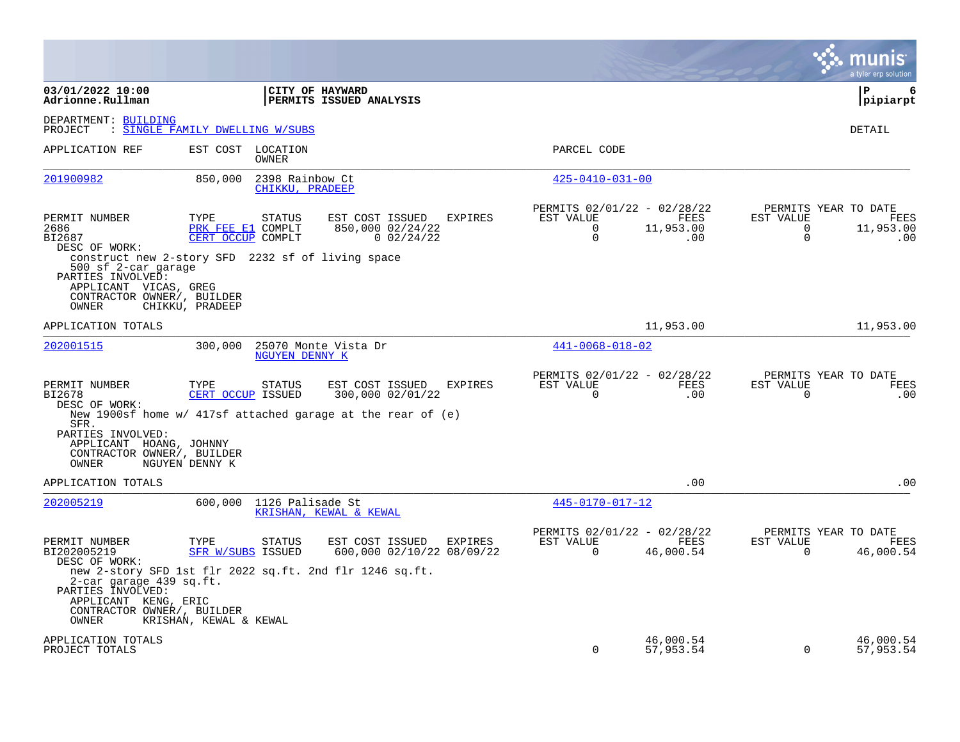|                                                                                                                                         |                                                |                                    |                                                                                                         |                |                                                                     |                          |                                         | munis<br>a tyler erp solution                    |
|-----------------------------------------------------------------------------------------------------------------------------------------|------------------------------------------------|------------------------------------|---------------------------------------------------------------------------------------------------------|----------------|---------------------------------------------------------------------|--------------------------|-----------------------------------------|--------------------------------------------------|
| 03/01/2022 10:00<br>Adrionne.Rullman                                                                                                    |                                                | CITY OF HAYWARD                    | PERMITS ISSUED ANALYSIS                                                                                 |                |                                                                     |                          |                                         | l P<br>6<br> pipiarpt                            |
| DEPARTMENT: BUILDING<br>PROJECT                                                                                                         | : SINGLE FAMILY DWELLING W/SUBS                |                                    |                                                                                                         |                |                                                                     |                          |                                         | DETAIL                                           |
| APPLICATION REF                                                                                                                         | EST COST LOCATION                              | OWNER                              |                                                                                                         |                | PARCEL CODE                                                         |                          |                                         |                                                  |
| 201900982                                                                                                                               | 850,000                                        | 2398 Rainbow Ct<br>CHIKKU, PRADEEP |                                                                                                         |                | $425 - 0410 - 031 - 00$                                             |                          |                                         |                                                  |
| PERMIT NUMBER<br>2686<br>BI2687<br>DESC OF WORK:<br>construct new 2-story SFD 2232 sf of living space<br>500 sf 2-car garage            | TYPE<br>PRK FEE E1 COMPLT<br>CERT OCCUP COMPLT | STATUS                             | EST COST ISSUED<br>850,000 02/24/22<br>$0$ 02/24/22                                                     | <b>EXPIRES</b> | PERMITS 02/01/22 - 02/28/22<br>EST VALUE<br>$\Omega$<br>$\mathbf 0$ | FEES<br>11,953.00<br>.00 | EST VALUE<br>$\mathbf 0$<br>$\mathbf 0$ | PERMITS YEAR TO DATE<br>FEES<br>11,953.00<br>.00 |
| PARTIES INVOLVED:<br>APPLICANT VICAS, GREG<br>CONTRACTOR OWNER/, BUILDER<br>OWNER                                                       | CHIKKU, PRADEEP                                |                                    |                                                                                                         |                |                                                                     |                          |                                         |                                                  |
| APPLICATION TOTALS                                                                                                                      |                                                |                                    |                                                                                                         |                |                                                                     | 11,953.00                |                                         | 11,953.00                                        |
| 202001515                                                                                                                               | 300,000                                        | NGUYEN DENNY K                     | 25070 Monte Vista Dr                                                                                    |                | $441 - 0068 - 018 - 02$                                             |                          |                                         |                                                  |
| PERMIT NUMBER<br>BI2678<br>DESC OF WORK:<br>SFR.<br>PARTIES INVOLVED:<br>APPLICANT HOANG, JOHNNY<br>CONTRACTOR OWNER/, BUILDER<br>OWNER | TYPE<br>CERT OCCUP ISSUED<br>NGUYEN DENNY K    | <b>STATUS</b>                      | EST COST ISSUED<br>300,000 02/01/22<br>New 1900sf home w/ 417sf attached garage at the rear of $(e)$    | <b>EXPIRES</b> | PERMITS 02/01/22 - 02/28/22<br>EST VALUE<br>$\Omega$                | FEES<br>.00              | EST VALUE<br>$\Omega$                   | PERMITS YEAR TO DATE<br>FEES<br>.00              |
| APPLICATION TOTALS                                                                                                                      |                                                |                                    |                                                                                                         |                |                                                                     | .00                      |                                         | .00                                              |
| 202005219                                                                                                                               |                                                | 600,000 1126 Palisade St           | KRISHAN, KEWAL & KEWAL                                                                                  |                | 445-0170-017-12                                                     |                          |                                         |                                                  |
| PERMIT NUMBER<br>BI202005219<br>DESC OF WORK:<br>2-car garage 439 sq.ft.<br>PARTIES INVOLVED:<br>APPLICANT KENG, ERIC                   | TYPE<br><b>SFR W/SUBS ISSUED</b>               | <b>STATUS</b>                      | EST COST ISSUED<br>600,000 02/10/22 08/09/22<br>new 2-story SFD 1st flr 2022 sq.ft. 2nd flr 1246 sq.ft. | EXPIRES        | PERMITS 02/01/22 - 02/28/22<br>EST VALUE<br>$\Omega$                | FEES<br>46,000.54        | EST VALUE<br>$\Omega$                   | PERMITS YEAR TO DATE<br>FEES<br>46,000.54        |
| CONTRACTOR OWNER/, BUILDER<br>OWNER                                                                                                     | KRISHAN, KEWAL & KEWAL                         |                                    |                                                                                                         |                |                                                                     |                          |                                         |                                                  |
| APPLICATION TOTALS<br>PROJECT TOTALS                                                                                                    |                                                |                                    |                                                                                                         |                | $\Omega$                                                            | 46,000.54<br>57,953.54   | $\Omega$                                | 46,000.54<br>57,953.54                           |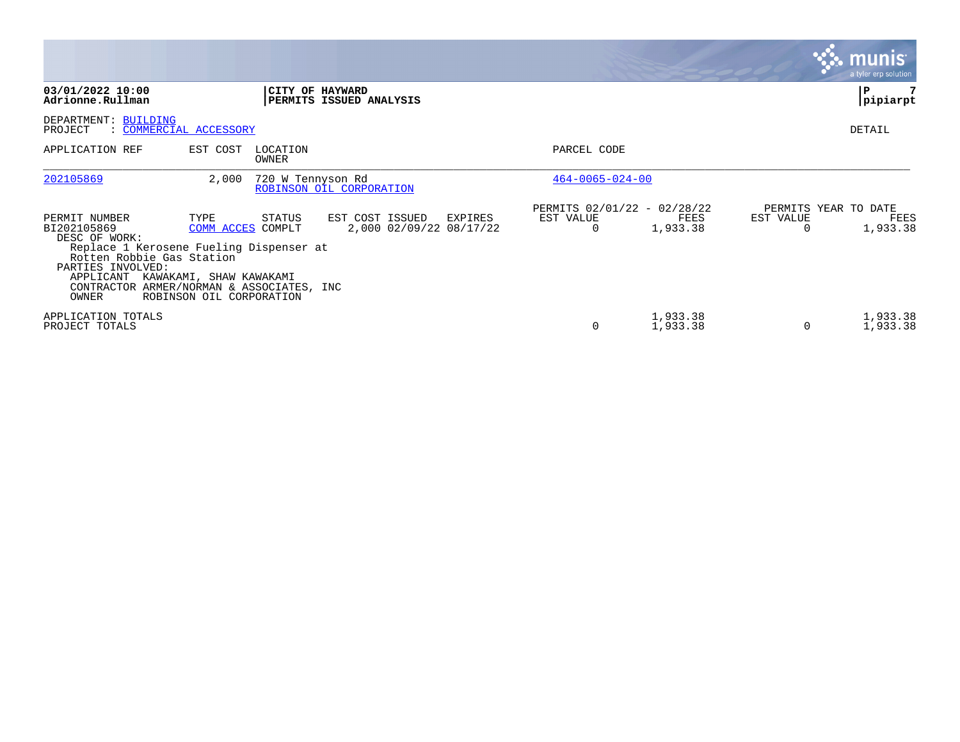|                                                                                                                                                                                                               |                                                                                  |                   |                                                       |                         |                                                 |           | munis<br>a tyler erp solution            |
|---------------------------------------------------------------------------------------------------------------------------------------------------------------------------------------------------------------|----------------------------------------------------------------------------------|-------------------|-------------------------------------------------------|-------------------------|-------------------------------------------------|-----------|------------------------------------------|
| 03/01/2022 10:00<br>Adrionne.Rullman                                                                                                                                                                          |                                                                                  |                   | CITY OF HAYWARD<br>PERMITS ISSUED ANALYSIS            |                         |                                                 |           | P<br>pipiarpt                            |
| DEPARTMENT: BUILDING<br>PROJECT<br>: COMMERCIAL ACCESSORY                                                                                                                                                     |                                                                                  |                   |                                                       |                         |                                                 |           | DETAIL                                   |
| APPLICATION REF                                                                                                                                                                                               | EST COST                                                                         | LOCATION<br>OWNER |                                                       | PARCEL CODE             |                                                 |           |                                          |
| 202105869                                                                                                                                                                                                     | 2,000                                                                            | 720 W Tennyson Rd | ROBINSON OIL CORPORATION                              | $464 - 0065 - 024 - 00$ |                                                 |           |                                          |
| PERMIT NUMBER<br>BI202105869<br>DESC OF WORK:<br>Replace 1 Kerosene Fueling Dispenser at<br>Rotten Robbie Gas Station<br>PARTIES INVOLVED:<br>APPLICANT<br>CONTRACTOR ARMER/NORMAN & ASSOCIATES, INC<br>OWNER | TYPE<br>COMM ACCES COMPLT<br>KAWAKAMI, SHAW KAWAKAMI<br>ROBINSON OIL CORPORATION | STATUS            | EST COST ISSUED<br>EXPIRES<br>2,000 02/09/22 08/17/22 | EST VALUE<br>$\Omega$   | PERMITS 02/01/22 - 02/28/22<br>FEES<br>1,933.38 | EST VALUE | PERMITS YEAR TO DATE<br>FEES<br>1,933.38 |
| APPLICATION TOTALS<br>PROJECT TOTALS                                                                                                                                                                          |                                                                                  |                   |                                                       | 0                       | 1,933.38<br>1,933.38                            | $\Omega$  | 1,933.38<br>1,933.38                     |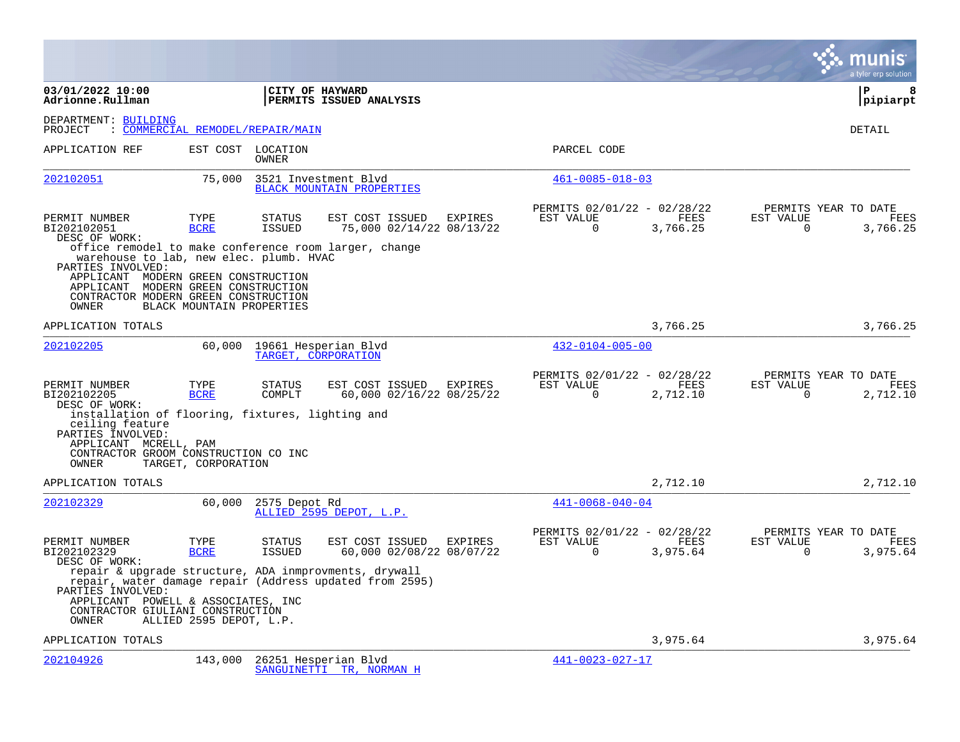|                                                                                                                                                                                             |                                        |                                |                                                                                                                  |                |                                                         |                         | a tyler erp solution                                                     |
|---------------------------------------------------------------------------------------------------------------------------------------------------------------------------------------------|----------------------------------------|--------------------------------|------------------------------------------------------------------------------------------------------------------|----------------|---------------------------------------------------------|-------------------------|--------------------------------------------------------------------------|
| 03/01/2022 10:00<br>Adrionne.Rullman                                                                                                                                                        |                                        | CITY OF HAYWARD                | PERMITS ISSUED ANALYSIS                                                                                          |                |                                                         |                         | l P<br>8<br> pipiarpt                                                    |
| DEPARTMENT: BUILDING<br>PROJECT                                                                                                                                                             | <u> COMMERCIAL REMODEL/REPAIR/MAIN</u> |                                |                                                                                                                  |                |                                                         |                         | <b>DETAIL</b>                                                            |
| APPLICATION REF                                                                                                                                                                             |                                        | EST COST LOCATION<br>OWNER     |                                                                                                                  |                | PARCEL CODE                                             |                         |                                                                          |
| 202102051                                                                                                                                                                                   | 75,000                                 |                                | 3521 Investment Blvd<br><b>BLACK MOUNTAIN PROPERTIES</b>                                                         |                | $461 - 0085 - 018 - 03$                                 |                         |                                                                          |
| PERMIT NUMBER<br>BI202102051<br>DESC OF WORK:                                                                                                                                               | TYPE<br><b>BCRE</b>                    | <b>STATUS</b><br><b>ISSUED</b> | EST COST ISSUED<br>75,000 02/14/22 08/13/22                                                                      | <b>EXPIRES</b> | PERMITS 02/01/22 - 02/28/22<br>EST VALUE<br>$\Omega$    | <b>FEES</b><br>3,766.25 | PERMITS YEAR TO DATE<br><b>FEES</b><br>EST VALUE<br>3,766.25<br>$\Omega$ |
| warehouse to lab, new elec. plumb. HVAC<br>PARTIES INVOLVED:<br>APPLICANT MODERN GREEN CONSTRUCTION<br>APPLICANT MODERN GREEN CONSTRUCTION<br>CONTRACTOR MODERN GREEN CONSTRUCTION<br>OWNER | BLACK MOUNTAIN PROPERTIES              |                                | office remodel to make conference room larger, change                                                            |                |                                                         |                         |                                                                          |
| APPLICATION TOTALS                                                                                                                                                                          |                                        |                                |                                                                                                                  |                |                                                         | 3,766.25                | 3,766.25                                                                 |
| 202102205                                                                                                                                                                                   | 60,000                                 | TARGET, CORPORATION            | 19661 Hesperian Blvd                                                                                             |                | $432 - 0104 - 005 - 00$                                 |                         |                                                                          |
| PERMIT NUMBER<br>BI202102205<br>DESC OF WORK:<br>installation of flooring, fixtures, lighting and<br>ceiling feature<br>PARTIES INVOLVED:<br>APPLICANT MCRELL, PAM                          | TYPE<br><b>BCRE</b>                    | <b>STATUS</b><br>COMPLT        | EST COST ISSUED<br>60,000 02/16/22 08/25/22                                                                      | EXPIRES        | PERMITS 02/01/22 - 02/28/22<br>EST VALUE<br>$\Omega$    | FEES<br>2,712.10        | PERMITS YEAR TO DATE<br>EST VALUE<br>FEES<br>$\Omega$<br>2,712.10        |
| CONTRACTOR GROOM CONSTRUCTION CO INC<br>OWNER                                                                                                                                               | TARGET, CORPORATION                    |                                |                                                                                                                  |                |                                                         |                         |                                                                          |
| APPLICATION TOTALS                                                                                                                                                                          |                                        |                                |                                                                                                                  |                |                                                         | 2,712.10                | 2,712.10                                                                 |
| 202102329                                                                                                                                                                                   | 60,000                                 | 2575 Depot Rd                  | ALLIED 2595 DEPOT, L.P.                                                                                          |                | $441 - 0068 - 040 - 04$                                 |                         |                                                                          |
| PERMIT NUMBER<br>BI202102329<br>DESC OF WORK:                                                                                                                                               | TYPE<br><b>BCRE</b>                    | <b>STATUS</b><br><b>ISSUED</b> | EST COST ISSUED<br>60,000 02/08/22 08/07/22                                                                      | EXPIRES        | PERMITS 02/01/22 - 02/28/22<br>EST VALUE<br>$\mathbf 0$ | FEES<br>3,975.64        | PERMITS YEAR TO DATE<br>FEES<br>EST VALUE<br>$\mathbf 0$<br>3,975.64     |
| PARTIES INVOLVED:<br>APPLICANT POWELL & ASSOCIATES, INC<br>CONTRACTOR GIULIANI CONSTRUCTION<br>OWNER                                                                                        | ALLIED 2595 DEPOT, L.P.                |                                | repair & upgrade structure, ADA inmprovments, drywall<br>repair, water damage repair (Address updated from 2595) |                |                                                         |                         |                                                                          |
| APPLICATION TOTALS                                                                                                                                                                          |                                        |                                |                                                                                                                  |                |                                                         | 3,975.64                | 3,975.64                                                                 |
| 202104926                                                                                                                                                                                   | 143,000                                |                                | 26251 Hesperian Blvd<br>SANGUINETTI TR, NORMAN H                                                                 |                | 441-0023-027-17                                         |                         |                                                                          |

**College**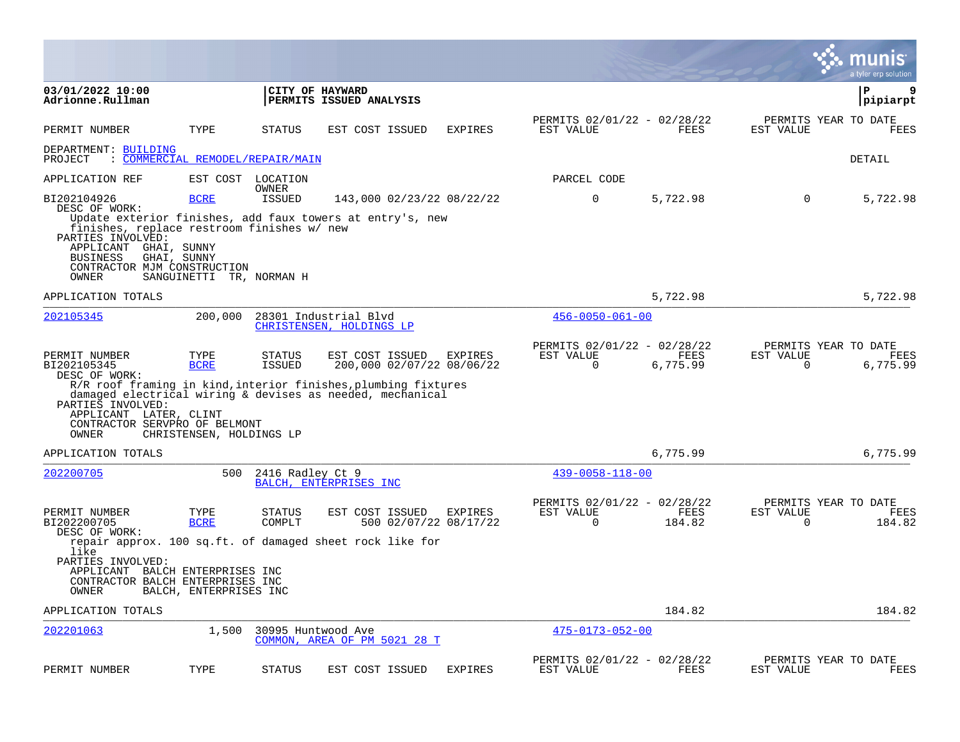|                                                                                                                                                            |                                                 |                         |                                                                                                                                                                             |                |                                                      |                  |                       | a tyler erp solution                          |
|------------------------------------------------------------------------------------------------------------------------------------------------------------|-------------------------------------------------|-------------------------|-----------------------------------------------------------------------------------------------------------------------------------------------------------------------------|----------------|------------------------------------------------------|------------------|-----------------------|-----------------------------------------------|
| 03/01/2022 10:00<br>Adrionne.Rullman                                                                                                                       |                                                 |                         | CITY OF HAYWARD<br>PERMITS ISSUED ANALYSIS                                                                                                                                  |                |                                                      |                  |                       | 9<br>ΙP<br> pipiarpt                          |
| PERMIT NUMBER                                                                                                                                              | TYPE                                            | STATUS                  | EST COST ISSUED                                                                                                                                                             | <b>EXPIRES</b> | PERMITS 02/01/22 - 02/28/22<br>EST VALUE             | FEES             | EST VALUE             | PERMITS YEAR TO DATE<br><b>FEES</b>           |
| DEPARTMENT: BUILDING<br>PROJECT                                                                                                                            | : COMMERCIAL REMODEL/REPAIR/MAIN                |                         |                                                                                                                                                                             |                |                                                      |                  |                       | DETAIL                                        |
| APPLICATION REF                                                                                                                                            |                                                 | EST COST LOCATION       |                                                                                                                                                                             |                | PARCEL CODE                                          |                  |                       |                                               |
| BI202104926<br>DESC OF WORK:                                                                                                                               | <b>BCRE</b>                                     | OWNER<br>ISSUED         | 143,000 02/23/22 08/22/22                                                                                                                                                   |                | $\mathbf 0$                                          | 5,722.98         | $\mathbf 0$           | 5,722.98                                      |
| finishes, replace restroom finishes w/ new<br>PARTIES INVOLVED:<br>APPLICANT GHAI, SUNNY<br><b>BUSINESS</b><br>CONTRACTOR MJM CONSTRUCTION<br>OWNER        | GHAI, SUNNY<br>SANGUINETTI TR, NORMAN H         |                         | Update exterior finishes, add faux towers at entry's, new                                                                                                                   |                |                                                      |                  |                       |                                               |
| APPLICATION TOTALS                                                                                                                                         |                                                 |                         |                                                                                                                                                                             |                |                                                      | 5,722.98         |                       | 5,722.98                                      |
| 202105345                                                                                                                                                  | 200,000                                         |                         | 28301 Industrial Blvd<br>CHRISTENSEN, HOLDINGS LP                                                                                                                           |                | $456 - 0050 - 061 - 00$                              |                  |                       |                                               |
| PERMIT NUMBER<br>BI202105345<br>DESC OF WORK:<br>PARTIES INVOLVED:<br>APPLICANT LATER, CLINT<br>CONTRACTOR SERVPRO OF BELMONT<br>OWNER                     | TYPE<br><b>BCRE</b><br>CHRISTENSEN, HOLDINGS LP | STATUS<br><b>ISSUED</b> | EST COST ISSUED<br>200,000 02/07/22 08/06/22<br>R/R roof framing in kind, interior finishes, plumbing fixtures<br>damaged electrical wiring & devises as needed, mechanical | EXPIRES        | PERMITS 02/01/22 - 02/28/22<br>EST VALUE<br>0        | FEES<br>6,775.99 | EST VALUE<br>0        | PERMITS YEAR TO DATE<br>FEES<br>6,775.99      |
| APPLICATION TOTALS                                                                                                                                         |                                                 |                         |                                                                                                                                                                             |                |                                                      | 6,775.99         |                       | 6,775.99                                      |
| 202200705                                                                                                                                                  | 500                                             | 2416 Radley Ct 9        | BALCH, ENTERPRISES INC                                                                                                                                                      |                | $439 - 0058 - 118 - 00$                              |                  |                       |                                               |
| PERMIT NUMBER<br>BI202200705<br>DESC OF WORK:<br>like<br>PARTIES INVOLVED:<br>APPLICANT BALCH ENTERPRISES INC<br>CONTRACTOR BALCH ENTERPRISES INC<br>OWNER | TYPE<br><b>BCRE</b><br>BALCH, ENTERPRISES INC   | STATUS<br>COMPLT        | EST COST ISSUED<br>500 02/07/22 08/17/22<br>repair approx. 100 sq.ft. of damaged sheet rock like for                                                                        | EXPIRES        | PERMITS 02/01/22 - 02/28/22<br>EST VALUE<br>$\Omega$ | FEES<br>184.82   | EST VALUE<br>$\Omega$ | PERMITS YEAR TO DATE<br><b>FEES</b><br>184.82 |
| APPLICATION TOTALS                                                                                                                                         |                                                 |                         |                                                                                                                                                                             |                |                                                      | 184.82           |                       | 184.82                                        |
| 202201063                                                                                                                                                  | 1,500                                           | 30995 Huntwood Ave      | COMMON, AREA OF PM 5021 28 T                                                                                                                                                |                | $475 - 0173 - 052 - 00$                              |                  |                       |                                               |
| PERMIT NUMBER                                                                                                                                              | TYPE                                            | <b>STATUS</b>           | EST COST ISSUED                                                                                                                                                             | <b>EXPIRES</b> | PERMITS 02/01/22 - 02/28/22<br>EST VALUE             | FEES             | EST VALUE             | PERMITS YEAR TO DATE<br>FEES                  |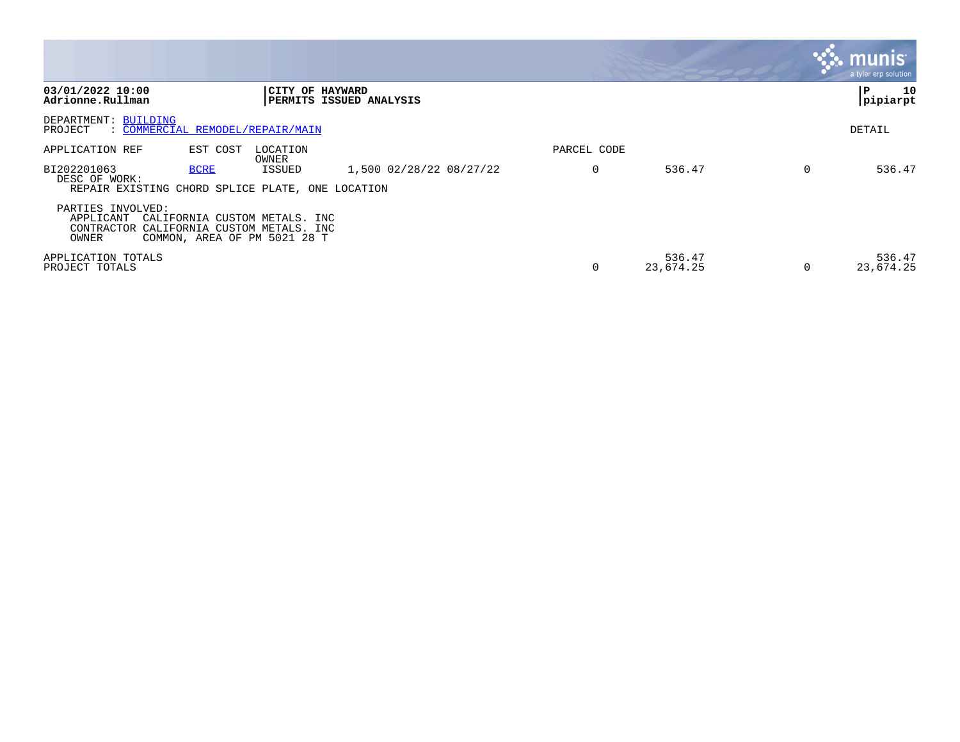|                                                                                  |             |                                                                                                |                         |             |                     | $\overline{\mathsf{munis}}^{\mathsf{t}}$<br>a tyler erp solution |
|----------------------------------------------------------------------------------|-------------|------------------------------------------------------------------------------------------------|-------------------------|-------------|---------------------|------------------------------------------------------------------|
| 03/01/2022 10:00<br>Adrionne.Rullman                                             |             | CITY OF HAYWARD                                                                                | PERMITS ISSUED ANALYSIS |             |                     | 10<br>P<br> pipiarpt                                             |
| DEPARTMENT: BUILDING<br>: COMMERCIAL REMODEL/REPAIR/MAIN<br>PROJECT              |             |                                                                                                |                         |             |                     | DETAIL                                                           |
| APPLICATION REF                                                                  | EST COST    | LOCATION<br>OWNER                                                                              |                         | PARCEL CODE |                     |                                                                  |
| BI202201063<br>DESC OF WORK:<br>REPAIR EXISTING CHORD SPLICE PLATE, ONE LOCATION | <b>BCRE</b> | ISSUED                                                                                         | 1,500 02/28/22 08/27/22 |             | 536.47              | 536.47                                                           |
| PARTIES INVOLVED:<br>APPLICANT<br>CONTRACTOR<br>OWNER                            |             | CALIFORNIA CUSTOM METALS. INC<br>CALIFORNIA CUSTOM METALS. INC<br>COMMON, AREA OF PM 5021 28 T |                         |             |                     |                                                                  |
| APPLICATION TOTALS<br>PROJECT TOTALS                                             |             |                                                                                                |                         |             | 536.47<br>23,674.25 | 536.47<br>23,674.25                                              |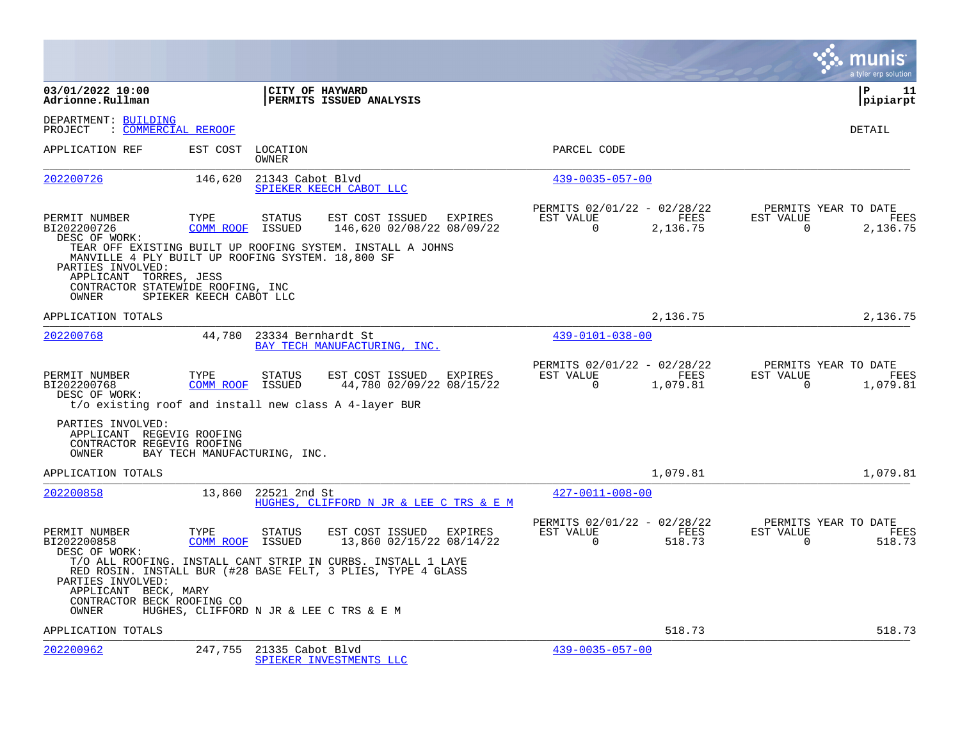|                                                                                                                                                |                              |                            |                                                                                                                                                                         |                                                      |                  |                       | a tyler erp solution                     |
|------------------------------------------------------------------------------------------------------------------------------------------------|------------------------------|----------------------------|-------------------------------------------------------------------------------------------------------------------------------------------------------------------------|------------------------------------------------------|------------------|-----------------------|------------------------------------------|
| 03/01/2022 10:00<br>Adrionne.Rullman                                                                                                           |                              |                            | CITY OF HAYWARD<br>PERMITS ISSUED ANALYSIS                                                                                                                              |                                                      |                  |                       | l P<br>-11<br> pipiarpt                  |
| DEPARTMENT: BUILDING<br>: COMMERCIAL REROOF<br>PROJECT                                                                                         |                              |                            |                                                                                                                                                                         |                                                      |                  |                       | DETAIL                                   |
| APPLICATION REF                                                                                                                                |                              | EST COST LOCATION<br>OWNER |                                                                                                                                                                         | PARCEL CODE                                          |                  |                       |                                          |
| 202200726                                                                                                                                      | 146,620                      | 21343 Cabot Blvd           | SPIEKER KEECH CABOT LLC                                                                                                                                                 | $439 - 0035 - 057 - 00$                              |                  |                       |                                          |
| PERMIT NUMBER<br>BI202200726<br>DESC OF WORK:                                                                                                  | TYPE<br>COMM ROOF            | <b>STATUS</b><br>ISSUED    | EST COST ISSUED<br>EXPIRES<br>146,620 02/08/22 08/09/22<br>TEAR OFF EXISTING BUILT UP ROOFING SYSTEM. INSTALL A JOHNS                                                   | PERMITS 02/01/22 - 02/28/22<br>EST VALUE<br>$\Omega$ | FEES<br>2,136.75 | EST VALUE<br>$\Omega$ | PERMITS YEAR TO DATE<br>FEES<br>2,136.75 |
| MANVILLE 4 PLY BUILT UP ROOFING SYSTEM. 18,800 SF<br>PARTIES INVOLVED:<br>APPLICANT TORRES, JESS<br>CONTRACTOR STATEWIDE ROOFING, INC<br>OWNER | SPIEKER KEECH CABOT LLC      |                            |                                                                                                                                                                         |                                                      |                  |                       |                                          |
| APPLICATION TOTALS                                                                                                                             |                              |                            |                                                                                                                                                                         |                                                      | 2,136.75         |                       | 2,136.75                                 |
| 202200768                                                                                                                                      | 44,780                       | 23334 Bernhardt St         | BAY TECH MANUFACTURING, INC.                                                                                                                                            | $439 - 0101 - 038 - 00$                              |                  |                       |                                          |
| PERMIT NUMBER<br>BI202200768<br>DESC OF WORK:<br>t/o existing roof and install new class A 4-layer BUR                                         | TYPE<br><b>COMM ROOF</b>     | <b>STATUS</b><br>ISSUED    | EST COST ISSUED<br>EXPIRES<br>44,780 02/09/22 08/15/22                                                                                                                  | PERMITS 02/01/22 - 02/28/22<br>EST VALUE<br>$\Omega$ | FEES<br>1,079.81 | EST VALUE<br>$\Omega$ | PERMITS YEAR TO DATE<br>FEES<br>1,079.81 |
| PARTIES INVOLVED:<br>APPLICANT REGEVIG ROOFING<br>CONTRACTOR REGEVIG ROOFING<br>OWNER                                                          | BAY TECH MANUFACTURING, INC. |                            |                                                                                                                                                                         |                                                      |                  |                       |                                          |
| APPLICATION TOTALS                                                                                                                             |                              |                            |                                                                                                                                                                         |                                                      | 1,079.81         |                       | 1,079.81                                 |
| 202200858                                                                                                                                      | 13,860                       | 22521 2nd St               | HUGHES, CLIFFORD N JR & LEE C TRS & E M                                                                                                                                 | $427 - 0011 - 008 - 00$                              |                  |                       |                                          |
| PERMIT NUMBER<br>BI202200858<br>DESC OF WORK:                                                                                                  | TYPE<br>COMM ROOF            | <b>STATUS</b><br>ISSUED    | EST COST ISSUED<br>EXPIRES<br>13,860 02/15/22 08/14/22                                                                                                                  | PERMITS 02/01/22 - 02/28/22<br>EST VALUE<br>$\Omega$ | FEES<br>518.73   | EST VALUE<br>$\Omega$ | PERMITS YEAR TO DATE<br>FEES<br>518.73   |
| PARTIES INVOLVED:<br>APPLICANT BECK, MARY<br>CONTRACTOR BECK ROOFING CO<br>OWNER                                                               |                              |                            | T/O ALL ROOFING. INSTALL CANT STRIP IN CURBS. INSTALL 1 LAYE<br>RED ROSIN. INSTALL BUR (#28 BASE FELT, 3 PLIES, TYPE 4 GLASS<br>HUGHES, CLIFFORD N JR & LEE C TRS & E M |                                                      |                  |                       |                                          |
| APPLICATION TOTALS                                                                                                                             |                              |                            |                                                                                                                                                                         |                                                      | 518.73           |                       | 518.73                                   |
| 202200962                                                                                                                                      | 247,755                      | 21335 Cabot Blvd           | SPIEKER INVESTMENTS LLC                                                                                                                                                 | $439 - 0035 - 057 - 00$                              |                  |                       |                                          |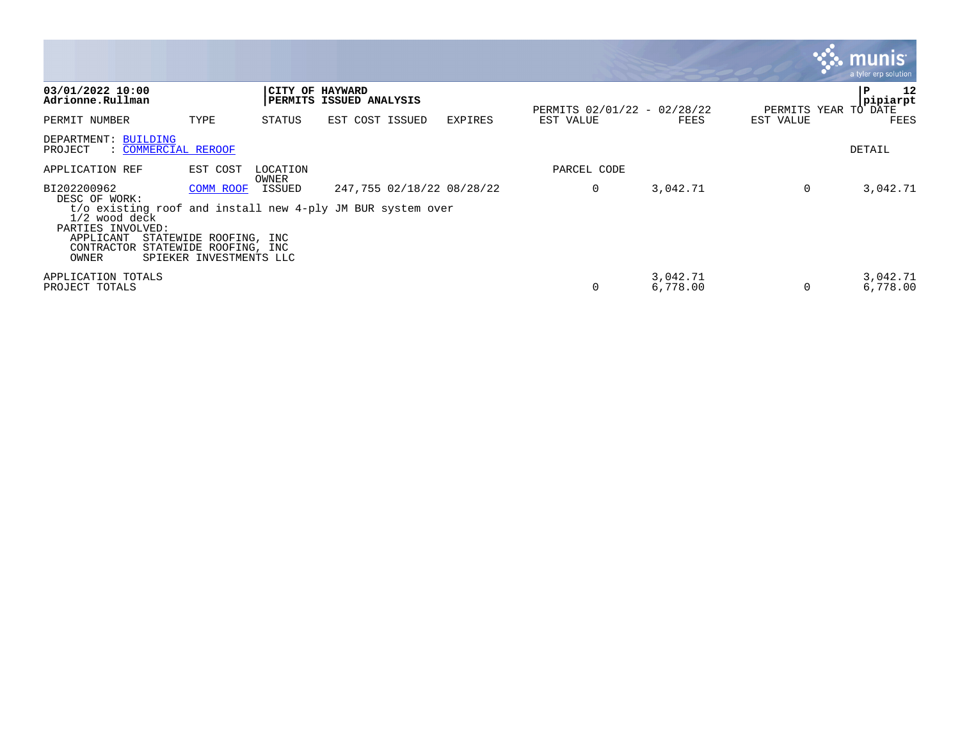|                                                                                                                                                                      |                                                                                          |                   |                         |                           |                                          |                      |                                   | munis<br>a tyler erp solution |
|----------------------------------------------------------------------------------------------------------------------------------------------------------------------|------------------------------------------------------------------------------------------|-------------------|-------------------------|---------------------------|------------------------------------------|----------------------|-----------------------------------|-------------------------------|
| 03/01/2022 10:00<br>Adrionne.Rullman                                                                                                                                 |                                                                                          | CITY OF HAYWARD   | PERMITS ISSUED ANALYSIS |                           |                                          |                      |                                   | P<br>12<br>pipiarpt           |
| PERMIT NUMBER                                                                                                                                                        | TYPE                                                                                     | STATUS            | EST COST ISSUED         | <b>EXPIRES</b>            | PERMITS 02/01/22 - 02/28/22<br>EST VALUE | FEES                 | PERMITS YEAR TO DATE<br>EST VALUE | FEES                          |
| DEPARTMENT: BUILDING<br>PROJECT<br>: COMMERCIAL REROOF                                                                                                               |                                                                                          |                   |                         |                           |                                          |                      |                                   | DETAIL                        |
| APPLICATION REF                                                                                                                                                      | EST COST                                                                                 | LOCATION<br>OWNER |                         |                           | PARCEL CODE                              |                      |                                   |                               |
| BI202200962<br>DESC OF WORK:<br>t/o existing roof and install new 4-ply JM BUR system over<br>1/2 wood deck<br>PARTIES INVOLVED:<br>APPLICANT<br>CONTRACTOR<br>OWNER | COMM ROOF<br>STATEWIDE ROOFING, INC<br>STATEWIDE ROOFING, INC<br>SPIEKER INVESTMENTS LLC | ISSUED            |                         | 247,755 02/18/22 08/28/22 | 0                                        | 3,042.71             | 0                                 | 3,042.71                      |
| APPLICATION TOTALS<br>PROJECT TOTALS                                                                                                                                 |                                                                                          |                   |                         |                           | $\Omega$                                 | 3,042.71<br>6,778.00 |                                   | 3,042.71<br>6,778.00          |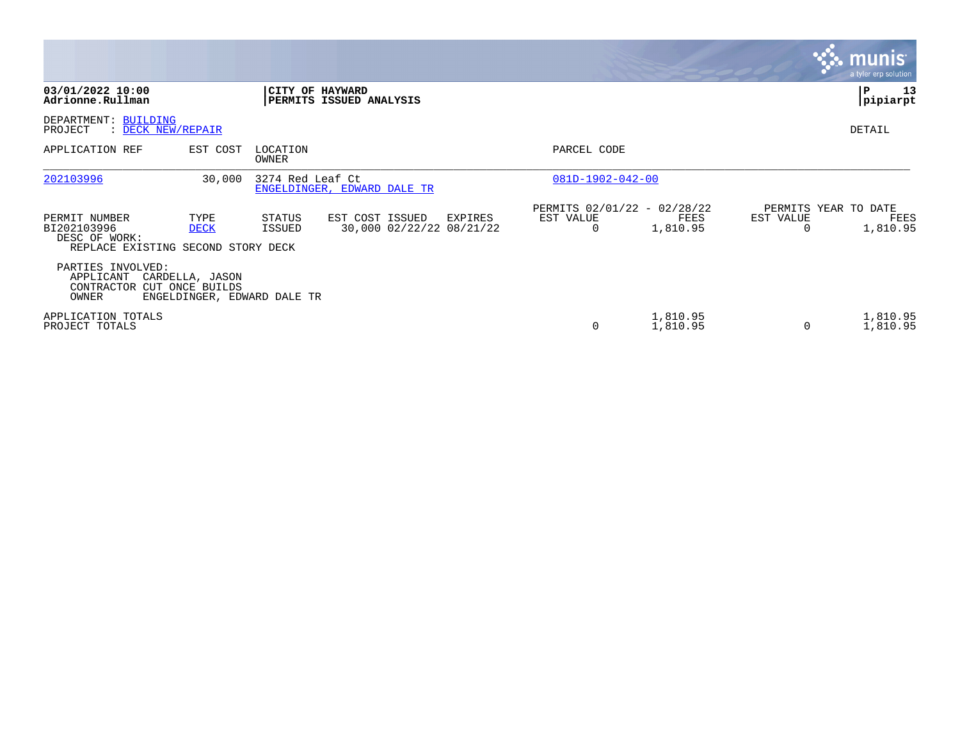|                                                                                     |                                                                   |                   |                                                        |                                               |                      |           | <b>munis</b><br>a tyler erp solution     |
|-------------------------------------------------------------------------------------|-------------------------------------------------------------------|-------------------|--------------------------------------------------------|-----------------------------------------------|----------------------|-----------|------------------------------------------|
| 03/01/2022 10:00<br>Adrionne.Rullman                                                |                                                                   |                   | CITY OF HAYWARD<br>PERMITS ISSUED ANALYSIS             |                                               |                      |           | 13<br>P<br>pipiarpt                      |
| DEPARTMENT: BUILDING<br>PROJECT<br>: DECK NEW/REPAIR                                |                                                                   |                   |                                                        |                                               |                      |           | DETAIL                                   |
| APPLICATION REF                                                                     | EST COST                                                          | LOCATION<br>OWNER |                                                        | PARCEL CODE                                   |                      |           |                                          |
| 202103996                                                                           | 30,000                                                            | 3274 Red Leaf Ct  | ENGELDINGER, EDWARD DALE TR                            | $081D-1902-042-00$                            |                      |           |                                          |
| PERMIT NUMBER<br>BI202103996<br>DESC OF WORK:<br>REPLACE EXISTING SECOND STORY DECK | TYPE<br><b>DECK</b>                                               | STATUS<br>ISSUED  | EST COST ISSUED<br>EXPIRES<br>30,000 02/22/22 08/21/22 | PERMITS 02/01/22 - 02/28/22<br>EST VALUE<br>0 | FEES<br>1,810.95     | EST VALUE | PERMITS YEAR TO DATE<br>FEES<br>1,810.95 |
| PARTIES INVOLVED:<br>APPLICANT<br>CONTRACTOR<br>OWNER                               | CARDELLA, JASON<br>CUT ONCE BUILDS<br>ENGELDINGER, EDWARD DALE TR |                   |                                                        |                                               |                      |           |                                          |
| APPLICATION TOTALS<br>PROJECT TOTALS                                                |                                                                   |                   |                                                        | 0                                             | 1,810.95<br>1,810.95 | $\Omega$  | 1,810.95<br>1,810.95                     |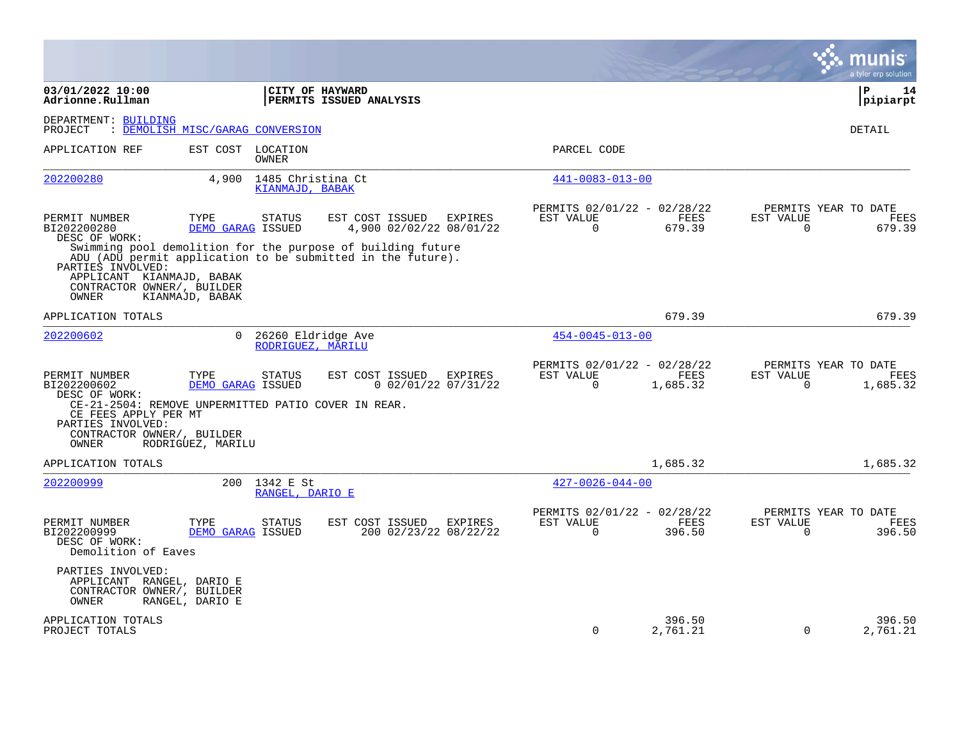|                                                                                                                                                   |                                                     |                                                                                                                                                                                     |                                                      |                    |                          | a tyler erp solution                          |
|---------------------------------------------------------------------------------------------------------------------------------------------------|-----------------------------------------------------|-------------------------------------------------------------------------------------------------------------------------------------------------------------------------------------|------------------------------------------------------|--------------------|--------------------------|-----------------------------------------------|
| 03/01/2022 10:00<br>Adrionne.Rullman                                                                                                              |                                                     | CITY OF HAYWARD<br>PERMITS ISSUED ANALYSIS                                                                                                                                          |                                                      |                    |                          | ΙP<br>14<br> pipiarpt                         |
| DEPARTMENT: BUILDING<br>PROJECT                                                                                                                   | : DEMOLISH MISC/GARAG CONVERSION                    |                                                                                                                                                                                     |                                                      |                    |                          | DETAIL                                        |
| APPLICATION REF                                                                                                                                   | EST COST LOCATION<br>OWNER                          |                                                                                                                                                                                     | PARCEL CODE                                          |                    |                          |                                               |
| 202200280                                                                                                                                         | 1485 Christina Ct<br>4,900<br>KIANMAJD, BABAK       |                                                                                                                                                                                     | $441 - 0083 - 013 - 00$                              |                    |                          |                                               |
| PERMIT NUMBER<br>BI202200280<br>DESC OF WORK:                                                                                                     | TYPE<br><b>STATUS</b><br>DEMO GARAG ISSUED          | EST COST ISSUED<br>EXPIRES<br>4,900 02/02/22 08/01/22<br>Swimming pool demolition for the purpose of building future<br>ADU (ADU permit application to be submitted in the future). | PERMITS 02/01/22 - 02/28/22<br>EST VALUE<br>$\Omega$ | FEES<br>679.39     | EST VALUE<br>$\Omega$    | PERMITS YEAR TO DATE<br>FEES<br>679.39        |
| PARTIES INVOLVED:<br>APPLICANT KIANMAJD, BABAK<br>CONTRACTOR OWNER/, BUILDER<br>OWNER<br>KIANMAJD, BABAK                                          |                                                     |                                                                                                                                                                                     |                                                      |                    |                          |                                               |
| APPLICATION TOTALS                                                                                                                                |                                                     |                                                                                                                                                                                     |                                                      | 679.39             |                          | 679.39                                        |
| 202200602                                                                                                                                         | $\Omega$<br>26260 Eldridge Ave<br>RODRIGUEZ, MARILU |                                                                                                                                                                                     | $454 - 0045 - 013 - 00$                              |                    |                          |                                               |
| PERMIT NUMBER<br>BI202200602<br>DESC OF WORK:<br>CE-21-2504: REMOVE UNPERMITTED PATIO COVER IN REAR.<br>CE FEES APPLY PER MT<br>PARTIES INVOLVED: | TYPE<br><b>STATUS</b><br>DEMO GARAG ISSUED          | EST COST ISSUED EXPIRES<br>$0$ 02/01/22 07/31/22                                                                                                                                    | PERMITS 02/01/22 - 02/28/22<br>EST VALUE<br>$\Omega$ | FEES<br>1,685.32   | EST VALUE<br>$\Omega$    | PERMITS YEAR TO DATE<br>FEES<br>1,685.32      |
| CONTRACTOR OWNER/, BUILDER<br>OWNER                                                                                                               | RODRIGUEZ, MARILU                                   |                                                                                                                                                                                     |                                                      |                    |                          |                                               |
| APPLICATION TOTALS                                                                                                                                |                                                     |                                                                                                                                                                                     |                                                      | 1,685.32           |                          | 1,685.32                                      |
| 202200999                                                                                                                                         | 200 1342 E St<br>RANGEL, DARIO E                    |                                                                                                                                                                                     | $427 - 0026 - 044 - 00$                              |                    |                          |                                               |
| PERMIT NUMBER<br>BI202200999<br>DESC OF WORK:<br>Demolition of Eaves                                                                              | TYPE<br><b>STATUS</b><br>DEMO GARAG ISSUED          | EST COST ISSUED<br>EXPIRES<br>200 02/23/22 08/22/22                                                                                                                                 | PERMITS 02/01/22 - 02/28/22<br>EST VALUE<br>0        | FEES<br>396.50     | EST VALUE<br>$\mathbf 0$ | PERMITS YEAR TO DATE<br><b>FEES</b><br>396.50 |
| PARTIES INVOLVED:<br>APPLICANT RANGEL, DARIO E<br>CONTRACTOR OWNER/, BUILDER<br>OWNER<br>RANGEL, DARIO E                                          |                                                     |                                                                                                                                                                                     |                                                      |                    |                          |                                               |
| APPLICATION TOTALS<br>PROJECT TOTALS                                                                                                              |                                                     |                                                                                                                                                                                     | 0                                                    | 396.50<br>2,761.21 | $\mathbf 0$              | 396.50<br>2,761.21                            |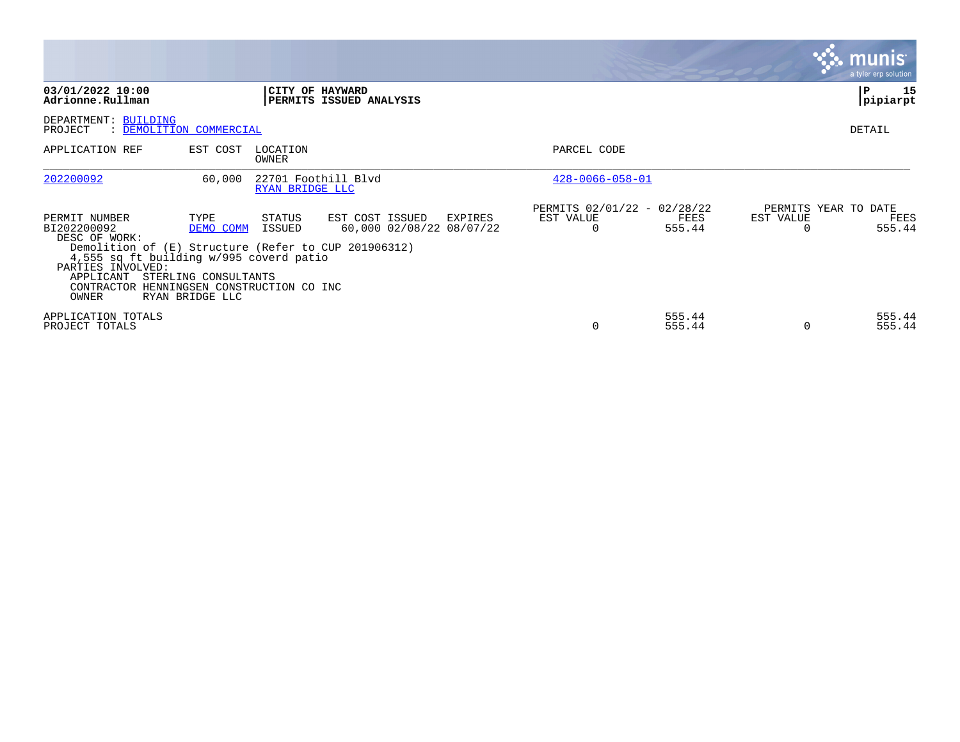|                                                                                                                                                                                                                                          |                                                              |                   |                                             |         |                                               |                  |                       | <b>munis</b><br>a tyler erp solution   |
|------------------------------------------------------------------------------------------------------------------------------------------------------------------------------------------------------------------------------------------|--------------------------------------------------------------|-------------------|---------------------------------------------|---------|-----------------------------------------------|------------------|-----------------------|----------------------------------------|
| 03/01/2022 10:00<br>Adrionne.Rullman                                                                                                                                                                                                     |                                                              | CITY OF HAYWARD   | PERMITS ISSUED ANALYSIS                     |         |                                               |                  |                       | 15<br>≀ P<br> pipiarpt                 |
| DEPARTMENT: BUILDING<br>PROJECT<br>: DEMOLITION COMMERCIAL                                                                                                                                                                               |                                                              |                   |                                             |         |                                               |                  |                       | DETAIL                                 |
| APPLICATION REF                                                                                                                                                                                                                          | EST COST                                                     | LOCATION<br>OWNER |                                             |         | PARCEL CODE                                   |                  |                       |                                        |
| 202200092                                                                                                                                                                                                                                | 60,000                                                       | RYAN BRIDGE LLC   | 22701 Foothill Blvd                         |         | $428 - 0066 - 058 - 01$                       |                  |                       |                                        |
| PERMIT NUMBER<br>BI202200092<br>DESC OF WORK:<br>Demolition of (E) Structure (Refer to CUP 201906312)<br>4,555 sq ft building w/995 coverd patio<br>PARTIES INVOLVED:<br>APPLICANT<br>CONTRACTOR HENNINGSEN CONSTRUCTION CO INC<br>OWNER | TYPE<br>DEMO COMM<br>STERLING CONSULTANTS<br>RYAN BRIDGE LLC | STATUS<br>ISSUED  | EST COST ISSUED<br>60,000 02/08/22 08/07/22 | EXPIRES | PERMITS 02/01/22 - 02/28/22<br>EST VALUE<br>0 | FEES<br>555.44   | EST VALUE<br>$\Omega$ | PERMITS YEAR TO DATE<br>FEES<br>555.44 |
| APPLICATION TOTALS<br>PROJECT TOTALS                                                                                                                                                                                                     |                                                              |                   |                                             |         |                                               | 555.44<br>555.44 | $\Omega$              | 555.44<br>555.44                       |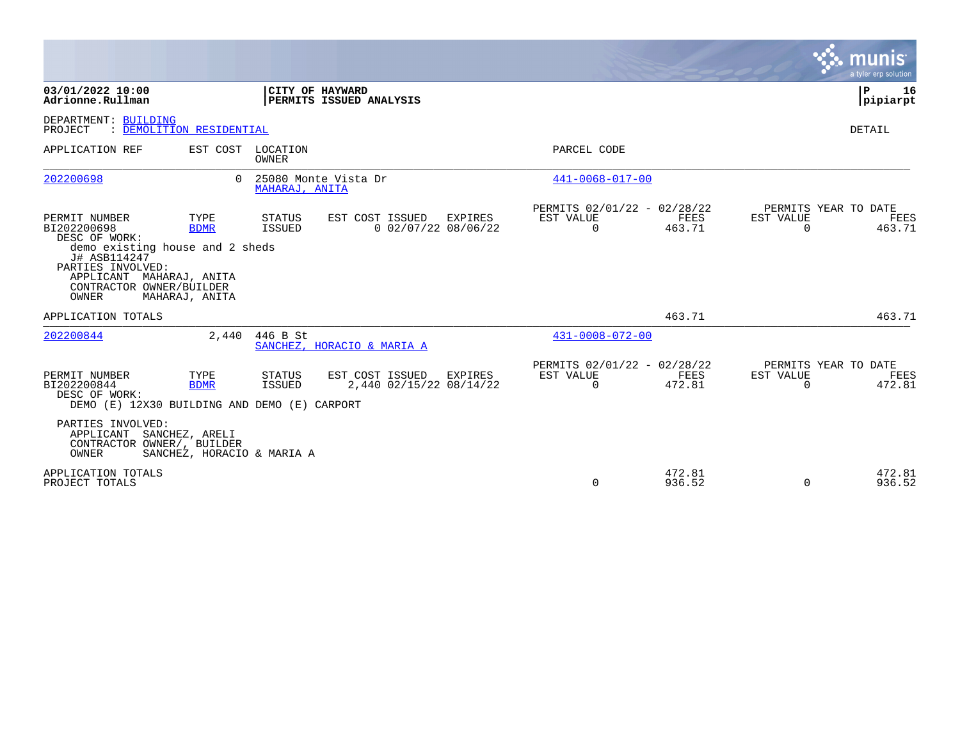|                                                                                                                                                                                        |                                              |                          |                                            |         |                                                      |                  |                       | munis<br>a tyler erp solution          |
|----------------------------------------------------------------------------------------------------------------------------------------------------------------------------------------|----------------------------------------------|--------------------------|--------------------------------------------|---------|------------------------------------------------------|------------------|-----------------------|----------------------------------------|
| 03/01/2022 10:00<br>Adrionne.Rullman                                                                                                                                                   |                                              |                          | CITY OF HAYWARD<br>PERMITS ISSUED ANALYSIS |         |                                                      |                  |                       | l P<br>16<br> pipiarpt                 |
| DEPARTMENT: BUILDING<br>PROJECT                                                                                                                                                        | : DEMOLITION RESIDENTIAL                     |                          |                                            |         |                                                      |                  |                       | DETAIL                                 |
| APPLICATION REF                                                                                                                                                                        | EST COST                                     | LOCATION<br><b>OWNER</b> |                                            |         | PARCEL CODE                                          |                  |                       |                                        |
| 202200698                                                                                                                                                                              | $\Omega$                                     | MAHARAJ, ANITA           | 25080 Monte Vista Dr                       |         | $441 - 0068 - 017 - 00$                              |                  |                       |                                        |
| PERMIT NUMBER<br>BI202200698<br>DESC OF WORK:<br>demo existing house and 2 sheds<br>J# ASB114247<br>PARTIES INVOLVED:<br>APPLICANT MAHARAJ, ANITA<br>CONTRACTOR OWNER/BUILDER<br>OWNER | TYPE<br><b>BDMR</b><br>MAHARAJ, ANITA        | STATUS<br>ISSUED         | EST COST ISSUED<br>$0$ 02/07/22 08/06/22   | EXPIRES | PERMITS 02/01/22 - 02/28/22<br>EST VALUE<br>$\Omega$ | FEES<br>463.71   | EST VALUE<br>$\Omega$ | PERMITS YEAR TO DATE<br>FEES<br>463.71 |
| APPLICATION TOTALS                                                                                                                                                                     |                                              |                          |                                            |         |                                                      | 463.71           |                       | 463.71                                 |
| 202200844                                                                                                                                                                              | 2,440                                        | 446 B St                 | SANCHEZ, HORACIO & MARIA A                 |         | $431 - 0008 - 072 - 00$                              |                  |                       |                                        |
| PERMIT NUMBER<br>BI202200844<br>DESC OF WORK:<br>DEMO (E) 12X30 BUILDING AND DEMO (E) CARPORT                                                                                          | TYPE<br><b>BDMR</b>                          | STATUS<br><b>ISSUED</b>  | EST COST ISSUED<br>2,440 02/15/22 08/14/22 | EXPIRES | PERMITS 02/01/22 - 02/28/22<br>EST VALUE<br>$\Omega$ | FEES<br>472.81   | EST VALUE<br>$\Omega$ | PERMITS YEAR TO DATE<br>FEES<br>472.81 |
| PARTIES INVOLVED:<br>APPLICANT<br>CONTRACTOR OWNER/, BUILDER<br>OWNER                                                                                                                  | SANCHEZ, ARELI<br>SANCHEZ, HORACIO & MARIA A |                          |                                            |         |                                                      |                  |                       |                                        |
| APPLICATION TOTALS<br>PROJECT TOTALS                                                                                                                                                   |                                              |                          |                                            |         | $\Omega$                                             | 472.81<br>936.52 | $\Omega$              | 472.81<br>936.52                       |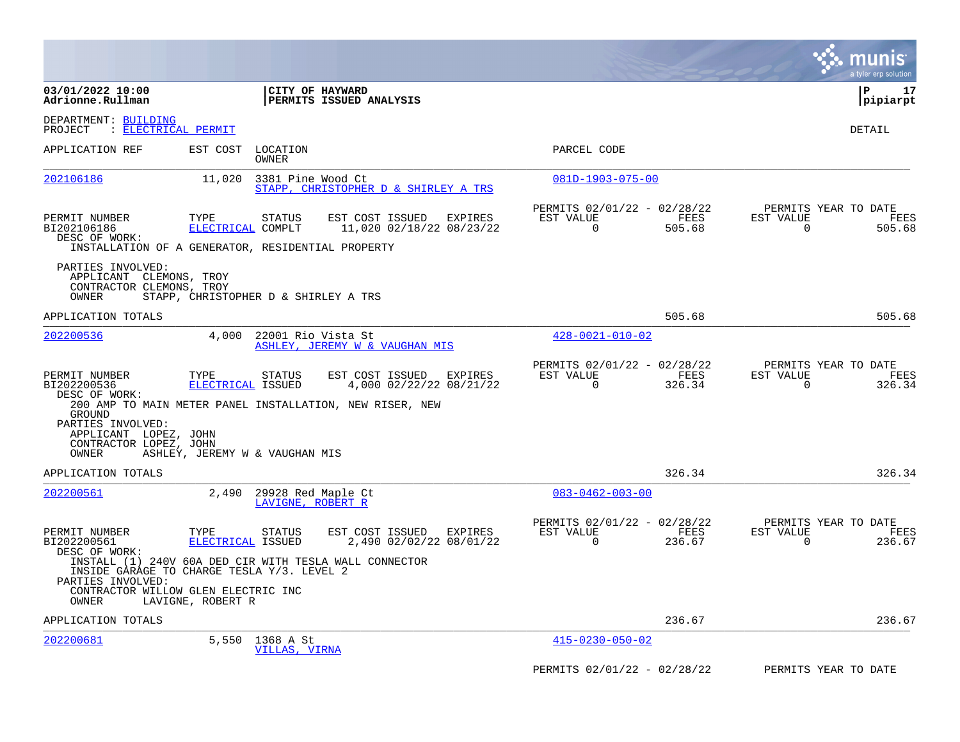|                                                                                                                                                                  |                                                |                                                                                                                                                                      |                                                         |                | munis<br>a tyler erp solution                                      |
|------------------------------------------------------------------------------------------------------------------------------------------------------------------|------------------------------------------------|----------------------------------------------------------------------------------------------------------------------------------------------------------------------|---------------------------------------------------------|----------------|--------------------------------------------------------------------|
| 03/01/2022 10:00<br>Adrionne.Rullman                                                                                                                             |                                                | <b>CITY OF HAYWARD</b><br><b>PERMITS ISSUED ANALYSIS</b>                                                                                                             |                                                         |                | l P<br>17<br> pipiarpt                                             |
| DEPARTMENT: BUILDING<br><u>: ELECTRICAL PERMIT</u><br>PROJECT                                                                                                    |                                                |                                                                                                                                                                      |                                                         |                | DETAIL                                                             |
| APPLICATION REF                                                                                                                                                  | EST COST                                       | LOCATION<br>OWNER                                                                                                                                                    | PARCEL CODE                                             |                |                                                                    |
| 202106186                                                                                                                                                        | 11,020                                         | 3381 Pine Wood Ct<br>STAPP, CHRISTOPHER D & SHIRLEY A TRS                                                                                                            | $081D-1903-075-00$                                      |                |                                                                    |
| PERMIT NUMBER<br>BI202106186<br>DESC OF WORK:                                                                                                                    | TYPE<br>ELECTRICAL COMPLT                      | <b>STATUS</b><br>EST COST ISSUED<br>EXPIRES<br>11,020 02/18/22 08/23/22<br>INSTALLATION OF A GENERATOR, RESIDENTIAL PROPERTY                                         | PERMITS 02/01/22 - 02/28/22<br>EST VALUE<br>$\mathbf 0$ | FEES<br>505.68 | PERMITS YEAR TO DATE<br>EST VALUE<br>FEES<br>$\mathbf 0$<br>505.68 |
| PARTIES INVOLVED:<br>APPLICANT CLEMONS, TROY<br>CONTRACTOR CLEMONS, TROY<br>OWNER                                                                                |                                                | STAPP, CHRISTOPHER D & SHIRLEY A TRS                                                                                                                                 |                                                         |                |                                                                    |
| APPLICATION TOTALS                                                                                                                                               |                                                |                                                                                                                                                                      |                                                         | 505.68         | 505.68                                                             |
| 202200536                                                                                                                                                        | 4,000                                          | 22001 Rio Vista St<br>ASHLEY, JEREMY W & VAUGHAN MIS                                                                                                                 | $428 - 0021 - 010 - 02$                                 |                |                                                                    |
| PERMIT NUMBER<br>BI202200536<br>DESC OF WORK:<br>GROUND<br>PARTIES INVOLVED:<br>APPLICANT LOPEZ, JOHN<br>CONTRACTOR LOPEZ, JOHN<br>OWNER                         | TYPE<br>ELECTRICAL ISSUED                      | EST COST ISSUED<br>EXPIRES<br><b>STATUS</b><br>4,000 02/22/22 08/21/22<br>200 AMP TO MAIN METER PANEL INSTALLATION, NEW RISER, NEW<br>ASHLEY, JEREMY W & VAUGHAN MIS | PERMITS 02/01/22 - 02/28/22<br>EST VALUE<br>$\Omega$    | FEES<br>326.34 | PERMITS YEAR TO DATE<br>EST VALUE<br>FEES<br>$\Omega$<br>326.34    |
| APPLICATION TOTALS                                                                                                                                               |                                                |                                                                                                                                                                      |                                                         | 326.34         | 326.34                                                             |
| 202200561                                                                                                                                                        | 2,490                                          | 29928 Red Maple Ct<br>LAVIGNE, ROBERT R                                                                                                                              | $083 - 0462 - 003 - 00$                                 |                |                                                                    |
| PERMIT NUMBER<br>BI202200561<br>DESC OF WORK:<br>INSIDE GARAGE TO CHARGE TESLA Y/3. LEVEL 2<br>PARTIES INVOLVED:<br>CONTRACTOR WILLOW GLEN ELECTRIC INC<br>OWNER | TYPE<br>ELECTRICAL ISSUED<br>LAVIGNE, ROBERT R | EST COST ISSUED<br>EXPIRES<br>STATUS<br>2,490 02/02/22 08/01/22<br>INSTALL (1) 240V 60A DED CIR WITH TESLA WALL CONNECTOR                                            | PERMITS 02/01/22 - 02/28/22<br>EST VALUE<br>$\Omega$    | FEES<br>236.67 | PERMITS YEAR TO DATE<br>EST VALUE<br>FEES<br>$\Omega$<br>236.67    |
| APPLICATION TOTALS                                                                                                                                               |                                                |                                                                                                                                                                      |                                                         | 236.67         | 236.67                                                             |
| 202200681                                                                                                                                                        | 5,550                                          | 1368 A St<br>VILLAS, VIRNA                                                                                                                                           | $415 - 0230 - 050 - 02$                                 |                |                                                                    |
|                                                                                                                                                                  |                                                |                                                                                                                                                                      | PERMITS 02/01/22 - 02/28/22                             |                | PERMITS YEAR TO DATE                                               |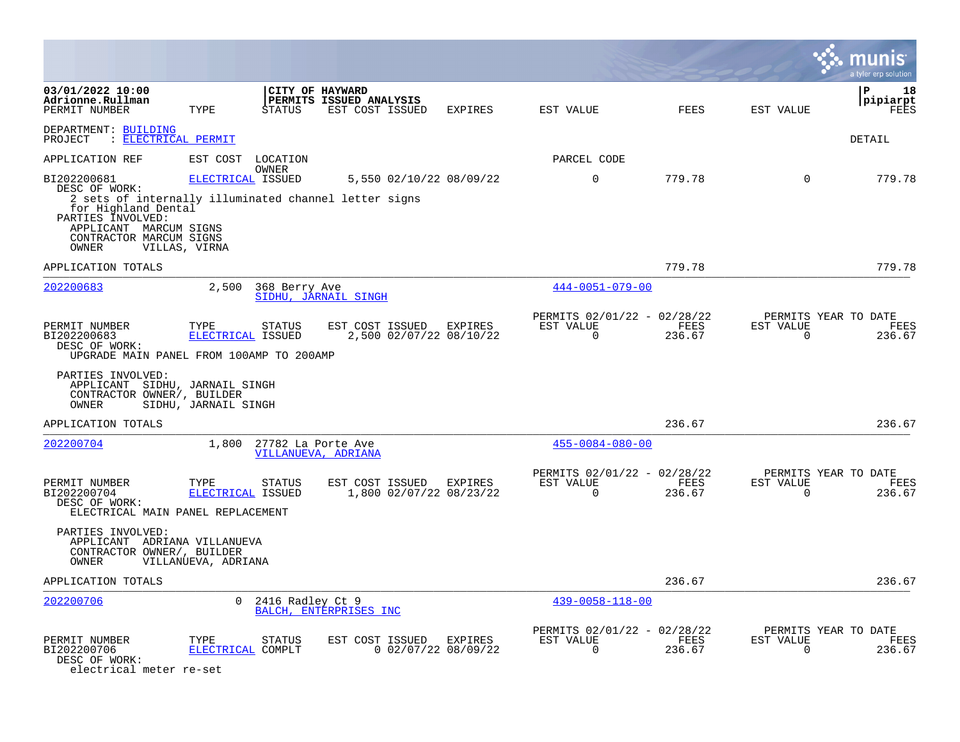|                                                                                                                                                                                                 |                                    |                                                 |                                                               |                       |                                                      |                |                             | a tyler erp solution                   |
|-------------------------------------------------------------------------------------------------------------------------------------------------------------------------------------------------|------------------------------------|-------------------------------------------------|---------------------------------------------------------------|-----------------------|------------------------------------------------------|----------------|-----------------------------|----------------------------------------|
| 03/01/2022 10:00<br>Adrionne.Rullman<br>PERMIT NUMBER                                                                                                                                           | TYPE                               | STATUS                                          | CITY OF HAYWARD<br>PERMITS ISSUED ANALYSIS<br>EST COST ISSUED | EXPIRES               | EST VALUE                                            | FEES           | EST VALUE                   | l P<br>18<br> pipiarpt<br>FEES         |
| DEPARTMENT: BUILDING<br>PROJECT : ELECTRICAL PERMIT                                                                                                                                             |                                    |                                                 |                                                               |                       |                                                      |                |                             | DETAIL                                 |
| APPLICATION REF                                                                                                                                                                                 | EST COST                           | LOCATION                                        |                                                               |                       | PARCEL CODE                                          |                |                             |                                        |
| BI202200681<br>DESC OF WORK:<br>2 sets of internally illuminated channel letter signs<br>for Highland Dental<br>PARTIES INVOLVED:<br>APPLICANT MARCUM SIGNS<br>CONTRACTOR MARCUM SIGNS<br>OWNER | ELECTRICAL ISSUED<br>VILLAS, VIRNA | OWNER                                           | 5,550 02/10/22 08/09/22                                       |                       | $\mathbf 0$                                          | 779.78         | $\mathbf 0$                 | 779.78                                 |
| APPLICATION TOTALS                                                                                                                                                                              |                                    |                                                 |                                                               |                       |                                                      | 779.78         |                             | 779.78                                 |
| 202200683                                                                                                                                                                                       | 2,500                              | 368 Berry Ave                                   | SIDHU, JARNAIL SINGH                                          |                       | $444 - 0051 - 079 - 00$                              |                |                             |                                        |
| PERMIT NUMBER<br>BI202200683<br>DESC OF WORK:<br>UPGRADE MAIN PANEL FROM 100AMP TO 200AMP                                                                                                       | TYPE<br>ELECTRICAL ISSUED          | <b>STATUS</b>                                   | EST COST ISSUED<br>2,500 02/07/22 08/10/22                    | EXPIRES               | PERMITS 02/01/22 - 02/28/22<br>EST VALUE<br>$\Omega$ | FEES<br>236.67 | EST VALUE<br>$\Omega$       | PERMITS YEAR TO DATE<br>FEES<br>236.67 |
| PARTIES INVOLVED:<br>APPLICANT SIDHU, JARNAIL SINGH<br>CONTRACTOR OWNER/, BUILDER<br>OWNER                                                                                                      | SIDHU, JARNAIL SINGH               |                                                 |                                                               |                       |                                                      |                |                             |                                        |
| APPLICATION TOTALS                                                                                                                                                                              |                                    |                                                 |                                                               |                       |                                                      | 236.67         |                             | 236.67                                 |
| 202200704                                                                                                                                                                                       |                                    | 1,800 27782 La Porte Ave<br>VILLANUEVA, ADRIANA |                                                               |                       | $455 - 0084 - 080 - 00$                              |                |                             |                                        |
| PERMIT NUMBER<br>BI202200704<br>DESC OF WORK:<br>ELECTRICAL MAIN PANEL REPLACEMENT                                                                                                              | TYPE<br>ELECTRICAL ISSUED          | STATUS                                          | EST COST ISSUED<br>1,800 02/07/22 08/23/22                    | EXPIRES               | PERMITS 02/01/22 - 02/28/22<br>EST VALUE<br>$\Omega$ | FEES<br>236.67 | EST VALUE<br>$\overline{0}$ | PERMITS YEAR TO DATE<br>FEES<br>236.67 |
| PARTIES INVOLVED:<br>APPLICANT ADRIANA VILLANUEVA<br>CONTRACTOR OWNER/, BUILDER<br>OWNER                                                                                                        | VILLANUEVA, ADRIANA                |                                                 |                                                               |                       |                                                      |                |                             |                                        |
| APPLICATION TOTALS                                                                                                                                                                              |                                    |                                                 |                                                               |                       |                                                      | 236.67         |                             | 236.67                                 |
| 202200706                                                                                                                                                                                       | $\Omega$                           | 2416 Radley Ct 9                                | BALCH, ENTERPRISES INC                                        |                       | $439 - 0058 - 118 - 00$                              |                |                             |                                        |
| PERMIT NUMBER<br>BI202200706<br>DESC OF WORK:<br>electrical meter re-set                                                                                                                        | TYPE<br>ELECTRICAL COMPLT          | STATUS                                          | EST COST ISSUED EXPIRES                                       | $0$ 02/07/22 08/09/22 | PERMITS 02/01/22 - 02/28/22<br>EST VALUE<br>0        | FEES<br>236.67 | EST VALUE<br>0              | PERMITS YEAR TO DATE<br>FEES<br>236.67 |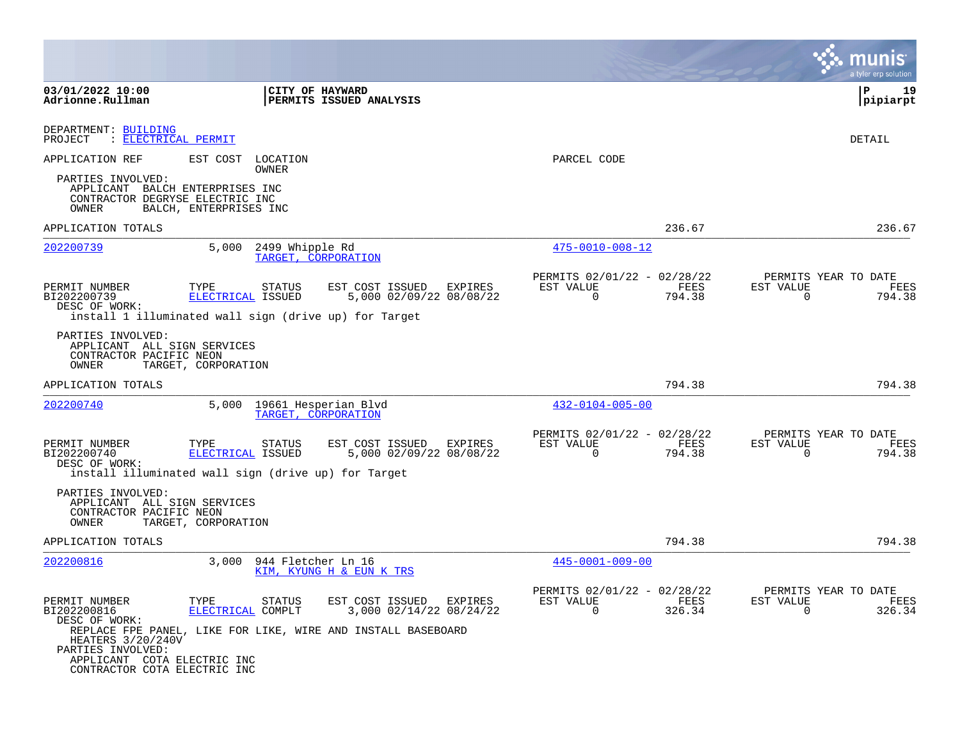|                                                                                                       |                                                                                              |                                                                                                                       |                                                            |                |                          | munis<br>a tyler erp solution          |
|-------------------------------------------------------------------------------------------------------|----------------------------------------------------------------------------------------------|-----------------------------------------------------------------------------------------------------------------------|------------------------------------------------------------|----------------|--------------------------|----------------------------------------|
| 03/01/2022 10:00<br>Adrionne.Rullman                                                                  |                                                                                              | <b>CITY OF HAYWARD</b><br><b>PERMITS ISSUED ANALYSIS</b>                                                              |                                                            |                |                          | l P<br>19<br> pipiarpt                 |
| DEPARTMENT: BUILDING<br>: ELECTRICAL PERMIT<br>PROJECT                                                |                                                                                              |                                                                                                                       |                                                            |                |                          | DETAIL                                 |
| APPLICATION REF                                                                                       | EST COST<br>LOCATION<br>OWNER                                                                |                                                                                                                       | PARCEL CODE                                                |                |                          |                                        |
| PARTIES INVOLVED:<br>APPLICANT BALCH ENTERPRISES INC<br>CONTRACTOR DEGRYSE ELECTRIC INC<br>OWNER      | BALCH, ENTERPRISES INC                                                                       |                                                                                                                       |                                                            |                |                          |                                        |
| APPLICATION TOTALS                                                                                    |                                                                                              |                                                                                                                       |                                                            | 236.67         |                          | 236.67                                 |
| 202200739                                                                                             | 5,000<br>2499 Whipple Rd                                                                     | TARGET, CORPORATION                                                                                                   | $475 - 0010 - 008 - 12$                                    |                |                          |                                        |
| PERMIT NUMBER<br>BI202200739<br>DESC OF WORK:                                                         | TYPE<br>STATUS<br>ELECTRICAL ISSUED<br>install 1 illuminated wall sign (drive up) for Target | EST COST ISSUED<br>EXPIRES<br>5,000 02/09/22 08/08/22                                                                 | PERMITS 02/01/22 - 02/28/22<br>EST VALUE<br>0              | FEES<br>794.38 | EST VALUE<br>0           | PERMITS YEAR TO DATE<br>FEES<br>794.38 |
| PARTIES INVOLVED:<br>APPLICANT ALL SIGN SERVICES<br>CONTRACTOR PACIFIC NEON<br>OWNER                  | TARGET, CORPORATION                                                                          |                                                                                                                       |                                                            |                |                          |                                        |
| APPLICATION TOTALS                                                                                    |                                                                                              |                                                                                                                       |                                                            | 794.38         |                          | 794.38                                 |
| 202200740                                                                                             | 5,000                                                                                        | 19661 Hesperian Blvd<br>TARGET, CORPORATION                                                                           | $432 - 0104 - 005 - 00$                                    |                |                          |                                        |
| PERMIT NUMBER<br>BI202200740<br>DESC OF WORK:                                                         | TYPE<br>STATUS<br>ELECTRICAL ISSUED<br>install illuminated wall sign (drive up) for Target   | EST COST ISSUED EXPIRES<br>5,000 02/09/22 08/08/22                                                                    | PERMITS 02/01/22 - 02/28/22<br>EST VALUE<br>$\overline{0}$ | FEES<br>794.38 | EST VALUE<br>$\mathbf 0$ | PERMITS YEAR TO DATE<br>FEES<br>794.38 |
| PARTIES INVOLVED:<br>APPLICANT ALL SIGN SERVICES<br>CONTRACTOR PACIFIC NEON<br>OWNER                  | TARGET, CORPORATION                                                                          |                                                                                                                       |                                                            |                |                          |                                        |
| APPLICATION TOTALS                                                                                    |                                                                                              |                                                                                                                       |                                                            | 794.38         |                          | 794.38                                 |
| 202200816                                                                                             | 3,000<br>944 Fletcher Ln 16                                                                  | KIM, KYUNG H & EUN K TRS                                                                                              | $445 - 0001 - 009 - 00$                                    |                |                          |                                        |
| PERMIT NUMBER<br>BI202200816<br>DESC OF WORK:                                                         | TYPE<br>STATUS<br>ELECTRICAL COMPLT                                                          | EST COST ISSUED<br>EXPIRES<br>3,000 02/14/22 08/24/22<br>REPLACE FPE PANEL, LIKE FOR LIKE, WIRE AND INSTALL BASEBOARD | PERMITS 02/01/22 - 02/28/22<br>EST VALUE<br>$\overline{0}$ | FEES<br>326.34 | EST VALUE<br>$\mathbf 0$ | PERMITS YEAR TO DATE<br>FEES<br>326.34 |
| HEATERS 3/20/240V<br>PARTIES INVOLVED:<br>APPLICANT COTA ELECTRIC INC<br>CONTRACTOR COTA ELECTRIC INC |                                                                                              |                                                                                                                       |                                                            |                |                          |                                        |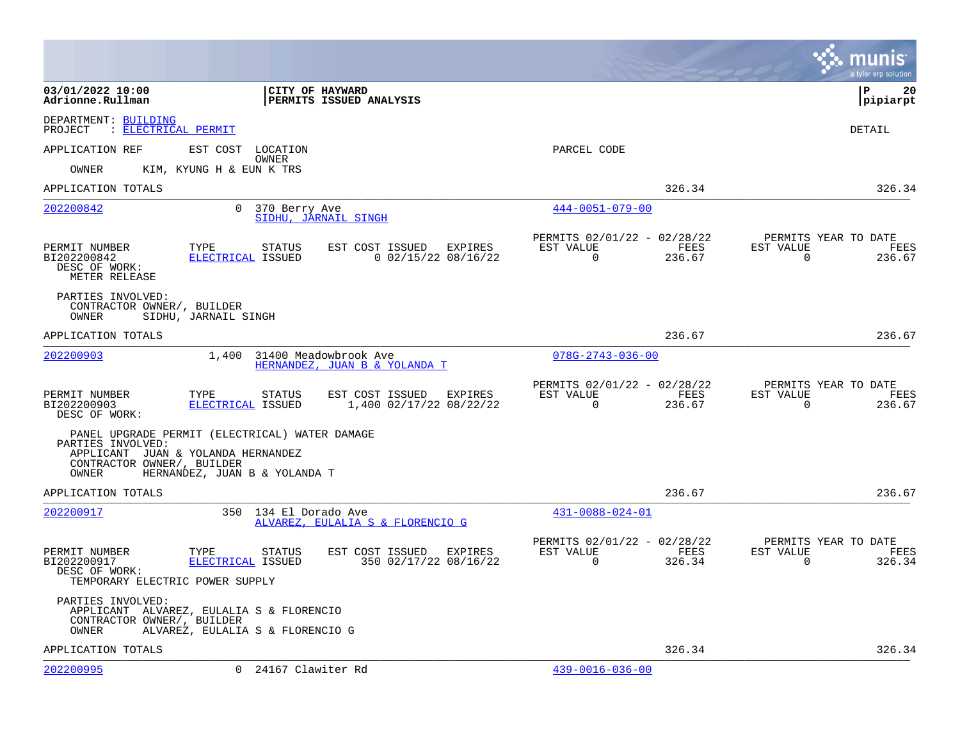|                                                                                  |                                                                                                                       |                                                        |                                                            |                |                       | munis<br>a tyler erp solution          |
|----------------------------------------------------------------------------------|-----------------------------------------------------------------------------------------------------------------------|--------------------------------------------------------|------------------------------------------------------------|----------------|-----------------------|----------------------------------------|
| 03/01/2022 10:00<br>Adrionne.Rullman                                             |                                                                                                                       | CITY OF HAYWARD<br>PERMITS ISSUED ANALYSIS             |                                                            |                |                       | l P<br>20<br> pipiarpt                 |
| DEPARTMENT: BUILDING<br>PROJECT<br>: ELECTRICAL PERMIT                           |                                                                                                                       |                                                        |                                                            |                |                       | DETAIL                                 |
| APPLICATION REF                                                                  | EST COST<br>LOCATION                                                                                                  |                                                        | PARCEL CODE                                                |                |                       |                                        |
| OWNER                                                                            | OWNER<br>KIM, KYUNG H & EUN K TRS                                                                                     |                                                        |                                                            |                |                       |                                        |
| APPLICATION TOTALS                                                               |                                                                                                                       |                                                        |                                                            | 326.34         |                       | 326.34                                 |
| 202200842                                                                        | 370 Berry Ave<br>$\Omega$                                                                                             | SIDHU, JARNAIL SINGH                                   | $444 - 0051 - 079 - 00$                                    |                |                       |                                        |
| PERMIT NUMBER<br>BI202200842<br>DESC OF WORK:<br>METER RELEASE                   | TYPE<br>STATUS<br>ELECTRICAL ISSUED                                                                                   | EST COST ISSUED<br>EXPIRES<br>$0$ 02/15/22 08/16/22    | PERMITS 02/01/22 - 02/28/22<br>EST VALUE<br>$\overline{0}$ | FEES<br>236.67 | EST VALUE<br>$\Omega$ | PERMITS YEAR TO DATE<br>FEES<br>236.67 |
| PARTIES INVOLVED:<br>CONTRACTOR OWNER/, BUILDER<br>OWNER                         | SIDHU, JARNAIL SINGH                                                                                                  |                                                        |                                                            |                |                       |                                        |
| APPLICATION TOTALS                                                               |                                                                                                                       |                                                        |                                                            | 236.67         |                       | 236.67                                 |
| 202200903                                                                        | 1,400                                                                                                                 | 31400 Meadowbrook Ave<br>HERNANDEZ, JUAN B & YOLANDA T | $078G - 2743 - 036 - 00$                                   |                |                       |                                        |
| PERMIT NUMBER<br>BI202200903<br>DESC OF WORK:                                    | TYPE<br>STATUS<br>ELECTRICAL ISSUED                                                                                   | EST COST ISSUED EXPIRES<br>1,400 02/17/22 08/22/22     | PERMITS 02/01/22 - 02/28/22<br>EST VALUE<br>$\mathbf 0$    | FEES<br>236.67 | EST VALUE<br>$\Omega$ | PERMITS YEAR TO DATE<br>FEES<br>236.67 |
| PARTIES INVOLVED:<br>CONTRACTOR OWNER/, BUILDER<br>OWNER                         | PANEL UPGRADE PERMIT (ELECTRICAL) WATER DAMAGE<br>APPLICANT JUAN & YOLANDA HERNANDEZ<br>HERNANDEZ, JUAN B & YOLANDA T |                                                        |                                                            |                |                       |                                        |
| APPLICATION TOTALS                                                               |                                                                                                                       |                                                        |                                                            | 236.67         |                       | 236.67                                 |
| 202200917                                                                        | 350 134 El Dorado Ave                                                                                                 | ALVAREZ, EULALIA S & FLORENCIO G                       | $431 - 0088 - 024 - 01$                                    |                |                       |                                        |
| PERMIT NUMBER<br>BI202200917<br>DESC OF WORK:<br>TEMPORARY ELECTRIC POWER SUPPLY | TYPE<br>STATUS<br>ELECTRICAL ISSUED                                                                                   | EST COST ISSUED<br>EXPIRES<br>350 02/17/22 08/16/22    | PERMITS 02/01/22 - 02/28/22<br>EST VALUE<br>$\Omega$       | FEES<br>326.34 | EST VALUE<br>$\Omega$ | PERMITS YEAR TO DATE<br>FEES<br>326.34 |
| PARTIES INVOLVED:<br>CONTRACTOR OWNER/, BUILDER<br>OWNER                         | APPLICANT ALVAREZ, EULALIA S & FLORENCIO<br>ALVAREZ, EULALIA S & FLORENCIO G                                          |                                                        |                                                            |                |                       |                                        |
| APPLICATION TOTALS                                                               |                                                                                                                       |                                                        |                                                            | 326.34         |                       | 326.34                                 |
| 202200995                                                                        | 0 24167 Clawiter Rd                                                                                                   |                                                        | $439 - 0016 - 036 - 00$                                    |                |                       |                                        |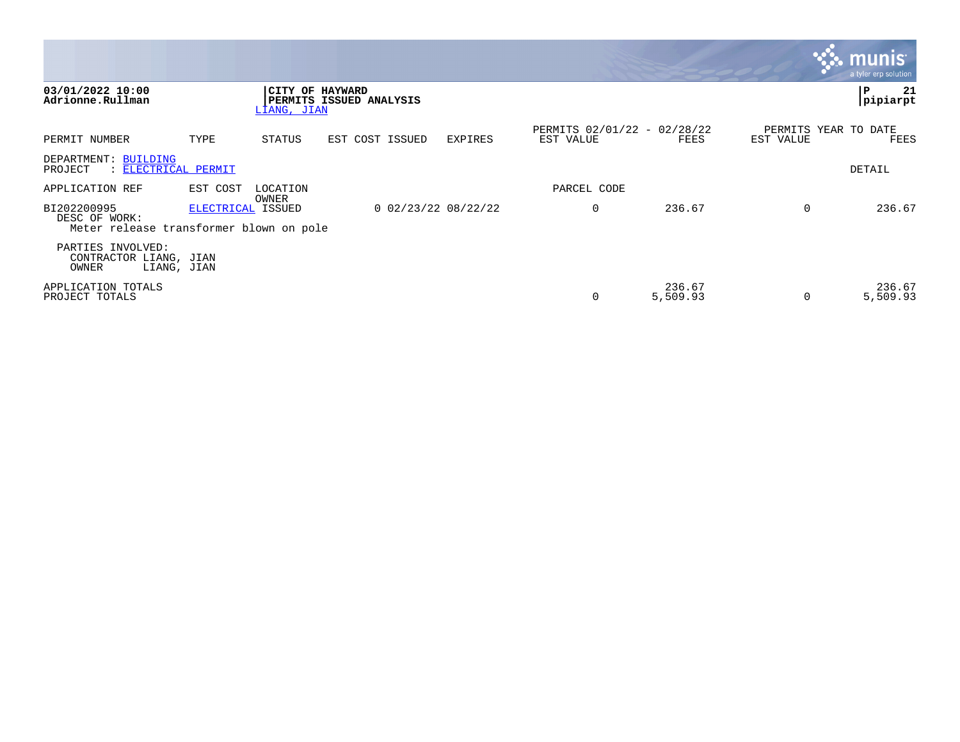|                                                                         |                   |                   |                                            |         |                                          |                    |                                   | <b>R. MUNIS</b><br>a tyler erp solution |
|-------------------------------------------------------------------------|-------------------|-------------------|--------------------------------------------|---------|------------------------------------------|--------------------|-----------------------------------|-----------------------------------------|
| 03/01/2022 10:00<br>Adrionne.Rullman                                    |                   | LIANG, JIAN       | CITY OF HAYWARD<br>PERMITS ISSUED ANALYSIS |         |                                          |                    |                                   | P<br>21<br>pipiarpt                     |
| PERMIT NUMBER                                                           | TYPE              | STATUS            | EST COST ISSUED                            | EXPIRES | PERMITS 02/01/22 - 02/28/22<br>EST VALUE | FEES               | PERMITS YEAR TO DATE<br>EST VALUE | FEES                                    |
| DEPARTMENT: BUILDING<br>: ELECTRICAL PERMIT<br>PROJECT                  |                   |                   |                                            |         |                                          |                    |                                   | DETAIL                                  |
| APPLICATION REF                                                         | EST COST          | LOCATION<br>OWNER |                                            |         | PARCEL CODE                              |                    |                                   |                                         |
| BI202200995<br>DESC OF WORK:<br>Meter release transformer blown on pole | ELECTRICAL ISSUED |                   | $0$ 02/23/22 08/22/22                      |         | 0                                        | 236.67             | $\Omega$                          | 236.67                                  |
| PARTIES INVOLVED:<br>CONTRACTOR LIANG, JIAN<br>OWNER<br>LIANG, JIAN     |                   |                   |                                            |         |                                          |                    |                                   |                                         |
| APPLICATION TOTALS<br>PROJECT TOTALS                                    |                   |                   |                                            |         | 0                                        | 236.67<br>5,509.93 | 0                                 | 236.67<br>5,509.93                      |

the contract of the contract of the contract of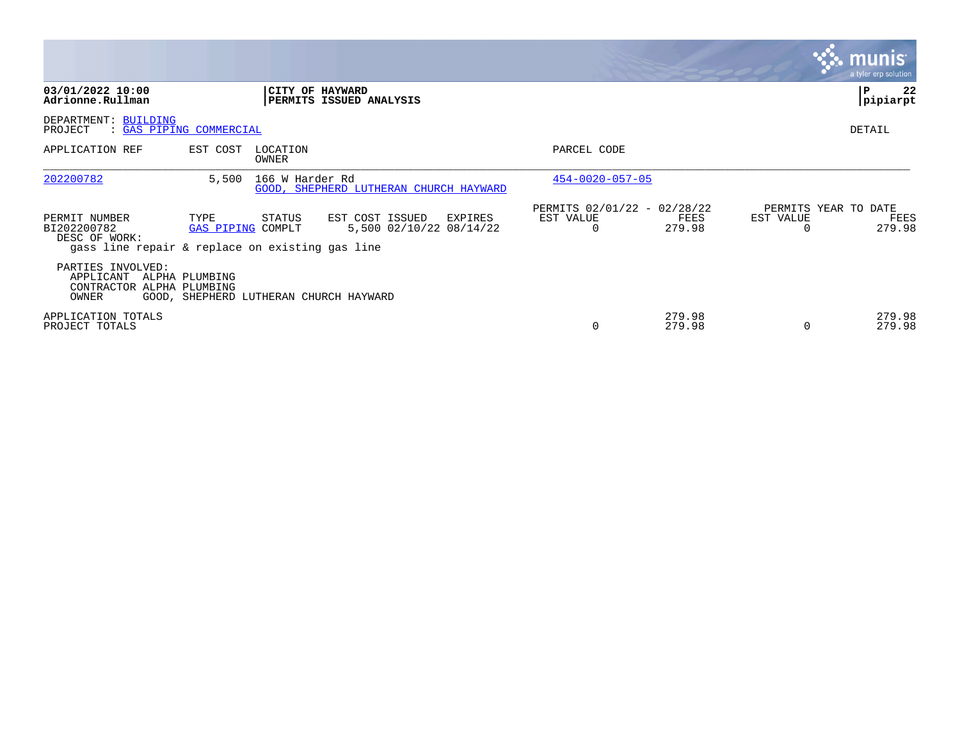|                                                                                                  |                           |                                        |                                                       |                                                      |                  |                       | <b>munis</b><br>a tyler erp solution,  |
|--------------------------------------------------------------------------------------------------|---------------------------|----------------------------------------|-------------------------------------------------------|------------------------------------------------------|------------------|-----------------------|----------------------------------------|
| 03/01/2022 10:00<br>Adrionne.Rullman                                                             |                           | CITY OF HAYWARD                        | PERMITS ISSUED ANALYSIS                               |                                                      |                  |                       | 22<br>P<br>pipiarpt                    |
| DEPARTMENT: BUILDING<br>PROJECT<br>: GAS PIPING COMMERCIAL                                       |                           |                                        |                                                       |                                                      |                  |                       | DETAIL                                 |
| APPLICATION REF                                                                                  | EST COST                  | LOCATION<br>OWNER                      |                                                       | PARCEL CODE                                          |                  |                       |                                        |
| 202200782                                                                                        | 5,500                     | 166 W Harder Rd                        | GOOD, SHEPHERD LUTHERAN CHURCH HAYWARD                | $454 - 0020 - 057 - 05$                              |                  |                       |                                        |
| PERMIT NUMBER<br>BI202200782<br>DESC OF WORK:<br>gass line repair & replace on existing gas line | TYPE<br>GAS PIPING COMPLT | STATUS                                 | EST COST ISSUED<br>EXPIRES<br>5,500 02/10/22 08/14/22 | PERMITS 02/01/22 - 02/28/22<br>EST VALUE<br>$\Omega$ | FEES<br>279.98   | EST VALUE<br>$\Omega$ | PERMITS YEAR TO DATE<br>FEES<br>279.98 |
| PARTIES INVOLVED:<br>APPLICANT<br>CONTRACTOR ALPHA PLUMBING<br>OWNER                             | ALPHA PLUMBING            | GOOD, SHEPHERD LUTHERAN CHURCH HAYWARD |                                                       |                                                      |                  |                       |                                        |
| APPLICATION TOTALS<br>PROJECT TOTALS                                                             |                           |                                        |                                                       |                                                      | 279.98<br>279.98 | $\Omega$              | 279.98<br>279.98                       |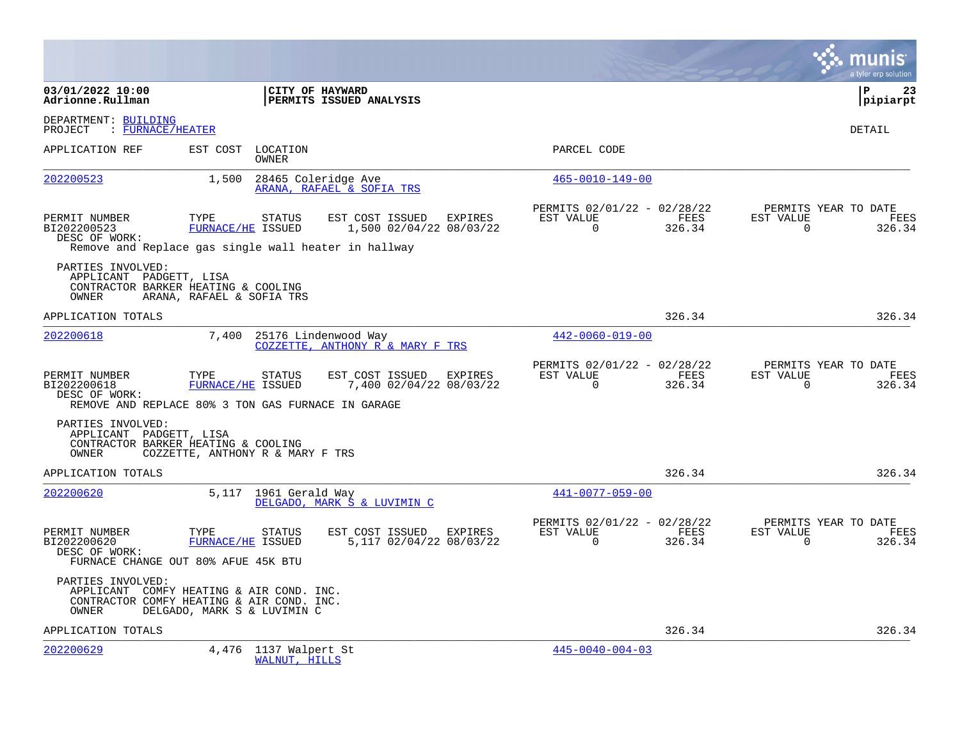|                                                                                                                     |                                  |                                        |                                                          |         |                                                      |                |                       | a tyler erp solution                   |
|---------------------------------------------------------------------------------------------------------------------|----------------------------------|----------------------------------------|----------------------------------------------------------|---------|------------------------------------------------------|----------------|-----------------------|----------------------------------------|
| 03/01/2022 10:00<br>Adrionne.Rullman                                                                                |                                  | CITY OF HAYWARD                        | <b>PERMITS ISSUED ANALYSIS</b>                           |         |                                                      |                |                       | l P<br>-23<br> pipiarpt                |
| DEPARTMENT: BUILDING<br>: FURNACE/HEATER<br>PROJECT                                                                 |                                  |                                        |                                                          |         |                                                      |                |                       | <b>DETAIL</b>                          |
| APPLICATION REF                                                                                                     | EST COST LOCATION                | OWNER                                  |                                                          |         | PARCEL CODE                                          |                |                       |                                        |
| 202200523                                                                                                           | 1,500                            |                                        | 28465 Coleridge Ave<br>ARANA, RAFAEL & SOFIA TRS         |         | $465 - 0010 - 149 - 00$                              |                |                       |                                        |
| PERMIT NUMBER<br>BI202200523<br>DESC OF WORK:<br>Remove and Replace gas single wall heater in hallway               | TYPE<br>FURNACE/HE ISSUED        | STATUS                                 | EST COST ISSUED EXPIRES<br>1,500 02/04/22 08/03/22       |         | PERMITS 02/01/22 - 02/28/22<br>EST VALUE<br>$\Omega$ | FEES<br>326.34 | EST VALUE<br>$\Omega$ | PERMITS YEAR TO DATE<br>FEES<br>326.34 |
| PARTIES INVOLVED:<br>APPLICANT PADGETT, LISA<br>CONTRACTOR BARKER HEATING & COOLING<br>OWNER                        | ARANA, RAFAEL & SOFIA TRS        |                                        |                                                          |         |                                                      |                |                       |                                        |
| APPLICATION TOTALS                                                                                                  |                                  |                                        |                                                          |         |                                                      | 326.34         |                       | 326.34                                 |
| 202200618                                                                                                           | 7,400                            |                                        | 25176 Lindenwood Way<br>COZZETTE, ANTHONY R & MARY F TRS |         | $442 - 0060 - 019 - 00$                              |                |                       |                                        |
| PERMIT NUMBER<br>BI202200618<br>DESC OF WORK:<br>REMOVE AND REPLACE 80% 3 TON GAS FURNACE IN GARAGE                 | TYPE<br>FURNACE/HE ISSUED        | <b>STATUS</b>                          | EST COST ISSUED<br>7,400 02/04/22 08/03/22               | EXPIRES | PERMITS 02/01/22 - 02/28/22<br>EST VALUE<br>$\Omega$ | FEES<br>326.34 | EST VALUE<br>$\Omega$ | PERMITS YEAR TO DATE<br>FEES<br>326.34 |
| PARTIES INVOLVED:<br>APPLICANT PADGETT, LISA<br>CONTRACTOR BARKER HEATING & COOLING<br>OWNER                        | COZZETTE, ANTHONY R & MARY F TRS |                                        |                                                          |         |                                                      |                |                       |                                        |
| APPLICATION TOTALS                                                                                                  |                                  |                                        |                                                          |         |                                                      | 326.34         |                       | 326.34                                 |
| 202200620                                                                                                           |                                  | 5,117 1961 Gerald Way                  | DELGADO, MARK S & LUVIMIN C                              |         | $441 - 0077 - 059 - 00$                              |                |                       |                                        |
| PERMIT NUMBER<br>BI202200620<br>DESC OF WORK:<br>FURNACE CHANGE OUT 80% AFUE 45K BTU                                | TYPE<br>FURNACE/HE ISSUED        | STATUS                                 | EST COST ISSUED EXPIRES<br>5,117 02/04/22 08/03/22       |         | PERMITS 02/01/22 - 02/28/22<br>EST VALUE<br>$\Omega$ | FEES<br>326.34 | EST VALUE<br>$\Omega$ | PERMITS YEAR TO DATE<br>FEES<br>326.34 |
| PARTIES INVOLVED:<br>APPLICANT COMFY HEATING & AIR COND. INC.<br>CONTRACTOR COMFY HEATING & AIR COND. INC.<br>OWNER | DELGADO, MARK S & LUVIMIN C      |                                        |                                                          |         |                                                      |                |                       |                                        |
| APPLICATION TOTALS                                                                                                  |                                  |                                        |                                                          |         |                                                      | 326.34         |                       | 326.34                                 |
| 202200629                                                                                                           |                                  | 4,476 1137 Walpert St<br>WALNUT, HILLS |                                                          |         | $445 - 0040 - 004 - 03$                              |                |                       |                                        |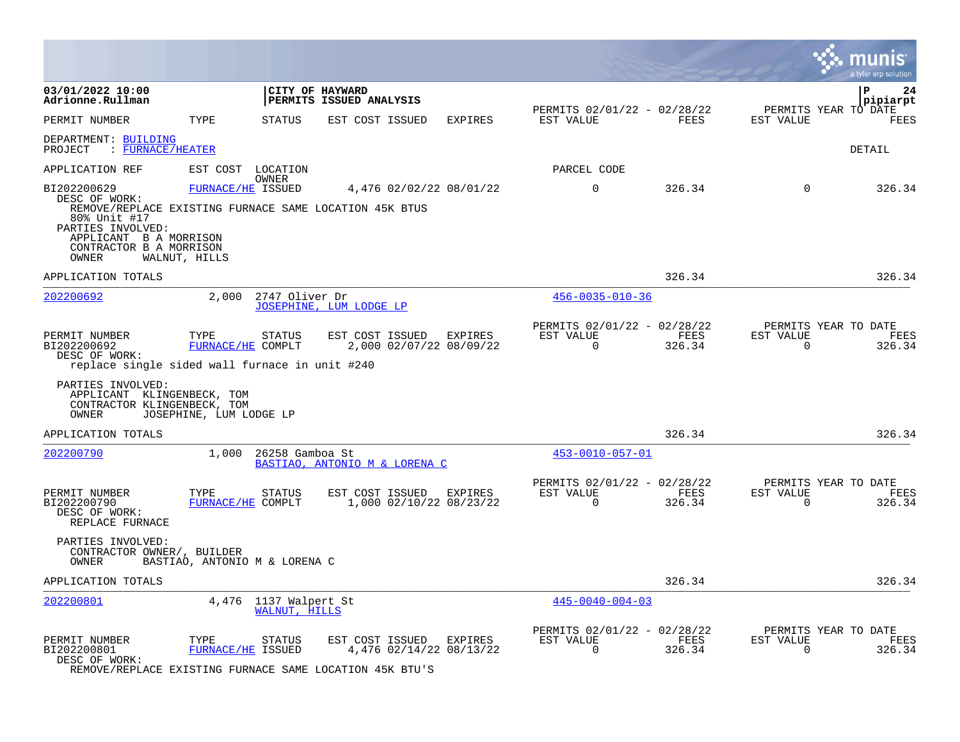|                                                                                                                                                                                           |                                    |                                        |                                                    |                |                                                         |                |                          | a tyler erp solution                   |
|-------------------------------------------------------------------------------------------------------------------------------------------------------------------------------------------|------------------------------------|----------------------------------------|----------------------------------------------------|----------------|---------------------------------------------------------|----------------|--------------------------|----------------------------------------|
| 03/01/2022 10:00<br>Adrionne.Rullman                                                                                                                                                      |                                    | CITY OF HAYWARD                        | PERMITS ISSUED ANALYSIS                            |                |                                                         |                |                          | $\mathbf{P}$<br>24<br>pipiarpt         |
| PERMIT NUMBER                                                                                                                                                                             | TYPE                               | <b>STATUS</b>                          | EST COST ISSUED                                    | <b>EXPIRES</b> | PERMITS 02/01/22 - 02/28/22<br>EST VALUE                | FEES           | EST VALUE                | PERMITS YEAR TO DATE<br>FEES           |
| DEPARTMENT: BUILDING<br>: FURNACE/HEATER<br>PROJECT                                                                                                                                       |                                    |                                        |                                                    |                |                                                         |                |                          | DETAIL                                 |
| APPLICATION REF                                                                                                                                                                           | EST COST LOCATION                  |                                        |                                                    |                | PARCEL CODE                                             |                |                          |                                        |
| BI202200629<br>DESC OF WORK:<br>REMOVE/REPLACE EXISTING FURNACE SAME LOCATION 45K BTUS<br>80% Unit #17<br>PARTIES INVOLVED:<br>APPLICANT B A MORRISON<br>CONTRACTOR B A MORRISON<br>OWNER | FURNACE/HE ISSUED<br>WALNUT, HILLS | OWNER                                  | 4,476 02/02/22 08/01/22                            |                | $\mathbf 0$                                             | 326.34         | $\Omega$                 | 326.34                                 |
| APPLICATION TOTALS                                                                                                                                                                        |                                    |                                        |                                                    |                |                                                         | 326.34         |                          | 326.34                                 |
| 202200692                                                                                                                                                                                 |                                    | 2,000 2747 Oliver Dr                   | JOSEPHINE, LUM LODGE LP                            |                | $456 - 0035 - 010 - 36$                                 |                |                          |                                        |
| PERMIT NUMBER<br>BI202200692<br>DESC OF WORK:<br>replace single sided wall furnace in unit #240                                                                                           | TYPE<br>FURNACE/HE COMPLT          | STATUS                                 | EST COST ISSUED EXPIRES<br>2,000 02/07/22 08/09/22 |                | PERMITS 02/01/22 - 02/28/22<br>EST VALUE<br>$\Omega$    | FEES<br>326.34 | EST VALUE<br>$\Omega$    | PERMITS YEAR TO DATE<br>FEES<br>326.34 |
| PARTIES INVOLVED:<br>APPLICANT KLINGENBECK, TOM<br>CONTRACTOR KLINGENBECK, TOM<br>OWNER                                                                                                   | JOSEPHINE, LUM LODGE LP            |                                        |                                                    |                |                                                         |                |                          |                                        |
| APPLICATION TOTALS                                                                                                                                                                        |                                    |                                        |                                                    |                |                                                         | 326.34         |                          | 326.34                                 |
| 202200790                                                                                                                                                                                 | 1,000                              | 26258 Gamboa St                        | BASTIAO, ANTONIO M & LORENA C                      |                | 453-0010-057-01                                         |                |                          |                                        |
| PERMIT NUMBER<br>BI202200790<br>DESC OF WORK:<br>REPLACE FURNACE                                                                                                                          | TYPE<br>FURNACE/HE COMPLT          | STATUS                                 | EST COST ISSUED<br>1,000 02/10/22 08/23/22         | EXPIRES        | PERMITS 02/01/22 - 02/28/22<br>EST VALUE<br>$\Omega$    | FEES<br>326.34 | EST VALUE<br>$\Omega$    | PERMITS YEAR TO DATE<br>FEES<br>326.34 |
| PARTIES INVOLVED:<br>CONTRACTOR OWNER/, BUILDER<br>OWNER                                                                                                                                  | BASTIAO, ANTONIO M & LORENA C      |                                        |                                                    |                |                                                         |                |                          |                                        |
| APPLICATION TOTALS                                                                                                                                                                        |                                    |                                        |                                                    |                |                                                         | 326.34         |                          | 326.34                                 |
| 202200801                                                                                                                                                                                 |                                    | 4,476 1137 Walpert St<br>WALNUT, HILLS |                                                    |                | $445 - 0040 - 004 - 03$                                 |                |                          |                                        |
| PERMIT NUMBER<br>BI202200801<br>DESC OF WORK:                                                                                                                                             | TYPE<br>FURNACE/HE ISSUED          | STATUS                                 | EST COST ISSUED<br>4,476 02/14/22 08/13/22         | <b>EXPIRES</b> | PERMITS 02/01/22 - 02/28/22<br>EST VALUE<br>$\mathbf 0$ | FEES<br>326.34 | EST VALUE<br>$\mathbf 0$ | PERMITS YEAR TO DATE<br>FEES<br>326.34 |

REMOVE/REPLACE EXISTING FURNACE SAME LOCATION 45K BTU'S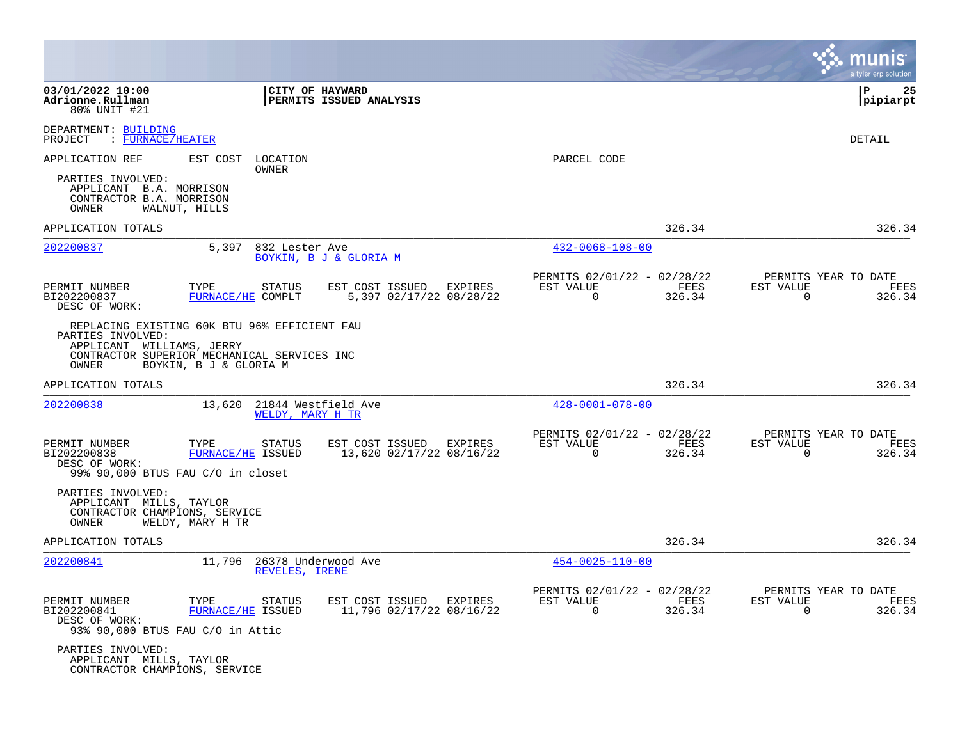|                                                                                                                                                        |                           |                                              |                                                     |         |                                                         |                |                          | a tyler erp solution                   |
|--------------------------------------------------------------------------------------------------------------------------------------------------------|---------------------------|----------------------------------------------|-----------------------------------------------------|---------|---------------------------------------------------------|----------------|--------------------------|----------------------------------------|
| 03/01/2022 10:00<br>Adrionne.Rullman<br>80% UNIT #21                                                                                                   |                           | CITY OF HAYWARD                              | PERMITS ISSUED ANALYSIS                             |         |                                                         |                |                          | l P<br>25<br> pipiarpt                 |
| DEPARTMENT: BUILDING<br>: FURNACE/HEATER<br>PROJECT                                                                                                    |                           |                                              |                                                     |         |                                                         |                |                          | DETAIL                                 |
| APPLICATION REF                                                                                                                                        | EST COST LOCATION         | OWNER                                        |                                                     |         | PARCEL CODE                                             |                |                          |                                        |
| PARTIES INVOLVED:<br>APPLICANT B.A. MORRISON<br>CONTRACTOR B.A. MORRISON<br>OWNER                                                                      | WALNUT, HILLS             |                                              |                                                     |         |                                                         |                |                          |                                        |
| APPLICATION TOTALS                                                                                                                                     |                           |                                              |                                                     |         |                                                         | 326.34         |                          | 326.34                                 |
| 202200837                                                                                                                                              | 5,397                     | 832 Lester Ave                               | BOYKIN, B J & GLORIA M                              |         | $432 - 0068 - 108 - 00$                                 |                |                          |                                        |
| PERMIT NUMBER<br>BI202200837<br>DESC OF WORK:                                                                                                          | TYPE<br>FURNACE/HE COMPLT | STATUS                                       | EST COST ISSUED<br>5,397 02/17/22 08/28/22          | EXPIRES | PERMITS 02/01/22 - 02/28/22<br>EST VALUE<br>$\mathbf 0$ | FEES<br>326.34 | EST VALUE<br>$\mathbf 0$ | PERMITS YEAR TO DATE<br>FEES<br>326.34 |
| REPLACING EXISTING 60K BTU 96% EFFICIENT FAU<br>PARTIES INVOLVED:<br>APPLICANT WILLIAMS, JERRY<br>CONTRACTOR SUPERIOR MECHANICAL SERVICES INC<br>OWNER | BOYKIN, B J & GLORIA M    |                                              |                                                     |         |                                                         |                |                          |                                        |
| APPLICATION TOTALS                                                                                                                                     |                           |                                              |                                                     |         |                                                         | 326.34         |                          | 326.34                                 |
| 202200838                                                                                                                                              | 13,620                    | 21844 Westfield Ave<br>WELDY, MARY H TR      |                                                     |         | $428 - 0001 - 078 - 00$                                 |                |                          |                                        |
| PERMIT NUMBER<br>BI202200838<br>DESC OF WORK:<br>99% 90,000 BTUS FAU C/O in closet                                                                     | TYPE<br>FURNACE/HE ISSUED | <b>STATUS</b>                                | EST COST ISSUED EXPIRES<br>13,620 02/17/22 08/16/22 |         | PERMITS 02/01/22 - 02/28/22<br>EST VALUE<br>$\Omega$    | FEES<br>326.34 | EST VALUE<br>$\Omega$    | PERMITS YEAR TO DATE<br>FEES<br>326.34 |
| PARTIES INVOLVED:<br>APPLICANT MILLS, TAYLOR<br>CONTRACTOR CHAMPIONS, SERVICE<br>OWNER                                                                 | WELDY, MARY H TR          |                                              |                                                     |         |                                                         |                |                          |                                        |
| APPLICATION TOTALS                                                                                                                                     |                           |                                              |                                                     |         |                                                         | 326.34         |                          | 326.34                                 |
| 202200841                                                                                                                                              |                           | 11,796 26378 Underwood Ave<br>REVELES, IRENE |                                                     |         | $454 - 0025 - 110 - 00$                                 |                |                          |                                        |
| PERMIT NUMBER<br>BI202200841<br>DESC OF WORK:<br>93% 90,000 BTUS FAU C/O in Attic                                                                      | TYPE<br>FURNACE/HE ISSUED | <b>STATUS</b>                                | EST COST ISSUED<br>11,796 02/17/22 08/16/22         | EXPIRES | PERMITS 02/01/22 - 02/28/22<br>EST VALUE<br>$\mathbf 0$ | FEES<br>326.34 | EST VALUE<br>$\Omega$    | PERMITS YEAR TO DATE<br>FEES<br>326.34 |
| PARTIES INVOLVED:<br>APPLICANT MILLS, TAYLOR<br>CONTRACTOR CHAMPIONS, SERVICE                                                                          |                           |                                              |                                                     |         |                                                         |                |                          |                                        |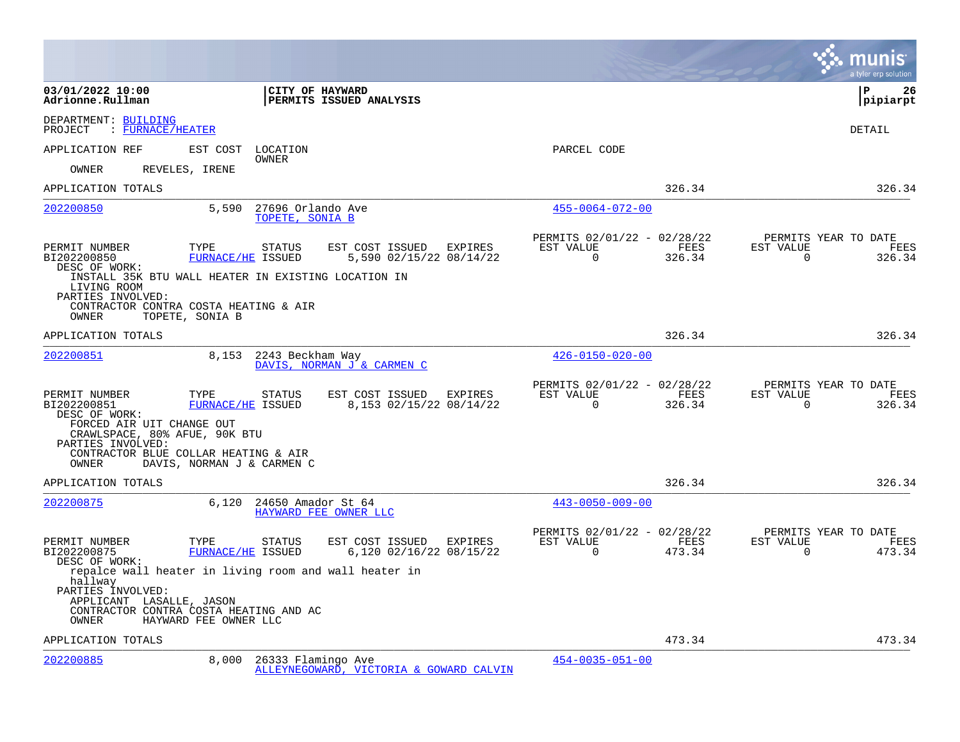|                                                                                                                                                                                               |                                      |                                                    |         |                                                         |                |                          | munis<br>a tyler erp solution          |
|-----------------------------------------------------------------------------------------------------------------------------------------------------------------------------------------------|--------------------------------------|----------------------------------------------------|---------|---------------------------------------------------------|----------------|--------------------------|----------------------------------------|
| 03/01/2022 10:00<br>Adrionne.Rullman                                                                                                                                                          |                                      | <b>CITY OF HAYWARD</b><br>PERMITS ISSUED ANALYSIS  |         |                                                         |                |                          | l P<br>26<br> pipiarpt                 |
| DEPARTMENT: BUILDING<br>: FURNACE/HEATER<br>PROJECT                                                                                                                                           |                                      |                                                    |         |                                                         |                |                          | DETAIL                                 |
| APPLICATION REF<br>EST COST                                                                                                                                                                   | LOCATION<br>OWNER                    |                                                    |         | PARCEL CODE                                             |                |                          |                                        |
| REVELES, IRENE<br>OWNER                                                                                                                                                                       |                                      |                                                    |         |                                                         |                |                          |                                        |
| APPLICATION TOTALS                                                                                                                                                                            |                                      |                                                    |         |                                                         | 326.34         |                          | 326.34                                 |
| 202200850<br>5,590                                                                                                                                                                            | 27696 Orlando Ave<br>TOPETE, SONIA B |                                                    |         | $455 - 0064 - 072 - 00$                                 |                |                          |                                        |
| PERMIT NUMBER<br>TYPE<br>BI202200850<br>DESC OF WORK:                                                                                                                                         | <b>STATUS</b><br>FURNACE/HE ISSUED   | EST COST ISSUED EXPIRES<br>5,590 02/15/22 08/14/22 |         | PERMITS 02/01/22 - 02/28/22<br>EST VALUE<br>$\mathbf 0$ | FEES<br>326.34 | EST VALUE<br>$\mathbf 0$ | PERMITS YEAR TO DATE<br>FEES<br>326.34 |
| INSTALL 35K BTU WALL HEATER IN EXISTING LOCATION IN<br>LIVING ROOM<br>PARTIES INVOLVED:<br>CONTRACTOR CONTRA COSTA HEATING & AIR<br>TOPETE, SONIA B<br>OWNER                                  |                                      |                                                    |         |                                                         |                |                          |                                        |
| APPLICATION TOTALS                                                                                                                                                                            |                                      |                                                    |         |                                                         | 326.34         |                          | 326.34                                 |
| 202200851                                                                                                                                                                                     | 8,153 2243 Beckham Way               | DAVIS, NORMAN J & CARMEN C                         |         | $426 - 0150 - 020 - 00$                                 |                |                          |                                        |
| PERMIT NUMBER<br>TYPE<br>BI202200851<br>DESC OF WORK:<br>FORCED AIR UIT CHANGE OUT<br>CRAWLSPACE, 80% AFUE, 90K BTU<br>PARTIES INVOLVED:<br>CONTRACTOR BLUE COLLAR HEATING & AIR              | STATUS<br>FURNACE/HE ISSUED          | EST COST ISSUED<br>8,153 02/15/22 08/14/22         | EXPIRES | PERMITS 02/01/22 - 02/28/22<br>EST VALUE<br>$\Omega$    | FEES<br>326.34 | EST VALUE<br>$\Omega$    | PERMITS YEAR TO DATE<br>FEES<br>326.34 |
| DAVIS, NORMAN J & CARMEN C<br>OWNER                                                                                                                                                           |                                      |                                                    |         |                                                         |                |                          |                                        |
| APPLICATION TOTALS<br>202200875<br>6,120                                                                                                                                                      | 24650 Amador St 64                   | HAYWARD FEE OWNER LLC                              |         | $443 - 0050 - 009 - 00$                                 | 326.34         |                          | 326.34                                 |
| PERMIT NUMBER<br>TYPE<br>BI202200875<br>DESC OF WORK:                                                                                                                                         | STATUS<br>FURNACE/HE ISSUED          | EST COST ISSUED EXPIRES<br>6,120 02/16/22 08/15/22 |         | PERMITS 02/01/22 - 02/28/22<br>EST VALUE<br>$\mathbf 0$ | FEES<br>473.34 | EST VALUE<br>$\mathbf 0$ | PERMITS YEAR TO DATE<br>FEES<br>473.34 |
| repalce wall heater in living room and wall heater in<br>hallway<br>PARTIES INVOLVED:<br>APPLICANT LASALLE, JASON<br>CONTRACTOR CONTRA COSTA HEATING AND AC<br>HAYWARD FEE OWNER LLC<br>OWNER |                                      |                                                    |         |                                                         |                |                          |                                        |
| APPLICATION TOTALS                                                                                                                                                                            |                                      |                                                    |         |                                                         | 473.34         |                          | 473.34                                 |
| 202200885<br>8,000                                                                                                                                                                            | 26333 Flamingo Ave                   | ALLEYNEGOWARD, VICTORIA & GOWARD CALVIN            |         | $454 - 0035 - 051 - 00$                                 |                |                          |                                        |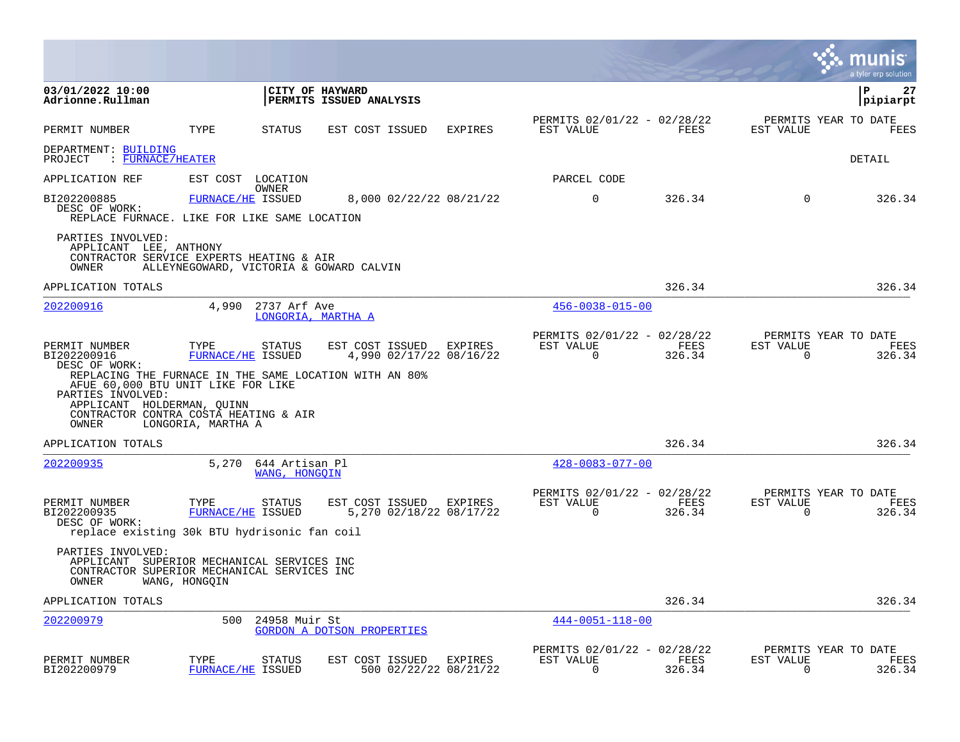|                                                                                                                                        |                    |                                    |                                                                           |                                         |                                                            |                |                                                     | munis<br>a tyler erp solut <u>ion</u> |
|----------------------------------------------------------------------------------------------------------------------------------------|--------------------|------------------------------------|---------------------------------------------------------------------------|-----------------------------------------|------------------------------------------------------------|----------------|-----------------------------------------------------|---------------------------------------|
| 03/01/2022 10:00<br>Adrionne.Rullman                                                                                                   |                    |                                    | CITY OF HAYWARD<br><b>PERMITS ISSUED ANALYSIS</b>                         |                                         |                                                            |                |                                                     | ∣P<br>27<br>pipiarpt                  |
| PERMIT NUMBER                                                                                                                          | TYPE               | STATUS                             | EST COST ISSUED                                                           | <b>EXPIRES</b>                          | PERMITS 02/01/22 - 02/28/22<br>EST VALUE                   | FEES           | PERMITS YEAR TO DATE<br>EST VALUE                   | FEES                                  |
| DEPARTMENT: BUILDING<br>: FURNACE/HEATER<br>PROJECT                                                                                    |                    |                                    |                                                                           |                                         |                                                            |                |                                                     | DETAIL                                |
| APPLICATION REF                                                                                                                        |                    | EST COST LOCATION                  |                                                                           |                                         | PARCEL CODE                                                |                |                                                     |                                       |
| BI202200885<br>DESC OF WORK:<br>REPLACE FURNACE. LIKE FOR LIKE SAME LOCATION                                                           |                    | OWNER<br>FURNACE/HE ISSUED         |                                                                           | 8,000 02/22/22 08/21/22                 | $\Omega$                                                   | 326.34         | $\Omega$                                            | 326.34                                |
| PARTIES INVOLVED:<br>APPLICANT LEE, ANTHONY<br>CONTRACTOR SERVICE EXPERTS HEATING & AIR<br>OWNER                                       |                    |                                    | ALLEYNEGOWARD, VICTORIA & GOWARD CALVIN                                   |                                         |                                                            |                |                                                     |                                       |
| APPLICATION TOTALS                                                                                                                     |                    |                                    |                                                                           |                                         |                                                            | 326.34         |                                                     | 326.34                                |
| <u>202200916</u>                                                                                                                       | 4,990              | 2737 Arf Ave                       | LONGORIA, MARTHA A                                                        |                                         | $456 - 0038 - 015 - 00$                                    |                |                                                     |                                       |
| PERMIT NUMBER<br>BI202200916<br>DESC OF WORK:<br>AFUE 60,000 BTU UNIT LIKE FOR LIKE<br>PARTIES INVOLVED:<br>APPLICANT HOLDERMAN, QUINN | TYPE               | STATUS<br>FURNACE/HE ISSUED        | EST COST ISSUED<br>REPLACING THE FURNACE IN THE SAME LOCATION WITH AN 80% | EXPIRES<br>4,990 02/17/22 08/16/22      | PERMITS 02/01/22 - 02/28/22<br>EST VALUE<br>$\overline{0}$ | FEES<br>326.34 | PERMITS YEAR TO DATE<br>EST VALUE<br>$\mathbf 0$    | FEES<br>326.34                        |
| CONTRACTOR CONTRA COSTA HEATING & AIR<br>OWNER                                                                                         | LONGORIA, MARTHA A |                                    |                                                                           |                                         |                                                            |                |                                                     |                                       |
| APPLICATION TOTALS                                                                                                                     |                    |                                    |                                                                           |                                         |                                                            | 326.34         |                                                     | 326.34                                |
| 202200935                                                                                                                              | 5,270              | 644 Artisan Pl<br>WANG, HONGOIN    |                                                                           |                                         | $428 - 0083 - 077 - 00$                                    |                |                                                     |                                       |
| PERMIT NUMBER<br>BI202200935<br>DESC OF WORK:<br>replace existing 30k BTU hydrisonic fan coil                                          | TYPE               | <b>STATUS</b><br>FURNACE/HE ISSUED | EST COST ISSUED EXPIRES                                                   | 5,270 02/18/22 08/17/22                 | PERMITS 02/01/22 - 02/28/22<br>EST VALUE<br>$\Omega$       | FEES<br>326.34 | PERMITS YEAR TO DATE<br>EST VALUE<br>$\Omega$       | FEES<br>326.34                        |
| PARTIES INVOLVED:<br>APPLICANT SUPERIOR MECHANICAL SERVICES INC<br>CONTRACTOR SUPERIOR MECHANICAL SERVICES INC<br>OWNER                | WANG, HONGQIN      |                                    |                                                                           |                                         |                                                            |                |                                                     |                                       |
| APPLICATION TOTALS                                                                                                                     |                    |                                    |                                                                           |                                         |                                                            | 326.34         |                                                     | 326.34                                |
| <u>202200979</u>                                                                                                                       | 500                | 24958 Muir St                      | GORDON A DOTSON PROPERTIES                                                |                                         | $444 - 0051 - 118 - 00$                                    |                |                                                     |                                       |
| PERMIT NUMBER<br>BI202200979                                                                                                           | TYPE               | STATUS<br>FURNACE/HE ISSUED        | EST COST ISSUED                                                           | <b>EXPIRES</b><br>500 02/22/22 08/21/22 | PERMITS 02/01/22 - 02/28/22<br>EST VALUE<br>$\overline{0}$ | FEES<br>326.34 | PERMITS YEAR TO DATE<br>EST VALUE<br>$\overline{0}$ | FEES<br>326.34                        |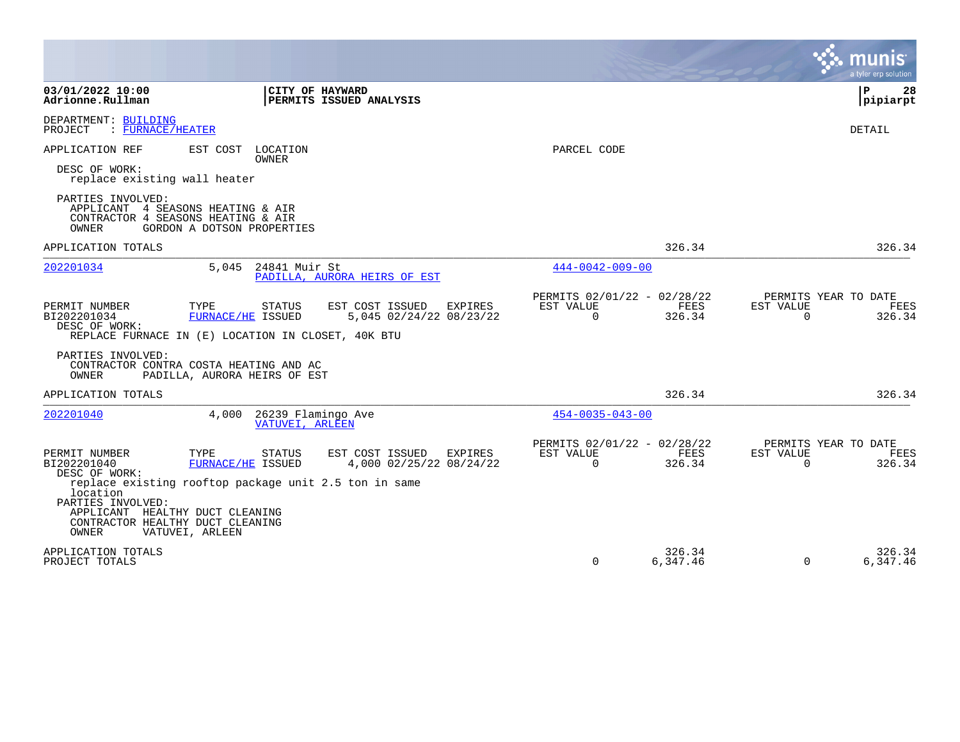|                                                                                                                                                                                                                                                                                                                                                      |                                                                        | a tyler erp solution                                            |
|------------------------------------------------------------------------------------------------------------------------------------------------------------------------------------------------------------------------------------------------------------------------------------------------------------------------------------------------------|------------------------------------------------------------------------|-----------------------------------------------------------------|
| 03/01/2022 10:00<br>CITY OF HAYWARD<br>Adrionne.Rullman<br>PERMITS ISSUED ANALYSIS                                                                                                                                                                                                                                                                   |                                                                        | ΙP<br>28<br> pipiarpt                                           |
| DEPARTMENT: BUILDING<br>: FURNACE/HEATER<br>PROJECT                                                                                                                                                                                                                                                                                                  |                                                                        | DETAIL                                                          |
| APPLICATION REF<br>EST COST LOCATION<br><b>OWNER</b>                                                                                                                                                                                                                                                                                                 | PARCEL CODE                                                            |                                                                 |
| DESC OF WORK:<br>replace existing wall heater                                                                                                                                                                                                                                                                                                        |                                                                        |                                                                 |
| PARTIES INVOLVED:<br>APPLICANT<br>4 SEASONS HEATING & AIR<br>CONTRACTOR 4 SEASONS HEATING & AIR<br>OWNER<br>GORDON A DOTSON PROPERTIES                                                                                                                                                                                                               |                                                                        |                                                                 |
| APPLICATION TOTALS                                                                                                                                                                                                                                                                                                                                   | 326.34                                                                 | 326.34                                                          |
| 202201034<br>5,045<br>24841 Muir St<br>PADILLA, AURORA HEIRS OF EST                                                                                                                                                                                                                                                                                  | $444 - 0042 - 009 - 00$                                                |                                                                 |
| PERMIT NUMBER<br>TYPE<br>STATUS<br>EST COST ISSUED<br>EXPIRES<br>FURNACE/HE ISSUED<br>5,045 02/24/22 08/23/22<br>BI202201034<br>DESC OF WORK:<br>REPLACE FURNACE IN (E) LOCATION IN CLOSET, 40K BTU                                                                                                                                                  | PERMITS 02/01/22 - 02/28/22<br>EST VALUE<br>FEES<br>326.34<br>$\Omega$ | PERMITS YEAR TO DATE<br>EST VALUE<br>FEES<br>326.34<br>$\Omega$ |
| PARTIES INVOLVED:<br>CONTRACTOR CONTRA COSTA HEATING AND AC<br>OWNER<br>PADILLA, AURORA HEIRS OF EST                                                                                                                                                                                                                                                 |                                                                        |                                                                 |
| APPLICATION TOTALS                                                                                                                                                                                                                                                                                                                                   | 326.34                                                                 | 326.34                                                          |
| 202201040<br>4,000<br>26239 Flamingo Ave<br>VATUVEI, ARLEEN                                                                                                                                                                                                                                                                                          | $454 - 0035 - 043 - 00$                                                |                                                                 |
| PERMIT NUMBER<br>EST COST ISSUED<br>TYPE<br><b>STATUS</b><br>EXPIRES<br>BI202201040<br>4,000 02/25/22 08/24/22<br>FURNACE/HE ISSUED<br>DESC OF WORK:<br>replace existing rooftop package unit 2.5 ton in same<br>location<br>PARTIES INVOLVED:<br>HEALTHY DUCT CLEANING<br>APPLICANT<br>CONTRACTOR HEALTHY DUCT CLEANING<br>OWNER<br>VATUVEI, ARLEEN | PERMITS 02/01/22 - 02/28/22<br>EST VALUE<br>FEES<br>$\Omega$<br>326.34 | PERMITS YEAR TO DATE<br>EST VALUE<br>FEES<br>$\Omega$<br>326.34 |
| APPLICATION TOTALS<br>PROJECT TOTALS                                                                                                                                                                                                                                                                                                                 | 326.34<br>$\Omega$<br>6,347.46                                         | 326.34<br>$\Omega$<br>6,347.46                                  |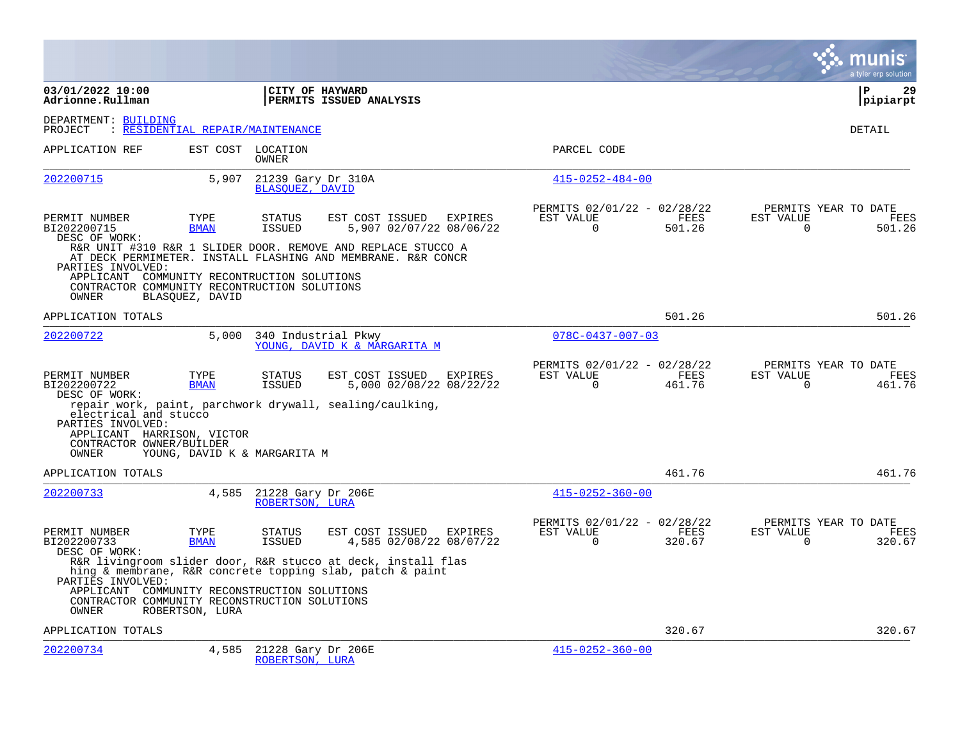|                                                                                                                           |                                         |                                              |                                                                                                                           |                                                      |                |                          | a tyler erp solution                   |
|---------------------------------------------------------------------------------------------------------------------------|-----------------------------------------|----------------------------------------------|---------------------------------------------------------------------------------------------------------------------------|------------------------------------------------------|----------------|--------------------------|----------------------------------------|
| 03/01/2022 10:00<br>Adrionne.Rullman                                                                                      |                                         | CITY OF HAYWARD                              | PERMITS ISSUED ANALYSIS                                                                                                   |                                                      |                |                          | P<br>29<br>pipiarpt                    |
| DEPARTMENT: BUILDING<br>PROJECT                                                                                           | <u>: RESIDENTIAL REPAIR/MAINTENANCE</u> |                                              |                                                                                                                           |                                                      |                |                          | DETAIL                                 |
| APPLICATION REF                                                                                                           |                                         | EST COST LOCATION<br><b>OWNER</b>            |                                                                                                                           | PARCEL CODE                                          |                |                          |                                        |
| 202200715                                                                                                                 | 5,907                                   | 21239 Gary Dr 310A<br><b>BLASOUEZ, DAVID</b> |                                                                                                                           | $415 - 0252 - 484 - 00$                              |                |                          |                                        |
| PERMIT NUMBER<br>BI202200715<br>DESC OF WORK:                                                                             | TYPE<br><b>BMAN</b>                     | <b>STATUS</b><br><b>ISSUED</b>               | EST COST ISSUED<br>EXPIRES<br>5,907 02/07/22 08/06/22<br>R&R UNIT #310 R&R 1 SLIDER DOOR. REMOVE AND REPLACE STUCCO A     | PERMITS 02/01/22 - 02/28/22<br>EST VALUE<br>$\Omega$ | FEES<br>501.26 | EST VALUE<br>$\Omega$    | PERMITS YEAR TO DATE<br>FEES<br>501.26 |
| PARTIES INVOLVED:<br>APPLICANT COMMUNITY RECONTRUCTION SOLUTIONS<br>CONTRACTOR COMMUNITY RECONTRUCTION SOLUTIONS<br>OWNER | BLASOUEZ, DAVID                         |                                              | AT DECK PERMIMETER. INSTALL FLASHING AND MEMBRANE. R&R CONCR                                                              |                                                      |                |                          |                                        |
| APPLICATION TOTALS                                                                                                        |                                         |                                              |                                                                                                                           |                                                      | 501.26         |                          | 501.26                                 |
| 202200722                                                                                                                 | 5,000                                   |                                              | 340 Industrial Pkwy<br>YOUNG, DAVID K & MARGARITA M                                                                       | $078C - 0437 - 007 - 03$                             |                |                          |                                        |
| PERMIT NUMBER<br>BI202200722<br>DESC OF WORK:                                                                             | TYPE<br><b>BMAN</b>                     | <b>STATUS</b><br><b>ISSUED</b>               | EST COST ISSUED<br>EXPIRES<br>5,000 02/08/22 08/22/22                                                                     | PERMITS 02/01/22 - 02/28/22<br>EST VALUE<br>$\Omega$ | FEES<br>461.76 | EST VALUE<br>$\Omega$    | PERMITS YEAR TO DATE<br>FEES<br>461.76 |
| electrical and stucco<br>PARTIES INVOLVED:<br>APPLICANT HARRISON, VICTOR<br>CONTRACTOR OWNER/BUILDER<br>OWNER             | YOUNG, DAVID K & MARGARITA M            |                                              | repair work, paint, parchwork drywall, sealing/caulking,                                                                  |                                                      |                |                          |                                        |
| APPLICATION TOTALS                                                                                                        |                                         |                                              |                                                                                                                           |                                                      | 461.76         |                          | 461.76                                 |
| 202200733                                                                                                                 | 4,585                                   | 21228 Gary Dr 206E<br>ROBERTSON, LURA        |                                                                                                                           | $415 - 0252 - 360 - 00$                              |                |                          |                                        |
| PERMIT NUMBER<br>BI202200733<br>DESC OF WORK:                                                                             | TYPE<br><b>BMAN</b>                     | <b>STATUS</b><br><b>ISSUED</b>               | EST COST ISSUED<br>EXPIRES<br>4,585 02/08/22 08/07/22                                                                     | PERMITS 02/01/22 - 02/28/22<br>EST VALUE<br>$\Omega$ | FEES<br>320.67 | EST VALUE<br>$\mathbf 0$ | PERMITS YEAR TO DATE<br>FEES<br>320.67 |
| PARTIES INVOLVED:                                                                                                         |                                         |                                              | R&R livingroom slider door, R&R stucco at deck, install flas<br>hing & membrane, R&R concrete topping slab, patch & paint |                                                      |                |                          |                                        |
| APPLICANT COMMUNITY RECONSTRUCTION SOLUTIONS<br>CONTRACTOR COMMUNITY RECONSTRUCTION SOLUTIONS<br>OWNER                    | ROBERTSON, LURA                         |                                              |                                                                                                                           |                                                      |                |                          |                                        |
| APPLICATION TOTALS                                                                                                        |                                         |                                              |                                                                                                                           |                                                      | 320.67         |                          | 320.67                                 |
| 202200734                                                                                                                 | 4,585                                   | 21228 Gary Dr 206E<br>ROBERTSON, LURA        |                                                                                                                           | $415 - 0252 - 360 - 00$                              |                |                          |                                        |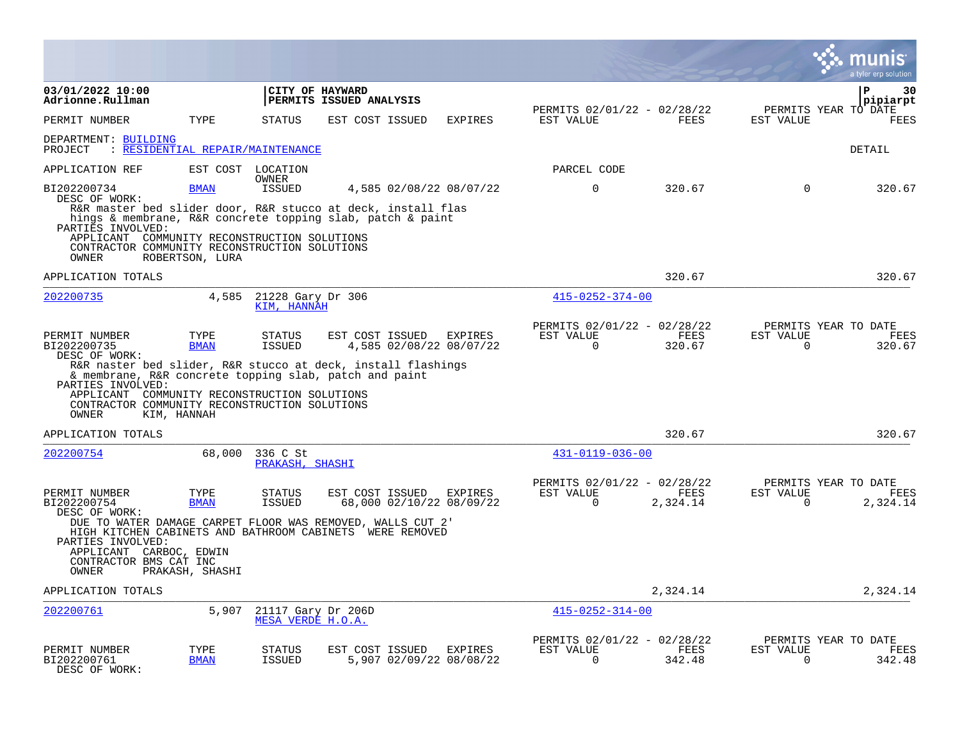|                                                                                                                                                                                             |                                  |                                         |                                                                                                                            |                |                                                      |                  |                       | nıs<br>a tyler erp solution              |
|---------------------------------------------------------------------------------------------------------------------------------------------------------------------------------------------|----------------------------------|-----------------------------------------|----------------------------------------------------------------------------------------------------------------------------|----------------|------------------------------------------------------|------------------|-----------------------|------------------------------------------|
| 03/01/2022 10:00<br>Adrionne.Rullman                                                                                                                                                        |                                  | CITY OF HAYWARD                         | PERMITS ISSUED ANALYSIS                                                                                                    |                | PERMITS 02/01/22 - 02/28/22                          |                  |                       | ΙP<br>30<br> pipiarpt                    |
| PERMIT NUMBER                                                                                                                                                                               | TYPE                             | <b>STATUS</b>                           | EST COST ISSUED                                                                                                            | <b>EXPIRES</b> | EST VALUE                                            | FEES             | EST VALUE             | PERMITS YEAR TO DATE<br>FEES             |
| DEPARTMENT: BUILDING<br>PROJECT                                                                                                                                                             | : RESIDENTIAL REPAIR/MAINTENANCE |                                         |                                                                                                                            |                |                                                      |                  |                       | DETAIL                                   |
| APPLICATION REF                                                                                                                                                                             |                                  | EST COST LOCATION<br>OWNER              |                                                                                                                            |                | PARCEL CODE                                          |                  |                       |                                          |
| BI202200734<br>DESC OF WORK:                                                                                                                                                                | <b>BMAN</b>                      | <b>ISSUED</b>                           | 4,585 02/08/22 08/07/22                                                                                                    |                | $\Omega$                                             | 320.67           | $\Omega$              | 320.67                                   |
| PARTIES INVOLVED:<br>APPLICANT COMMUNITY RECONSTRUCTION SOLUTIONS                                                                                                                           |                                  |                                         | R&R master bed slider door, R&R stucco at deck, install flas<br>hings & membrane, R&R concrete topping slab, patch & paint |                |                                                      |                  |                       |                                          |
| CONTRACTOR COMMUNITY RECONSTRUCTION SOLUTIONS<br>OWNER                                                                                                                                      | ROBERTSON, LURA                  |                                         |                                                                                                                            |                |                                                      |                  |                       |                                          |
| APPLICATION TOTALS                                                                                                                                                                          |                                  |                                         |                                                                                                                            |                |                                                      | 320.67           |                       | 320.67                                   |
| 202200735                                                                                                                                                                                   | 4,585                            | 21228 Gary Dr 306<br>KIM, HANNAH        |                                                                                                                            |                | $415 - 0252 - 374 - 00$                              |                  |                       |                                          |
| PERMIT NUMBER<br>BI202200735<br>DESC OF WORK:                                                                                                                                               | TYPE<br><b>BMAN</b>              | <b>STATUS</b><br><b>ISSUED</b>          | EST COST ISSUED<br>4,585 02/08/22 08/07/22                                                                                 | EXPIRES        | PERMITS 02/01/22 - 02/28/22<br>EST VALUE<br>$\Omega$ | FEES<br>320.67   | EST VALUE<br>$\Omega$ | PERMITS YEAR TO DATE<br>FEES<br>320.67   |
| R&R naster bed slider, R&R stucco at deck, install flashings<br>PARTIES INVOLVED:<br>APPLICANT COMMUNITY RECONSTRUCTION SOLUTIONS<br>CONTRACTOR COMMUNITY RECONSTRUCTION SOLUTIONS<br>OWNER | KIM, HANNAH                      |                                         | & membrane, R&R concrete topping slab, patch and paint                                                                     |                |                                                      |                  |                       |                                          |
| APPLICATION TOTALS                                                                                                                                                                          |                                  |                                         |                                                                                                                            |                |                                                      | 320.67           |                       | 320.67                                   |
| 202200754                                                                                                                                                                                   | 68,000                           | 336 C St<br>PRAKASH, SHASHI             |                                                                                                                            |                | 431-0119-036-00                                      |                  |                       |                                          |
| PERMIT NUMBER<br>BI202200754<br>DESC OF WORK:                                                                                                                                               | TYPE<br><b>BMAN</b>              | <b>STATUS</b><br><b>ISSUED</b>          | EST COST ISSUED<br>68,000 02/10/22 08/09/22                                                                                | EXPIRES        | PERMITS 02/01/22 - 02/28/22<br>EST VALUE<br>$\Omega$ | FEES<br>2,324.14 | EST VALUE<br>$\Omega$ | PERMITS YEAR TO DATE<br>FEES<br>2,324.14 |
| HIGH KITCHEN CABINETS AND BATHROOM CABINETS WERE REMOVED<br>PARTIES INVOLVED:<br>APPLICANT CARBOC, EDWIN<br>CONTRACTOR BMS CAT INC<br>OWNER                                                 | PRAKASH, SHASHI                  |                                         | DUE TO WATER DAMAGE CARPET FLOOR WAS REMOVED, WALLS CUT 2'                                                                 |                |                                                      |                  |                       |                                          |
| APPLICATION TOTALS                                                                                                                                                                          |                                  |                                         |                                                                                                                            |                |                                                      | 2,324.14         |                       | 2,324.14                                 |
| 202200761                                                                                                                                                                                   | 5,907                            | 21117 Gary Dr 206D<br>MESA VERDE H.O.A. |                                                                                                                            |                | $415 - 0252 - 314 - 00$                              |                  |                       |                                          |
| PERMIT NUMBER<br>BI202200761<br>DESC OF WORK:                                                                                                                                               | TYPE<br><b>BMAN</b>              | STATUS<br><b>ISSUED</b>                 | EST COST ISSUED<br>5,907 02/09/22 08/08/22                                                                                 | <b>EXPIRES</b> | PERMITS 02/01/22 - 02/28/22<br>EST VALUE<br>$\Omega$ | FEES<br>342.48   | EST VALUE<br>$\Omega$ | PERMITS YEAR TO DATE<br>FEES<br>342.48   |

 $\bullet$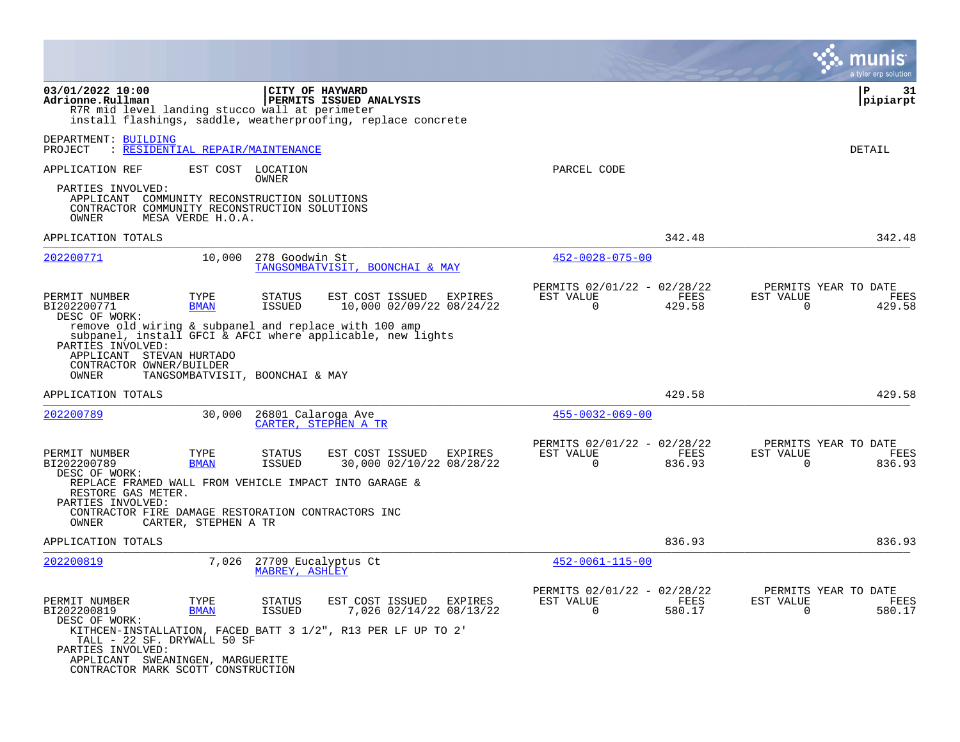|                                                                                                                             |                                  |                                              |                                                                                                                     |                                                         |                       | a tyler erp solution                                                   |
|-----------------------------------------------------------------------------------------------------------------------------|----------------------------------|----------------------------------------------|---------------------------------------------------------------------------------------------------------------------|---------------------------------------------------------|-----------------------|------------------------------------------------------------------------|
| 03/01/2022 10:00<br>Adrionne.Rullman<br>R7R mid level landing stucco wall at perimeter                                      |                                  | CITY OF HAYWARD                              | PERMITS ISSUED ANALYSIS<br>install flashings, saddle, weatherproofing, replace concrete                             |                                                         |                       | l P<br>31<br> pipiarpt                                                 |
| DEPARTMENT: BUILDING<br>PROJECT                                                                                             | : RESIDENTIAL REPAIR/MAINTENANCE |                                              |                                                                                                                     |                                                         |                       | DETAIL                                                                 |
| APPLICATION REF                                                                                                             |                                  | EST COST LOCATION<br>OWNER                   |                                                                                                                     | PARCEL CODE                                             |                       |                                                                        |
| PARTIES INVOLVED:<br>APPLICANT COMMUNITY RECONSTRUCTION SOLUTIONS<br>CONTRACTOR COMMUNITY RECONSTRUCTION SOLUTIONS<br>OWNER | MESA VERDE H.O.A.                |                                              |                                                                                                                     |                                                         |                       |                                                                        |
| APPLICATION TOTALS                                                                                                          |                                  |                                              |                                                                                                                     |                                                         | 342.48                | 342.48                                                                 |
| 202200771                                                                                                                   | 10,000                           | 278 Goodwin St                               | TANGSOMBATVISIT, BOONCHAI & MAY                                                                                     | $452 - 0028 - 075 - 00$                                 |                       |                                                                        |
| PERMIT NUMBER<br>BI202200771<br>DESC OF WORK:                                                                               | TYPE<br><b>BMAN</b>              | <b>STATUS</b><br><b>ISSUED</b>               | EST COST ISSUED<br>EXPIRES<br>10,000 02/09/22 08/24/22                                                              | PERMITS 02/01/22 - 02/28/22<br>EST VALUE<br>$\mathbf 0$ | FEES<br>429.58        | PERMITS YEAR TO DATE<br>EST VALUE<br><b>FEES</b><br>429.58<br>$\Omega$ |
| PARTIES INVOLVED:<br>APPLICANT STEVAN HURTADO<br>CONTRACTOR OWNER/BUILDER<br>OWNER                                          | TANGSOMBATVISIT, BOONCHAI & MAY  |                                              | remove old wiring & subpanel and replace with 100 amp<br>subpanel, install GFCI & AFCI where applicable, new lights |                                                         |                       |                                                                        |
| APPLICATION TOTALS                                                                                                          |                                  |                                              |                                                                                                                     |                                                         | 429.58                | 429.58                                                                 |
| 202200789                                                                                                                   | 30,000                           | 26801 Calaroga Ave                           | CARTER, STEPHEN A TR                                                                                                | $455 - 0032 - 069 - 00$                                 |                       |                                                                        |
| PERMIT NUMBER<br>BI202200789<br>DESC OF WORK:                                                                               | TYPE<br><b>BMAN</b>              | STATUS<br><b>ISSUED</b>                      | EST COST ISSUED<br><b>EXPIRES</b><br>30,000 02/10/22 08/28/22                                                       | PERMITS 02/01/22 - 02/28/22<br>EST VALUE<br>$\Omega$    | FEES<br>836.93        | PERMITS YEAR TO DATE<br>EST VALUE<br>FEES<br>$\Omega$<br>836.93        |
| RESTORE GAS METER.<br>PARTIES INVOLVED:<br>CONTRACTOR FIRE DAMAGE RESTORATION CONTRACTORS INC<br>OWNER                      | CARTER, STEPHEN A TR             |                                              | REPLACE FRAMED WALL FROM VEHICLE IMPACT INTO GARAGE &                                                               |                                                         |                       |                                                                        |
| APPLICATION TOTALS                                                                                                          |                                  |                                              |                                                                                                                     |                                                         | 836.93                | 836.93                                                                 |
| 202200819                                                                                                                   | 7,026                            | 27709 Eucalyptus Ct<br><b>MABREY, ASHLEY</b> |                                                                                                                     | $452 - 0061 - 115 - 00$                                 |                       |                                                                        |
| PERMIT NUMBER<br>BI202200819<br>DESC OF WORK:                                                                               | TYPE<br><b>BMAN</b>              | <b>STATUS</b><br><b>ISSUED</b>               | EST COST ISSUED<br>EXPIRES<br>7,026 02/14/22 08/13/22                                                               | PERMITS 02/01/22 - 02/28/22<br>EST VALUE<br>$\Omega$    | <b>FEES</b><br>580.17 | PERMITS YEAR TO DATE<br>EST VALUE<br>FEES<br>$\Omega$<br>580.17        |
| TALL - 22 SF. DRYWALL 50 SF<br>PARTIES INVOLVED:                                                                            |                                  |                                              | KITHCEN-INSTALLATION, FACED BATT 3 1/2", R13 PER LF UP TO 2'                                                        |                                                         |                       |                                                                        |
| APPLICANT SWEANINGEN, MARGUERITE<br>CONTRACTOR MARK SCOTT CONSTRUCTION                                                      |                                  |                                              |                                                                                                                     |                                                         |                       |                                                                        |

 $\mathcal{L}^{\text{max}}$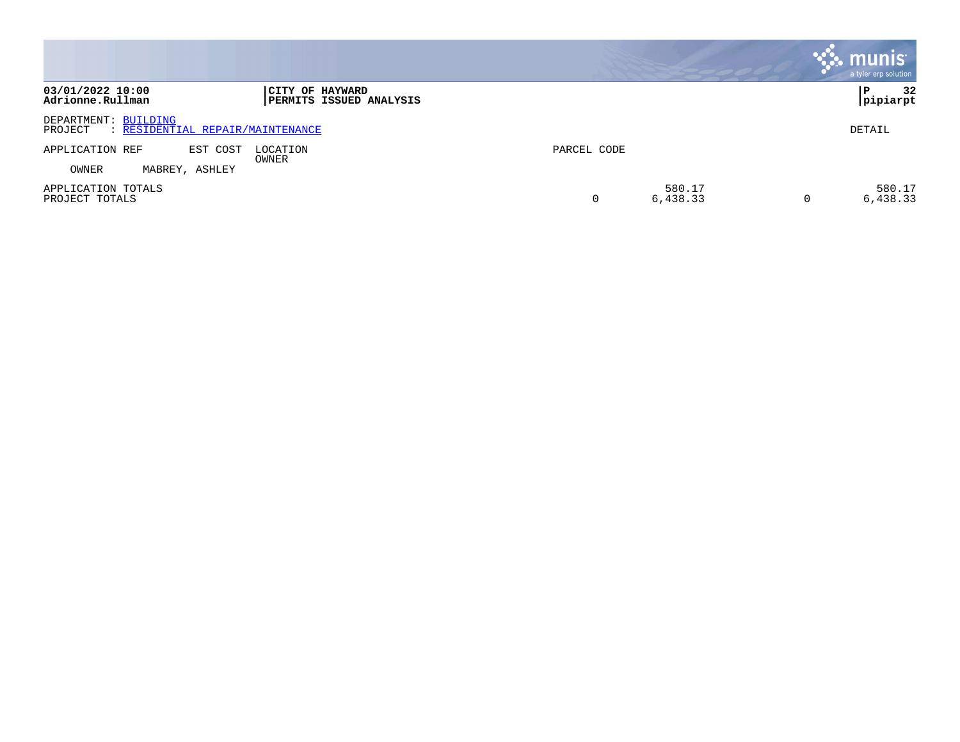|                                                                     |                                            |             |                    | <b>munis</b><br>a tyler erp solution |
|---------------------------------------------------------------------|--------------------------------------------|-------------|--------------------|--------------------------------------|
| 03/01/2022 10:00<br>Adrionne.Rullman                                | CITY OF HAYWARD<br>PERMITS ISSUED ANALYSIS |             |                    | 32<br>P<br> pipiarpt                 |
| DEPARTMENT: BUILDING<br>: RESIDENTIAL REPAIR/MAINTENANCE<br>PROJECT |                                            |             |                    | DETAIL                               |
| EST COST<br>APPLICATION REF                                         | LOCATION<br>OWNER                          | PARCEL CODE |                    |                                      |
| OWNER<br>MABREY, ASHLEY                                             |                                            |             |                    |                                      |
| APPLICATION TOTALS<br>PROJECT TOTALS                                |                                            |             | 580.17<br>6,438.33 | 580.17<br>6,438.33                   |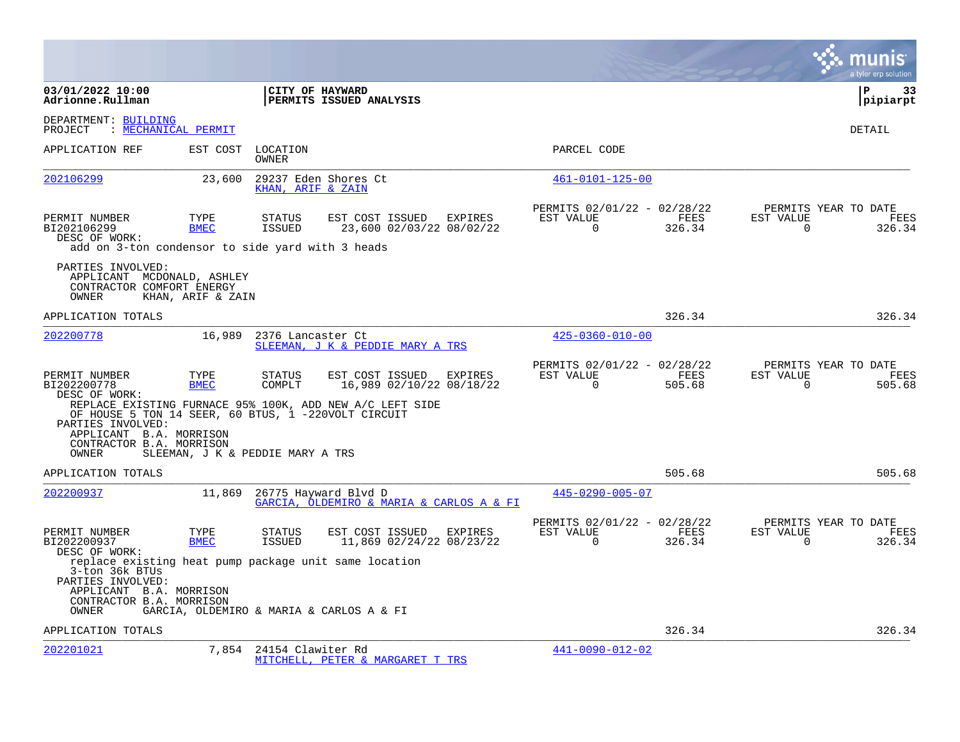|                                                                                                                                                              |                     |                                                                  |                                                     |                |                                                         |                |                          | a tyler erp solution                          |
|--------------------------------------------------------------------------------------------------------------------------------------------------------------|---------------------|------------------------------------------------------------------|-----------------------------------------------------|----------------|---------------------------------------------------------|----------------|--------------------------|-----------------------------------------------|
| 03/01/2022 10:00<br>Adrionne.Rullman                                                                                                                         |                     | CITY OF HAYWARD<br>PERMITS ISSUED ANALYSIS                       |                                                     |                |                                                         |                |                          | ∣P<br>33<br> pipiarpt                         |
| DEPARTMENT: BUILDING<br>PROJECT<br>: MECHANICAL PERMIT                                                                                                       |                     |                                                                  |                                                     |                |                                                         |                |                          | DETAIL                                        |
| APPLICATION REF                                                                                                                                              | EST COST            | LOCATION<br>OWNER                                                |                                                     |                | PARCEL CODE                                             |                |                          |                                               |
| 202106299                                                                                                                                                    | 23,600              | 29237 Eden Shores Ct<br>KHAN, ARIF & ZAIN                        |                                                     |                | $461 - 0101 - 125 - 00$                                 |                |                          |                                               |
| PERMIT NUMBER<br>BI202106299<br>DESC OF WORK:<br>add on 3-ton condensor to side yard with 3 heads                                                            | TYPE<br><b>BMEC</b> | <b>STATUS</b><br>ISSUED                                          | EST COST ISSUED EXPIRES<br>23,600 02/03/22 08/02/22 |                | PERMITS 02/01/22 - 02/28/22<br>EST VALUE<br>$\mathbf 0$ | FEES<br>326.34 | EST VALUE<br>$\mathbf 0$ | PERMITS YEAR TO DATE<br>FEES<br>326.34        |
| PARTIES INVOLVED:<br>APPLICANT MCDONALD, ASHLEY<br>CONTRACTOR COMFORT ENERGY<br>OWNER                                                                        | KHAN, ARIF & ZAIN   |                                                                  |                                                     |                |                                                         |                |                          |                                               |
| APPLICATION TOTALS                                                                                                                                           |                     |                                                                  |                                                     |                |                                                         | 326.34         |                          | 326.34                                        |
| 202200778                                                                                                                                                    | 16,989              | 2376 Lancaster Ct<br>SLEEMAN, J K & PEDDIE MARY A TRS            |                                                     |                | $425 - 0360 - 010 - 00$                                 |                |                          |                                               |
| PERMIT NUMBER<br>BI202200778<br>DESC OF WORK:<br>REPLACE EXISTING FURNACE 95% 100K, ADD NEW A/C LEFT SIDE                                                    | TYPE<br><b>BMEC</b> | STATUS<br>COMPLT                                                 | EST COST ISSUED<br>16,989 02/10/22 08/18/22         | <b>EXPIRES</b> | PERMITS 02/01/22 - 02/28/22<br>EST VALUE<br>$\Omega$    | FEES<br>505.68 | EST VALUE<br>$\Omega$    | PERMITS YEAR TO DATE<br><b>FEES</b><br>505.68 |
| OF HOUSE 5 TON 14 SEER, 60 BTUS, 1 -220VOLT CIRCUIT<br>PARTIES INVOLVED:<br>APPLICANT B.A. MORRISON<br>CONTRACTOR B.A. MORRISON<br>OWNER                     |                     | SLEEMAN, J K & PEDDIE MARY A TRS                                 |                                                     |                |                                                         |                |                          |                                               |
| APPLICATION TOTALS                                                                                                                                           |                     |                                                                  |                                                     |                |                                                         | 505.68         |                          | 505.68                                        |
| 202200937                                                                                                                                                    | 11,869              | 26775 Hayward Blvd D<br>GARCIA, OLDEMIRO & MARIA & CARLOS A & FI |                                                     |                | $445 - 0290 - 005 - 07$                                 |                |                          |                                               |
| PERMIT NUMBER<br>BI202200937<br>DESC OF WORK:                                                                                                                | TYPE<br><b>BMEC</b> | STATUS<br><b>ISSUED</b>                                          | EST COST ISSUED EXPIRES<br>11,869 02/24/22 08/23/22 |                | PERMITS 02/01/22 - 02/28/22<br>EST VALUE<br>$\Omega$    | FEES<br>326.34 | EST VALUE<br>$\Omega$    | PERMITS YEAR TO DATE<br>FEES<br>326.34        |
| replace existing heat pump package unit same location<br>3-ton 36k BTUs<br>PARTIES INVOLVED:<br>APPLICANT B.A. MORRISON<br>CONTRACTOR B.A. MORRISON<br>OWNER |                     | GARCIA, OLDEMIRO & MARIA & CARLOS A & FI                         |                                                     |                |                                                         |                |                          |                                               |
| APPLICATION TOTALS                                                                                                                                           |                     |                                                                  |                                                     |                |                                                         | 326.34         |                          | 326.34                                        |
| 202201021                                                                                                                                                    | 7,854               | 24154 Clawiter Rd<br>MITCHELL, PETER & MARGARET T TRS            |                                                     |                | $441 - 0090 - 012 - 02$                                 |                |                          |                                               |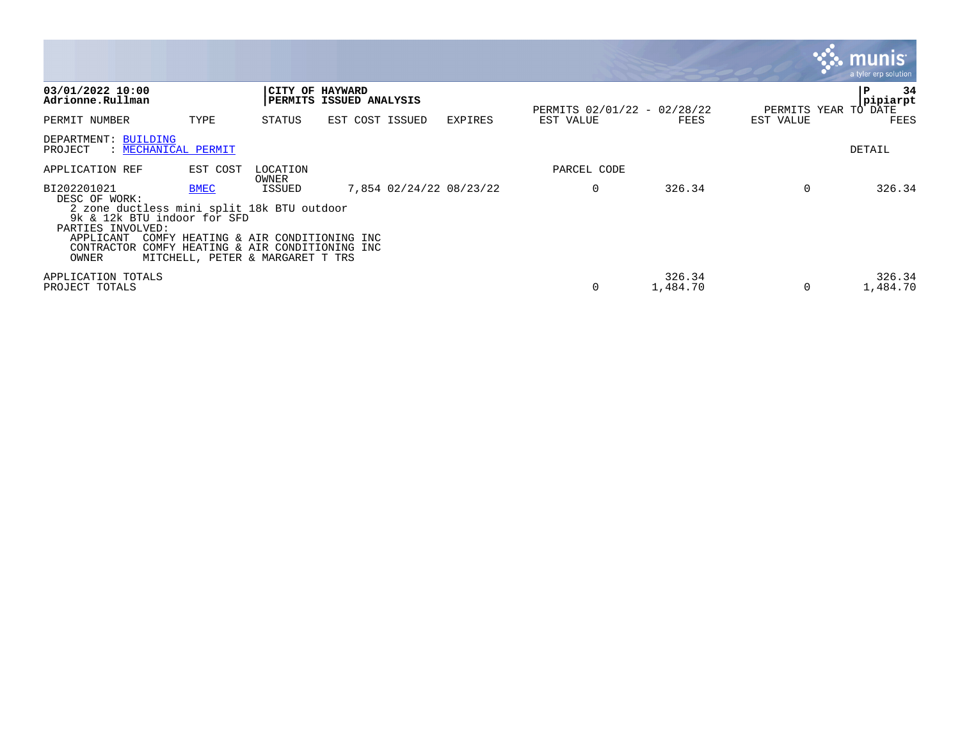|                                                                                                |             |                                                                                                                  |                                            |                         |                                          |                    |           | <b>munis</b><br>a tyler erp solution |
|------------------------------------------------------------------------------------------------|-------------|------------------------------------------------------------------------------------------------------------------|--------------------------------------------|-------------------------|------------------------------------------|--------------------|-----------|--------------------------------------|
| 03/01/2022 10:00<br>Adrionne.Rullman                                                           |             |                                                                                                                  | CITY OF HAYWARD<br>PERMITS ISSUED ANALYSIS |                         |                                          |                    |           | 34<br>P<br>pipiarpt                  |
| PERMIT NUMBER                                                                                  | TYPE        | STATUS                                                                                                           | EST COST ISSUED                            | <b>EXPIRES</b>          | PERMITS 02/01/22 - 02/28/22<br>EST VALUE | FEES               | EST VALUE | PERMITS YEAR TO DATE<br>FEES         |
| DEPARTMENT: BUILDING<br>: MECHANICAL PERMIT<br>PROJECT                                         |             |                                                                                                                  |                                            |                         |                                          |                    |           | DETAIL                               |
| APPLICATION REF                                                                                | EST COST    | LOCATION<br>OWNER                                                                                                |                                            |                         | PARCEL CODE                              |                    |           |                                      |
| BI202201021<br>DESC OF WORK:                                                                   | <b>BMEC</b> | ISSUED                                                                                                           |                                            | 7,854 02/24/22 08/23/22 | $\mathbf 0$                              | 326.34             | $\Omega$  | 326.34                               |
| 2 zone ductless mini split 18k BTU outdoor<br>9k & 12k BTU indoor for SFD<br>PARTIES INVOLVED: |             |                                                                                                                  |                                            |                         |                                          |                    |           |                                      |
| APPLICANT<br>CONTRACTOR<br>OWNER                                                               |             | COMFY HEATING & AIR CONDITIONING INC<br>COMFY HEATING & AIR CONDITIONING INC<br>MITCHELL, PETER & MARGARET T TRS |                                            |                         |                                          |                    |           |                                      |
| APPLICATION TOTALS<br>PROJECT TOTALS                                                           |             |                                                                                                                  |                                            |                         | 0                                        | 326.34<br>1,484.70 | $\Omega$  | 326.34<br>1,484.70                   |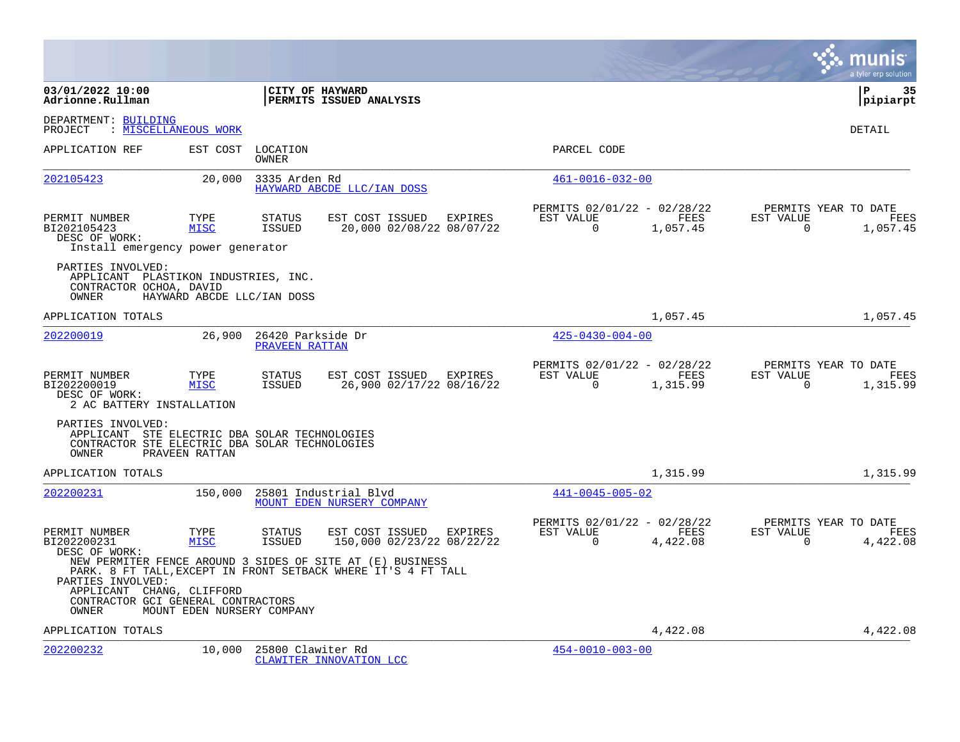|                                                                                                                               |                            |                                     |                                                                                                                            |         |                                                         |                  |                          | munis<br>a tyler erp solution                   |
|-------------------------------------------------------------------------------------------------------------------------------|----------------------------|-------------------------------------|----------------------------------------------------------------------------------------------------------------------------|---------|---------------------------------------------------------|------------------|--------------------------|-------------------------------------------------|
| 03/01/2022 10:00<br>Adrionne.Rullman                                                                                          |                            | CITY OF HAYWARD                     | PERMITS ISSUED ANALYSIS                                                                                                    |         |                                                         |                  |                          | l P<br>35<br> pipiarpt                          |
| DEPARTMENT: BUILDING<br>PROJECT                                                                                               | : MISCELLANEOUS WORK       |                                     |                                                                                                                            |         |                                                         |                  |                          | DETAIL                                          |
| APPLICATION REF                                                                                                               | EST COST                   | LOCATION<br>OWNER                   |                                                                                                                            |         | PARCEL CODE                                             |                  |                          |                                                 |
| 202105423                                                                                                                     | 20,000                     | 3335 Arden Rd                       | HAYWARD ABCDE LLC/IAN DOSS                                                                                                 |         | $461 - 0016 - 032 - 00$                                 |                  |                          |                                                 |
| PERMIT NUMBER<br>BI202105423<br>DESC OF WORK:<br>Install emergency power generator                                            | TYPE<br><b>MISC</b>        | <b>STATUS</b><br>ISSUED             | EST COST ISSUED EXPIRES<br>20,000 02/08/22 08/07/22                                                                        |         | PERMITS 02/01/22 - 02/28/22<br>EST VALUE<br>$\mathbf 0$ | FEES<br>1,057.45 | EST VALUE<br>$\mathbf 0$ | PERMITS YEAR TO DATE<br>FEES<br>1,057.45        |
| PARTIES INVOLVED:<br>APPLICANT PLASTIKON INDUSTRIES, INC.<br>CONTRACTOR OCHOA, DAVID<br>OWNER                                 | HAYWARD ABCDE LLC/IAN DOSS |                                     |                                                                                                                            |         |                                                         |                  |                          |                                                 |
| APPLICATION TOTALS                                                                                                            |                            |                                     |                                                                                                                            |         |                                                         | 1,057.45         |                          | 1,057.45                                        |
| 202200019                                                                                                                     | 26,900                     | 26420 Parkside Dr<br>PRAVEEN RATTAN |                                                                                                                            |         | $425 - 0430 - 004 - 00$                                 |                  |                          |                                                 |
| PERMIT NUMBER<br>BI202200019<br>DESC OF WORK:<br>2 AC BATTERY INSTALLATION                                                    | TYPE<br><b>MISC</b>        | <b>STATUS</b><br>ISSUED             | EST COST ISSUED EXPIRES<br>26,900 02/17/22 08/16/22                                                                        |         | PERMITS 02/01/22 - 02/28/22<br>EST VALUE<br>$\Omega$    | FEES<br>1,315.99 | EST VALUE<br>$\Omega$    | PERMITS YEAR TO DATE<br><b>FEES</b><br>1,315.99 |
| PARTIES INVOLVED:<br>APPLICANT STE ELECTRIC DBA SOLAR TECHNOLOGIES<br>CONTRACTOR STE ELECTRIC DBA SOLAR TECHNOLOGIES<br>OWNER | PRAVEEN RATTAN             |                                     |                                                                                                                            |         |                                                         |                  |                          |                                                 |
| APPLICATION TOTALS                                                                                                            |                            |                                     |                                                                                                                            |         |                                                         | 1,315.99         |                          | 1,315.99                                        |
| 202200231                                                                                                                     | 150,000                    |                                     | 25801 Industrial Blvd<br>MOUNT EDEN NURSERY COMPANY                                                                        |         | $441 - 0045 - 005 - 02$                                 |                  |                          |                                                 |
| PERMIT NUMBER<br>BI202200231<br>DESC OF WORK:                                                                                 | TYPE<br><b>MISC</b>        | <b>STATUS</b><br><b>ISSUED</b>      | EST COST ISSUED<br>150,000 02/23/22 08/22/22                                                                               | EXPIRES | PERMITS 02/01/22 - 02/28/22<br>EST VALUE<br>$\Omega$    | FEES<br>4,422.08 | EST VALUE<br>$\Omega$    | PERMITS YEAR TO DATE<br>FEES<br>4,422.08        |
| PARTIES INVOLVED:<br>APPLICANT CHANG, CLIFFORD<br>CONTRACTOR GCI GENERAL CONTRACTORS<br>OWNER                                 | MOUNT EDEN NURSERY COMPANY |                                     | NEW PERMITER FENCE AROUND 3 SIDES OF SITE AT (E) BUSINESS<br>PARK. 8 FT TALL, EXCEPT IN FRONT SETBACK WHERE IT'S 4 FT TALL |         |                                                         |                  |                          |                                                 |
| APPLICATION TOTALS                                                                                                            |                            |                                     |                                                                                                                            |         |                                                         | 4,422.08         |                          | 4,422.08                                        |
| 202200232                                                                                                                     | 10,000                     | 25800 Clawiter Rd                   | CLAWITER INNOVATION LCC                                                                                                    |         | $454 - 0010 - 003 - 00$                                 |                  |                          |                                                 |

**College**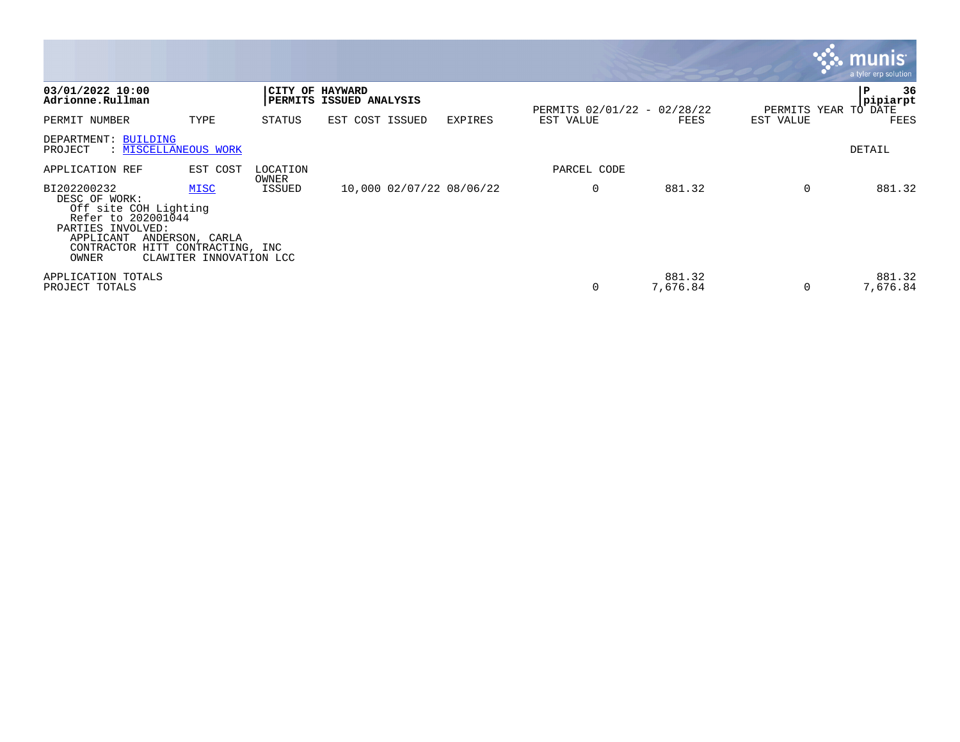|                                                                                                                                      |                                                                                    |                   |                                            |                |                             |                    |           | <b>W. munis</b><br>a tyler erp solution,       |
|--------------------------------------------------------------------------------------------------------------------------------------|------------------------------------------------------------------------------------|-------------------|--------------------------------------------|----------------|-----------------------------|--------------------|-----------|------------------------------------------------|
| 03/01/2022 10:00<br>Adrionne.Rullman                                                                                                 |                                                                                    |                   | CITY OF HAYWARD<br>PERMITS ISSUED ANALYSIS |                | PERMITS 02/01/22 - 02/28/22 |                    |           | 36<br>l P<br> pipiarpt<br>PERMITS YEAR TO DATE |
| PERMIT NUMBER                                                                                                                        | TYPE                                                                               | STATUS            | EST COST ISSUED                            | <b>EXPIRES</b> | EST VALUE                   | FEES               | EST VALUE | FEES                                           |
| DEPARTMENT: BUILDING<br>PROJECT<br>: MISCELLANEOUS WORK                                                                              |                                                                                    |                   |                                            |                |                             |                    |           | DETAIL                                         |
| APPLICATION REF                                                                                                                      | EST COST                                                                           | LOCATION<br>OWNER |                                            |                | PARCEL CODE                 |                    |           |                                                |
| BI202200232<br>DESC OF WORK:<br>Off site COH Lighting<br>Refer to 202001044<br>PARTIES INVOLVED:<br>APPLICANT<br>CONTRACTOR<br>OWNER | <b>MISC</b><br>ANDERSON, CARLA<br>HITT CONTRACTING, INC<br>CLAWITER INNOVATION LCC | ISSUED            | 10,000 02/07/22 08/06/22                   |                | 0                           | 881.32             | 0         | 881.32                                         |
| APPLICATION TOTALS<br>PROJECT TOTALS                                                                                                 |                                                                                    |                   |                                            |                |                             | 881.32<br>7,676.84 | $\Omega$  | 881.32<br>7,676.84                             |

 $\sim$   $\sim$   $\sim$   $\sim$   $\sim$   $\sim$   $\sim$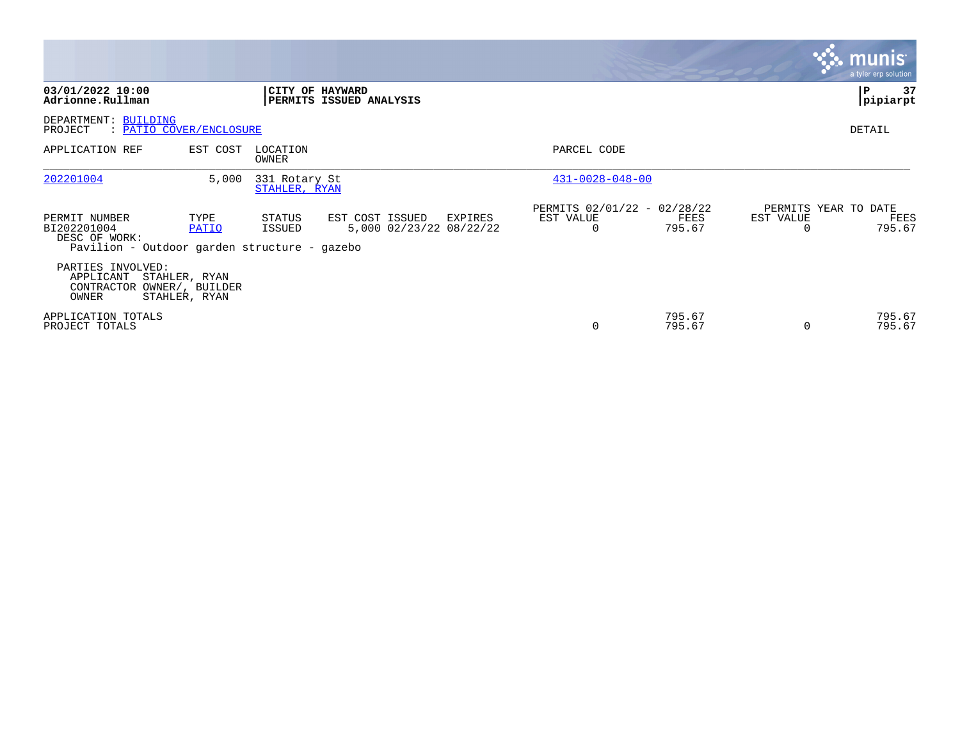|                                                                                               |                                |                                |                                            |         |                                               |                  |                       | <b>munis</b><br>a tyler erp solution   |
|-----------------------------------------------------------------------------------------------|--------------------------------|--------------------------------|--------------------------------------------|---------|-----------------------------------------------|------------------|-----------------------|----------------------------------------|
| 03/01/2022 10:00<br>Adrionne.Rullman                                                          |                                | CITY OF HAYWARD                | PERMITS ISSUED ANALYSIS                    |         |                                               |                  |                       | 37<br>P<br> pipiarpt                   |
| DEPARTMENT: BUILDING<br>PROJECT<br>: PATIO COVER/ENCLOSURE                                    |                                |                                |                                            |         |                                               |                  |                       | DETAIL                                 |
| APPLICATION REF                                                                               | EST COST                       | LOCATION<br>OWNER              |                                            |         | PARCEL CODE                                   |                  |                       |                                        |
| 202201004                                                                                     | 5,000                          | 331 Rotary St<br>STAHLER, RYAN |                                            |         | $431 - 0028 - 048 - 00$                       |                  |                       |                                        |
| PERMIT NUMBER<br>BI202201004<br>DESC OF WORK:<br>Pavilion - Outdoor garden structure - gazebo | TYPE<br>PATIO                  | STATUS<br>ISSUED               | EST COST ISSUED<br>5,000 02/23/22 08/22/22 | EXPIRES | PERMITS 02/01/22 - 02/28/22<br>EST VALUE<br>0 | FEES<br>795.67   | EST VALUE<br>$\Omega$ | PERMITS YEAR TO DATE<br>FEES<br>795.67 |
| PARTIES INVOLVED:<br>APPLICANT<br>CONTRACTOR OWNER/, BUILDER<br>OWNER                         | STAHLER, RYAN<br>STAHLER, RYAN |                                |                                            |         |                                               |                  |                       |                                        |
| APPLICATION TOTALS<br>PROJECT TOTALS                                                          |                                |                                |                                            |         | $\Omega$                                      | 795.67<br>795.67 | 0                     | 795.67<br>795.67                       |

the property of the control of

and the contract of the contract of the contract of the contract of the contract of the contract of the contract of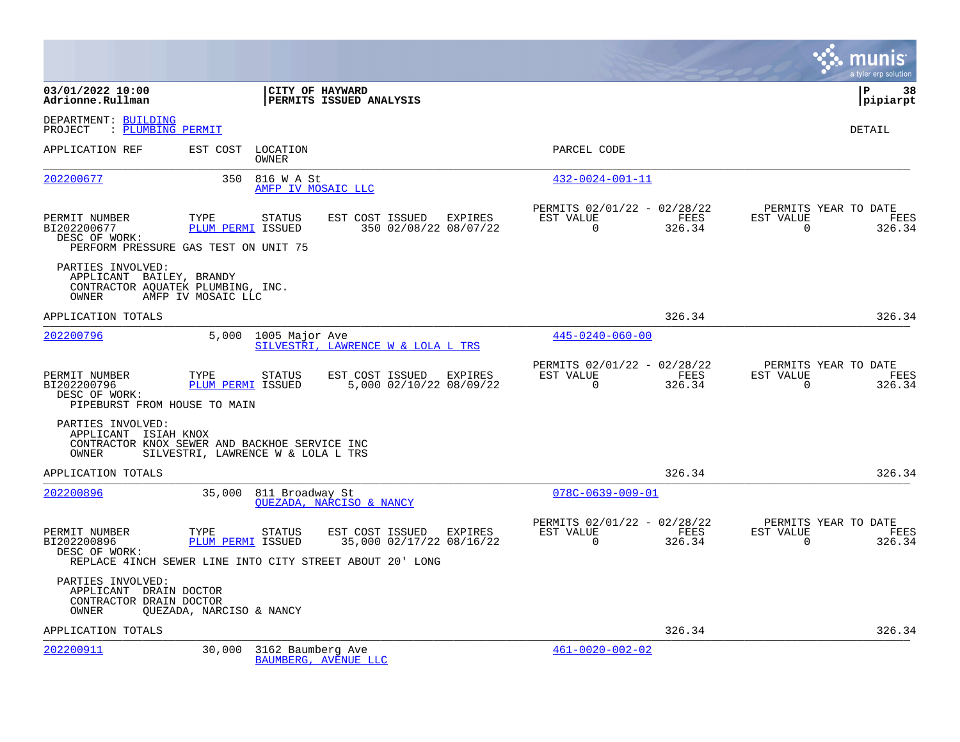|                                                                                 |                                                                                     |                                                                                                                    |                                                      |                       |                          | munis<br>a tyler erp solution          |
|---------------------------------------------------------------------------------|-------------------------------------------------------------------------------------|--------------------------------------------------------------------------------------------------------------------|------------------------------------------------------|-----------------------|--------------------------|----------------------------------------|
| 03/01/2022 10:00<br>Adrionne.Rullman                                            |                                                                                     | <b>CITY OF HAYWARD</b><br><b>PERMITS ISSUED ANALYSIS</b>                                                           |                                                      |                       |                          | l P<br>38<br> pipiarpt                 |
| DEPARTMENT: BUILDING<br>PROJECT<br>: PLUMBING PERMIT                            |                                                                                     |                                                                                                                    |                                                      |                       |                          | DETAIL                                 |
| APPLICATION REF                                                                 | EST COST<br>LOCATION<br>OWNER                                                       |                                                                                                                    | PARCEL CODE                                          |                       |                          |                                        |
| 202200677                                                                       | 350<br>816 W A St                                                                   | AMFP IV MOSAIC LLC                                                                                                 | $432 - 0024 - 001 - 11$                              |                       |                          |                                        |
| PERMIT NUMBER<br>BI202200677<br>DESC OF WORK:                                   | TYPE<br><b>STATUS</b><br>PLUM PERMI ISSUED<br>PERFORM PRESSURE GAS TEST ON UNIT 75  | EST COST ISSUED EXPIRES<br>350 02/08/22 08/07/22                                                                   | PERMITS 02/01/22 - 02/28/22<br>EST VALUE<br>$\Omega$ | FEES<br>326.34        | EST VALUE<br>$\mathbf 0$ | PERMITS YEAR TO DATE<br>FEES<br>326.34 |
| PARTIES INVOLVED:<br>APPLICANT BAILEY, BRANDY<br><b>OWNER</b>                   | CONTRACTOR AQUATEK PLUMBING, INC.<br>AMFP IV MOSAIC LLC                             |                                                                                                                    |                                                      |                       |                          |                                        |
| APPLICATION TOTALS                                                              |                                                                                     |                                                                                                                    |                                                      | 326.34                |                          | 326.34                                 |
| 202200796                                                                       | 5,000 1005 Major Ave                                                                | SILVESTRI, LAWRENCE W & LOLA L TRS                                                                                 | $445 - 0240 - 060 - 00$                              |                       |                          |                                        |
| PERMIT NUMBER<br>BI202200796<br>DESC OF WORK:<br>PIPEBURST FROM HOUSE TO MAIN   | TYPE<br><b>STATUS</b><br>PLUM PERMI ISSUED                                          | EST COST ISSUED<br>EXPIRES<br>5,000 02/10/22 08/09/22                                                              | PERMITS 02/01/22 - 02/28/22<br>EST VALUE<br>$\Omega$ | <b>FEES</b><br>326.34 | EST VALUE<br>$\Omega$    | PERMITS YEAR TO DATE<br>FEES<br>326.34 |
| PARTIES INVOLVED:<br>APPLICANT ISIAH KNOX<br>OWNER                              | CONTRACTOR KNOX SEWER AND BACKHOE SERVICE INC<br>SILVESTRI, LAWRENCE W & LOLA L TRS |                                                                                                                    |                                                      |                       |                          |                                        |
| APPLICATION TOTALS                                                              |                                                                                     |                                                                                                                    |                                                      | 326.34                |                          | 326.34                                 |
| 202200896                                                                       | 35,000                                                                              | 811 Broadway St<br>OUEZADA, NARCISO & NANCY                                                                        | $078C - 0639 - 009 - 01$                             |                       |                          |                                        |
| PERMIT NUMBER<br>BI202200896<br>DESC OF WORK:                                   | TYPE<br><b>STATUS</b><br>PLUM PERMI ISSUED                                          | EST COST ISSUED<br>EXPIRES<br>35,000 02/17/22 08/16/22<br>REPLACE 4INCH SEWER LINE INTO CITY STREET ABOUT 20' LONG | PERMITS 02/01/22 - 02/28/22<br>EST VALUE<br>$\Omega$ | FEES<br>326.34        | EST VALUE<br>$\Omega$    | PERMITS YEAR TO DATE<br>FEES<br>326.34 |
| PARTIES INVOLVED:<br>APPLICANT DRAIN DOCTOR<br>CONTRACTOR DRAIN DOCTOR<br>OWNER | QUEZADA, NARCISO & NANCY                                                            |                                                                                                                    |                                                      |                       |                          |                                        |
| APPLICATION TOTALS                                                              |                                                                                     |                                                                                                                    |                                                      | 326.34                |                          | 326.34                                 |
| 202200911                                                                       | 30,000                                                                              | 3162 Baumberg Ave<br>BAUMBERG, AVENUE LLC                                                                          | $461 - 0020 - 002 - 02$                              |                       |                          |                                        |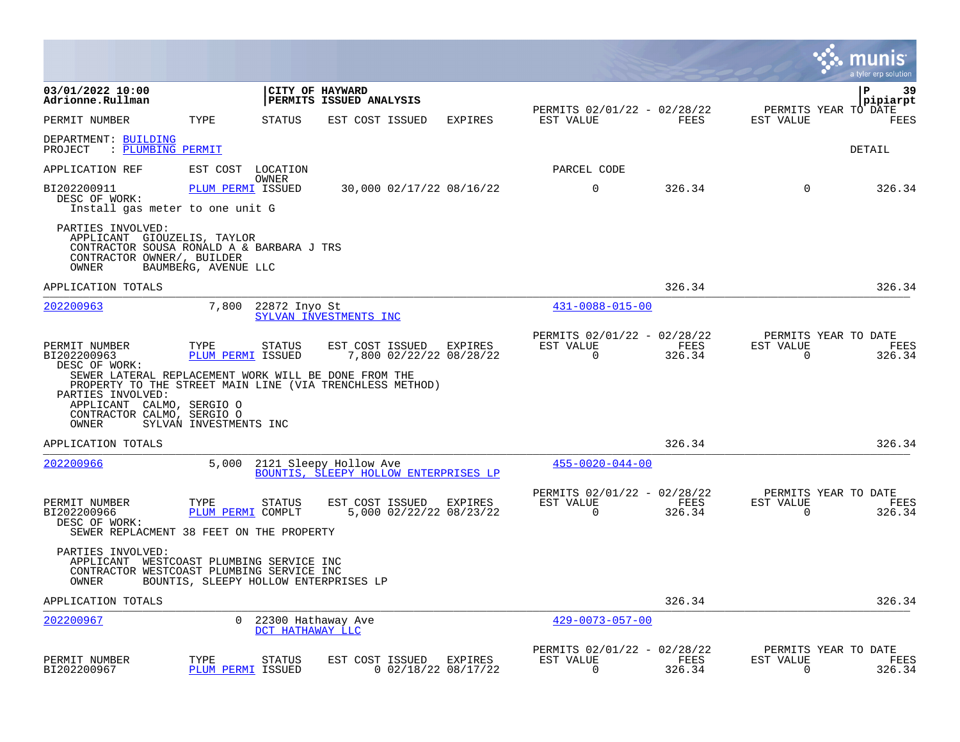|                                                                                                                                                                                                                                                            |                                                     |                                        |                                                                 |                                         |                                                         |                |                          | munis<br>a tyler erp solution          |
|------------------------------------------------------------------------------------------------------------------------------------------------------------------------------------------------------------------------------------------------------------|-----------------------------------------------------|----------------------------------------|-----------------------------------------------------------------|-----------------------------------------|---------------------------------------------------------|----------------|--------------------------|----------------------------------------|
| 03/01/2022 10:00<br>Adrionne.Rullman                                                                                                                                                                                                                       |                                                     |                                        | CITY OF HAYWARD<br>PERMITS ISSUED ANALYSIS                      |                                         |                                                         |                |                          | ΙP<br>39<br>pipiarpt                   |
| PERMIT NUMBER                                                                                                                                                                                                                                              | TYPE                                                | <b>STATUS</b>                          | EST COST ISSUED                                                 | EXPIRES                                 | PERMITS 02/01/22 - 02/28/22<br>EST VALUE                | FEES           | EST VALUE                | PERMITS YEAR TO DATE<br>FEES           |
| DEPARTMENT: BUILDING<br>: PLUMBING PERMIT<br>PROJECT                                                                                                                                                                                                       |                                                     |                                        |                                                                 |                                         |                                                         |                |                          | DETAIL                                 |
| APPLICATION REF                                                                                                                                                                                                                                            | EST COST LOCATION                                   |                                        |                                                                 |                                         | PARCEL CODE                                             |                |                          |                                        |
| BI202200911<br>DESC OF WORK:<br>Install gas meter to one unit G                                                                                                                                                                                            | PLUM PERMI ISSUED                                   | OWNER                                  |                                                                 | 30,000 02/17/22 08/16/22                | $\mathbf 0$                                             | 326.34         | $\Omega$                 | 326.34                                 |
| PARTIES INVOLVED:<br>APPLICANT GIOUZELIS, TAYLOR<br>CONTRACTOR SOUSA RONALD A & BARBARA J TRS<br>CONTRACTOR OWNER/, BUILDER<br>OWNER                                                                                                                       | BAUMBERG, AVENUE LLC                                |                                        |                                                                 |                                         |                                                         |                |                          |                                        |
| APPLICATION TOTALS                                                                                                                                                                                                                                         |                                                     |                                        |                                                                 |                                         |                                                         | 326.34         |                          | 326.34                                 |
| 202200963                                                                                                                                                                                                                                                  | 7,800                                               | 22872 Inyo St                          | SYLVAN INVESTMENTS INC                                          |                                         | $431 - 0088 - 015 - 00$                                 |                |                          |                                        |
| PERMIT NUMBER<br>BI202200963<br>DESC OF WORK:<br>SEWER LATERAL REPLACEMENT WORK WILL BE DONE FROM THE<br>PROPERTY TO THE STREET MAIN LINE (VIA TRENCHLESS METHOD)<br>PARTIES INVOLVED:<br>APPLICANT CALMO, SERGIO O<br>CONTRACTOR CALMO, SERGIO O<br>OWNER | TYPE<br>PLUM PERMI ISSUED<br>SYLVAN INVESTMENTS INC | <b>STATUS</b>                          | EST COST ISSUED                                                 | EXPIRES<br>7,800 02/22/22 08/28/22      | PERMITS 02/01/22 - 02/28/22<br>EST VALUE<br>$\mathbf 0$ | FEES<br>326.34 | EST VALUE<br>0           | PERMITS YEAR TO DATE<br>FEES<br>326.34 |
| APPLICATION TOTALS                                                                                                                                                                                                                                         |                                                     |                                        |                                                                 |                                         |                                                         | 326.34         |                          | 326.34                                 |
| 202200966                                                                                                                                                                                                                                                  | 5,000                                               |                                        | 2121 Sleepy Hollow Ave<br>BOUNTIS, SLEEPY HOLLOW ENTERPRISES LP |                                         | $455 - 0020 - 044 - 00$                                 |                |                          |                                        |
| PERMIT NUMBER<br>BI202200966<br>DESC OF WORK:<br>SEWER REPLACMENT 38 FEET ON THE PROPERTY                                                                                                                                                                  | TYPE<br>PLUM PERMI COMPLT                           | <b>STATUS</b>                          | EST COST ISSUED                                                 | EXPIRES<br>5,000 02/22/22 08/23/22      | PERMITS 02/01/22 - 02/28/22<br>EST VALUE<br>$\Omega$    | FEES<br>326.34 | EST VALUE<br>$\Omega$    | PERMITS YEAR TO DATE<br>FEES<br>326.34 |
| PARTIES INVOLVED:<br>APPLICANT WESTCOAST PLUMBING SERVICE INC<br>CONTRACTOR WESTCOAST PLUMBING SERVICE INC<br>OWNER                                                                                                                                        | BOUNTIS, SLEEPY HOLLOW ENTERPRISES LP               |                                        |                                                                 |                                         |                                                         |                |                          |                                        |
| APPLICATION TOTALS                                                                                                                                                                                                                                         |                                                     |                                        |                                                                 |                                         |                                                         | 326.34         |                          | 326.34                                 |
| 202200967                                                                                                                                                                                                                                                  | $\Omega$                                            | 22300 Hathaway Ave<br>DCT HATHAWAY LLC |                                                                 |                                         | $429 - 0073 - 057 - 00$                                 |                |                          |                                        |
| PERMIT NUMBER<br>BI202200967                                                                                                                                                                                                                               | TYPE<br><b>PLUM PERMI ISSUED</b>                    | STATUS                                 | EST COST ISSUED                                                 | <b>EXPIRES</b><br>$0$ 02/18/22 08/17/22 | PERMITS 02/01/22 - 02/28/22<br>EST VALUE<br>$\mathbf 0$ | FEES<br>326.34 | EST VALUE<br>$\mathbf 0$ | PERMITS YEAR TO DATE<br>FEES<br>326.34 |

 $\sim$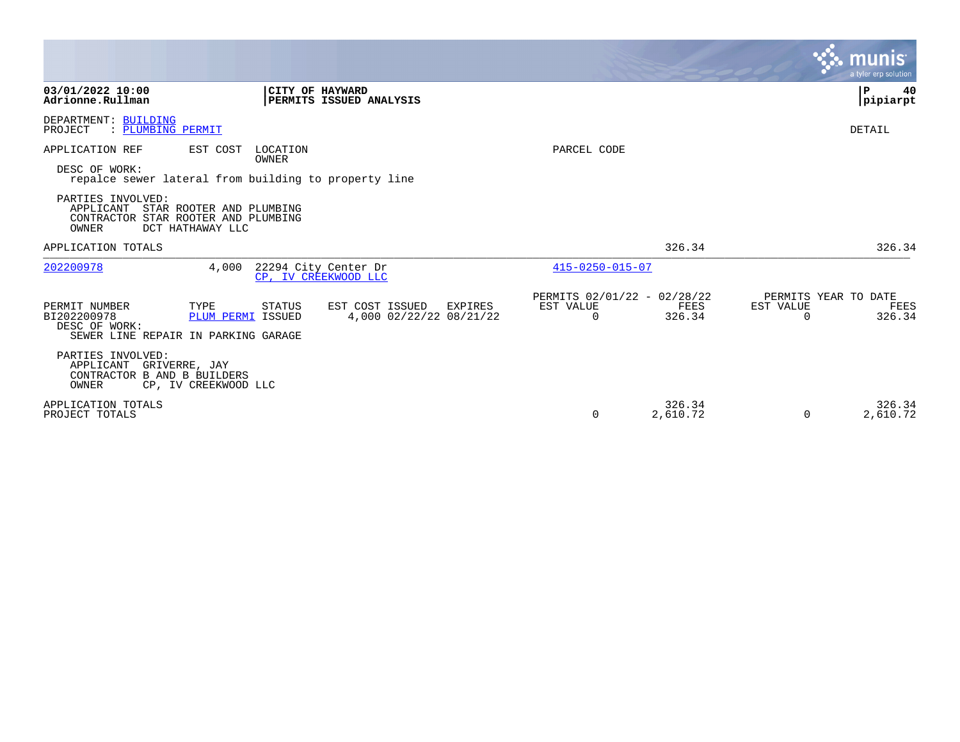|                                                                                                                                                                                                                                        |                                                                 |                                               |                    | <b>munis</b><br>a tyler erp solution                            |
|----------------------------------------------------------------------------------------------------------------------------------------------------------------------------------------------------------------------------------------|-----------------------------------------------------------------|-----------------------------------------------|--------------------|-----------------------------------------------------------------|
| 03/01/2022 10:00<br>Adrionne.Rullman                                                                                                                                                                                                   | CITY OF HAYWARD<br>PERMITS ISSUED ANALYSIS                      |                                               |                    | 40<br>P<br> pipiarpt                                            |
| DEPARTMENT: BUILDING<br>: PLUMBING PERMIT<br>PROJECT                                                                                                                                                                                   |                                                                 |                                               |                    | DETAIL                                                          |
| APPLICATION REF<br>EST COST<br>DESC OF WORK:<br>repalce sewer lateral from building to property line<br>PARTIES INVOLVED:<br>APPLICANT<br>STAR ROOTER AND PLUMBING<br>CONTRACTOR STAR ROOTER AND PLUMBING<br>OWNER<br>DCT HATHAWAY LLC | LOCATION<br>OWNER                                               | PARCEL CODE                                   |                    |                                                                 |
| APPLICATION TOTALS                                                                                                                                                                                                                     |                                                                 |                                               | 326.34             | 326.34                                                          |
| 202200978<br>4,000                                                                                                                                                                                                                     | 22294 City Center Dr<br>CP, IV CREEKWOOD LLC                    | $415 - 0250 - 015 - 07$                       |                    |                                                                 |
| PERMIT NUMBER<br>TYPE<br>BI202200978<br>PLUM PERMI ISSUED<br>DESC OF WORK:<br>SEWER LINE REPAIR IN PARKING GARAGE                                                                                                                      | EST COST ISSUED<br>STATUS<br>EXPIRES<br>4,000 02/22/22 08/21/22 | PERMITS 02/01/22 - 02/28/22<br>EST VALUE<br>0 | FEES<br>326.34     | PERMITS YEAR TO DATE<br>EST VALUE<br>FEES<br>326.34<br>$\Omega$ |
| PARTIES INVOLVED:<br>APPLICANT<br>GRIVERRE, JAY<br>CONTRACTOR B AND B BUILDERS<br>OWNER<br>CP, IV CREEKWOOD LLC                                                                                                                        |                                                                 |                                               |                    |                                                                 |
| APPLICATION TOTALS<br>PROJECT TOTALS                                                                                                                                                                                                   |                                                                 | 0                                             | 326.34<br>2,610.72 | 326.34<br>0<br>2,610.72                                         |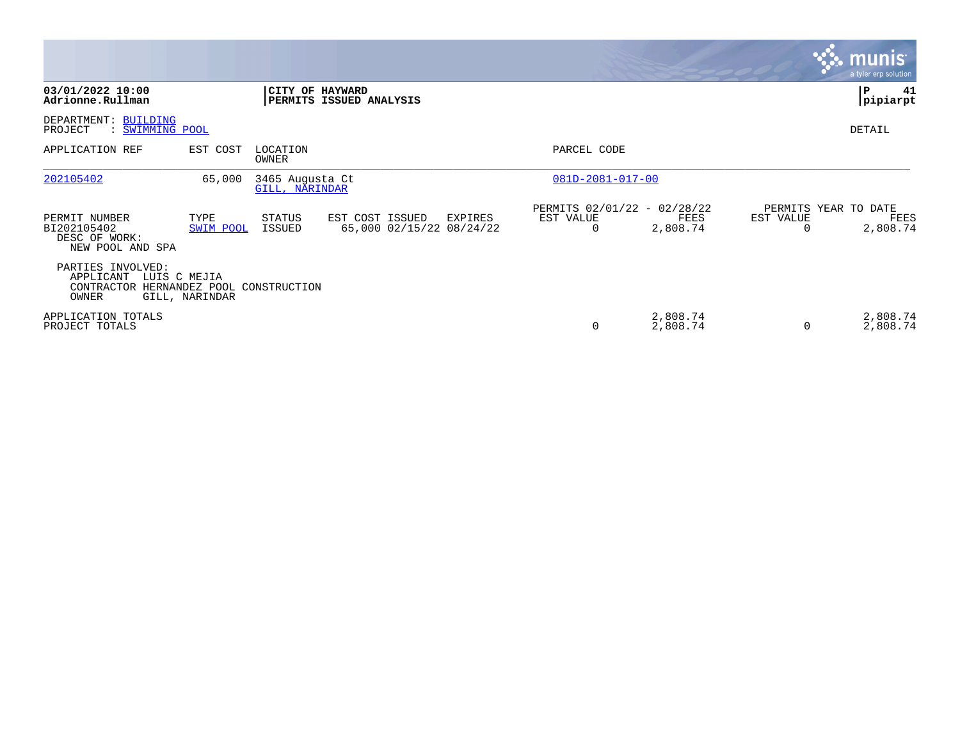|                                                                       |                   |                                   |                                             |         |                                               |                      |                | <b>munis</b><br>a tyler erp solution     |
|-----------------------------------------------------------------------|-------------------|-----------------------------------|---------------------------------------------|---------|-----------------------------------------------|----------------------|----------------|------------------------------------------|
| 03/01/2022 10:00<br>Adrionne.Rullman                                  |                   | CITY OF HAYWARD                   | PERMITS ISSUED ANALYSIS                     |         |                                               |                      |                | $\mathbf{P}$<br>41<br>pipiarpt           |
| DEPARTMENT: BUILDING<br>PROJECT<br>: <u>SWIMMING POOL</u>             |                   |                                   |                                             |         |                                               |                      |                | DETAIL                                   |
| APPLICATION REF                                                       | EST COST          | LOCATION<br>OWNER                 |                                             |         | PARCEL CODE                                   |                      |                |                                          |
| 202105402                                                             | 65,000            | 3465 Augusta Ct<br>GILL, NARINDAR |                                             |         | $081D - 2081 - 017 - 00$                      |                      |                |                                          |
| PERMIT NUMBER<br>BI202105402<br>DESC OF WORK:<br>NEW POOL AND SPA     | TYPE<br>SWIM POOL | STATUS<br>ISSUED                  | EST COST ISSUED<br>65,000 02/15/22 08/24/22 | EXPIRES | PERMITS 02/01/22 - 02/28/22<br>EST VALUE<br>0 | FEES<br>2,808.74     | EST VALUE<br>0 | PERMITS YEAR TO DATE<br>FEES<br>2,808.74 |
| PARTIES INVOLVED:<br>APPLICANT<br>LUIS C MEJIA<br>CONTRACTOR<br>OWNER | GILL, NARINDAR    | HERNANDEZ POOL CONSTRUCTION       |                                             |         |                                               |                      |                |                                          |
| APPLICATION TOTALS<br>PROJECT TOTALS                                  |                   |                                   |                                             |         | 0                                             | 2,808.74<br>2,808.74 | 0              | 2,808.74<br>2,808.74                     |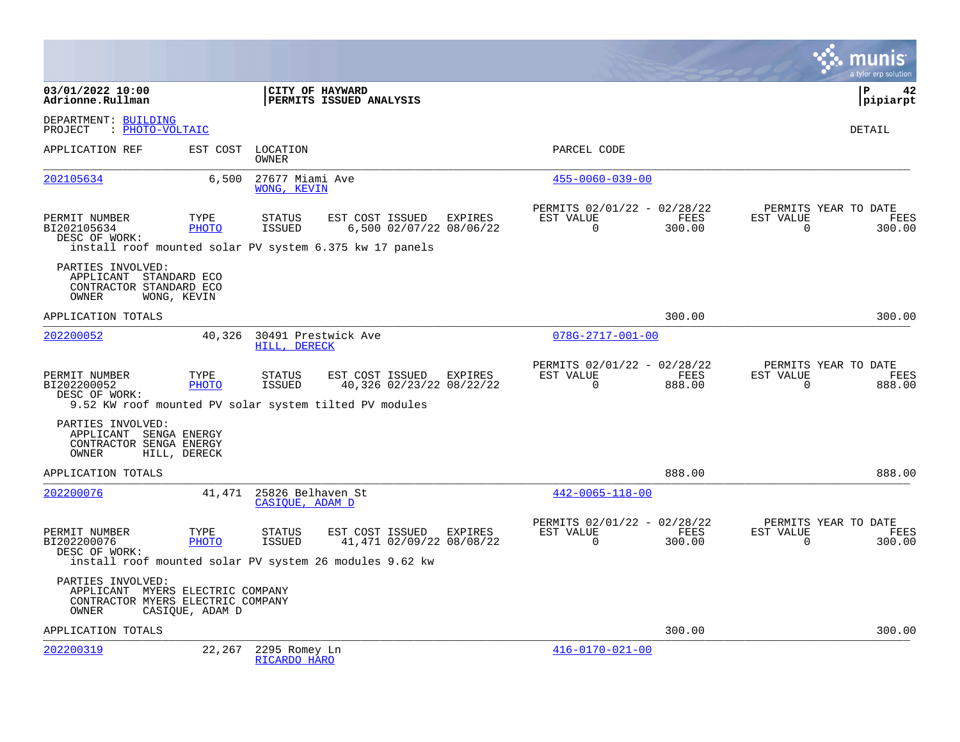|                                                                                                     |                 |                                                                                   |                                                     |                                                      |                |                       | a tyler erp solution                   |
|-----------------------------------------------------------------------------------------------------|-----------------|-----------------------------------------------------------------------------------|-----------------------------------------------------|------------------------------------------------------|----------------|-----------------------|----------------------------------------|
| 03/01/2022 10:00<br>Adrionne.Rullman                                                                |                 | CITY OF HAYWARD<br>PERMITS ISSUED ANALYSIS                                        |                                                     |                                                      |                |                       | l P<br>42<br>pipiarpt                  |
| DEPARTMENT: BUILDING<br>: PHOTO-VOLTAIC<br>PROJECT                                                  |                 |                                                                                   |                                                     |                                                      |                |                       | <b>DETAIL</b>                          |
| APPLICATION REF                                                                                     |                 | EST COST LOCATION<br>OWNER                                                        |                                                     | PARCEL CODE                                          |                |                       |                                        |
| 202105634                                                                                           | 6,500           | 27677 Miami Ave<br>WONG, KEVIN                                                    |                                                     | $455 - 0060 - 039 - 00$                              |                |                       |                                        |
| PERMIT NUMBER<br>BI202105634<br>DESC OF WORK:                                                       | TYPE<br>PHOTO   | STATUS<br>ISSUED<br>install roof mounted solar PV system 6.375 kw 17 panels       | EST COST ISSUED EXPIRES<br>6,500 02/07/22 08/06/22  | PERMITS 02/01/22 - 02/28/22<br>EST VALUE<br>$\Omega$ | FEES<br>300.00 | EST VALUE<br>$\Omega$ | PERMITS YEAR TO DATE<br>FEES<br>300.00 |
| PARTIES INVOLVED:<br>APPLICANT STANDARD ECO<br>CONTRACTOR STANDARD ECO<br>OWNER                     | WONG, KEVIN     |                                                                                   |                                                     |                                                      |                |                       |                                        |
| APPLICATION TOTALS                                                                                  |                 |                                                                                   |                                                     |                                                      | 300.00         |                       | 300.00                                 |
| 202200052                                                                                           | 40,326          | 30491 Prestwick Ave<br>HILL, DERECK                                               |                                                     | $078G - 2717 - 001 - 00$                             |                |                       |                                        |
| PERMIT NUMBER<br>BI202200052<br>DESC OF WORK:                                                       | TYPE<br>PHOTO   | <b>STATUS</b><br>ISSUED<br>9.52 KW roof mounted PV solar system tilted PV modules | EST COST ISSUED EXPIRES<br>40,326 02/23/22 08/22/22 | PERMITS 02/01/22 - 02/28/22<br>EST VALUE<br>$\Omega$ | FEES<br>888.00 | EST VALUE<br>$\Omega$ | PERMITS YEAR TO DATE<br>FEES<br>888.00 |
| PARTIES INVOLVED:<br>APPLICANT SENGA ENERGY<br>CONTRACTOR SENGA ENERGY<br>OWNER                     | HILL, DERECK    |                                                                                   |                                                     |                                                      |                |                       |                                        |
| APPLICATION TOTALS                                                                                  |                 |                                                                                   |                                                     |                                                      | 888.00         |                       | 888.00                                 |
| 202200076                                                                                           |                 | 41,471 25826 Belhaven St<br>CASIOUE, ADAM D                                       |                                                     | $442 - 0065 - 118 - 00$                              |                |                       |                                        |
| PERMIT NUMBER<br>BI202200076<br>DESC OF WORK:                                                       | TYPE<br>PHOTO   | STATUS<br>ISSUED<br>install roof mounted solar PV system 26 modules 9.62 kw       | EST COST ISSUED EXPIRES<br>41,471 02/09/22 08/08/22 | PERMITS 02/01/22 - 02/28/22<br>EST VALUE<br>$\Omega$ | FEES<br>300.00 | EST VALUE<br>$\Omega$ | PERMITS YEAR TO DATE<br>FEES<br>300.00 |
| PARTIES INVOLVED:<br>APPLICANT MYERS ELECTRIC COMPANY<br>CONTRACTOR MYERS ELECTRIC COMPANY<br>OWNER | CASIQUE, ADAM D |                                                                                   |                                                     |                                                      |                |                       |                                        |
| APPLICATION TOTALS                                                                                  |                 |                                                                                   |                                                     |                                                      | 300.00         |                       | 300.00                                 |
| 202200319                                                                                           | 22,267          | 2295 Romey Ln<br>RICARDO HARO                                                     |                                                     | $416 - 0170 - 021 - 00$                              |                |                       |                                        |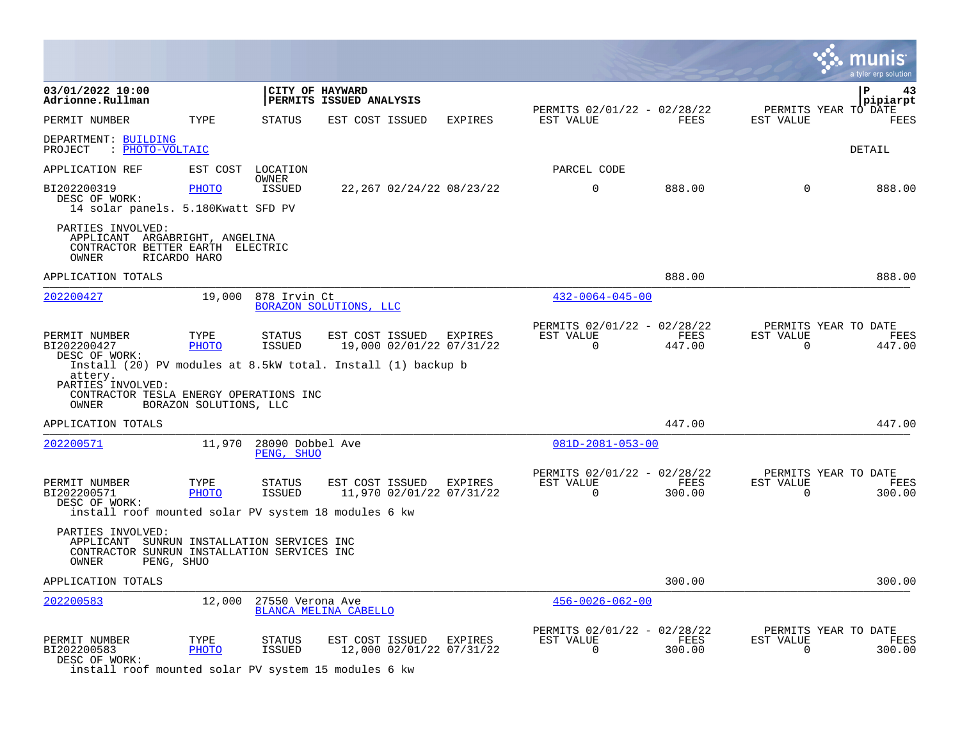|                                                                                                                                                              |                        |                                |                                            |                                            |                                                      |                |                          | a tyler erp solution                   |
|--------------------------------------------------------------------------------------------------------------------------------------------------------------|------------------------|--------------------------------|--------------------------------------------|--------------------------------------------|------------------------------------------------------|----------------|--------------------------|----------------------------------------|
| 03/01/2022 10:00<br>Adrionne.Rullman                                                                                                                         |                        |                                | CITY OF HAYWARD<br>PERMITS ISSUED ANALYSIS |                                            |                                                      |                |                          | ΙP<br>43<br>pipiarpt                   |
| PERMIT NUMBER                                                                                                                                                | TYPE                   | <b>STATUS</b>                  | EST COST ISSUED                            | <b>EXPIRES</b>                             | PERMITS 02/01/22 - 02/28/22<br>EST VALUE             | <b>FEES</b>    | EST VALUE                | PERMITS YEAR TO DATE<br>FEES           |
| DEPARTMENT: BUILDING<br>: PHOTO-VOLTAIC<br>PROJECT                                                                                                           |                        |                                |                                            |                                            |                                                      |                |                          | DETAIL                                 |
| APPLICATION REF                                                                                                                                              | EST COST               | LOCATION                       |                                            |                                            | PARCEL CODE                                          |                |                          |                                        |
| BI202200319<br>DESC OF WORK:<br>14 solar panels. 5.180Kwatt SFD PV                                                                                           | PHOTO                  | OWNER<br>ISSUED                |                                            | 22,267 02/24/22 08/23/22                   | $\mathbf 0$                                          | 888.00         | $\Omega$                 | 888.00                                 |
| PARTIES INVOLVED:<br>APPLICANT ARGABRIGHT, ANGELINA<br>CONTRACTOR BETTER EARTH ELECTRIC<br>OWNER                                                             | RICARDO HARO           |                                |                                            |                                            |                                                      |                |                          |                                        |
| APPLICATION TOTALS                                                                                                                                           |                        |                                |                                            |                                            |                                                      | 888.00         |                          | 888.00                                 |
| 202200427                                                                                                                                                    | 19,000                 | 878 Irvin Ct                   | BORAZON SOLUTIONS, LLC                     |                                            | $432 - 0064 - 045 - 00$                              |                |                          |                                        |
| PERMIT NUMBER<br>BI202200427<br>DESC OF WORK:                                                                                                                | TYPE<br><b>PHOTO</b>   | STATUS<br><b>ISSUED</b>        | EST COST ISSUED                            | <b>EXPIRES</b><br>19,000 02/01/22 07/31/22 | PERMITS 02/01/22 - 02/28/22<br>EST VALUE<br>$\Omega$ | FEES<br>447.00 | EST VALUE<br>$\Omega$    | PERMITS YEAR TO DATE<br>FEES<br>447.00 |
| Install (20) PV modules at 8.5kW total. Install (1) backup b<br>attery.<br>PARTIES <sup>T</sup> INVOLVED:<br>CONTRACTOR TESLA ENERGY OPERATIONS INC<br>OWNER | BORAZON SOLUTIONS, LLC |                                |                                            |                                            |                                                      |                |                          |                                        |
| APPLICATION TOTALS                                                                                                                                           |                        |                                |                                            |                                            |                                                      | 447.00         |                          | 447.00                                 |
| 202200571                                                                                                                                                    | 11,970                 | 28090 Dobbel Ave<br>PENG, SHUO |                                            |                                            | $081D - 2081 - 053 - 00$                             |                |                          |                                        |
| PERMIT NUMBER<br>BI202200571<br>DESC OF WORK:<br>install roof mounted solar PV system 18 modules 6 kw                                                        | TYPE<br>PHOTO          | STATUS<br><b>ISSUED</b>        | EST COST ISSUED                            | EXPIRES<br>11,970 02/01/22 07/31/22        | PERMITS 02/01/22 - 02/28/22<br>EST VALUE<br>$\Omega$ | FEES<br>300.00 | EST VALUE<br>$\mathbf 0$ | PERMITS YEAR TO DATE<br>FEES<br>300.00 |
| PARTIES INVOLVED:<br>APPLICANT SUNRUN INSTALLATION SERVICES INC<br>CONTRACTOR SUNRUN INSTALLATION SERVICES INC<br>OWNER<br>PENG, SHUO                        |                        |                                |                                            |                                            |                                                      |                |                          |                                        |
| APPLICATION TOTALS                                                                                                                                           |                        |                                |                                            |                                            |                                                      | 300.00         |                          | 300.00                                 |
| 202200583                                                                                                                                                    | 12,000                 | 27550 Verona Ave               | BLANCA MELINA CABELLO                      |                                            | $456 - 0026 - 062 - 00$                              |                |                          |                                        |
| PERMIT NUMBER<br>BI202200583<br>DESC OF WORK:<br>install roof mounted solar PV system 15 modules 6 kw                                                        | TYPE<br>PHOTO          | STATUS<br><b>ISSUED</b>        | EST COST ISSUED                            | EXPIRES<br>12,000 02/01/22 07/31/22        | PERMITS 02/01/22 - 02/28/22<br>EST VALUE<br>$\Omega$ | FEES<br>300.00 | EST VALUE<br>$\Omega$    | PERMITS YEAR TO DATE<br>FEES<br>300.00 |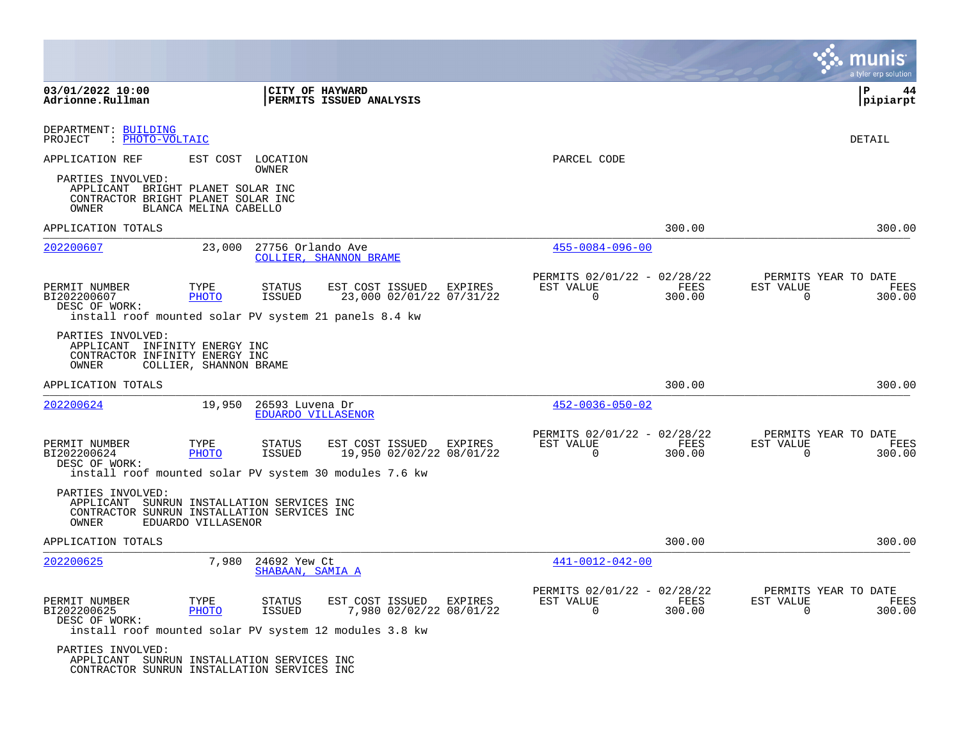|                                                                                                                |                                                        |                                       |                                            |                          |         |                                                         |                |                          | munis<br>a tyler erp solution                 |
|----------------------------------------------------------------------------------------------------------------|--------------------------------------------------------|---------------------------------------|--------------------------------------------|--------------------------|---------|---------------------------------------------------------|----------------|--------------------------|-----------------------------------------------|
| 03/01/2022 10:00<br>Adrionne.Rullman                                                                           |                                                        |                                       | CITY OF HAYWARD<br>PERMITS ISSUED ANALYSIS |                          |         |                                                         |                |                          | $\mathbf{P}$<br>44<br> pipiarpt               |
| DEPARTMENT: BUILDING<br>: PHOTO-VOLTAIC<br>PROJECT                                                             |                                                        |                                       |                                            |                          |         |                                                         |                |                          | DETAIL                                        |
| APPLICATION REF                                                                                                | EST COST LOCATION                                      | OWNER                                 |                                            |                          |         | PARCEL CODE                                             |                |                          |                                               |
| PARTIES INVOLVED:<br>APPLICANT BRIGHT PLANET SOLAR INC<br>CONTRACTOR BRIGHT PLANET SOLAR INC<br>OWNER          | BLANCA MELINA CABELLO                                  |                                       |                                            |                          |         |                                                         |                |                          |                                               |
| APPLICATION TOTALS                                                                                             |                                                        |                                       |                                            |                          |         |                                                         | 300.00         |                          | 300.00                                        |
| 202200607                                                                                                      | 23,000                                                 | 27756 Orlando Ave                     | <b>COLLIER, SHANNON BRAME</b>              |                          |         | $455 - 0084 - 096 - 00$                                 |                |                          |                                               |
| PERMIT NUMBER<br>BI202200607<br>DESC OF WORK:<br>install roof mounted solar PV system 21 panels 8.4 kw         | TYPE<br>PHOTO                                          | <b>STATUS</b><br>ISSUED               | EST COST ISSUED                            | 23,000 02/01/22 07/31/22 | EXPIRES | PERMITS 02/01/22 - 02/28/22<br>EST VALUE<br>0           | FEES<br>300.00 | EST VALUE<br>0           | PERMITS YEAR TO DATE<br>FEES<br>300.00        |
| PARTIES INVOLVED:<br>APPLICANT INFINITY ENERGY INC<br>CONTRACTOR INFINITY ENERGY INC<br>OWNER                  | COLLIER, SHANNON BRAME                                 |                                       |                                            |                          |         |                                                         |                |                          |                                               |
| APPLICATION TOTALS                                                                                             |                                                        |                                       |                                            |                          |         |                                                         | 300.00         |                          | 300.00                                        |
| 202200624                                                                                                      | 19,950                                                 | 26593 Luvena Dr<br>EDUARDO VILLASENOR |                                            |                          |         | $452 - 0036 - 050 - 02$                                 |                |                          |                                               |
| PERMIT NUMBER<br>BI202200624<br>DESC OF WORK:<br>install roof mounted solar PV system 30 modules 7.6 kw        | TYPE<br>PHOTO                                          | STATUS<br><b>ISSUED</b>               | EST COST ISSUED                            | 19,950 02/02/22 08/01/22 | EXPIRES | PERMITS 02/01/22 - 02/28/22<br>EST VALUE<br>$\mathbf 0$ | FEES<br>300.00 | EST VALUE<br>$\mathbf 0$ | PERMITS YEAR TO DATE<br>FEES<br>300.00        |
| PARTIES INVOLVED:<br>APPLICANT<br>CONTRACTOR SUNRUN INSTALLATION SERVICES INC<br>OWNER                         | SUNRUN INSTALLATION SERVICES INC<br>EDUARDO VILLASENOR |                                       |                                            |                          |         |                                                         |                |                          |                                               |
| APPLICATION TOTALS                                                                                             |                                                        |                                       |                                            |                          |         |                                                         | 300.00         |                          | 300.00                                        |
| 202200625                                                                                                      | 7,980                                                  | 24692 Yew Ct<br>SHABAAN, SAMIA A      |                                            |                          |         | $441 - 0012 - 042 - 00$                                 |                |                          |                                               |
| PERMIT NUMBER<br>BI202200625<br>DESC OF WORK:<br>install roof mounted solar PV system 12 modules 3.8 kw        | TYPE<br><b>PHOTO</b>                                   | <b>STATUS</b><br>ISSUED               | EST COST ISSUED                            | 7,980 02/02/22 08/01/22  | EXPIRES | PERMITS 02/01/22 - 02/28/22<br>EST VALUE<br>$\Omega$    | FEES<br>300.00 | EST VALUE<br>$\Omega$    | PERMITS YEAR TO DATE<br><b>FEES</b><br>300.00 |
| PARTIES INVOLVED:<br>APPLICANT SUNRUN INSTALLATION SERVICES INC<br>CONTRACTOR SUNRUN INSTALLATION SERVICES INC |                                                        |                                       |                                            |                          |         |                                                         |                |                          |                                               |

**Contract**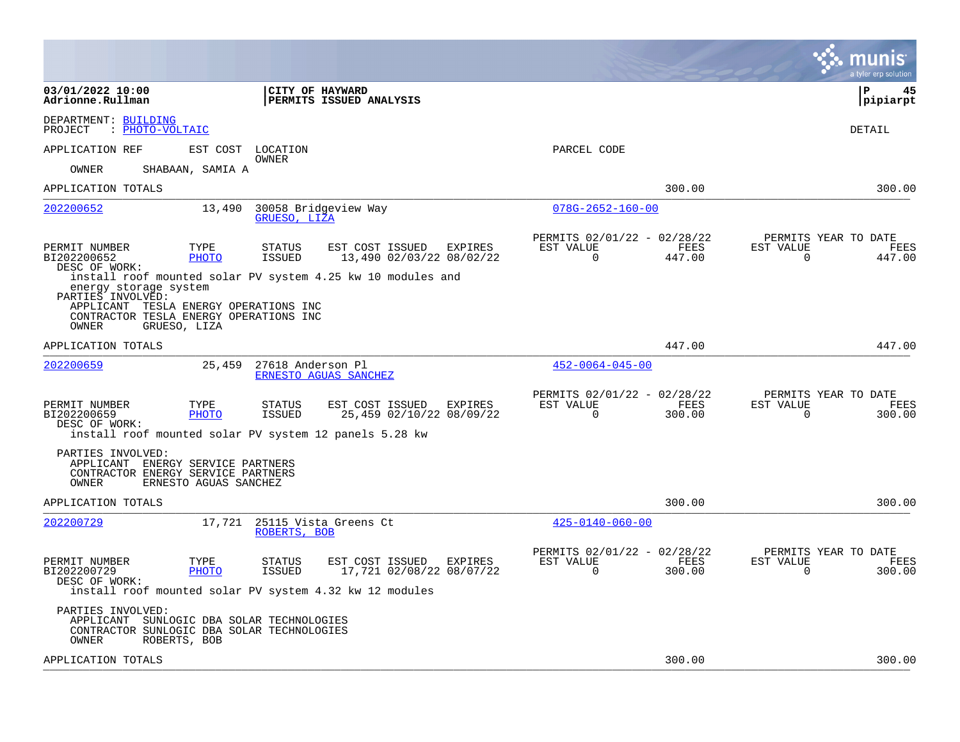|                                                                                                                                                                                                                       |                                                                              | munis<br>a tyler erp solution                                      |
|-----------------------------------------------------------------------------------------------------------------------------------------------------------------------------------------------------------------------|------------------------------------------------------------------------------|--------------------------------------------------------------------|
| 03/01/2022 10:00<br><b>CITY OF HAYWARD</b><br>Adrionne.Rullman<br><b>PERMITS ISSUED ANALYSIS</b>                                                                                                                      |                                                                              | l P<br>45<br> pipiarpt                                             |
| DEPARTMENT: BUILDING<br>: PHOTO-VOLTAIC<br>PROJECT                                                                                                                                                                    |                                                                              | DETAIL                                                             |
| APPLICATION REF<br>EST COST LOCATION<br>OWNER                                                                                                                                                                         | PARCEL CODE                                                                  |                                                                    |
| OWNER<br>SHABAAN, SAMIA A                                                                                                                                                                                             |                                                                              |                                                                    |
| APPLICATION TOTALS                                                                                                                                                                                                    | 300.00                                                                       | 300.00                                                             |
| 202200652<br>13,490<br>30058 Bridgeview Way<br>GRUESO, LIZA                                                                                                                                                           | $078G - 2652 - 160 - 00$                                                     |                                                                    |
| PERMIT NUMBER<br>TYPE<br><b>STATUS</b><br>EST COST ISSUED<br>EXPIRES<br>BI202200652<br><b>ISSUED</b><br>PHOTO<br>13,490 02/03/22 08/02/22<br>DESC OF WORK:                                                            | PERMITS 02/01/22 - 02/28/22<br>EST VALUE<br>FEES<br>$\mathbf 0$<br>447.00    | PERMITS YEAR TO DATE<br>EST VALUE<br>FEES<br>$\mathbf 0$<br>447.00 |
| install roof mounted solar PV system 4.25 kw 10 modules and<br>energy storage system<br>PARTIES INVOLVED:<br>APPLICANT TESLA ENERGY OPERATIONS INC<br>CONTRACTOR TESLA ENERGY OPERATIONS INC<br>OWNER<br>GRUESO, LIZA |                                                                              |                                                                    |
| APPLICATION TOTALS                                                                                                                                                                                                    | 447.00                                                                       | 447.00                                                             |
| 202200659<br>25,459<br>27618 Anderson Pl<br>ERNESTO AGUAS SANCHEZ                                                                                                                                                     | $452 - 0064 - 045 - 00$                                                      |                                                                    |
| EST COST ISSUED EXPIRES<br>PERMIT NUMBER<br>TYPE<br>STATUS<br>25,459 02/10/22 08/09/22<br>BI202200659<br>PHOTO<br>ISSUED<br>DESC OF WORK:<br>install roof mounted solar PV system 12 panels 5.28 kw                   | PERMITS 02/01/22 - 02/28/22<br>EST VALUE<br>FEES<br>$\overline{0}$<br>300.00 | PERMITS YEAR TO DATE<br>FEES<br>EST VALUE<br>0<br>300.00           |
| PARTIES INVOLVED:<br>APPLICANT ENERGY SERVICE PARTNERS<br>CONTRACTOR ENERGY SERVICE PARTNERS<br>ERNESTO AGUAS SANCHEZ<br>OWNER                                                                                        |                                                                              |                                                                    |
| APPLICATION TOTALS                                                                                                                                                                                                    | 300.00                                                                       | 300.00                                                             |
| 202200729<br>17,721 25115 Vista Greens Ct<br>ROBERTS, BOB                                                                                                                                                             | $425 - 0140 - 060 - 00$                                                      |                                                                    |
| PERMIT NUMBER<br>TYPE<br><b>STATUS</b><br>EST COST ISSUED EXPIRES<br>BI202200729<br>PHOTO<br>ISSUED<br>17,721 02/08/22 08/07/22<br>DESC OF WORK:<br>install roof mounted solar PV system 4.32 kw 12 modules           | PERMITS 02/01/22 - 02/28/22<br>EST VALUE<br>FEES<br>$\overline{0}$<br>300.00 | PERMITS YEAR TO DATE<br>FEES<br>EST VALUE<br>300.00<br>$\Omega$    |
| PARTIES INVOLVED:<br>APPLICANT SUNLOGIC DBA SOLAR TECHNOLOGIES<br>CONTRACTOR SUNLOGIC DBA SOLAR TECHNOLOGIES<br>OWNER<br>ROBERTS, BOB                                                                                 |                                                                              |                                                                    |
| APPLICATION TOTALS                                                                                                                                                                                                    | 300.00                                                                       | 300.00                                                             |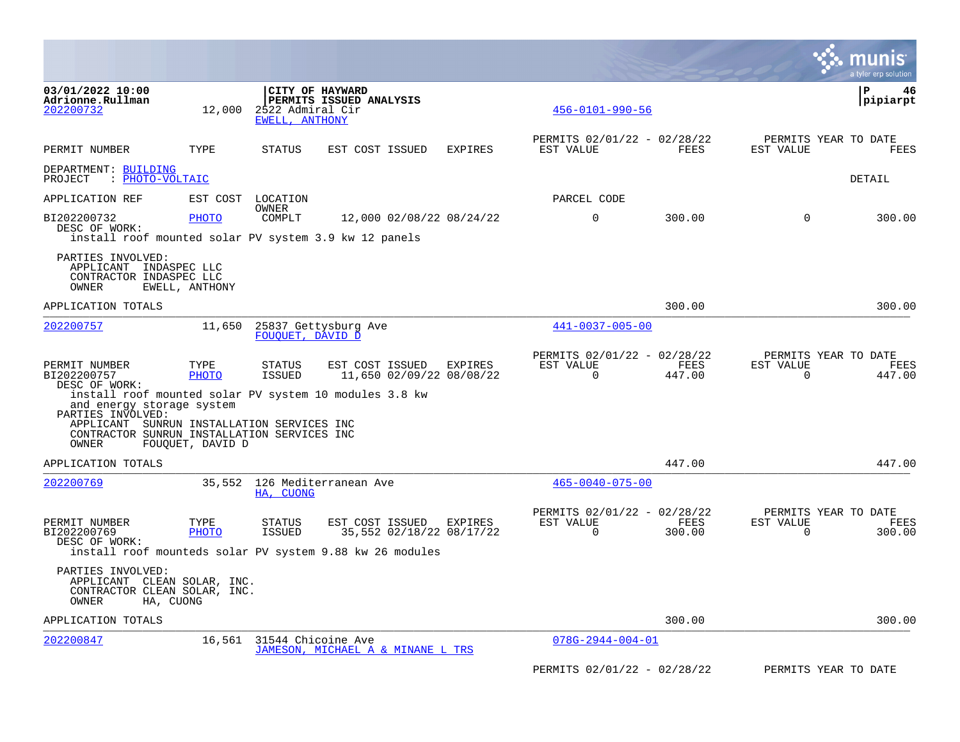|                                                                                                                                                                                                         |                   |                                    |                                            |                                     |                                                      |                |                       | a tyler erp solution                   |
|---------------------------------------------------------------------------------------------------------------------------------------------------------------------------------------------------------|-------------------|------------------------------------|--------------------------------------------|-------------------------------------|------------------------------------------------------|----------------|-----------------------|----------------------------------------|
| 03/01/2022 10:00<br>Adrionne.Rullman<br>202200732                                                                                                                                                       | 12,000            | 2522 Admiral Cir<br>EWELL, ANTHONY | CITY OF HAYWARD<br>PERMITS ISSUED ANALYSIS |                                     | $456 - 0101 - 990 - 56$                              |                |                       | P<br>46<br> pipiarpt                   |
| PERMIT NUMBER                                                                                                                                                                                           | TYPE              | <b>STATUS</b>                      | EST COST ISSUED                            | <b>EXPIRES</b>                      | PERMITS 02/01/22 - 02/28/22<br>EST VALUE             | FEES           | EST VALUE             | PERMITS YEAR TO DATE<br><b>FEES</b>    |
| DEPARTMENT: BUILDING<br>: PHOTO-VOLTAIC<br>PROJECT                                                                                                                                                      |                   |                                    |                                            |                                     |                                                      |                |                       | DETAIL                                 |
| APPLICATION REF                                                                                                                                                                                         | EST COST LOCATION | OWNER                              |                                            |                                     | PARCEL CODE                                          |                |                       |                                        |
| BI202200732<br>DESC OF WORK:                                                                                                                                                                            | PHOTO             | COMPLT                             |                                            | 12,000 02/08/22 08/24/22            | $\mathbf 0$                                          | 300.00         | $\mathbf 0$           | 300.00                                 |
| install roof mounted solar PV system 3.9 kw 12 panels<br>PARTIES INVOLVED:<br>APPLICANT<br>INDASPEC LLC<br>CONTRACTOR INDASPEC LLC<br>OWNER                                                             | EWELL, ANTHONY    |                                    |                                            |                                     |                                                      |                |                       |                                        |
| APPLICATION TOTALS                                                                                                                                                                                      |                   |                                    |                                            |                                     |                                                      | 300.00         |                       | 300.00                                 |
| 202200757                                                                                                                                                                                               | 11,650            | FOUOUET, DAVID D                   | 25837 Gettysburg Ave                       |                                     | $441 - 0037 - 005 - 00$                              |                |                       |                                        |
| PERMIT NUMBER<br>BI202200757<br>DESC OF WORK:<br>install roof mounted solar PV system 10 modules 3.8 kw<br>and energy storage system<br>PARTIES INVOLVED:<br>APPLICANT SUNRUN INSTALLATION SERVICES INC | TYPE<br>PHOTO     | STATUS<br>ISSUED                   | EST COST ISSUED                            | EXPIRES<br>11,650 02/09/22 08/08/22 | PERMITS 02/01/22 - 02/28/22<br>EST VALUE<br>$\Omega$ | FEES<br>447.00 | EST VALUE<br>$\Omega$ | PERMITS YEAR TO DATE<br>FEES<br>447.00 |
| CONTRACTOR SUNRUN INSTALLATION SERVICES INC<br>OWNER                                                                                                                                                    | FOUQUET, DAVID D  |                                    |                                            |                                     |                                                      |                |                       |                                        |
| APPLICATION TOTALS                                                                                                                                                                                      |                   |                                    |                                            |                                     |                                                      | 447.00         |                       | 447.00                                 |
| 202200769                                                                                                                                                                                               | 35,552            | HA, CUONG                          | 126 Mediterranean Ave                      |                                     | $465 - 0040 - 075 - 00$                              |                |                       |                                        |
| PERMIT NUMBER<br>BI202200769<br>DESC OF WORK:<br>install roof mounteds solar PV system 9.88 kw 26 modules                                                                                               | TYPE<br>PHOTO     | STATUS<br>ISSUED                   | EST COST ISSUED                            | EXPIRES<br>35,552 02/18/22 08/17/22 | PERMITS 02/01/22 - 02/28/22<br>EST VALUE<br>0        | FEES<br>300.00 | EST VALUE<br>0        | PERMITS YEAR TO DATE<br>FEES<br>300.00 |
| PARTIES INVOLVED:<br>APPLICANT CLEAN SOLAR, INC.<br>CONTRACTOR CLEAN SOLAR, INC.<br>OWNER<br>HA, CUONG                                                                                                  |                   |                                    |                                            |                                     |                                                      |                |                       |                                        |
| APPLICATION TOTALS                                                                                                                                                                                      |                   |                                    |                                            |                                     |                                                      | 300.00         |                       | 300.00                                 |
| 202200847                                                                                                                                                                                               |                   | 16,561 31544 Chicoine Ave          | JAMESON, MICHAEL A & MINANE L TRS          |                                     | $078G - 2944 - 004 - 01$                             |                |                       |                                        |
|                                                                                                                                                                                                         |                   |                                    |                                            |                                     | PERMITS 02/01/22 - 02/28/22                          |                |                       | PERMITS YEAR TO DATE                   |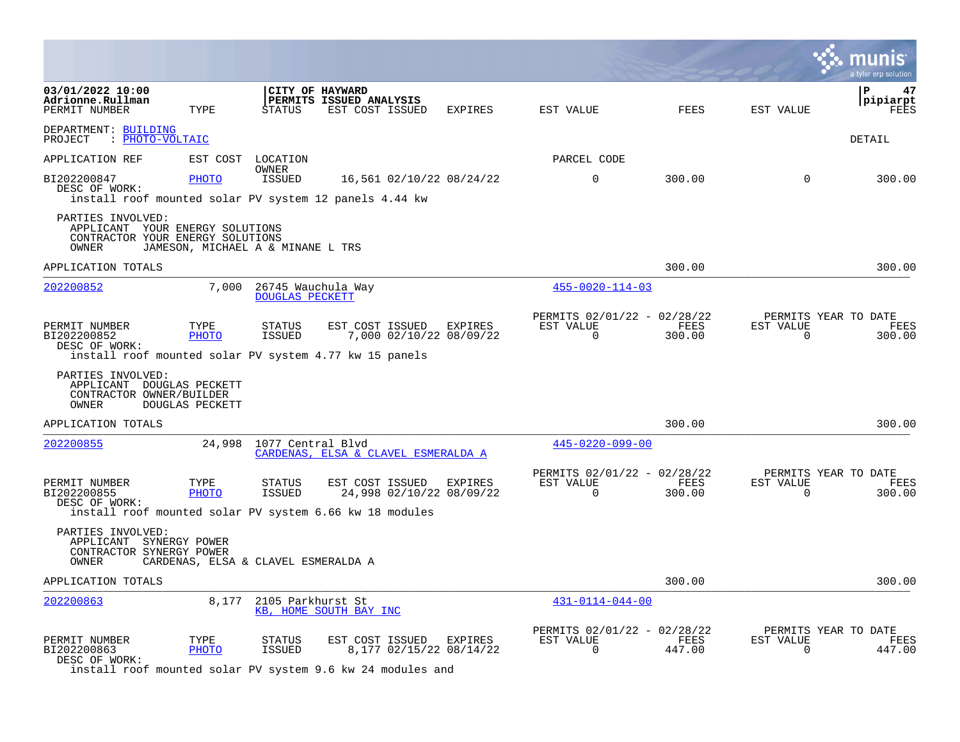|                                                                                                   |                        |                                              |                                                                                                                  |         |                                                      |                |                       | a tyler erp solution                   |
|---------------------------------------------------------------------------------------------------|------------------------|----------------------------------------------|------------------------------------------------------------------------------------------------------------------|---------|------------------------------------------------------|----------------|-----------------------|----------------------------------------|
| 03/01/2022 10:00<br>Adrionne.Rullman<br>PERMIT NUMBER                                             | TYPE                   | <b>STATUS</b>                                | CITY OF HAYWARD<br>PERMITS ISSUED ANALYSIS<br>EST COST ISSUED                                                    | EXPIRES | EST VALUE                                            | FEES           | EST VALUE             | Р<br>47<br>pipiarpt<br>FEES            |
| DEPARTMENT: BUILDING<br>PROJECT : PHOTO-VOLTAIC                                                   |                        |                                              |                                                                                                                  |         |                                                      |                |                       | DETAIL                                 |
| APPLICATION REF                                                                                   |                        | EST COST LOCATION                            |                                                                                                                  |         | PARCEL CODE                                          |                |                       |                                        |
| BI202200847<br>DESC OF WORK:                                                                      | PHOTO                  | OWNER<br>ISSUED                              | 16,561 02/10/22 08/24/22<br>install roof mounted solar PV system 12 panels 4.44 kw                               |         | $\mathbf 0$                                          | 300.00         | 0                     | 300.00                                 |
| PARTIES INVOLVED:<br>APPLICANT YOUR ENERGY SOLUTIONS<br>CONTRACTOR YOUR ENERGY SOLUTIONS<br>OWNER |                        | JAMESON, MICHAEL A & MINANE L TRS            |                                                                                                                  |         |                                                      |                |                       |                                        |
| APPLICATION TOTALS                                                                                |                        |                                              |                                                                                                                  |         |                                                      | 300.00         |                       | 300.00                                 |
| 202200852                                                                                         | 7,000                  | 26745 Wauchula Way<br><b>DOUGLAS PECKETT</b> |                                                                                                                  |         | $455 - 0020 - 114 - 03$                              |                |                       |                                        |
| PERMIT NUMBER<br>BI202200852<br>DESC OF WORK:                                                     | TYPE<br>PHOTO          | STATUS<br>ISSUED                             | EST COST ISSUED<br>7,000 02/10/22 08/09/22<br>install roof mounted solar PV system 4.77 kw 15 panels             | EXPIRES | PERMITS 02/01/22 - 02/28/22<br>EST VALUE<br>$\Omega$ | FEES<br>300.00 | EST VALUE<br>$\Omega$ | PERMITS YEAR TO DATE<br>FEES<br>300.00 |
| PARTIES INVOLVED:<br>APPLICANT DOUGLAS PECKETT<br>CONTRACTOR OWNER/BUILDER<br>OWNER               | <b>DOUGLAS PECKETT</b> |                                              |                                                                                                                  |         |                                                      |                |                       |                                        |
| APPLICATION TOTALS                                                                                |                        |                                              |                                                                                                                  |         |                                                      | 300.00         |                       | 300.00                                 |
| 202200855                                                                                         |                        | 24,998 1077 Central Blvd                     | CARDENAS, ELSA & CLAVEL ESMERALDA A                                                                              |         | $445 - 0220 - 099 - 00$                              |                |                       |                                        |
| PERMIT NUMBER<br>BI202200855<br>DESC OF WORK:                                                     | TYPE<br>PHOTO          | STATUS<br>ISSUED                             | EST COST ISSUED<br>24,998 02/10/22 08/09/22<br>install roof mounted solar PV system 6.66 kw 18 modules           | EXPIRES | PERMITS 02/01/22 - 02/28/22<br>EST VALUE<br>$\Omega$ | FEES<br>300.00 | EST VALUE<br>$\Omega$ | PERMITS YEAR TO DATE<br>FEES<br>300.00 |
| PARTIES INVOLVED:<br>APPLICANT SYNERGY POWER<br>CONTRACTOR SYNERGY POWER<br>OWNER                 |                        | CARDENAS, ELSA & CLAVEL ESMERALDA A          |                                                                                                                  |         |                                                      |                |                       |                                        |
| APPLICATION TOTALS                                                                                |                        |                                              |                                                                                                                  |         |                                                      | 300.00         |                       | 300.00                                 |
| 202200863                                                                                         |                        | 8,177 2105 Parkhurst St                      | KB, HOME SOUTH BAY INC                                                                                           |         | $431 - 0114 - 044 - 00$                              |                |                       |                                        |
| PERMIT NUMBER<br>BI202200863<br>DESC OF WORK:                                                     | TYPE<br>PHOTO          | <b>STATUS</b><br>ISSUED                      | EST COST ISSUED EXPIRES<br>8,177 02/15/22 08/14/22<br>install roof mounted solar PV system 9.6 kw 24 modules and |         | PERMITS 02/01/22 - 02/28/22<br>EST VALUE<br>0        | FEES<br>447.00 | EST VALUE<br>0        | PERMITS YEAR TO DATE<br>FEES<br>447.00 |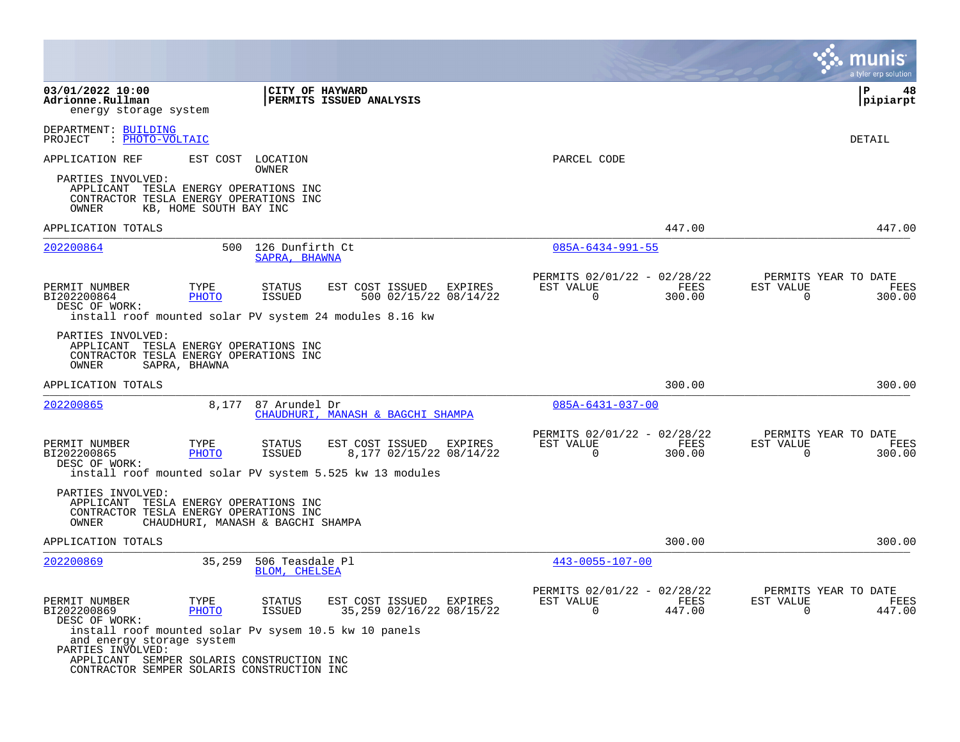|                                                                                                               |                        |                                      |                                                                                                                   |                                                      |                | a tyler erp solution                                               |
|---------------------------------------------------------------------------------------------------------------|------------------------|--------------------------------------|-------------------------------------------------------------------------------------------------------------------|------------------------------------------------------|----------------|--------------------------------------------------------------------|
| 03/01/2022 10:00<br>Adrionne.Rullman<br>energy storage system                                                 |                        | CITY OF HAYWARD                      | PERMITS ISSUED ANALYSIS                                                                                           |                                                      |                | l P<br>48<br> pipiarpt                                             |
| DEPARTMENT: BUILDING<br>: PHOTO-VOLTAIC<br>PROJECT                                                            |                        |                                      |                                                                                                                   |                                                      |                | DETAIL                                                             |
| APPLICATION REF                                                                                               |                        | EST COST LOCATION<br>OWNER           |                                                                                                                   | PARCEL CODE                                          |                |                                                                    |
| PARTIES INVOLVED:<br>APPLICANT TESLA ENERGY OPERATIONS INC<br>CONTRACTOR TESLA ENERGY OPERATIONS INC<br>OWNER | KB, HOME SOUTH BAY INC |                                      |                                                                                                                   |                                                      |                |                                                                    |
| APPLICATION TOTALS                                                                                            |                        |                                      |                                                                                                                   |                                                      | 447.00         | 447.00                                                             |
| 202200864                                                                                                     |                        | 500 126 Dunfirth Ct<br>SAPRA, BHAWNA |                                                                                                                   | $085A - 6434 - 991 - 55$                             |                |                                                                    |
| PERMIT NUMBER<br>BI202200864<br>DESC OF WORK:                                                                 | TYPE<br>PHOTO          | STATUS<br>ISSUED                     | EST COST ISSUED<br>EXPIRES<br>500 02/15/22 08/14/22<br>install roof mounted solar PV system 24 modules 8.16 kw    | PERMITS 02/01/22 - 02/28/22<br>EST VALUE<br>$\Omega$ | FEES<br>300.00 | PERMITS YEAR TO DATE<br>EST VALUE<br>FEES<br>300.00<br>$\Omega$    |
| PARTIES INVOLVED:<br>APPLICANT TESLA ENERGY OPERATIONS INC<br>CONTRACTOR TESLA ENERGY OPERATIONS INC<br>OWNER | SAPRA, BHAWNA          |                                      |                                                                                                                   |                                                      |                |                                                                    |
| APPLICATION TOTALS                                                                                            |                        |                                      |                                                                                                                   |                                                      | 300.00         | 300.00                                                             |
| 202200865                                                                                                     | 8,177                  | 87 Arundel Dr                        | CHAUDHURI, MANASH & BAGCHI SHAMPA                                                                                 | $085A - 6431 - 037 - 00$                             |                |                                                                    |
| PERMIT NUMBER<br>BI202200865<br>DESC OF WORK:                                                                 | TYPE<br><b>PHOTO</b>   | STATUS<br>ISSUED                     | EST COST ISSUED<br>EXPIRES<br>8,177 02/15/22 08/14/22<br>install roof mounted solar PV system 5.525 kw 13 modules | PERMITS 02/01/22 - 02/28/22<br>EST VALUE<br>$\Omega$ | FEES<br>300.00 | PERMITS YEAR TO DATE<br>EST VALUE<br>FEES<br>$\mathbf 0$<br>300.00 |
| PARTIES INVOLVED:<br>APPLICANT TESLA ENERGY OPERATIONS INC<br>CONTRACTOR TESLA ENERGY OPERATIONS INC<br>OWNER |                        | CHAUDHURI, MANASH & BAGCHI SHAMPA    |                                                                                                                   |                                                      |                |                                                                    |
| APPLICATION TOTALS                                                                                            |                        |                                      |                                                                                                                   |                                                      | 300.00         | 300.00                                                             |
| 202200869                                                                                                     | 35,259                 | 506 Teasdale Pl<br>BLOM, CHELSEA     |                                                                                                                   | $443 - 0055 - 107 - 00$                              |                |                                                                    |
| PERMIT NUMBER<br>BI202200869<br>DESC OF WORK:                                                                 | TYPE<br>PHOTO          | STATUS<br><b>ISSUED</b>              | EST COST ISSUED<br>EXPIRES<br>35,259 02/16/22 08/15/22                                                            | PERMITS 02/01/22 - 02/28/22<br>EST VALUE<br>0        | FEES<br>447.00 | PERMITS YEAR TO DATE<br>EST VALUE<br>FEES<br>447.00<br>0           |
| install roof mounted solar Pv sysem 10.5 kw 10 panels<br>and energy storage system<br>PARTIES INVOLVED:       |                        |                                      |                                                                                                                   |                                                      |                |                                                                    |
| APPLICANT SEMPER SOLARIS CONSTRUCTION INC<br>CONTRACTOR SEMPER SOLARIS CONSTRUCTION INC                       |                        |                                      |                                                                                                                   |                                                      |                |                                                                    |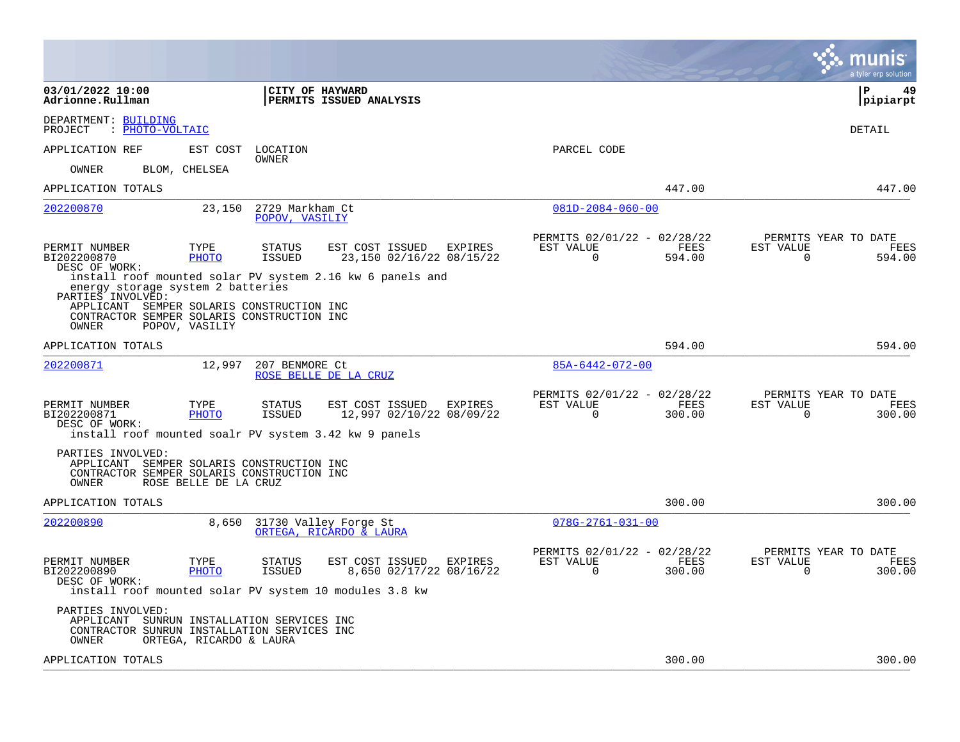|                                                                                                                                                                                                                         | a tyler erp solution                                                                                                                             |
|-------------------------------------------------------------------------------------------------------------------------------------------------------------------------------------------------------------------------|--------------------------------------------------------------------------------------------------------------------------------------------------|
| 03/01/2022 10:00<br>CITY OF HAYWARD<br>Adrionne.Rullman<br>PERMITS ISSUED ANALYSIS                                                                                                                                      | l P<br>49<br> pipiarpt                                                                                                                           |
| DEPARTMENT: BUILDING<br>: PHOTO-VOLTAIC<br>PROJECT                                                                                                                                                                      | DETAIL                                                                                                                                           |
| APPLICATION REF<br>EST COST<br>LOCATION                                                                                                                                                                                 | PARCEL CODE                                                                                                                                      |
| OWNER<br>BLOM, CHELSEA<br>OWNER                                                                                                                                                                                         |                                                                                                                                                  |
| APPLICATION TOTALS                                                                                                                                                                                                      | 447.00<br>447.00                                                                                                                                 |
| 23,150<br>2729 Markham Ct<br>202200870<br>POPOV, VASILIY                                                                                                                                                                | $081D - 2084 - 060 - 00$                                                                                                                         |
| EST COST ISSUED<br>PERMIT NUMBER<br>TYPE<br><b>STATUS</b><br>EXPIRES<br>BI202200870<br>PHOTO<br><b>ISSUED</b><br>23,150 02/16/22 08/15/22<br>DESC OF WORK:<br>install roof mounted solar PV system 2.16 kw 6 panels and | PERMITS 02/01/22 - 02/28/22<br>PERMITS YEAR TO DATE<br>EST VALUE<br>FEES<br>EST VALUE<br><b>FEES</b><br>$\Omega$<br>$\Omega$<br>594.00<br>594.00 |
| energy storage system 2 batteries<br>PARTIES INVOLVED:<br>APPLICANT SEMPER SOLARIS CONSTRUCTION INC<br>CONTRACTOR SEMPER SOLARIS CONSTRUCTION INC<br>OWNER<br>POPOV, VASILIY                                            |                                                                                                                                                  |
| APPLICATION TOTALS                                                                                                                                                                                                      | 594.00<br>594.00                                                                                                                                 |
| 202200871<br>12,997<br>207 BENMORE Ct<br>ROSE BELLE DE LA CRUZ                                                                                                                                                          | 85A-6442-072-00                                                                                                                                  |
| TYPE<br>EST COST ISSUED<br>PERMIT NUMBER<br>STATUS<br>EXPIRES<br>12,997 02/10/22 08/09/22<br>BI202200871<br>PHOTO<br>ISSUED<br>DESC OF WORK:<br>install roof mounted soalr PV system 3.42 kw 9 panels                   | PERMITS 02/01/22 - 02/28/22<br>PERMITS YEAR TO DATE<br>EST VALUE<br>FEES<br><b>FEES</b><br>EST VALUE<br>$\Omega$<br>300.00<br>$\Omega$<br>300.00 |
| PARTIES INVOLVED:<br>APPLICANT SEMPER SOLARIS CONSTRUCTION INC<br>CONTRACTOR SEMPER SOLARIS CONSTRUCTION INC<br>OWNER<br>ROSE BELLE DE LA CRUZ                                                                          |                                                                                                                                                  |
| APPLICATION TOTALS                                                                                                                                                                                                      | 300.00<br>300.00                                                                                                                                 |
| 202200890<br>8,650<br>31730 Valley Forge St<br>ORTEGA, RICARDO & LAURA                                                                                                                                                  | $078G - 2761 - 031 - 00$                                                                                                                         |
| PERMIT NUMBER<br>TYPE<br><b>STATUS</b><br>EST COST ISSUED<br>EXPIRES<br>BI202200890<br>PHOTO<br>ISSUED<br>8,650 02/17/22 08/16/22<br>DESC OF WORK:<br>install roof mounted solar PV system 10 modules 3.8 kw            | PERMITS 02/01/22 - 02/28/22<br>PERMITS YEAR TO DATE<br>EST VALUE<br>FEES<br>EST VALUE<br>FEES<br>300.00<br>0<br>300.00<br>0                      |
| PARTIES INVOLVED:<br>APPLICANT SUNRUN INSTALLATION SERVICES INC<br>CONTRACTOR SUNRUN INSTALLATION SERVICES INC<br>OWNER<br>ORTEGA, RICARDO & LAURA                                                                      |                                                                                                                                                  |
| APPLICATION TOTALS                                                                                                                                                                                                      | 300.00<br>300.00                                                                                                                                 |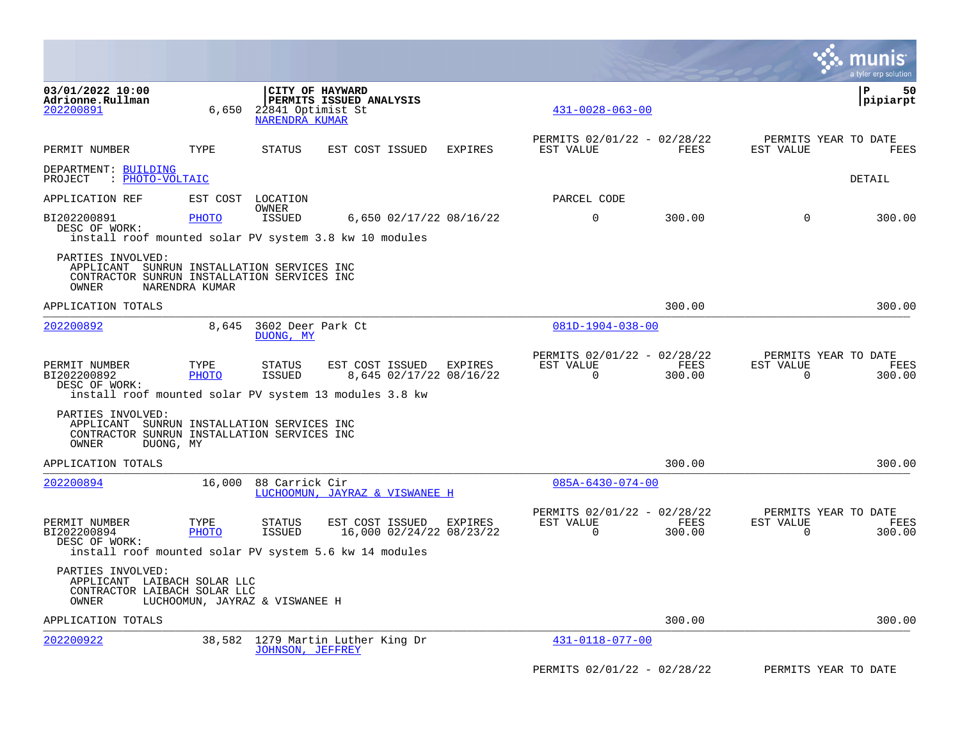|                                                                                                                         |                                |                                            |                                                                                                      |                |                                                         |                |                          | a tyler erp solution                          |
|-------------------------------------------------------------------------------------------------------------------------|--------------------------------|--------------------------------------------|------------------------------------------------------------------------------------------------------|----------------|---------------------------------------------------------|----------------|--------------------------|-----------------------------------------------|
| 03/01/2022 10:00<br>Adrionne.Rullman<br>202200891                                                                       | 6,650                          | 22841 Optimist St<br><b>NARENDRA KUMAR</b> | CITY OF HAYWARD<br>PERMITS ISSUED ANALYSIS                                                           |                | $431 - 0028 - 063 - 00$                                 |                |                          | l P<br>50<br> pipiarpt                        |
| PERMIT NUMBER                                                                                                           | TYPE                           | <b>STATUS</b>                              | EST COST ISSUED                                                                                      | <b>EXPIRES</b> | PERMITS 02/01/22 - 02/28/22<br>EST VALUE                | FEES           | EST VALUE                | PERMITS YEAR TO DATE<br><b>FEES</b>           |
| DEPARTMENT: BUILDING<br>: PHOTO-VOLTAIC<br>PROJECT                                                                      |                                |                                            |                                                                                                      |                |                                                         |                |                          | DETAIL                                        |
| APPLICATION REF                                                                                                         |                                | EST COST LOCATION                          |                                                                                                      |                | PARCEL CODE                                             |                |                          |                                               |
| BI202200891<br>DESC OF WORK:                                                                                            | <b>PHOTO</b>                   | OWNER<br><b>ISSUED</b>                     | 6,650 02/17/22 08/16/22<br>install roof mounted solar PV system 3.8 kw 10 modules                    |                | $\mathbf 0$                                             | 300.00         | $\mathbf 0$              | 300.00                                        |
| PARTIES INVOLVED:<br>APPLICANT SUNRUN INSTALLATION SERVICES INC<br>CONTRACTOR SUNRUN INSTALLATION SERVICES INC<br>OWNER | NARENDRA KUMAR                 |                                            |                                                                                                      |                |                                                         |                |                          |                                               |
| APPLICATION TOTALS                                                                                                      |                                |                                            |                                                                                                      |                |                                                         | 300.00         |                          | 300.00                                        |
| 202200892                                                                                                               | 8,645                          | 3602 Deer Park Ct<br>DUONG, MY             |                                                                                                      |                | $081D-1904-038-00$                                      |                |                          |                                               |
| PERMIT NUMBER<br>BI202200892<br>DESC OF WORK:                                                                           | TYPE<br><b>PHOTO</b>           | STATUS<br><b>ISSUED</b>                    | EST COST ISSUED<br>8,645 02/17/22 08/16/22<br>install roof mounted solar PV system 13 modules 3.8 kw | EXPIRES        | PERMITS 02/01/22 - 02/28/22<br>EST VALUE<br>$\mathbf 0$ | FEES<br>300.00 | EST VALUE<br>$\mathbf 0$ | PERMITS YEAR TO DATE<br><b>FEES</b><br>300.00 |
| PARTIES INVOLVED:<br>APPLICANT SUNRUN INSTALLATION SERVICES INC<br>CONTRACTOR SUNRUN INSTALLATION SERVICES INC<br>OWNER | DUONG, MY                      |                                            |                                                                                                      |                |                                                         |                |                          |                                               |
| APPLICATION TOTALS                                                                                                      |                                |                                            |                                                                                                      |                |                                                         | 300.00         |                          | 300.00                                        |
| 202200894                                                                                                               |                                | 16,000 88 Carrick Cir                      | LUCHOOMUN, JAYRAZ & VISWANEE H                                                                       |                | $085A - 6430 - 074 - 00$                                |                |                          |                                               |
| PERMIT NUMBER<br>BI202200894<br>DESC OF WORK:                                                                           | TYPE<br><b>PHOTO</b>           | STATUS<br>ISSUED                           | EST COST ISSUED<br>16,000 02/24/22 08/23/22                                                          | <b>EXPIRES</b> | PERMITS 02/01/22 - 02/28/22<br>EST VALUE<br>$\Omega$    | FEES<br>300.00 | EST VALUE<br>$\Omega$    | PERMITS YEAR TO DATE<br>FEES<br>300.00        |
|                                                                                                                         |                                |                                            | install roof mounted solar PV system 5.6 kw 14 modules                                               |                |                                                         |                |                          |                                               |
| PARTIES INVOLVED:<br>APPLICANT LAIBACH SOLAR LLC<br>CONTRACTOR LAIBACH SOLAR LLC<br>OWNER                               | LUCHOOMUN, JAYRAZ & VISWANEE H |                                            |                                                                                                      |                |                                                         |                |                          |                                               |
| APPLICATION TOTALS                                                                                                      |                                |                                            |                                                                                                      |                |                                                         | 300.00         |                          | 300.00                                        |
| 202200922                                                                                                               |                                | <b>JOHNSON, JEFFREY</b>                    | 38,582 1279 Martin Luther King Dr                                                                    |                | 431-0118-077-00                                         |                |                          |                                               |
|                                                                                                                         |                                |                                            |                                                                                                      |                | PERMITS 02/01/22 - 02/28/22                             |                |                          | PERMITS YEAR TO DATE                          |

 $\mathcal{L}^{\text{max}}$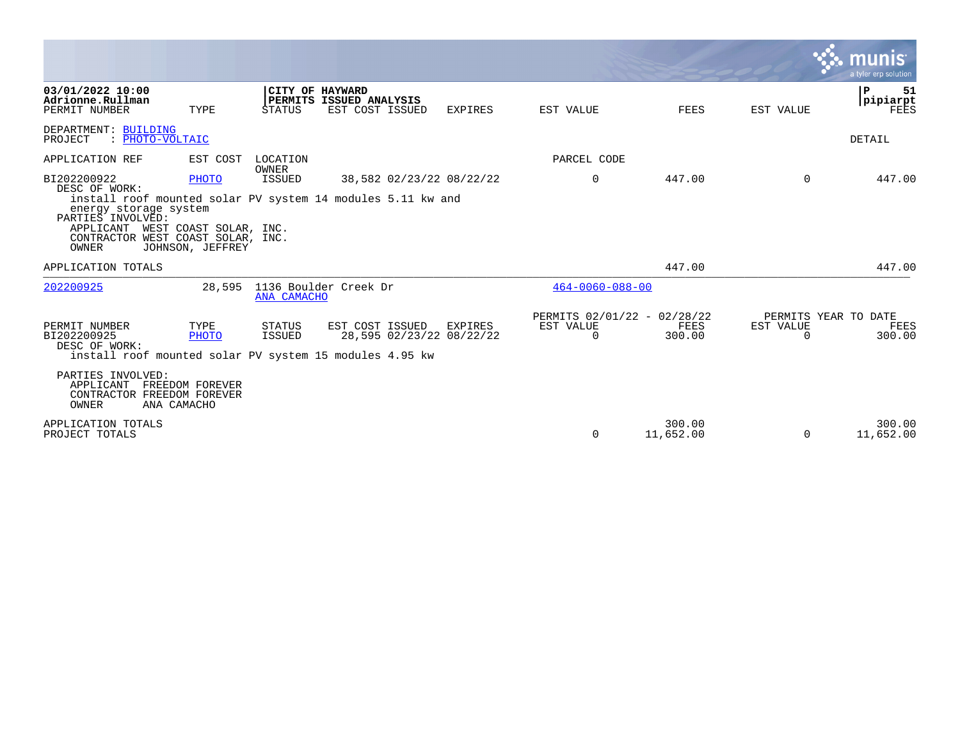|                                                                                                                                       |                                                     |                                |                                                                                                        |                |                                                      |                     |                                               | a tyler erp solution               |
|---------------------------------------------------------------------------------------------------------------------------------------|-----------------------------------------------------|--------------------------------|--------------------------------------------------------------------------------------------------------|----------------|------------------------------------------------------|---------------------|-----------------------------------------------|------------------------------------|
| 03/01/2022 10:00<br>Adrionne.Rullman<br>PERMIT NUMBER                                                                                 | TYPE                                                | <b>STATUS</b>                  | CITY OF HAYWARD<br>PERMITS ISSUED ANALYSIS<br>EST COST ISSUED                                          | EXPIRES        | EST VALUE                                            | <b>FEES</b>         | EST VALUE                                     | Р<br>51<br>pipiarpt<br><b>FEES</b> |
| DEPARTMENT: BUILDING<br>: PHOTO-VOLTAIC<br>PROJECT                                                                                    |                                                     |                                |                                                                                                        |                |                                                      |                     |                                               | DETAIL                             |
| APPLICATION REF                                                                                                                       | EST COST                                            | LOCATION                       |                                                                                                        |                | PARCEL CODE                                          |                     |                                               |                                    |
| BI202200922<br>DESC OF WORK:<br>energy storage system<br>PARTIES INVOLVED:<br>APPLICANT<br>CONTRACTOR WEST COAST SOLAR, INC.<br>OWNER | PHOTO<br>WEST COAST SOLAR, INC.<br>JOHNSON, JEFFREY | OWNER<br>ISSUED                | 38,582 02/23/22 08/22/22<br>install roof mounted solar PV system 14 modules 5.11 kw and                |                | 0                                                    | 447.00              | $\Omega$                                      | 447.00                             |
| APPLICATION TOTALS                                                                                                                    |                                                     |                                |                                                                                                        |                |                                                      | 447.00              |                                               | 447.00                             |
| 202200925                                                                                                                             | 28,595                                              | ANA CAMACHO                    | 1136 Boulder Creek Dr                                                                                  |                | $464 - 0060 - 088 - 00$                              |                     |                                               |                                    |
| PERMIT NUMBER<br>BI202200925<br>DESC OF WORK:                                                                                         | TYPE<br><b>PHOTO</b>                                | <b>STATUS</b><br><b>ISSUED</b> | EST COST ISSUED<br>28,595 02/23/22 08/22/22<br>install roof mounted solar PV system 15 modules 4.95 kw | <b>EXPIRES</b> | PERMITS 02/01/22 - 02/28/22<br>EST VALUE<br>$\Omega$ | FEES<br>300.00      | PERMITS YEAR TO DATE<br>EST VALUE<br>$\Omega$ | FEES<br>300.00                     |
| PARTIES INVOLVED:<br>APPLICANT<br>CONTRACTOR FREEDOM FOREVER<br>OWNER<br>ANA CAMACHO                                                  | FREEDOM FOREVER                                     |                                |                                                                                                        |                |                                                      |                     |                                               |                                    |
| APPLICATION TOTALS<br>PROJECT TOTALS                                                                                                  |                                                     |                                |                                                                                                        |                | $\Omega$                                             | 300.00<br>11,652.00 | $\Omega$                                      | 300.00<br>11,652.00                |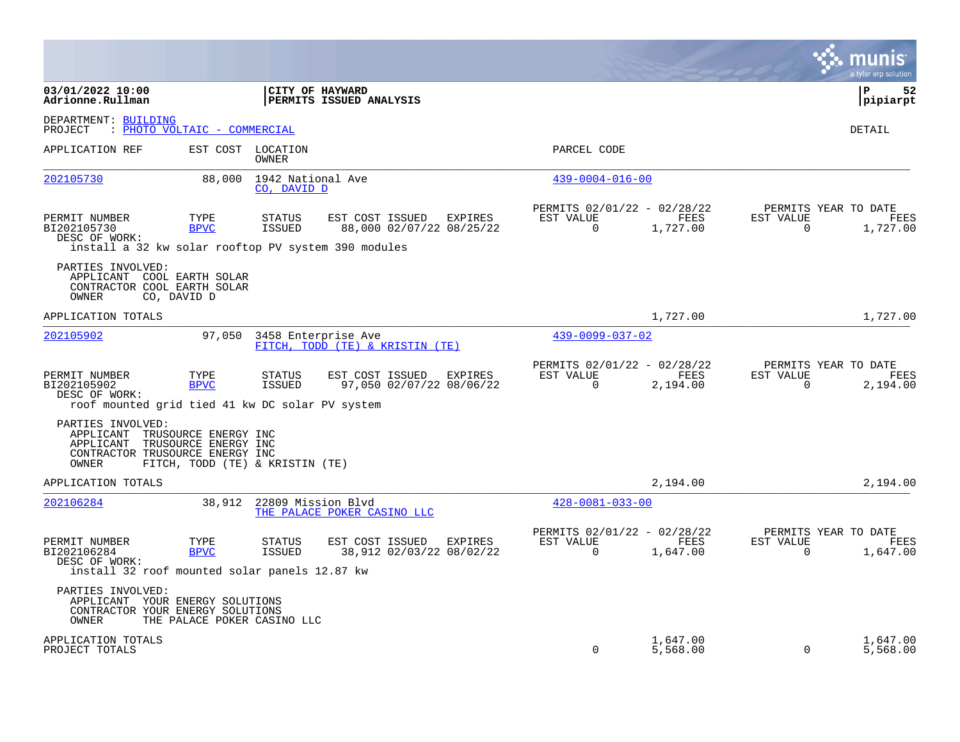|                                                                                                      |                                                                                 |                                  |                                                               |                                                         |                      |                          | a tyler erp solution                            |
|------------------------------------------------------------------------------------------------------|---------------------------------------------------------------------------------|----------------------------------|---------------------------------------------------------------|---------------------------------------------------------|----------------------|--------------------------|-------------------------------------------------|
| 03/01/2022 10:00<br>Adrionne.Rullman                                                                 |                                                                                 | <b>CITY OF HAYWARD</b>           | <b>PERMITS ISSUED ANALYSIS</b>                                |                                                         |                      |                          | l P<br>52<br> pipiarpt                          |
| DEPARTMENT: BUILDING<br>PROJECT                                                                      | : PHOTO VOLTAIC - COMMERCIAL                                                    |                                  |                                                               |                                                         |                      |                          | DETAIL                                          |
| APPLICATION REF                                                                                      | EST COST                                                                        | LOCATION<br>OWNER                |                                                               | PARCEL CODE                                             |                      |                          |                                                 |
| 202105730                                                                                            | 88,000                                                                          | 1942 National Ave<br>CO, DAVID D |                                                               | $439 - 0004 - 016 - 00$                                 |                      |                          |                                                 |
| PERMIT NUMBER<br>BI202105730<br>DESC OF WORK:<br>install a 32 kw solar rooftop PV system 390 modules | TYPE<br><b>BPVC</b>                                                             | <b>STATUS</b><br>ISSUED          | EST COST ISSUED<br>EXPIRES<br>88,000 02/07/22 08/25/22        | PERMITS 02/01/22 - 02/28/22<br>EST VALUE<br>$\mathbf 0$ | FEES<br>1,727.00     | EST VALUE<br>$\mathbf 0$ | PERMITS YEAR TO DATE<br>FEES<br>1,727.00        |
| PARTIES INVOLVED:<br>APPLICANT<br>CONTRACTOR COOL EARTH SOLAR<br>OWNER                               | COOL EARTH SOLAR<br>CO, DAVID D                                                 |                                  |                                                               |                                                         |                      |                          |                                                 |
| APPLICATION TOTALS                                                                                   |                                                                                 |                                  |                                                               |                                                         | 1,727.00             |                          | 1,727.00                                        |
| 202105902                                                                                            | 97,050                                                                          |                                  | 3458 Enterprise Ave<br>FITCH, TODD (TE) & KRISTIN (TE)        | $439 - 0099 - 037 - 02$                                 |                      |                          |                                                 |
| PERMIT NUMBER<br>BI202105902<br>DESC OF WORK:<br>roof mounted grid tied 41 kw DC solar PV system     | TYPE<br><b>BPVC</b>                                                             | <b>STATUS</b><br><b>ISSUED</b>   | EST COST ISSUED<br>EXPIRES<br>97,050 02/07/22 08/06/22        | PERMITS 02/01/22 - 02/28/22<br>EST VALUE<br>$\Omega$    | FEES<br>2,194.00     | EST VALUE<br>$\Omega$    | PERMITS YEAR TO DATE<br>FEES<br>2,194.00        |
| PARTIES INVOLVED:<br>APPLICANT<br>APPLICANT<br>CONTRACTOR TRUSOURCE ENERGY INC<br>OWNER              | TRUSOURCE ENERGY INC<br>TRUSOURCE ENERGY INC<br>FITCH, TODD (TE) & KRISTIN (TE) |                                  |                                                               |                                                         |                      |                          |                                                 |
| APPLICATION TOTALS                                                                                   |                                                                                 |                                  |                                                               |                                                         | 2,194.00             |                          | 2,194.00                                        |
| 202106284                                                                                            | 38,912                                                                          | 22809 Mission Blvd               | THE PALACE POKER CASINO LLC                                   | $428 - 0081 - 033 - 00$                                 |                      |                          |                                                 |
| PERMIT NUMBER<br>BI202106284<br>DESC OF WORK:<br>install 32 roof mounted solar panels 12.87 kw       | TYPE<br><b>BPVC</b>                                                             | <b>STATUS</b><br>ISSUED          | EST COST ISSUED<br><b>EXPIRES</b><br>38,912 02/03/22 08/02/22 | PERMITS 02/01/22 - 02/28/22<br>EST VALUE<br>0           | FEES<br>1,647.00     | EST VALUE<br>0           | PERMITS YEAR TO DATE<br><b>FEES</b><br>1,647.00 |
| PARTIES INVOLVED:<br>APPLICANT YOUR ENERGY SOLUTIONS<br>CONTRACTOR YOUR ENERGY SOLUTIONS<br>OWNER    | THE PALACE POKER CASINO LLC                                                     |                                  |                                                               |                                                         |                      |                          |                                                 |
| APPLICATION TOTALS<br>PROJECT TOTALS                                                                 |                                                                                 |                                  |                                                               | $\Omega$                                                | 1,647.00<br>5,568.00 | $\mathbf 0$              | 1,647.00<br>5,568.00                            |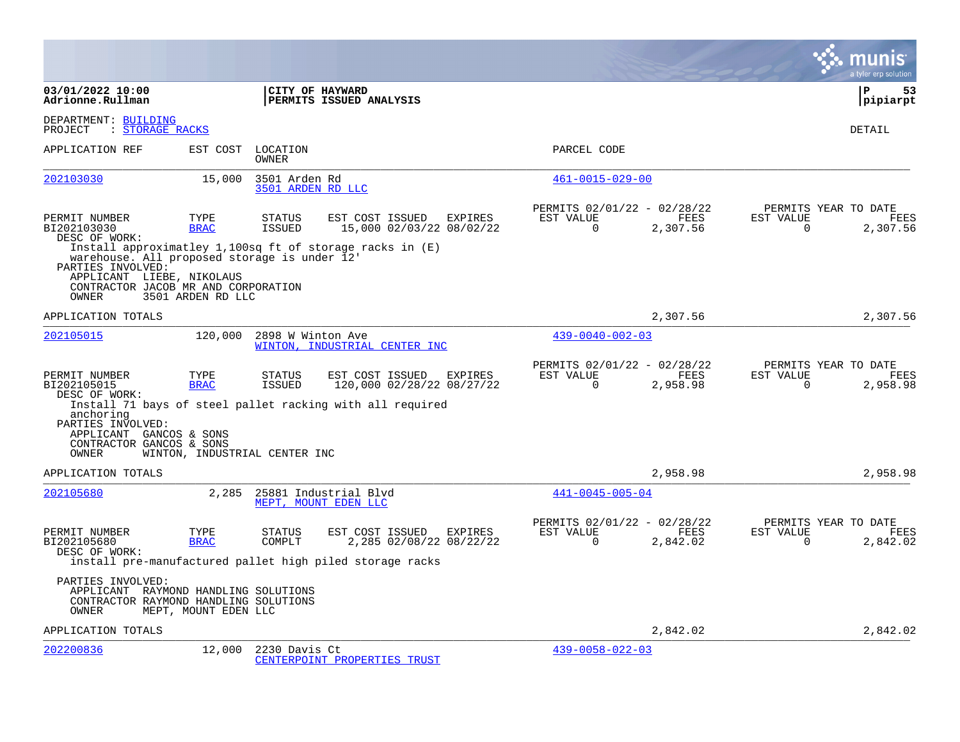|                                                                                                                                                |                               |                                    |                                                                                                                |         |                                                      |                  |                       | a tyler erp solution                     |
|------------------------------------------------------------------------------------------------------------------------------------------------|-------------------------------|------------------------------------|----------------------------------------------------------------------------------------------------------------|---------|------------------------------------------------------|------------------|-----------------------|------------------------------------------|
| 03/01/2022 10:00<br>Adrionne.Rullman                                                                                                           |                               |                                    | CITY OF HAYWARD<br>PERMITS ISSUED ANALYSIS                                                                     |         |                                                      |                  |                       | P<br>53<br> pipiarpt                     |
| DEPARTMENT: BUILDING<br>PROJECT<br>: STORAGE RACKS                                                                                             |                               |                                    |                                                                                                                |         |                                                      |                  |                       | DETAIL                                   |
| APPLICATION REF                                                                                                                                | EST COST                      | LOCATION<br><b>OWNER</b>           |                                                                                                                |         | PARCEL CODE                                          |                  |                       |                                          |
| 202103030                                                                                                                                      | 15,000                        | 3501 Arden Rd<br>3501 ARDEN RD LLC |                                                                                                                |         | $461 - 0015 - 029 - 00$                              |                  |                       |                                          |
| PERMIT NUMBER<br>BI202103030<br>DESC OF WORK:                                                                                                  | TYPE<br><b>BRAC</b>           | <b>STATUS</b><br><b>ISSUED</b>     | EST COST ISSUED<br>15,000 02/03/22 08/02/22                                                                    | EXPIRES | PERMITS 02/01/22 - 02/28/22<br>EST VALUE<br>$\Omega$ | FEES<br>2,307.56 | EST VALUE<br>$\Omega$ | PERMITS YEAR TO DATE<br>FEES<br>2,307.56 |
| warehouse. All proposed storage is under 12'<br>PARTIES INVOLVED:<br>APPLICANT LIEBE, NIKOLAUS<br>CONTRACTOR JACOB MR AND CORPORATION<br>OWNER | 3501 ARDEN RD LLC             |                                    | Install approximatley 1,100sq ft of storage racks in $(E)$                                                     |         |                                                      |                  |                       |                                          |
| APPLICATION TOTALS                                                                                                                             |                               |                                    |                                                                                                                |         |                                                      | 2,307.56         |                       | 2,307.56                                 |
| 202105015                                                                                                                                      | 120,000                       | 2898 W Winton Ave                  | WINTON, INDUSTRIAL CENTER INC                                                                                  |         | $439 - 0040 - 002 - 03$                              |                  |                       |                                          |
| PERMIT NUMBER<br>BI202105015<br>DESC OF WORK:<br>anchoring<br>PARTIES INVOLVED:<br>APPLICANT GANCOS & SONS                                     | TYPE<br><b>BRAC</b>           | <b>STATUS</b><br><b>ISSUED</b>     | EST COST ISSUED<br>120,000 02/28/22 08/27/22<br>Install 71 bays of steel pallet racking with all required      | EXPIRES | PERMITS 02/01/22 - 02/28/22<br>EST VALUE<br>$\Omega$ | FEES<br>2,958.98 | EST VALUE<br>$\Omega$ | PERMITS YEAR TO DATE<br>FEES<br>2,958.98 |
| CONTRACTOR GANCOS & SONS<br>OWNER                                                                                                              | WINTON, INDUSTRIAL CENTER INC |                                    |                                                                                                                |         |                                                      |                  |                       |                                          |
| APPLICATION TOTALS                                                                                                                             |                               |                                    |                                                                                                                |         |                                                      | 2,958.98         |                       | 2,958.98                                 |
| 202105680                                                                                                                                      | 2,285                         |                                    | 25881 Industrial Blvd<br>MEPT, MOUNT EDEN LLC                                                                  |         | 441-0045-005-04                                      |                  |                       |                                          |
| PERMIT NUMBER<br>BI202105680<br>DESC OF WORK:                                                                                                  | TYPE<br><b>BRAC</b>           | STATUS<br>COMPLT                   | EST COST ISSUED EXPIRES<br>2,285 02/08/22 08/22/22<br>install pre-manufactured pallet high piled storage racks |         | PERMITS 02/01/22 - 02/28/22<br>EST VALUE<br>$\Omega$ | FEES<br>2,842.02 | EST VALUE<br>$\Omega$ | PERMITS YEAR TO DATE<br>FEES<br>2,842.02 |
| PARTIES INVOLVED:<br>APPLICANT RAYMOND HANDLING SOLUTIONS<br>CONTRACTOR RAYMOND HANDLING SOLUTIONS<br>OWNER                                    | MEPT, MOUNT EDEN LLC          |                                    |                                                                                                                |         |                                                      |                  |                       |                                          |
| APPLICATION TOTALS                                                                                                                             |                               |                                    |                                                                                                                |         |                                                      | 2,842.02         |                       | 2,842.02                                 |
| 202200836                                                                                                                                      | 12,000                        | 2230 Davis Ct                      | CENTERPOINT PROPERTIES TRUST                                                                                   |         | $439 - 0058 - 022 - 03$                              |                  |                       |                                          |

**Contract**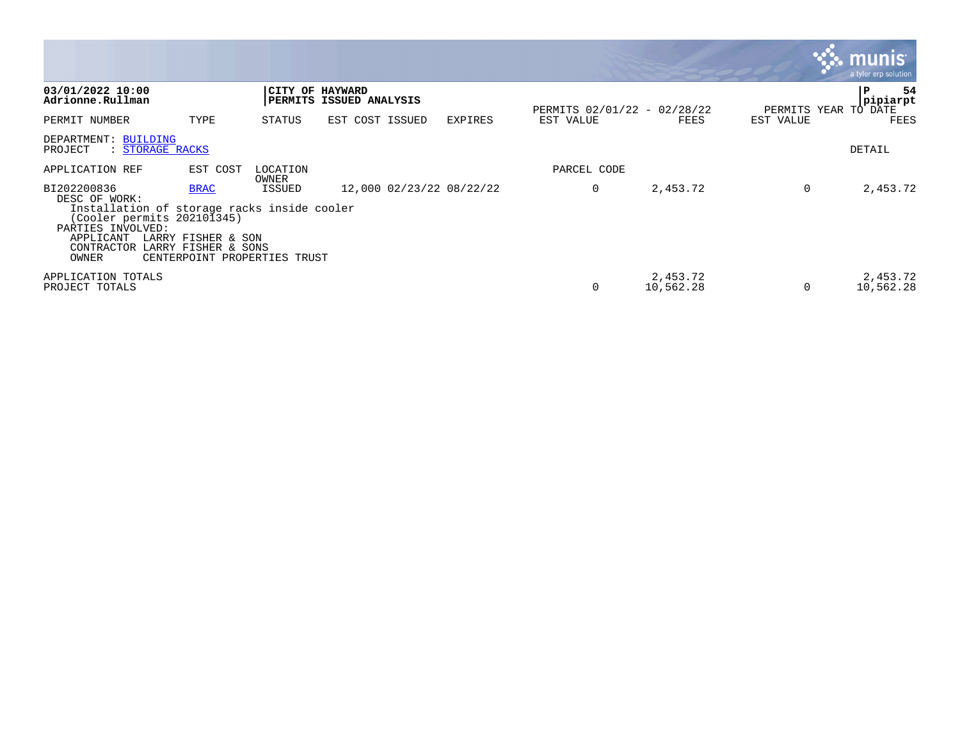|                                                                                                                                                                    |                                                                                          |                   |                                            |                |             |                                     |           | <b>83. munis</b><br>a tyler erp solution |
|--------------------------------------------------------------------------------------------------------------------------------------------------------------------|------------------------------------------------------------------------------------------|-------------------|--------------------------------------------|----------------|-------------|-------------------------------------|-----------|------------------------------------------|
| 03/01/2022 10:00<br>Adrionne.Rullman                                                                                                                               |                                                                                          |                   | CITY OF HAYWARD<br>PERMITS ISSUED ANALYSIS |                |             |                                     |           | 54<br>P<br>pipiarpt                      |
| PERMIT NUMBER                                                                                                                                                      | TYPE                                                                                     | STATUS            | EST COST ISSUED                            | <b>EXPIRES</b> | EST VALUE   | PERMITS 02/01/22 - 02/28/22<br>FEES | EST VALUE | PERMITS YEAR TO DATE<br>FEES             |
| DEPARTMENT: BUILDING<br>PROJECT<br>: STORAGE RACKS                                                                                                                 |                                                                                          |                   |                                            |                |             |                                     |           | DETAIL                                   |
| APPLICATION REF                                                                                                                                                    | EST COST                                                                                 | LOCATION<br>OWNER |                                            |                | PARCEL CODE |                                     |           |                                          |
| BI202200836<br>DESC OF WORK:<br>Installation of storage racks inside cooler<br>(Cooler permits 202101345)<br>PARTIES INVOLVED:<br>APPLICANT<br>CONTRACTOR<br>OWNER | <b>BRAC</b><br>LARRY FISHER & SON<br>LARRY FISHER & SONS<br>CENTERPOINT PROPERTIES TRUST | ISSUED            | 12,000 02/23/22 08/22/22                   |                | 0           | 2,453.72                            | 0         | 2,453.72                                 |
| APPLICATION TOTALS<br>PROJECT TOTALS                                                                                                                               |                                                                                          |                   |                                            |                | $\Omega$    | 2,453.72<br>10,562.28               | $\Omega$  | 2,453.72<br>10,562.28                    |

the contract of the contract of the contract of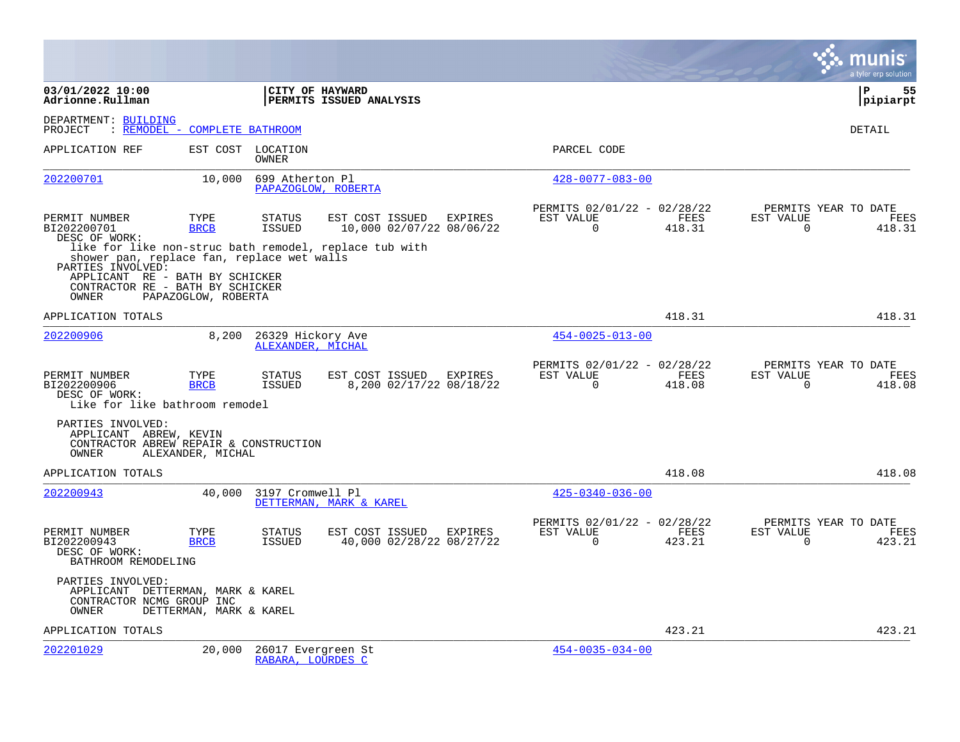|                                                                                                                  |                               |                                         |                                                                                                       |         |                                                      |                |                       | a tyler erp solution                   |
|------------------------------------------------------------------------------------------------------------------|-------------------------------|-----------------------------------------|-------------------------------------------------------------------------------------------------------|---------|------------------------------------------------------|----------------|-----------------------|----------------------------------------|
| 03/01/2022 10:00<br>Adrionne.Rullman                                                                             |                               |                                         | CITY OF HAYWARD<br>PERMITS ISSUED ANALYSIS                                                            |         |                                                      |                |                       | ΙP<br>55<br> pipiarpt                  |
| DEPARTMENT: BUILDING<br>PROJECT                                                                                  | : REMODEL - COMPLETE BATHROOM |                                         |                                                                                                       |         |                                                      |                |                       | <b>DETAIL</b>                          |
| APPLICATION REF                                                                                                  |                               | EST COST LOCATION<br>OWNER              |                                                                                                       |         | PARCEL CODE                                          |                |                       |                                        |
| 202200701                                                                                                        | 10,000                        | 699 Atherton Pl                         | PAPAZOGLOW, ROBERTA                                                                                   |         | $428 - 0077 - 083 - 00$                              |                |                       |                                        |
| PERMIT NUMBER<br>BI202200701<br>DESC OF WORK:<br>shower pan, replace fan, replace wet walls<br>PARTIES INVOLVED: | TYPE<br><b>BRCB</b>           | <b>STATUS</b><br>ISSUED                 | EST COST ISSUED<br>10,000 02/07/22 08/06/22<br>like for like non-struc bath remodel, replace tub with | EXPIRES | PERMITS 02/01/22 - 02/28/22<br>EST VALUE<br>$\Omega$ | FEES<br>418.31 | EST VALUE<br>$\Omega$ | PERMITS YEAR TO DATE<br>FEES<br>418.31 |
| APPLICANT RE - BATH BY SCHICKER<br>CONTRACTOR RE - BATH BY SCHICKER<br>OWNER                                     | PAPAZOGLOW, ROBERTA           |                                         |                                                                                                       |         |                                                      |                |                       |                                        |
| APPLICATION TOTALS                                                                                               |                               |                                         |                                                                                                       |         |                                                      | 418.31         |                       | 418.31                                 |
| 202200906                                                                                                        | 8,200                         | 26329 Hickory Ave<br>ALEXANDER, MICHAL  |                                                                                                       |         | $454 - 0025 - 013 - 00$                              |                |                       |                                        |
| PERMIT NUMBER<br>BI202200906<br>DESC OF WORK:<br>Like for like bathroom remodel                                  | TYPE<br><b>BRCB</b>           | <b>STATUS</b><br><b>ISSUED</b>          | EST COST ISSUED<br>8,200 02/17/22 08/18/22                                                            | EXPIRES | PERMITS 02/01/22 - 02/28/22<br>EST VALUE<br>$\Omega$ | FEES<br>418.08 | EST VALUE<br>$\Omega$ | PERMITS YEAR TO DATE<br>FEES<br>418.08 |
| PARTIES INVOLVED:<br>APPLICANT ABREW, KEVIN<br>CONTRACTOR ABREW REPAIR & CONSTRUCTION<br>OWNER                   | ALEXANDER, MICHAL             |                                         |                                                                                                       |         |                                                      |                |                       |                                        |
| APPLICATION TOTALS                                                                                               |                               |                                         |                                                                                                       |         |                                                      | 418.08         |                       | 418.08                                 |
| 202200943                                                                                                        | 40,000                        | 3197 Cromwell Pl                        | DETTERMAN, MARK & KAREL                                                                               |         | $425 - 0340 - 036 - 00$                              |                |                       |                                        |
| PERMIT NUMBER<br>BI202200943<br>DESC OF WORK:<br>BATHROOM REMODELING                                             | TYPE<br><b>BRCB</b>           | <b>STATUS</b><br>ISSUED                 | EST COST ISSUED<br>40,000 02/28/22 08/27/22                                                           | EXPIRES | PERMITS 02/01/22 - 02/28/22<br>EST VALUE<br>$\Omega$ | FEES<br>423.21 | EST VALUE<br>$\Omega$ | PERMITS YEAR TO DATE<br>FEES<br>423.21 |
| PARTIES INVOLVED:<br>APPLICANT DETTERMAN, MARK & KAREL<br>CONTRACTOR NCMG GROUP INC<br>OWNER                     | DETTERMAN, MARK & KAREL       |                                         |                                                                                                       |         |                                                      |                |                       |                                        |
| APPLICATION TOTALS                                                                                               |                               |                                         |                                                                                                       |         |                                                      | 423.21         |                       | 423.21                                 |
| 202201029                                                                                                        | 20,000                        | 26017 Evergreen St<br>RABARA, LOURDES C |                                                                                                       |         | $454 - 0035 - 034 - 00$                              |                |                       |                                        |

**Contract**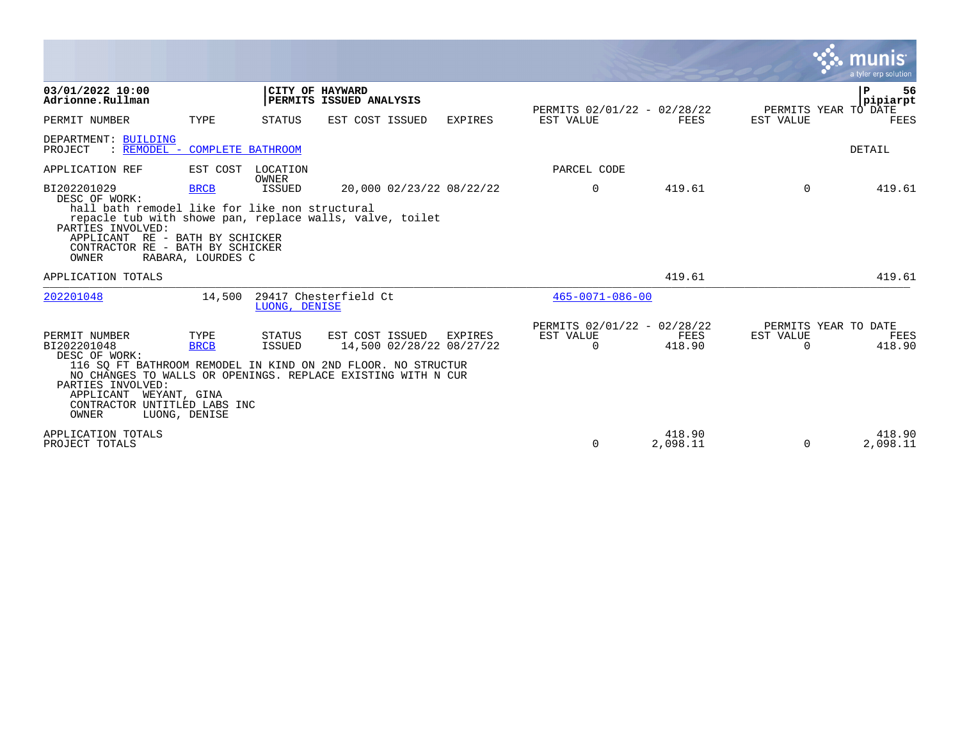|                                                                                                                                                                                     |                                      |                          |                                                                                                                                                                             |                |                                                      |                    |                       | a tyler erp solution                        |
|-------------------------------------------------------------------------------------------------------------------------------------------------------------------------------------|--------------------------------------|--------------------------|-----------------------------------------------------------------------------------------------------------------------------------------------------------------------------|----------------|------------------------------------------------------|--------------------|-----------------------|---------------------------------------------|
| 03/01/2022 10:00<br>Adrionne.Rullman                                                                                                                                                |                                      |                          | CITY OF HAYWARD<br>PERMITS ISSUED ANALYSIS                                                                                                                                  |                | PERMITS 02/01/22 - 02/28/22                          |                    |                       | P<br>56<br>pipiarpt<br>PERMITS YEAR TO DATE |
| PERMIT NUMBER                                                                                                                                                                       | TYPE                                 | STATUS                   | EST COST ISSUED                                                                                                                                                             | <b>EXPIRES</b> | EST VALUE                                            | FEES               | EST VALUE             | FEES                                        |
| DEPARTMENT: BUILDING<br>REMODEL - COMPLETE BATHROOM<br>PROJECT                                                                                                                      |                                      |                          |                                                                                                                                                                             |                |                                                      |                    |                       | DETAIL                                      |
| APPLICATION REF                                                                                                                                                                     | EST COST                             | LOCATION<br><b>OWNER</b> |                                                                                                                                                                             |                | PARCEL CODE                                          |                    |                       |                                             |
| BI202201029<br>DESC OF WORK:<br>hall bath remodel like for like non structural<br>PARTIES INVOLVED:<br>APPLICANT RE - BATH BY SCHICKER<br>CONTRACTOR RE - BATH BY SCHICKER<br>OWNER | <b>BRCB</b><br>RABARA, LOURDES C     | ISSUED                   | 20,000 02/23/22 08/22/22<br>repacle tub with showe pan, replace walls, valve, toilet                                                                                        |                | $\mathbf 0$                                          | 419.61             | $\Omega$              | 419.61                                      |
| APPLICATION TOTALS                                                                                                                                                                  |                                      |                          |                                                                                                                                                                             |                |                                                      | 419.61             |                       | 419.61                                      |
| 202201048                                                                                                                                                                           | 14,500                               | LUONG, DENISE            | 29417 Chesterfield Ct                                                                                                                                                       |                | $465 - 0071 - 086 - 00$                              |                    |                       |                                             |
| PERMIT NUMBER<br>BI202201048<br>DESC OF WORK:<br>PARTIES INVOLVED:<br>APPLICANT<br>WEYANT, GINA<br>CONTRACTOR UNTITLED LABS INC<br>OWNER                                            | TYPE<br><b>BRCB</b><br>LUONG, DENISE | STATUS<br><b>ISSUED</b>  | EST COST ISSUED<br>14,500 02/28/22 08/27/22<br>116 SQ FT BATHROOM REMODEL IN KIND ON 2ND FLOOR. NO STRUCTUR<br>NO CHANGES TO WALLS OR OPENINGS. REPLACE EXISTING WITH N CUR | EXPIRES        | PERMITS 02/01/22 - 02/28/22<br>EST VALUE<br>$\Omega$ | FEES<br>418.90     | EST VALUE<br>$\Omega$ | PERMITS YEAR TO DATE<br>FEES<br>418.90      |
| APPLICATION TOTALS<br>PROJECT TOTALS                                                                                                                                                |                                      |                          |                                                                                                                                                                             |                | $\Omega$                                             | 418.90<br>2,098.11 | $\Omega$              | 418.90<br>2,098.11                          |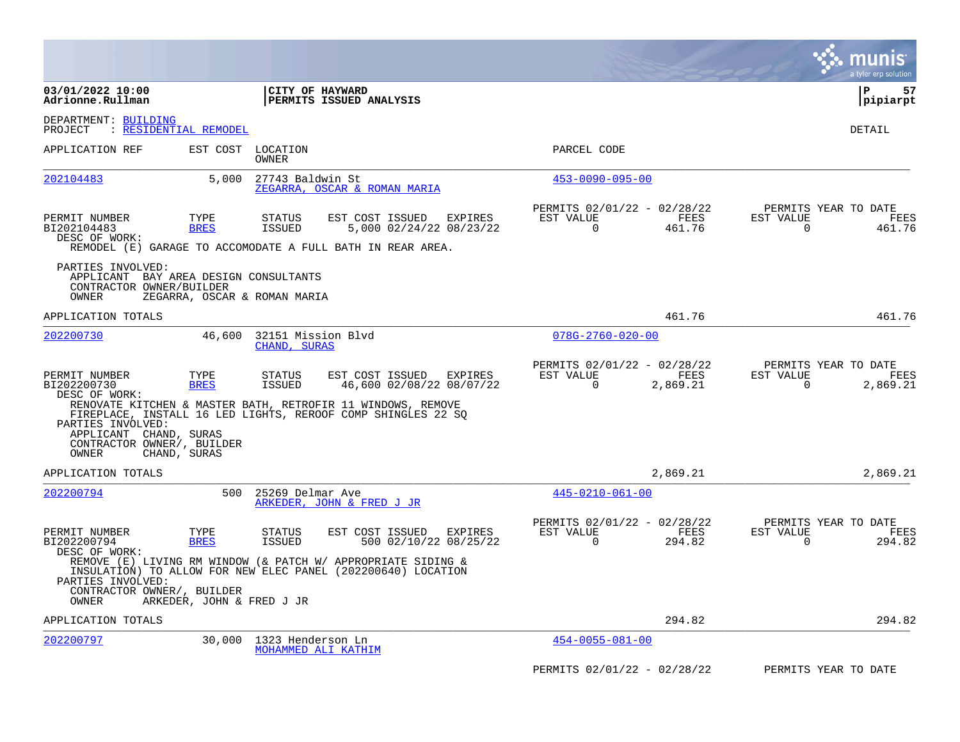|                                                                                                 |                              |                                                                                                                                                                                                                  |                                                      |                  | munis<br>a tyler erp solution                                     |
|-------------------------------------------------------------------------------------------------|------------------------------|------------------------------------------------------------------------------------------------------------------------------------------------------------------------------------------------------------------|------------------------------------------------------|------------------|-------------------------------------------------------------------|
| 03/01/2022 10:00<br>Adrionne.Rullman                                                            |                              | CITY OF HAYWARD<br>PERMITS ISSUED ANALYSIS                                                                                                                                                                       |                                                      |                  | l P<br>57<br> pipiarpt                                            |
| DEPARTMENT: BUILDING<br>PROJECT                                                                 | <u>: RESIDENTIAL REMODEL</u> |                                                                                                                                                                                                                  |                                                      |                  | DETAIL                                                            |
| APPLICATION REF                                                                                 |                              | EST COST LOCATION<br><b>OWNER</b>                                                                                                                                                                                | PARCEL CODE                                          |                  |                                                                   |
| 202104483                                                                                       | 5,000                        | 27743 Baldwin St<br>ZEGARRA, OSCAR & ROMAN MARIA                                                                                                                                                                 | $453 - 0090 - 095 - 00$                              |                  |                                                                   |
| PERMIT NUMBER<br>BI202104483<br>DESC OF WORK:                                                   | TYPE<br><b>BRES</b>          | EST COST ISSUED<br>STATUS<br>EXPIRES<br>5,000 02/24/22 08/23/22<br><b>ISSUED</b><br>REMODEL (E) GARAGE TO ACCOMODATE A FULL BATH IN REAR AREA.                                                                   | PERMITS 02/01/22 - 02/28/22<br>EST VALUE<br>$\Omega$ | FEES<br>461.76   | PERMITS YEAR TO DATE<br>EST VALUE<br>FEES<br>461.76<br>$\Omega$   |
| PARTIES INVOLVED:<br>APPLICANT BAY AREA DESIGN CONSULTANTS<br>CONTRACTOR OWNER/BUILDER<br>OWNER |                              | ZEGARRA, OSCAR & ROMAN MARIA                                                                                                                                                                                     |                                                      |                  |                                                                   |
| APPLICATION TOTALS                                                                              |                              |                                                                                                                                                                                                                  |                                                      | 461.76           | 461.76                                                            |
| 202200730                                                                                       | 46,600                       | 32151 Mission Blvd<br>CHAND, SURAS                                                                                                                                                                               | $078G - 2760 - 020 - 00$                             |                  |                                                                   |
| PERMIT NUMBER<br>BI202200730<br>DESC OF WORK:<br>PARTIES INVOLVED:<br>APPLICANT CHAND, SURAS    | TYPE<br><b>BRES</b>          | EST COST ISSUED<br>STATUS<br>EXPIRES<br>46,600 02/08/22 08/07/22<br><b>ISSUED</b><br>RENOVATE KITCHEN & MASTER BATH, RETROFIR 11 WINDOWS, REMOVE<br>FIREPLACE, INSTALL 16 LED LIGHTS, REROOF COMP SHINGLES 22 SQ | PERMITS 02/01/22 - 02/28/22<br>EST VALUE<br>$\Omega$ | FEES<br>2,869.21 | PERMITS YEAR TO DATE<br>EST VALUE<br>FEES<br>$\Omega$<br>2,869.21 |
| CONTRACTOR OWNER/, BUILDER<br>OWNER                                                             | CHAND, SURAS                 |                                                                                                                                                                                                                  |                                                      |                  |                                                                   |
| APPLICATION TOTALS                                                                              |                              |                                                                                                                                                                                                                  |                                                      | 2,869.21         | 2,869.21                                                          |
| 202200794                                                                                       | 500                          | 25269 Delmar Ave<br>ARKEDER, JOHN & FRED J JR                                                                                                                                                                    | $445 - 0210 - 061 - 00$                              |                  |                                                                   |
| PERMIT NUMBER<br>BI202200794<br>DESC OF WORK:                                                   | TYPE<br><b>BRES</b>          | EST COST ISSUED<br>EXPIRES<br>STATUS<br>500 02/10/22 08/25/22<br><b>ISSUED</b>                                                                                                                                   | PERMITS 02/01/22 - 02/28/22<br>EST VALUE<br>$\Omega$ | FEES<br>294.82   | PERMITS YEAR TO DATE<br>EST VALUE<br>FEES<br>$\Omega$<br>294.82   |
| PARTIES INVOLVED:<br>CONTRACTOR OWNER/, BUILDER                                                 |                              | REMOVE (E) LIVING RM WINDOW (& PATCH W/ APPROPRIATE SIDING &<br>INSULATION) TO ALLOW FOR NEW ELEC PANEL (202200640) LOCATION                                                                                     |                                                      |                  |                                                                   |
| OWNER                                                                                           | ARKEDER, JOHN & FRED J JR    |                                                                                                                                                                                                                  |                                                      |                  |                                                                   |
| APPLICATION TOTALS                                                                              |                              |                                                                                                                                                                                                                  |                                                      | 294.82           | 294.82                                                            |
| 202200797                                                                                       | 30,000                       | 1323 Henderson Ln<br>MOHAMMED ALI KATHIM                                                                                                                                                                         | $454 - 0055 - 081 - 00$                              |                  |                                                                   |
|                                                                                                 |                              |                                                                                                                                                                                                                  | PERMITS 02/01/22 - 02/28/22                          |                  | PERMITS YEAR TO DATE                                              |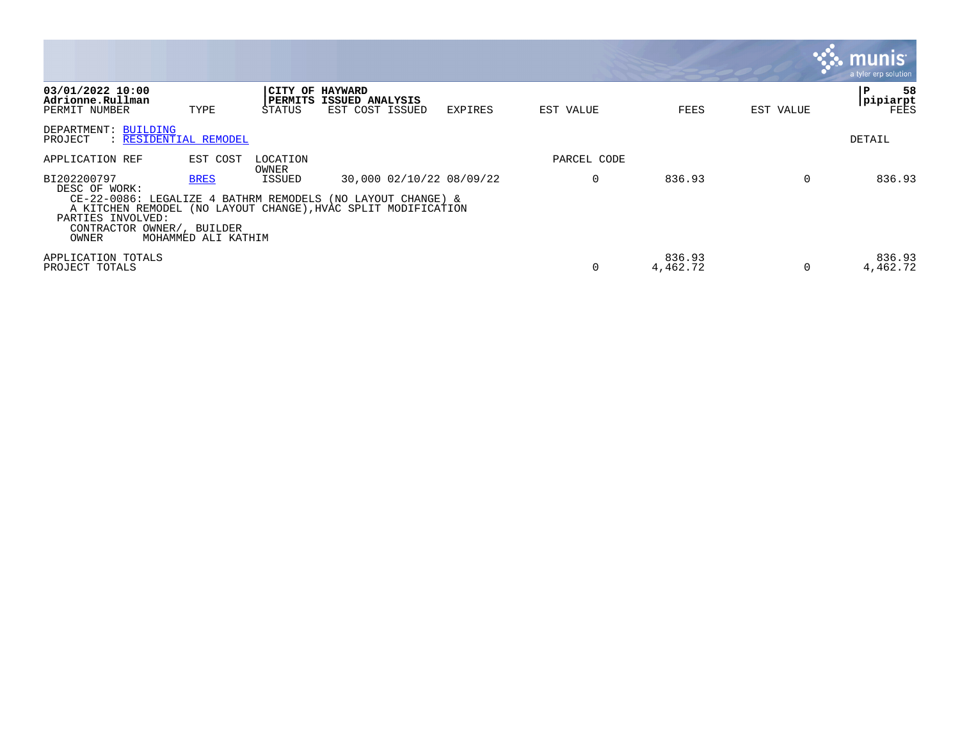|                                                                                                                                                                                                                          |                                    |                           |                                                   |                          |             |                    |           | <b>munis</b><br>a tyler erp solution |
|--------------------------------------------------------------------------------------------------------------------------------------------------------------------------------------------------------------------------|------------------------------------|---------------------------|---------------------------------------------------|--------------------------|-------------|--------------------|-----------|--------------------------------------|
| 03/01/2022 10:00<br>Adrionne.Rullman<br>PERMIT NUMBER                                                                                                                                                                    | TYPE                               | CITY OF HAYWARD<br>STATUS | <b>PERMITS ISSUED ANALYSIS</b><br>EST COST ISSUED | EXPIRES                  | EST VALUE   | FEES               | EST VALUE | 58<br>P<br>pipiarpt<br>FEES          |
| DEPARTMENT: BUILDING<br>PROJECT<br>: RESIDENTIAL REMODEL                                                                                                                                                                 |                                    |                           |                                                   |                          |             |                    |           | DETAIL                               |
| APPLICATION REF                                                                                                                                                                                                          | EST COST                           | LOCATION<br>OWNER         |                                                   |                          | PARCEL CODE |                    |           |                                      |
| BI202200797<br>DESC OF WORK:<br>CE-22-0086: LEGALIZE 4 BATHRM REMODELS (NO LAYOUT CHANGE) &<br>A KITCHEN REMODEL (NO LAYOUT CHANGE), HVAC SPLIT MODIFICATION<br>PARTIES INVOLVED:<br>CONTRACTOR OWNER/, BUILDER<br>OWNER | <b>BRES</b><br>MOHAMMED ALI KATHIM | ISSUED                    |                                                   | 30,000 02/10/22 08/09/22 | O           | 836.93             | $\Omega$  | 836.93                               |
| APPLICATION TOTALS<br>PROJECT TOTALS                                                                                                                                                                                     |                                    |                           |                                                   |                          | $\Omega$    | 836.93<br>4,462.72 | $\Omega$  | 836.93<br>4,462.72                   |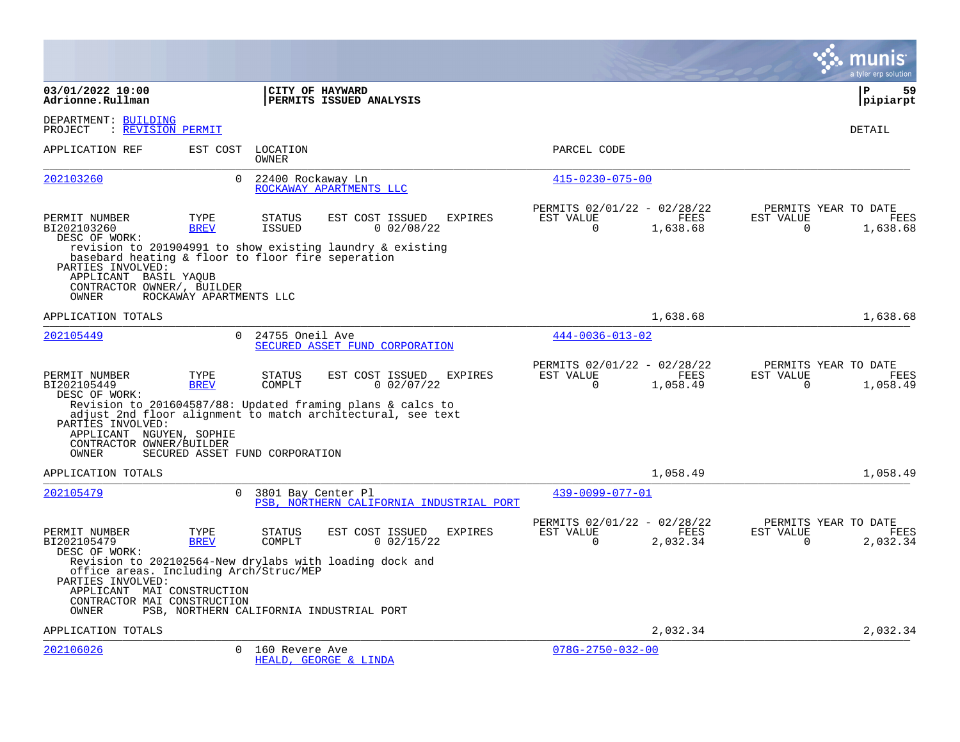|                                                                                                                                   |                                |                                |                                                                                                     |                |                                                      |                         |                       | a tyler erp solution                     |
|-----------------------------------------------------------------------------------------------------------------------------------|--------------------------------|--------------------------------|-----------------------------------------------------------------------------------------------------|----------------|------------------------------------------------------|-------------------------|-----------------------|------------------------------------------|
| 03/01/2022 10:00<br>Adrionne.Rullman                                                                                              |                                |                                | CITY OF HAYWARD<br>PERMITS ISSUED ANALYSIS                                                          |                |                                                      |                         |                       | l P<br>59<br> pipiarpt                   |
| DEPARTMENT: BUILDING<br>: REVISION PERMIT<br>PROJECT                                                                              |                                |                                |                                                                                                     |                |                                                      |                         |                       | DETAIL                                   |
| APPLICATION REF                                                                                                                   |                                | EST COST LOCATION<br>OWNER     |                                                                                                     |                | PARCEL CODE                                          |                         |                       |                                          |
| 202103260                                                                                                                         | $\Omega$                       | 22400 Rockaway Ln              | ROCKAWAY APARTMENTS LLC                                                                             |                | $415 - 0230 - 075 - 00$                              |                         |                       |                                          |
| PERMIT NUMBER<br>BI202103260<br>DESC OF WORK:<br>basebard heating & floor to floor fire seperation                                | TYPE<br><b>BREV</b>            | <b>STATUS</b><br><b>ISSUED</b> | EST COST ISSUED<br>0.02/08/22<br>revision to 201904991 to show existing laundry & existing          | <b>EXPIRES</b> | PERMITS 02/01/22 - 02/28/22<br>EST VALUE<br>$\Omega$ | <b>FEES</b><br>1,638.68 | EST VALUE<br>$\Omega$ | PERMITS YEAR TO DATE<br>FEES<br>1,638.68 |
| PARTIES INVOLVED:<br>APPLICANT BASIL YAQUB<br>CONTRACTOR OWNER/, BUILDER<br>OWNER                                                 | ROCKAWAY APARTMENTS LLC        |                                |                                                                                                     |                |                                                      |                         |                       |                                          |
| APPLICATION TOTALS                                                                                                                |                                |                                |                                                                                                     |                |                                                      | 1,638.68                |                       | 1,638.68                                 |
| 202105449                                                                                                                         | $\Omega$                       | 24755 Oneil Ave                | SECURED ASSET FUND CORPORATION                                                                      |                | $444 - 0036 - 013 - 02$                              |                         |                       |                                          |
| PERMIT NUMBER<br>BI202105449<br>DESC OF WORK:                                                                                     | TYPE<br><b>BREV</b>            | <b>STATUS</b><br>COMPLT        | EST COST ISSUED<br>$0$ 02/07/22<br>Revision to 201604587/88: Updated framing plans & calcs to       | <b>EXPIRES</b> | PERMITS 02/01/22 - 02/28/22<br>EST VALUE<br>$\Omega$ | <b>FEES</b><br>1,058.49 | EST VALUE<br>$\Omega$ | PERMITS YEAR TO DATE<br>FEES<br>1,058.49 |
| PARTIES INVOLVED:<br>APPLICANT NGUYEN, SOPHIE<br>CONTRACTOR OWNER/BUILDER<br>OWNER                                                | SECURED ASSET FUND CORPORATION |                                | adjust 2nd floor alignment to match architectural, see text                                         |                |                                                      |                         |                       |                                          |
| APPLICATION TOTALS                                                                                                                |                                |                                |                                                                                                     |                |                                                      | 1,058.49                |                       | 1,058.49                                 |
| 202105479                                                                                                                         | $\Omega$                       | 3801 Bay Center Pl             | PSB, NORTHERN CALIFORNIA INDUSTRIAL PORT                                                            |                | 439-0099-077-01                                      |                         |                       |                                          |
| PERMIT NUMBER<br>BI202105479<br>DESC OF WORK:                                                                                     | TYPE<br><b>BREV</b>            | <b>STATUS</b><br>COMPLT        | EST COST ISSUED<br>$0$ 02/15/22                                                                     | <b>EXPIRES</b> | PERMITS 02/01/22 - 02/28/22<br>EST VALUE<br>$\Omega$ | FEES<br>2,032.34        | EST VALUE<br>$\Omega$ | PERMITS YEAR TO DATE<br>FEES<br>2,032.34 |
| office areas. Including Arch/Struc/MEP<br>PARTIES INVOLVED:<br>APPLICANT MAI CONSTRUCTION<br>CONTRACTOR MAI CONSTRUCTION<br>OWNER |                                |                                | Revision to 202102564-New drylabs with loading dock and<br>PSB, NORTHERN CALIFORNIA INDUSTRIAL PORT |                |                                                      |                         |                       |                                          |
| APPLICATION TOTALS                                                                                                                |                                |                                |                                                                                                     |                |                                                      | 2,032.34                |                       | 2,032.34                                 |
| 202106026                                                                                                                         | $\Omega$                       | 160 Revere Ave                 | HEALD, GEORGE & LINDA                                                                               |                | $078G - 2750 - 032 - 00$                             |                         |                       |                                          |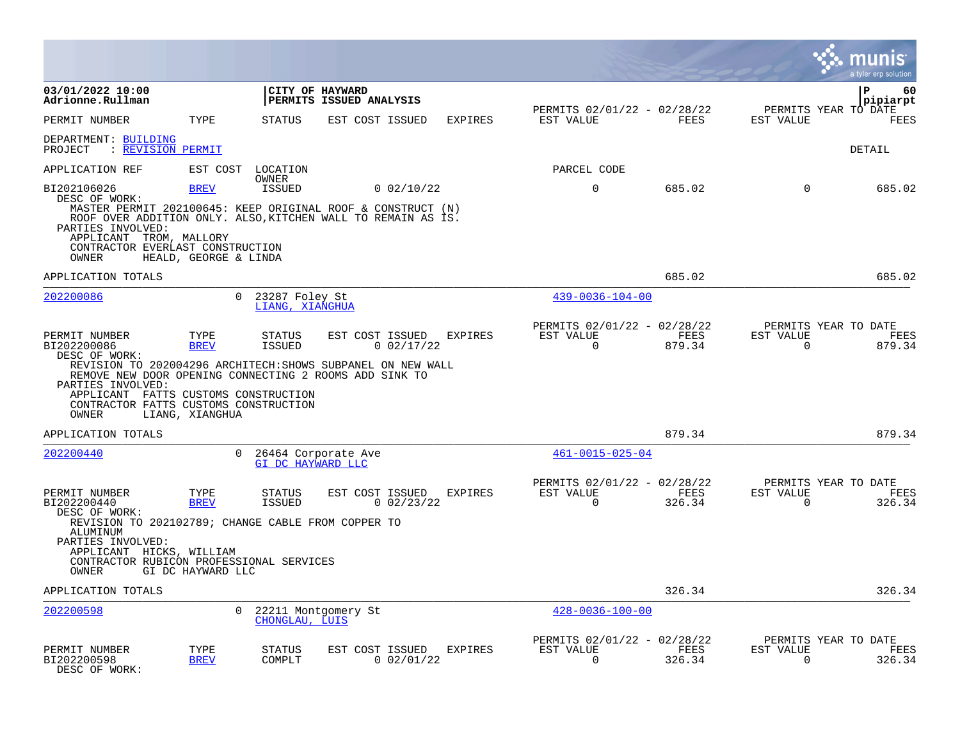|                                                                                                                                                                                                                                     |                       |                                   |                                            |              |                |                                                         |                |                          | munis<br>a tyler erp solution          |
|-------------------------------------------------------------------------------------------------------------------------------------------------------------------------------------------------------------------------------------|-----------------------|-----------------------------------|--------------------------------------------|--------------|----------------|---------------------------------------------------------|----------------|--------------------------|----------------------------------------|
| 03/01/2022 10:00<br>Adrionne.Rullman                                                                                                                                                                                                |                       |                                   | CITY OF HAYWARD<br>PERMITS ISSUED ANALYSIS |              |                |                                                         |                |                          | $\mathbf{P}$<br>60<br>pipiarpt         |
| PERMIT NUMBER                                                                                                                                                                                                                       | TYPE                  | <b>STATUS</b>                     | EST COST ISSUED                            |              | EXPIRES        | PERMITS 02/01/22 - 02/28/22<br>EST VALUE                | FEES           | EST VALUE                | PERMITS YEAR TO DATE<br><b>FEES</b>    |
| DEPARTMENT: BUILDING<br>: REVISION PERMIT<br>PROJECT                                                                                                                                                                                |                       |                                   |                                            |              |                |                                                         |                |                          | DETAIL                                 |
| APPLICATION REF                                                                                                                                                                                                                     | EST COST              | LOCATION                          |                                            |              |                | PARCEL CODE                                             |                |                          |                                        |
| BI202106026<br>DESC OF WORK:<br>MASTER PERMIT 202100645: KEEP ORIGINAL ROOF & CONSTRUCT (N)<br>ROOF OVER ADDITION ONLY. ALSO, KITCHEN WALL TO REMAIN AS IS.<br>PARTIES INVOLVED:                                                    | <b>BREV</b>           | OWNER<br><b>ISSUED</b>            |                                            | 0.02/10/22   |                | $\mathbf 0$                                             | 685.02         | $\Omega$                 | 685.02                                 |
| APPLICANT TROM, MALLORY<br>CONTRACTOR EVERLAST CONSTRUCTION<br>OWNER                                                                                                                                                                | HEALD, GEORGE & LINDA |                                   |                                            |              |                |                                                         |                |                          |                                        |
| APPLICATION TOTALS                                                                                                                                                                                                                  |                       |                                   |                                            |              |                |                                                         | 685.02         |                          | 685.02                                 |
| 202200086                                                                                                                                                                                                                           | $\Omega$              | 23287 Foley St<br>LIANG, XIANGHUA |                                            |              |                | $439 - 0036 - 104 - 00$                                 |                |                          |                                        |
| PERMIT NUMBER<br>BI202200086<br>DESC OF WORK:<br>REVISION TO 202004296 ARCHITECH: SHOWS SUBPANEL ON NEW WALL<br>REMOVE NEW DOOR OPENING CONNECTING 2 ROOMS ADD SINK TO<br>PARTIES INVOLVED:<br>APPLICANT FATTS CUSTOMS CONSTRUCTION | TYPE<br><b>BREV</b>   | <b>STATUS</b><br><b>ISSUED</b>    | EST COST ISSUED                            | 0 02/17/22   | <b>EXPIRES</b> | PERMITS 02/01/22 - 02/28/22<br>EST VALUE<br>$\Omega$    | FEES<br>879.34 | EST VALUE<br>$\Omega$    | PERMITS YEAR TO DATE<br>FEES<br>879.34 |
| CONTRACTOR FATTS CUSTOMS CONSTRUCTION<br>OWNER                                                                                                                                                                                      | LIANG, XIANGHUA       |                                   |                                            |              |                |                                                         |                |                          |                                        |
| APPLICATION TOTALS                                                                                                                                                                                                                  |                       |                                   |                                            |              |                |                                                         | 879.34         |                          | 879.34                                 |
| 202200440                                                                                                                                                                                                                           | $\cap$                | GI DC HAYWARD LLC                 | 26464 Corporate Ave                        |              |                | $461 - 0015 - 025 - 04$                                 |                |                          |                                        |
| PERMIT NUMBER<br>BI202200440<br>DESC OF WORK:                                                                                                                                                                                       | TYPE<br><b>BREV</b>   | STATUS<br><b>ISSUED</b>           | EST COST ISSUED                            | 0.02/23/22   | <b>EXPIRES</b> | PERMITS 02/01/22 - 02/28/22<br>EST VALUE<br>$\mathbf 0$ | FEES<br>326.34 | EST VALUE<br>$\mathbf 0$ | PERMITS YEAR TO DATE<br>FEES<br>326.34 |
| REVISION TO 202102789; CHANGE CABLE FROM COPPER TO<br>ALUMINUM<br>PARTIES INVOLVED:<br>APPLICANT HICKS, WILLIAM<br>CONTRACTOR RUBICON PROFESSIONAL SERVICES<br>OWNER                                                                | GI DC HAYWARD LLC     |                                   |                                            |              |                |                                                         |                |                          |                                        |
| APPLICATION TOTALS                                                                                                                                                                                                                  |                       |                                   |                                            |              |                |                                                         | 326.34         |                          | 326.34                                 |
| 202200598                                                                                                                                                                                                                           | $\Omega$              | CHONGLAU, LUIS                    | 22211 Montgomery St                        |              |                | $428 - 0036 - 100 - 00$                                 |                |                          |                                        |
| PERMIT NUMBER<br>BI202200598<br>DESC OF WORK:                                                                                                                                                                                       | TYPE<br><b>BREV</b>   | STATUS<br>COMPLT                  | EST COST ISSUED                            | $0$ 02/01/22 | <b>EXPIRES</b> | PERMITS 02/01/22 - 02/28/22<br>EST VALUE<br>$\Omega$    | FEES<br>326.34 | EST VALUE<br>$\Omega$    | PERMITS YEAR TO DATE<br>FEES<br>326.34 |

 $\bullet$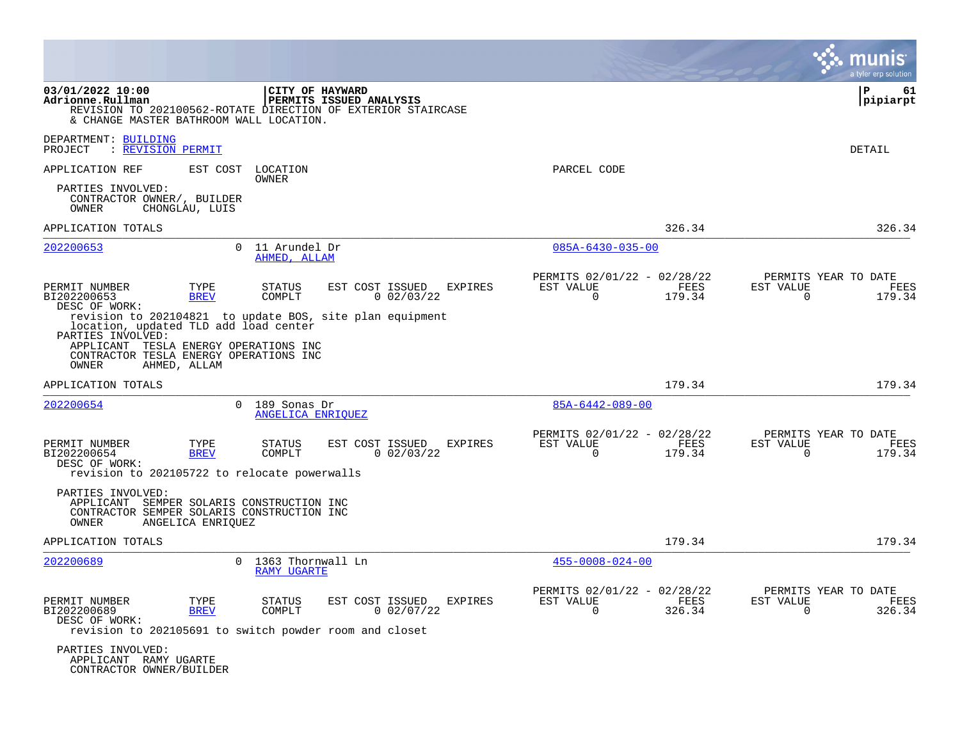|                                                                                                                                                        |                     |                                           |                         |                                 |                |                                                         |                |                          | a tyler erp solutior                   |
|--------------------------------------------------------------------------------------------------------------------------------------------------------|---------------------|-------------------------------------------|-------------------------|---------------------------------|----------------|---------------------------------------------------------|----------------|--------------------------|----------------------------------------|
| 03/01/2022 10:00<br>Adrionne.Rullman<br>REVISION TO 202100562-ROTATE DIRECTION OF EXTERIOR STAIRCASE<br>& CHANGE MASTER BATHROOM WALL LOCATION.        |                     | CITY OF HAYWARD                           | PERMITS ISSUED ANALYSIS |                                 |                |                                                         |                |                          | l P<br>61<br> pipiarpt                 |
| DEPARTMENT: BUILDING<br>: REVISION PERMIT<br>PROJECT                                                                                                   |                     |                                           |                         |                                 |                |                                                         |                |                          | DETAIL                                 |
| APPLICATION REF                                                                                                                                        |                     | EST COST LOCATION<br><b>OWNER</b>         |                         |                                 |                | PARCEL CODE                                             |                |                          |                                        |
| PARTIES INVOLVED:<br>CONTRACTOR OWNER/, BUILDER<br>OWNER                                                                                               | CHONGLAU, LUIS      |                                           |                         |                                 |                |                                                         |                |                          |                                        |
| APPLICATION TOTALS                                                                                                                                     |                     |                                           |                         |                                 |                |                                                         | 326.34         |                          | 326.34                                 |
| 202200653                                                                                                                                              |                     | 0 11 Arundel Dr<br>AHMED, ALLAM           |                         |                                 |                | $085A - 6430 - 035 - 00$                                |                |                          |                                        |
| PERMIT NUMBER<br>BI202200653<br>DESC OF WORK:<br>revision to 202104821 to update BOS, site plan equipment                                              | TYPE<br><b>BREV</b> | <b>STATUS</b><br>COMPLT                   |                         | EST COST ISSUED<br>0.02/03/22   | EXPIRES        | PERMITS 02/01/22 - 02/28/22<br>EST VALUE<br>$\Omega$    | FEES<br>179.34 | EST VALUE<br>$\mathbf 0$ | PERMITS YEAR TO DATE<br>FEES<br>179.34 |
| location, updated TLD add load center<br>PARTIES INVOLVED:<br>APPLICANT TESLA ENERGY OPERATIONS INC<br>CONTRACTOR TESLA ENERGY OPERATIONS INC<br>OWNER | AHMED, ALLAM        |                                           |                         |                                 |                |                                                         |                |                          |                                        |
| APPLICATION TOTALS                                                                                                                                     |                     |                                           |                         |                                 |                |                                                         | 179.34         |                          | 179.34                                 |
| 202200654                                                                                                                                              | $\Omega$            | 189 Sonas Dr<br>ANGELICA ENRIOUEZ         |                         |                                 |                | 85A-6442-089-00                                         |                |                          |                                        |
| PERMIT NUMBER<br>BI202200654<br>DESC OF WORK:<br>revision to 202105722 to relocate powerwalls                                                          | TYPE<br><b>BREV</b> | <b>STATUS</b><br>COMPLT                   |                         | EST COST ISSUED<br>$0$ 02/03/22 | <b>EXPIRES</b> | PERMITS 02/01/22 - 02/28/22<br>EST VALUE<br>$\mathbf 0$ | FEES<br>179.34 | EST VALUE<br>$\mathbf 0$ | PERMITS YEAR TO DATE<br>FEES<br>179.34 |
| PARTIES INVOLVED:<br>APPLICANT SEMPER SOLARIS CONSTRUCTION INC<br>CONTRACTOR SEMPER SOLARIS CONSTRUCTION INC<br>OWNER                                  | ANGELICA ENRIQUEZ   |                                           |                         |                                 |                |                                                         |                |                          |                                        |
| APPLICATION TOTALS                                                                                                                                     |                     |                                           |                         |                                 |                |                                                         | 179.34         |                          | 179.34                                 |
| 202200689                                                                                                                                              |                     | 0 1363 Thornwall Ln<br><b>RAMY UGARTE</b> |                         |                                 |                | $455 - 0008 - 024 - 00$                                 |                |                          |                                        |
| PERMIT NUMBER<br>BI202200689<br>DESC OF WORK:<br>revision to 202105691 to switch powder room and closet                                                | TYPE<br><b>BREV</b> | STATUS<br>COMPLT                          |                         | EST COST ISSUED<br>0.02/07/22   | EXPIRES        | PERMITS 02/01/22 - 02/28/22<br>EST VALUE<br>0           | FEES<br>326.34 | EST VALUE<br>$\Omega$    | PERMITS YEAR TO DATE<br>FEES<br>326.34 |
| PARTIES INVOLVED:<br>APPLICANT RAMY UGARTE<br>CONTRACTOR OWNER/BUILDER                                                                                 |                     |                                           |                         |                                 |                |                                                         |                |                          |                                        |

 $\mathcal{L}^{\text{max}}$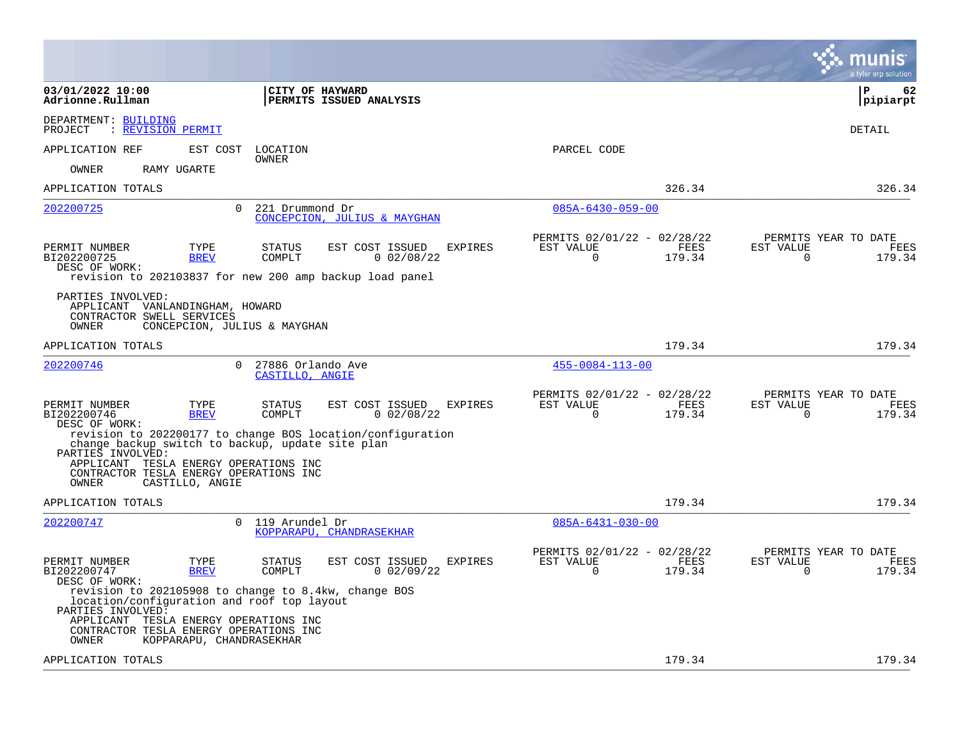|                                                                                                                                                                                                                                                          |                                                                           | a tyler erp solution                                                   |
|----------------------------------------------------------------------------------------------------------------------------------------------------------------------------------------------------------------------------------------------------------|---------------------------------------------------------------------------|------------------------------------------------------------------------|
| 03/01/2022 10:00<br>CITY OF HAYWARD<br>Adrionne.Rullman<br>PERMITS ISSUED ANALYSIS                                                                                                                                                                       |                                                                           | l P<br>62<br> pipiarpt                                                 |
| DEPARTMENT: BUILDING<br>PROJECT<br>: REVISION PERMIT                                                                                                                                                                                                     |                                                                           | DETAIL                                                                 |
| APPLICATION REF<br>EST COST<br>LOCATION<br>OWNER                                                                                                                                                                                                         | PARCEL CODE                                                               |                                                                        |
| RAMY UGARTE<br>OWNER                                                                                                                                                                                                                                     |                                                                           |                                                                        |
| APPLICATION TOTALS                                                                                                                                                                                                                                       | 326.34                                                                    | 326.34                                                                 |
| 202200725<br>$\Omega$<br>221 Drummond Dr<br>CONCEPCION, JULIUS & MAYGHAN                                                                                                                                                                                 | $085A - 6430 - 059 - 00$                                                  |                                                                        |
| PERMIT NUMBER<br>TYPE<br><b>STATUS</b><br>EST COST ISSUED<br><b>EXPIRES</b><br>BI202200725<br>COMPLT<br>$0$ 02/08/22<br><b>BREV</b><br>DESC OF WORK:<br>revision to 202103837 for new 200 amp backup load panel                                          | PERMITS 02/01/22 - 02/28/22<br>EST VALUE<br>FEES<br>179.34<br>$\mathbf 0$ | PERMITS YEAR TO DATE<br>EST VALUE<br><b>FEES</b><br>$\Omega$<br>179.34 |
| PARTIES INVOLVED:<br>APPLICANT VANLANDINGHAM, HOWARD<br>CONTRACTOR SWELL SERVICES<br>OWNER<br>CONCEPCION, JULIUS & MAYGHAN                                                                                                                               |                                                                           |                                                                        |
| APPLICATION TOTALS                                                                                                                                                                                                                                       | 179.34                                                                    | 179.34                                                                 |
| $\Omega$<br>27886 Orlando Ave<br>202200746<br>CASTILLO, ANGIE                                                                                                                                                                                            | $455 - 0084 - 113 - 00$                                                   |                                                                        |
| EST COST ISSUED<br>PERMIT NUMBER<br>TYPE<br>STATUS<br>EXPIRES<br>$0$ 02/08/22<br>BI202200746<br><b>BREV</b><br>COMPLT<br>DESC OF WORK:<br>revision to 202200177 to change BOS location/configuration<br>change backup switch to backup, update site plan | PERMITS 02/01/22 - 02/28/22<br>EST VALUE<br>FEES<br>179.34<br>0           | PERMITS YEAR TO DATE<br>EST VALUE<br>FEES<br>179.34<br>$\Omega$        |
| PARTIES INVOLVED:<br>APPLICANT TESLA ENERGY OPERATIONS INC<br>CONTRACTOR TESLA ENERGY OPERATIONS INC<br>OWNER<br>CASTILLO, ANGIE                                                                                                                         |                                                                           |                                                                        |
| APPLICATION TOTALS                                                                                                                                                                                                                                       | 179.34                                                                    | 179.34                                                                 |
| 202200747<br>119 Arundel Dr<br>$\Omega$<br>KOPPARAPU, CHANDRASEKHAR                                                                                                                                                                                      | $085A - 6431 - 030 - 00$                                                  |                                                                        |
| TYPE<br>EST COST ISSUED<br>PERMIT NUMBER<br><b>STATUS</b><br>EXPIRES<br><b>BREV</b><br>BI202200747<br>COMPLT<br>$0$ 02/09/22<br>DESC OF WORK:<br>revision to 202105908 to change to 8.4kw, change BOS<br>location/configuration and roof top layout      | PERMITS 02/01/22 - 02/28/22<br>EST VALUE<br>FEES<br>179.34<br>$\Omega$    | PERMITS YEAR TO DATE<br>EST VALUE<br>FEES<br>179.34<br>$\Omega$        |
| PARTIES INVOLVED:<br>APPLICANT TESLA ENERGY OPERATIONS INC<br>CONTRACTOR TESLA ENERGY OPERATIONS INC<br>KOPPARAPU, CHANDRASEKHAR<br>OWNER                                                                                                                |                                                                           |                                                                        |
| APPLICATION TOTALS                                                                                                                                                                                                                                       | 179.34                                                                    | 179.34                                                                 |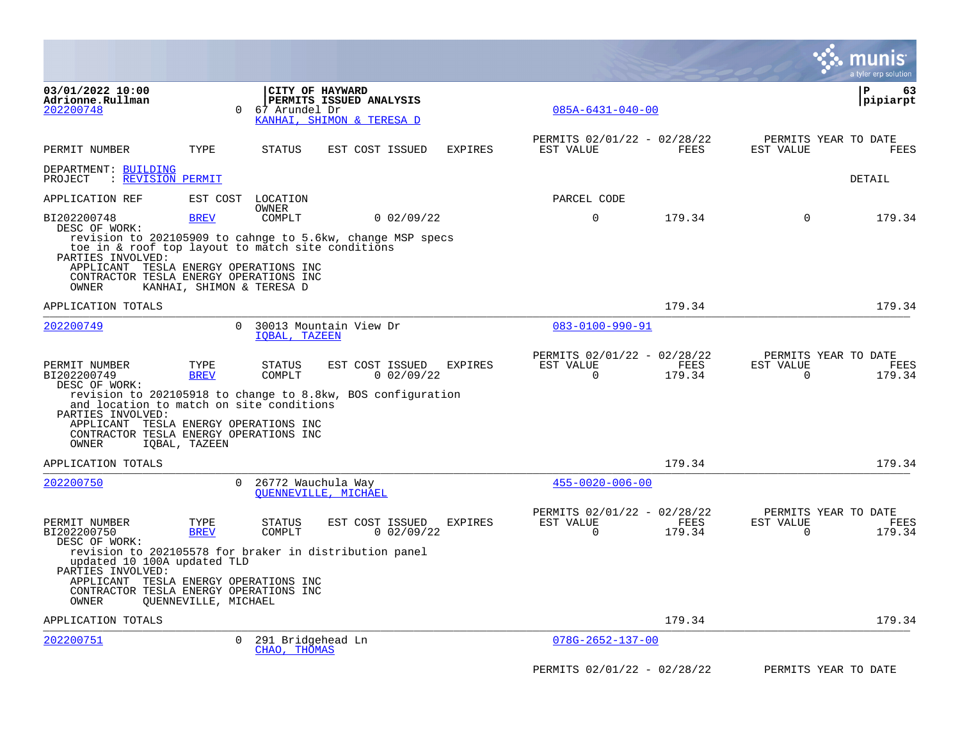|                                                                                                                                                                    |                           |                                   |                                                                                              |                |                                                      |                |                       | <b>IS</b><br>a tyler erp solutior      |
|--------------------------------------------------------------------------------------------------------------------------------------------------------------------|---------------------------|-----------------------------------|----------------------------------------------------------------------------------------------|----------------|------------------------------------------------------|----------------|-----------------------|----------------------------------------|
| 03/01/2022 10:00<br>Adrionne.Rullman<br>202200748                                                                                                                  | $\Omega$                  | CITY OF HAYWARD<br>67 Arundel Dr  | PERMITS ISSUED ANALYSIS<br>KANHAI, SHIMON & TERESA D                                         |                | $085A - 6431 - 040 - 00$                             |                |                       | ∣ P<br>63<br> pipiarpt                 |
| PERMIT NUMBER                                                                                                                                                      | TYPE                      | STATUS                            | EST COST ISSUED                                                                              | <b>EXPIRES</b> | PERMITS 02/01/22 - 02/28/22<br>EST VALUE             | FEES           | EST VALUE             | PERMITS YEAR TO DATE<br>FEES           |
| DEPARTMENT: BUILDING<br>: REVISION PERMIT<br>PROJECT                                                                                                               |                           |                                   |                                                                                              |                |                                                      |                |                       | DETAIL                                 |
| APPLICATION REF                                                                                                                                                    |                           | EST COST LOCATION                 |                                                                                              |                | PARCEL CODE                                          |                |                       |                                        |
| BI202200748<br>DESC OF WORK:                                                                                                                                       | <b>BREV</b>               | <b>OWNER</b><br>COMPLT            | $0$ 02/09/22                                                                                 |                | $\mathbf 0$                                          | 179.34         | $\mathbf 0$           | 179.34                                 |
| toe in & roof top layout to match site conditions<br>PARTIES INVOLVED:<br>APPLICANT TESLA ENERGY OPERATIONS INC<br>CONTRACTOR TESLA ENERGY OPERATIONS INC<br>OWNER | KANHAI, SHIMON & TERESA D |                                   | revision to 202105909 to cahnge to 5.6kw, change MSP specs                                   |                |                                                      |                |                       |                                        |
| APPLICATION TOTALS                                                                                                                                                 |                           |                                   |                                                                                              |                |                                                      | 179.34         |                       | 179.34                                 |
| 202200749                                                                                                                                                          | $\Omega$                  | IQBAL, TAZEEN                     | 30013 Mountain View Dr                                                                       |                | $083 - 0100 - 990 - 91$                              |                |                       |                                        |
| PERMIT NUMBER<br>BI202200749<br>DESC OF WORK:                                                                                                                      | TYPE<br><b>BREV</b>       | <b>STATUS</b><br>COMPLT           | EST COST ISSUED<br>0.02/09/22<br>revision to 202105918 to change to 8.8kw, BOS configuration | EXPIRES        | PERMITS 02/01/22 - 02/28/22<br>EST VALUE<br>$\Omega$ | FEES<br>179.34 | EST VALUE<br>$\Omega$ | PERMITS YEAR TO DATE<br>FEES<br>179.34 |
| and location to match on site conditions<br>PARTIES INVOLVED:<br>APPLICANT TESLA ENERGY OPERATIONS INC<br>CONTRACTOR TESLA ENERGY OPERATIONS INC<br>OWNER          | IQBAL, TAZEEN             |                                   |                                                                                              |                |                                                      |                |                       |                                        |
| APPLICATION TOTALS                                                                                                                                                 |                           |                                   |                                                                                              |                |                                                      | 179.34         |                       | 179.34                                 |
| 202200750                                                                                                                                                          | $\Omega$                  | 26772 Wauchula Way                | OUENNEVILLE, MICHAEL                                                                         |                | $455 - 0020 - 006 - 00$                              |                |                       |                                        |
| PERMIT NUMBER<br>BI202200750<br>DESC OF WORK:                                                                                                                      | TYPE<br><b>BREV</b>       | <b>STATUS</b><br>COMPLT           | EST COST ISSUED<br>$0$ 02/09/22                                                              | EXPIRES        | PERMITS 02/01/22 - 02/28/22<br>EST VALUE<br>0        | FEES<br>179.34 | EST VALUE<br>0        | PERMITS YEAR TO DATE<br>FEES<br>179.34 |
| updated 10 100A updated TLD<br>PARTIES INVOLVED:<br>APPLICANT TESLA ENERGY OPERATIONS INC<br>CONTRACTOR TESLA ENERGY OPERATIONS INC<br>OWNER                       | QUENNEVILLE, MICHAEL      |                                   | revision to 202105578 for braker in distribution panel                                       |                |                                                      |                |                       |                                        |
| APPLICATION TOTALS                                                                                                                                                 |                           |                                   |                                                                                              |                |                                                      | 179.34         |                       | 179.34                                 |
| 202200751                                                                                                                                                          | $\overline{0}$            | 291 Bridgehead Ln<br>CHAO, THOMAS |                                                                                              |                | $078G - 2652 - 137 - 00$                             |                |                       |                                        |
|                                                                                                                                                                    |                           |                                   |                                                                                              |                | PERMITS 02/01/22 - 02/28/22                          |                |                       | PERMITS YEAR TO DATE                   |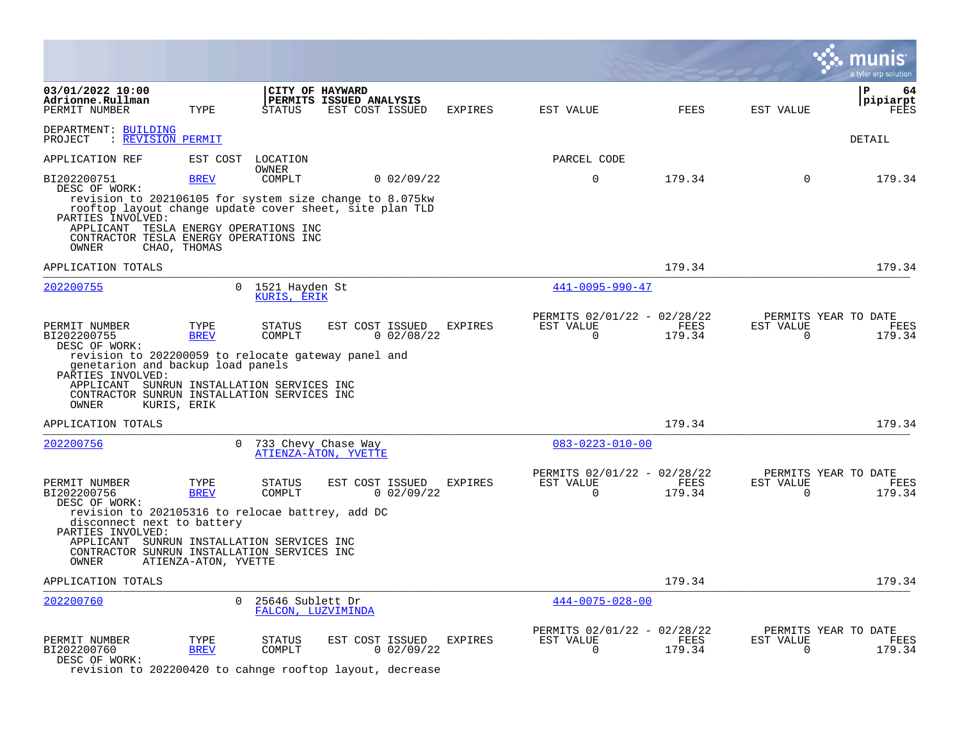|                                                                                                                                                                                                                                                                      |                                             |                                        |                                                               |              |                |                                                         |                |                          | a tyler erp solution                          |
|----------------------------------------------------------------------------------------------------------------------------------------------------------------------------------------------------------------------------------------------------------------------|---------------------------------------------|----------------------------------------|---------------------------------------------------------------|--------------|----------------|---------------------------------------------------------|----------------|--------------------------|-----------------------------------------------|
| 03/01/2022 10:00<br>Adrionne.Rullman<br>PERMIT NUMBER                                                                                                                                                                                                                | TYPE                                        | <b>STATUS</b>                          | CITY OF HAYWARD<br>PERMITS ISSUED ANALYSIS<br>EST COST ISSUED |              | <b>EXPIRES</b> | EST VALUE                                               | <b>FEES</b>    | EST VALUE                | $\mathbf{P}$<br>64<br>pipiarpt<br>FEES        |
| DEPARTMENT: BUILDING<br>: REVISION PERMIT<br>PROJECT                                                                                                                                                                                                                 |                                             |                                        |                                                               |              |                |                                                         |                |                          | DETAIL                                        |
| APPLICATION REF                                                                                                                                                                                                                                                      | EST COST                                    | LOCATION<br>OWNER                      |                                                               |              |                | PARCEL CODE                                             |                |                          |                                               |
| BI202200751<br>DESC OF WORK:<br>revision to 202106105 for system size change to 8.075kw<br>rooftop layout change update cover sheet, site plan TLD<br>PARTIES INVOLVED:<br>APPLICANT TESLA ENERGY OPERATIONS INC<br>CONTRACTOR TESLA ENERGY OPERATIONS INC           | <b>BREV</b>                                 | COMPLT                                 |                                                               | $0$ 02/09/22 |                | $\mathbf 0$                                             | 179.34         | $\Omega$                 | 179.34                                        |
| OWNER                                                                                                                                                                                                                                                                | CHAO, THOMAS                                |                                        |                                                               |              |                |                                                         |                |                          |                                               |
| APPLICATION TOTALS                                                                                                                                                                                                                                                   |                                             |                                        |                                                               |              |                |                                                         | 179.34         |                          | 179.34                                        |
| 202200755                                                                                                                                                                                                                                                            | $\Omega$                                    | 1521 Hayden St<br>KURIS, ERIK          |                                                               |              |                | $441 - 0095 - 990 - 47$                                 |                |                          |                                               |
| PERMIT NUMBER<br>BI202200755<br>DESC OF WORK:<br>revision to 202200059 to relocate gateway panel and<br>genetarion and backup load panels<br>PARTIES INVOLVED:<br>APPLICANT SUNRUN INSTALLATION SERVICES INC<br>CONTRACTOR SUNRUN INSTALLATION SERVICES INC<br>OWNER | TYPE<br><b>BREV</b><br>KURIS, ERIK          | STATUS<br>COMPLT                       | EST COST ISSUED                                               | $0$ 02/08/22 | <b>EXPIRES</b> | PERMITS 02/01/22 - 02/28/22<br>EST VALUE<br>$\Omega$    | FEES<br>179.34 | EST VALUE<br>$\Omega$    | PERMITS YEAR TO DATE<br><b>FEES</b><br>179.34 |
| APPLICATION TOTALS                                                                                                                                                                                                                                                   |                                             |                                        |                                                               |              |                |                                                         | 179.34         |                          | 179.34                                        |
| 202200756                                                                                                                                                                                                                                                            | $\Omega$                                    |                                        | 733 Chevy Chase Way<br>ATIENZA-ATON, YVETTE                   |              |                | $083 - 0223 - 010 - 00$                                 |                |                          |                                               |
| PERMIT NUMBER<br>BI202200756<br>DESC OF WORK:<br>revision to 202105316 to relocae battrey, add DC<br>disconnect next to battery<br>PARTIES INVOLVED:<br>APPLICANT SUNRUN INSTALLATION SERVICES INC<br>CONTRACTOR SUNRUN INSTALLATION SERVICES INC<br>OWNER           | TYPE<br><b>BREV</b><br>ATIENZA-ATON, YVETTE | STATUS<br>COMPLT                       | EST COST ISSUED                                               | 0.02/09/22   | <b>EXPIRES</b> | PERMITS 02/01/22 - 02/28/22<br>EST VALUE<br>$\mathbf 0$ | FEES<br>179.34 | EST VALUE<br>$\mathbf 0$ | PERMITS YEAR TO DATE<br>FEES<br>179.34        |
| APPLICATION TOTALS                                                                                                                                                                                                                                                   |                                             |                                        |                                                               |              |                |                                                         | 179.34         |                          | 179.34                                        |
| 202200760                                                                                                                                                                                                                                                            | $\Omega$                                    | 25646 Sublett Dr<br>FALCON, LUZVIMINDA |                                                               |              |                | $444 - 0075 - 028 - 00$                                 |                |                          |                                               |
| PERMIT NUMBER<br>BI202200760<br>DESC OF WORK:<br>revision to 202200420 to cahnge rooftop layout, decrease                                                                                                                                                            | TYPE<br><b>BREV</b>                         | <b>STATUS</b><br>COMPLT                | EST COST ISSUED                                               | 0.02/09/22   | <b>EXPIRES</b> | PERMITS 02/01/22 - 02/28/22<br>EST VALUE<br>0           | FEES<br>179.34 | EST VALUE<br>0           | PERMITS YEAR TO DATE<br>FEES<br>179.34        |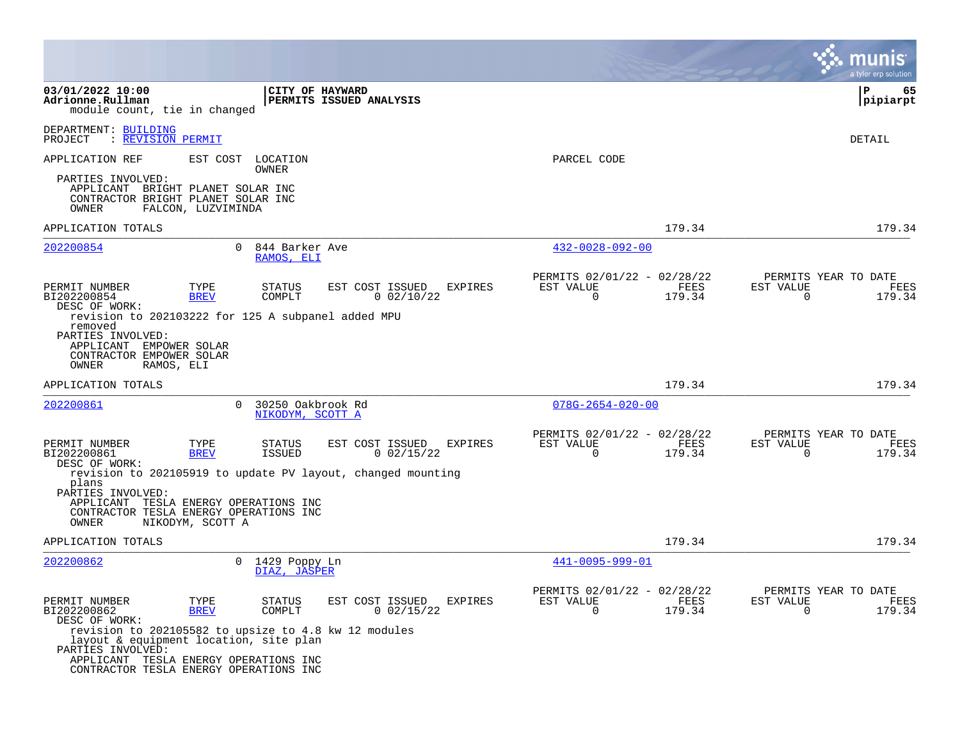|                                                                                                                                                                                                        |                     |                                       |                                                             |                                                          |                |                                                   | a tyler erp solution |
|--------------------------------------------------------------------------------------------------------------------------------------------------------------------------------------------------------|---------------------|---------------------------------------|-------------------------------------------------------------|----------------------------------------------------------|----------------|---------------------------------------------------|----------------------|
| 03/01/2022 10:00<br>Adrionne.Rullman<br>module count, tie in changed                                                                                                                                   |                     | <b>CITY OF HAYWARD</b>                | PERMITS ISSUED ANALYSIS                                     |                                                          |                |                                                   | P<br>65<br> pipiarpt |
| DEPARTMENT: BUILDING<br>: REVISION PERMIT<br>PROJECT                                                                                                                                                   |                     |                                       |                                                             |                                                          |                |                                                   | DETAIL               |
| APPLICATION REF                                                                                                                                                                                        | EST COST            | LOCATION<br>OWNER                     |                                                             | PARCEL CODE                                              |                |                                                   |                      |
| PARTIES INVOLVED:<br>APPLICANT BRIGHT PLANET SOLAR INC<br>CONTRACTOR BRIGHT PLANET SOLAR INC<br>OWNER                                                                                                  | FALCON, LUZVIMINDA  |                                       |                                                             |                                                          |                |                                                   |                      |
| APPLICATION TOTALS                                                                                                                                                                                     |                     |                                       |                                                             |                                                          | 179.34         |                                                   | 179.34               |
| 202200854                                                                                                                                                                                              |                     | 0 844 Barker Ave<br>RAMOS, ELI        |                                                             | $432 - 0028 - 092 - 00$                                  |                |                                                   |                      |
| PERMIT NUMBER<br>BI202200854<br>DESC OF WORK:                                                                                                                                                          | TYPE<br><b>BREV</b> | STATUS<br>COMPLT                      | EST COST ISSUED<br>EXPIRES<br>$0$ 02/10/22                  | PERMITS 02/01/22 - 02/28/22<br>EST VALUE<br>$\Omega$     | FEES<br>179.34 | PERMITS YEAR TO DATE<br>EST VALUE<br>$\Omega$     | FEES<br>179.34       |
| revision to 202103222 for 125 A subpanel added MPU<br>removed<br>PARTIES INVOLVED:<br>APPLICANT EMPOWER SOLAR<br>CONTRACTOR EMPOWER SOLAR<br>OWNER<br>RAMOS, ELI                                       |                     |                                       |                                                             |                                                          |                |                                                   |                      |
| APPLICATION TOTALS                                                                                                                                                                                     |                     |                                       |                                                             |                                                          | 179.34         |                                                   | 179.34               |
| 202200861                                                                                                                                                                                              | $\Omega$            | 30250 Oakbrook Rd<br>NIKODYM, SCOTT A |                                                             | $078G - 2654 - 020 - 00$                                 |                |                                                   |                      |
| PERMIT NUMBER<br>BI202200861<br>DESC OF WORK:                                                                                                                                                          | TYPE<br><b>BREV</b> | STATUS<br>ISSUED                      | EST COST ISSUED<br>EXPIRES<br>$0$ 02/15/22                  | PERMITS 02/01/22 - 02/28/22<br>EST VALUE<br>$\mathbf 0$  | FEES<br>179.34 | PERMITS YEAR TO DATE<br>EST VALUE<br>$\Omega$     | FEES<br>179.34       |
| plans<br>PARTIES INVOLVED:<br>APPLICANT TESLA ENERGY OPERATIONS INC<br>CONTRACTOR TESLA ENERGY OPERATIONS INC<br>OWNER                                                                                 |                     |                                       | revision to 202105919 to update PV layout, changed mounting |                                                          |                |                                                   |                      |
| APPLICATION TOTALS                                                                                                                                                                                     | NIKODYM, SCOTT A    |                                       |                                                             |                                                          | 179.34         |                                                   | 179.34               |
| 202200862                                                                                                                                                                                              |                     | 0 1429 Poppy Ln<br>DIAZ, JASPER       |                                                             | 441-0095-999-01                                          |                |                                                   |                      |
| PERMIT NUMBER<br>BI202200862<br>DESC OF WORK:                                                                                                                                                          | TYPE<br><b>BREV</b> | STATUS<br>COMPLT                      | EST COST ISSUED<br>EXPIRES<br>$0\,02/15/22$                 | PERMITS 02/01/22 - 02/28/22<br>EST VALUE<br>$\mathbf{0}$ | FEES<br>179.34 | PERMITS YEAR TO DATE<br>EST VALUE<br>$\mathbf{0}$ | FEES<br>179.34       |
| revision to 202105582 to upsize to 4.8 kw 12 modules<br>layout & equipment location, site plan<br>PARTIES INVOLVED:<br>APPLICANT TESLA ENERGY OPERATIONS INC<br>CONTRACTOR TESLA ENERGY OPERATIONS INC |                     |                                       |                                                             |                                                          |                |                                                   |                      |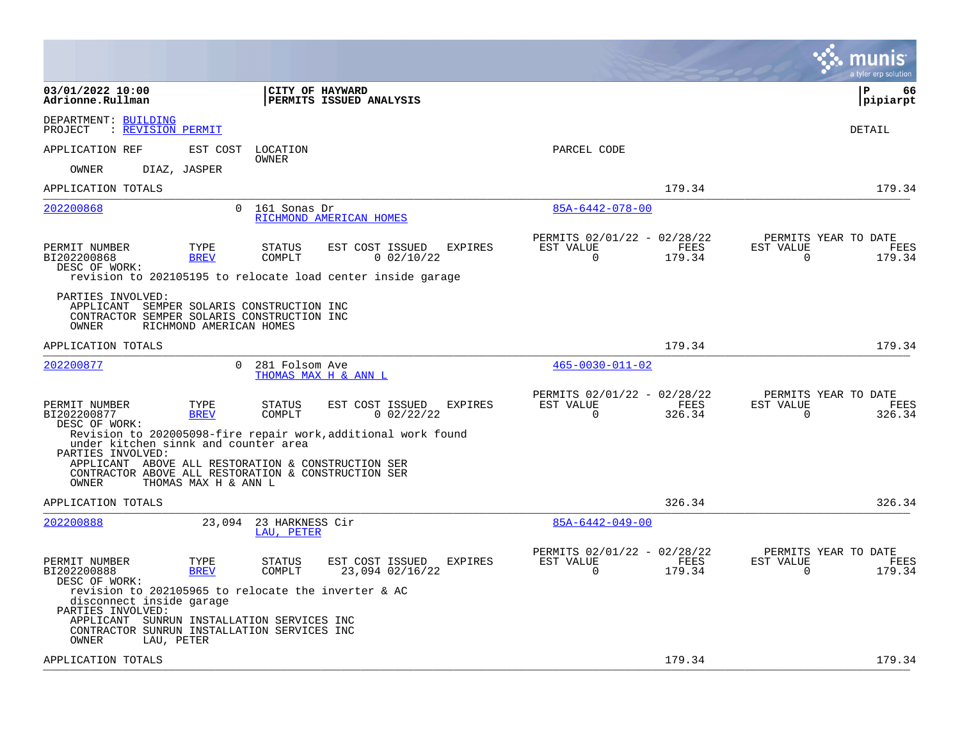|                                                                                                                                                                                                                                                                          |                                                                        | munis<br>a tyler erp solution                                   |
|--------------------------------------------------------------------------------------------------------------------------------------------------------------------------------------------------------------------------------------------------------------------------|------------------------------------------------------------------------|-----------------------------------------------------------------|
| 03/01/2022 10:00<br><b>CITY OF HAYWARD</b><br>Adrionne.Rullman<br><b>PERMITS ISSUED ANALYSIS</b>                                                                                                                                                                         |                                                                        | l P<br>66<br> pipiarpt                                          |
| DEPARTMENT: BUILDING<br><b>REVISION PERMIT</b><br>PROJECT                                                                                                                                                                                                                |                                                                        | <b>DETAIL</b>                                                   |
| APPLICATION REF<br>EST COST<br>LOCATION<br><b>OWNER</b>                                                                                                                                                                                                                  | PARCEL CODE                                                            |                                                                 |
| OWNER<br>DIAZ, JASPER                                                                                                                                                                                                                                                    |                                                                        |                                                                 |
| APPLICATION TOTALS                                                                                                                                                                                                                                                       | 179.34                                                                 | 179.34                                                          |
| 202200868<br>$\Omega$<br>161 Sonas Dr<br>RICHMOND AMERICAN HOMES                                                                                                                                                                                                         | 85A-6442-078-00                                                        |                                                                 |
| PERMIT NUMBER<br>TYPE<br>EST COST ISSUED<br><b>EXPIRES</b><br>STATUS<br>BI202200868<br><b>BREV</b><br>COMPLT<br>$0$ 02/10/22<br>DESC OF WORK:<br>revision to 202105195 to relocate load center inside garage                                                             | PERMITS 02/01/22 - 02/28/22<br>EST VALUE<br>FEES<br>$\Omega$<br>179.34 | PERMITS YEAR TO DATE<br>EST VALUE<br>FEES<br>$\Omega$<br>179.34 |
| PARTIES INVOLVED:<br>APPLICANT SEMPER SOLARIS CONSTRUCTION INC<br>CONTRACTOR SEMPER SOLARIS CONSTRUCTION INC<br>OWNER<br>RICHMOND AMERICAN HOMES                                                                                                                         |                                                                        |                                                                 |
| APPLICATION TOTALS                                                                                                                                                                                                                                                       | 179.34                                                                 | 179.34                                                          |
| $\Omega$<br>202200877<br>281 Folsom Ave<br>THOMAS MAX H & ANN L                                                                                                                                                                                                          | $465 - 0030 - 011 - 02$                                                |                                                                 |
| PERMIT NUMBER<br>TYPE<br>STATUS<br>EST COST ISSUED<br>EXPIRES<br>BI202200877<br><b>BREV</b><br>COMPLT<br>$0$ 02/22/22<br>DESC OF WORK:                                                                                                                                   | PERMITS 02/01/22 - 02/28/22<br>EST VALUE<br>FEES<br>$\Omega$<br>326.34 | PERMITS YEAR TO DATE<br>EST VALUE<br>FEES<br>$\Omega$<br>326.34 |
| Revision to 202005098-fire repair work, additional work found<br>under kitchen sinnk and counter area<br>PARTIES INVOLVED:<br>APPLICANT ABOVE ALL RESTORATION & CONSTRUCTION SER<br>CONTRACTOR ABOVE ALL RESTORATION & CONSTRUCTION SER<br>OWNER<br>THOMAS MAX H & ANN L |                                                                        |                                                                 |
| APPLICATION TOTALS                                                                                                                                                                                                                                                       | 326.34                                                                 | 326.34                                                          |
| 202200888<br>23,094 23 HARKNESS Cir<br>LAU, PETER                                                                                                                                                                                                                        | $85A-6442-049-00$                                                      |                                                                 |
| TYPE<br>EXPIRES<br>PERMIT NUMBER<br>STATUS<br>EST COST ISSUED<br>BI202200888<br><b>BREV</b><br>COMPLT<br>23,094 02/16/22<br>DESC OF WORK:                                                                                                                                | PERMITS 02/01/22 - 02/28/22<br>EST VALUE<br>FEES<br>$\Omega$<br>179.34 | PERMITS YEAR TO DATE<br>EST VALUE<br>FEES<br>$\Omega$<br>179.34 |
| revision to 202105965 to relocate the inverter & AC<br>disconnect inside garage<br>PARTIES INVOLVED:<br>APPLICANT SUNRUN INSTALLATION SERVICES INC<br>CONTRACTOR SUNRUN INSTALLATION SERVICES INC<br>LAU, PETER<br>OWNER                                                 |                                                                        |                                                                 |
| APPLICATION TOTALS                                                                                                                                                                                                                                                       | 179.34                                                                 | 179.34                                                          |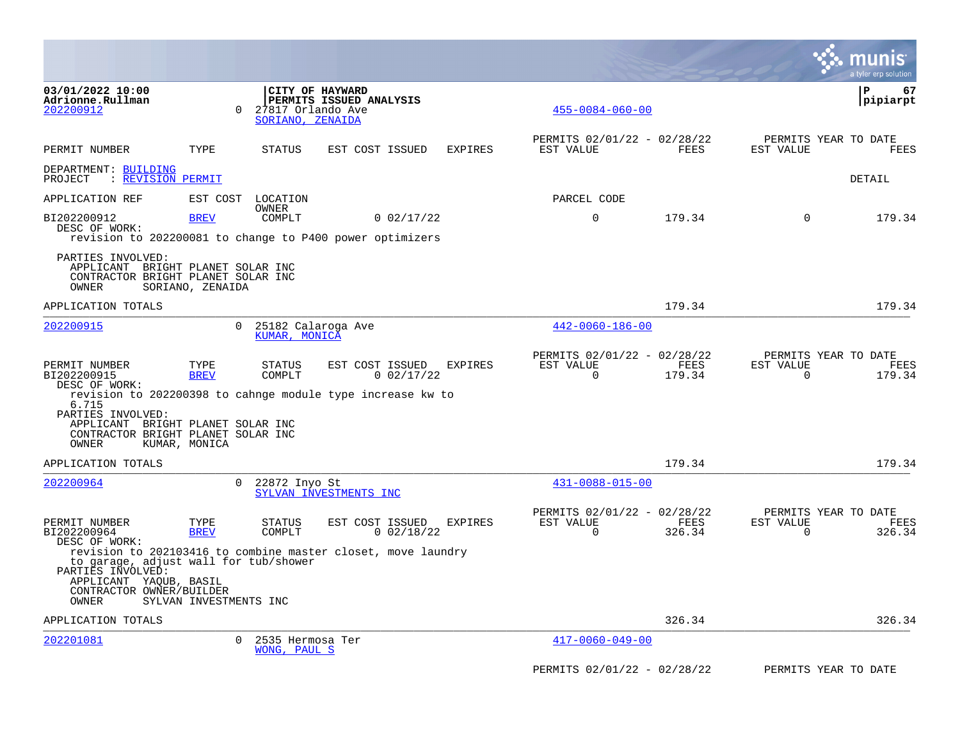|                                                                                                                           |                        |                                       |                                                                        |                |                                                      |                |                       | a tyler erp solution                   |
|---------------------------------------------------------------------------------------------------------------------------|------------------------|---------------------------------------|------------------------------------------------------------------------|----------------|------------------------------------------------------|----------------|-----------------------|----------------------------------------|
| 03/01/2022 10:00<br>Adrionne.Rullman<br>202200912                                                                         | $\Omega$               | 27817 Orlando Ave<br>SORIANO, ZENAIDA | CITY OF HAYWARD<br>PERMITS ISSUED ANALYSIS                             |                | $455 - 0084 - 060 - 00$                              |                |                       | l P<br>67<br> pipiarpt                 |
| PERMIT NUMBER                                                                                                             | TYPE                   | STATUS                                | EST COST ISSUED                                                        | <b>EXPIRES</b> | PERMITS 02/01/22 - 02/28/22<br>EST VALUE             | FEES           | EST VALUE             | PERMITS YEAR TO DATE<br>FEES           |
| DEPARTMENT: BUILDING<br>PROJECT<br>: REVISION PERMIT                                                                      |                        |                                       |                                                                        |                |                                                      |                |                       | DETAIL                                 |
| APPLICATION REF                                                                                                           |                        | EST COST LOCATION                     |                                                                        |                | PARCEL CODE                                          |                |                       |                                        |
| BI202200912<br>DESC OF WORK:                                                                                              | <b>BREV</b>            | OWNER<br>COMPLT                       | 0.02/17/22<br>revision to 202200081 to change to P400 power optimizers |                | $\mathbf 0$                                          | 179.34         | $\mathbf 0$           | 179.34                                 |
| PARTIES INVOLVED:<br>APPLICANT BRIGHT PLANET SOLAR INC<br>CONTRACTOR BRIGHT PLANET SOLAR INC<br>OWNER                     | SORIANO, ZENAIDA       |                                       |                                                                        |                |                                                      |                |                       |                                        |
| APPLICATION TOTALS                                                                                                        |                        |                                       |                                                                        |                |                                                      | 179.34         |                       | 179.34                                 |
| 202200915                                                                                                                 | $\Omega$               | 25182 Calaroga Ave<br>KUMAR, MONICA   |                                                                        |                | $442 - 0060 - 186 - 00$                              |                |                       |                                        |
| PERMIT NUMBER<br>BI202200915<br>DESC OF WORK:                                                                             | TYPE<br><b>BREV</b>    | STATUS<br>COMPLT                      | EST COST ISSUED<br>0.02/17/22                                          | <b>EXPIRES</b> | PERMITS 02/01/22 - 02/28/22<br>EST VALUE<br>$\Omega$ | FEES<br>179.34 | EST VALUE<br>$\Omega$ | PERMITS YEAR TO DATE<br>FEES<br>179.34 |
| 6.715<br>PARTIES INVOLVED:<br>APPLICANT BRIGHT PLANET SOLAR INC<br>CONTRACTOR BRIGHT PLANET SOLAR INC<br>OWNER            | KUMAR, MONICA          |                                       | revision to 202200398 to cahnge module type increase kw to             |                |                                                      |                |                       |                                        |
| APPLICATION TOTALS                                                                                                        |                        |                                       |                                                                        |                |                                                      | 179.34         |                       | 179.34                                 |
| 202200964                                                                                                                 | $\Omega$               | 22872 Inyo St                         | SYLVAN INVESTMENTS INC                                                 |                | $431 - 0088 - 015 - 00$                              |                |                       |                                        |
| PERMIT NUMBER<br>BI202200964<br>DESC OF WORK:                                                                             | TYPE<br><b>BREV</b>    | STATUS<br>COMPLT                      | EST COST ISSUED<br>$0$ 02/18/22                                        | <b>EXPIRES</b> | PERMITS 02/01/22 - 02/28/22<br>EST VALUE<br>0        | FEES<br>326.34 | EST VALUE<br>$\Omega$ | PERMITS YEAR TO DATE<br>FEES<br>326.34 |
| to garage, adjust wall for tub/shower<br>PARTIES INVOLVED:<br>APPLICANT YAQUB, BASIL<br>CONTRACTOR OWNER/BUILDER<br>OWNER | SYLVAN INVESTMENTS INC |                                       | revision to 202103416 to combine master closet, move laundry           |                |                                                      |                |                       |                                        |
| APPLICATION TOTALS                                                                                                        |                        |                                       |                                                                        |                |                                                      | 326.34         |                       | 326.34                                 |
| 202201081                                                                                                                 | $\Omega$               | 2535 Hermosa Ter<br>WONG, PAUL S      |                                                                        |                | $417 - 0060 - 049 - 00$                              |                |                       |                                        |
|                                                                                                                           |                        |                                       |                                                                        |                | PERMITS 02/01/22 - 02/28/22                          |                |                       | PERMITS YEAR TO DATE                   |

 $\mathcal{L}^{\text{max}}$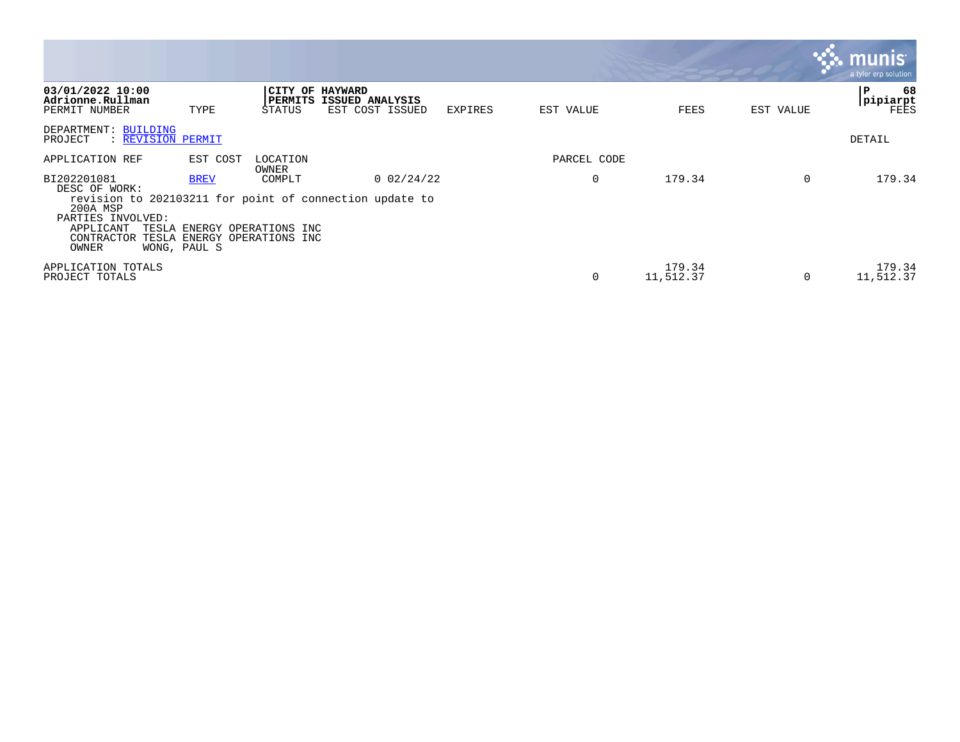|                                                                                                            |                             |                                                                |                                                                         |         |             |                     |           | munis<br>a tyler erp solution         |
|------------------------------------------------------------------------------------------------------------|-----------------------------|----------------------------------------------------------------|-------------------------------------------------------------------------|---------|-------------|---------------------|-----------|---------------------------------------|
| 03/01/2022 10:00<br>Adrionne.Rullman<br>PERMIT NUMBER                                                      | TYPE                        | CITY OF HAYWARD<br>STATUS                                      | PERMITS ISSUED ANALYSIS<br>EST COST ISSUED                              | EXPIRES | EST VALUE   | FEES                | EST VALUE | 68<br>۱P.<br> pipiarpt<br><b>FEES</b> |
| DEPARTMENT: BUILDING<br>PROJECT<br>: REVISION PERMIT                                                       |                             |                                                                |                                                                         |         |             |                     |           | DETAIL                                |
| APPLICATION REF                                                                                            | EST COST                    | LOCATION<br>OWNER                                              |                                                                         |         | PARCEL CODE |                     |           |                                       |
| BI202201081<br>DESC OF WORK:<br>200A MSP<br>PARTIES INVOLVED:<br>APPLICANT<br>TESLA<br>CONTRACTOR<br>OWNER | <b>BREV</b><br>WONG, PAUL S | COMPLT<br>ENERGY OPERATIONS INC<br>TESLA ENERGY OPERATIONS INC | $0$ 02/24/22<br>revision to 202103211 for point of connection update to |         | 0           | 179.34              | $\Omega$  | 179.34                                |
| APPLICATION TOTALS<br>PROJECT TOTALS                                                                       |                             |                                                                |                                                                         |         | 0           | 179.34<br>11,512.37 | 0         | 179.34<br>11,512.37                   |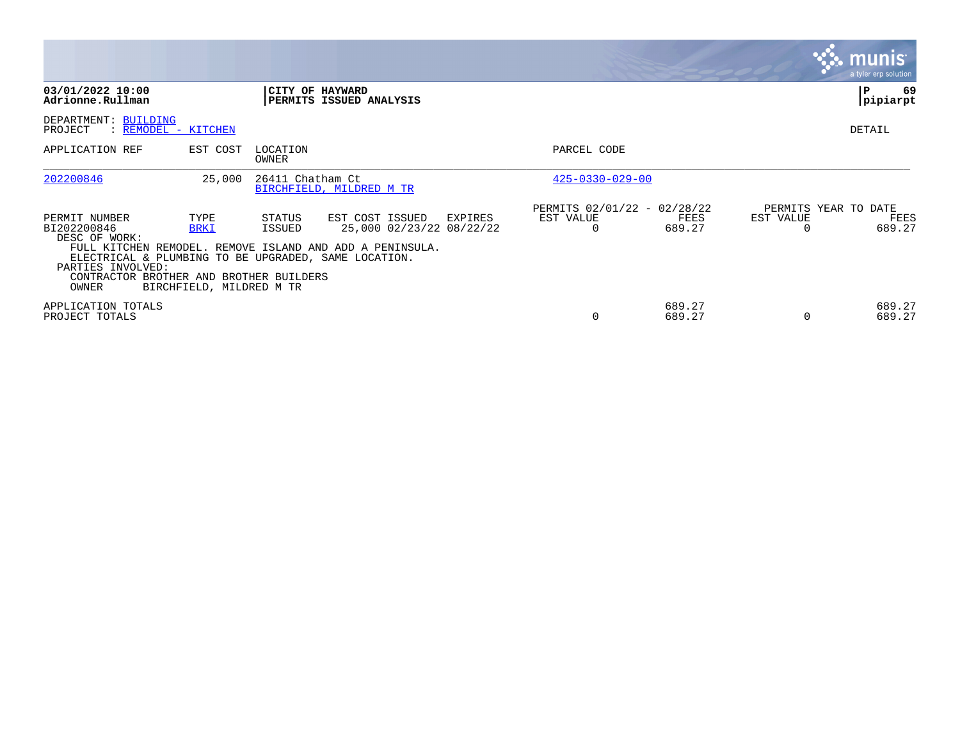|                                                                                                                                                                                |                                                 |                   |                                                                                                         |         |                                                      |                  |                       | <b>munis</b><br>a tyler erp solution   |
|--------------------------------------------------------------------------------------------------------------------------------------------------------------------------------|-------------------------------------------------|-------------------|---------------------------------------------------------------------------------------------------------|---------|------------------------------------------------------|------------------|-----------------------|----------------------------------------|
| 03/01/2022 10:00<br>Adrionne.Rullman                                                                                                                                           |                                                 |                   | CITY OF HAYWARD<br>PERMITS ISSUED ANALYSIS                                                              |         |                                                      |                  |                       | 69<br>l P<br>pipiarpt                  |
| DEPARTMENT: BUILDING<br>: REMODEL - KITCHEN<br>PROJECT                                                                                                                         |                                                 |                   |                                                                                                         |         |                                                      |                  |                       | DETAIL                                 |
| APPLICATION REF                                                                                                                                                                | EST COST                                        | LOCATION<br>OWNER |                                                                                                         |         | PARCEL CODE                                          |                  |                       |                                        |
| 202200846                                                                                                                                                                      | 25,000                                          | 26411 Chatham Ct  | BIRCHFIELD, MILDRED M TR                                                                                |         | $425 - 0330 - 029 - 00$                              |                  |                       |                                        |
| PERMIT NUMBER<br>BI202200846<br>DESC OF WORK:<br>ELECTRICAL & PLUMBING TO BE UPGRADED, SAME LOCATION.<br>PARTIES INVOLVED:<br>CONTRACTOR BROTHER AND BROTHER BUILDERS<br>OWNER | TYPE<br><b>BRKI</b><br>BIRCHFIELD, MILDRED M TR | STATUS<br>ISSUED  | EST COST ISSUED<br>25,000 02/23/22 08/22/22<br>FULL KITCHEN REMODEL. REMOVE ISLAND AND ADD A PENINSULA. | EXPIRES | PERMITS 02/01/22 - 02/28/22<br>EST VALUE<br>$\Omega$ | FEES<br>689.27   | EST VALUE<br>$\Omega$ | PERMITS YEAR TO DATE<br>FEES<br>689.27 |
| APPLICATION TOTALS<br>PROJECT TOTALS                                                                                                                                           |                                                 |                   |                                                                                                         |         | $\Omega$                                             | 689.27<br>689.27 | $\Omega$              | 689.27<br>689.27                       |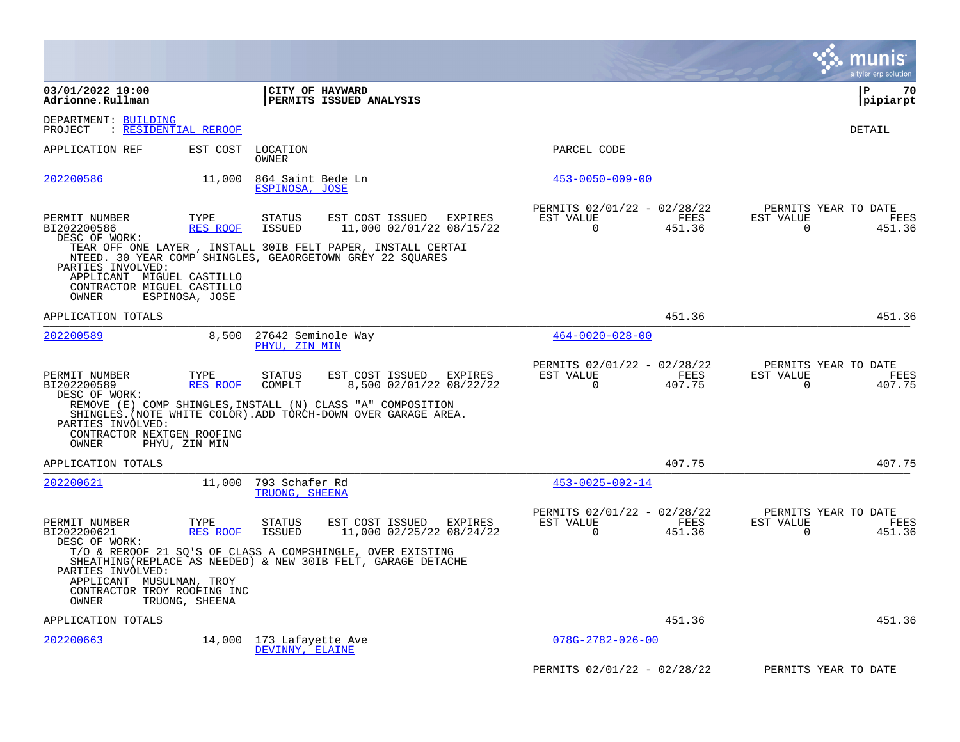|                                                                                                           |                                   |                                      |                                                                                                                                                                             |         |                                                         |                |                          | munis<br>a tyler erp solution          |
|-----------------------------------------------------------------------------------------------------------|-----------------------------------|--------------------------------------|-----------------------------------------------------------------------------------------------------------------------------------------------------------------------------|---------|---------------------------------------------------------|----------------|--------------------------|----------------------------------------|
| 03/01/2022 10:00<br>Adrionne.Rullman                                                                      |                                   | CITY OF HAYWARD                      | PERMITS ISSUED ANALYSIS                                                                                                                                                     |         |                                                         |                |                          | l P<br>70<br> pipiarpt                 |
| DEPARTMENT: BUILDING<br>PROJECT                                                                           | <u>: RESIDENTIAL REROOF</u>       |                                      |                                                                                                                                                                             |         |                                                         |                |                          | DETAIL                                 |
| APPLICATION REF                                                                                           | EST COST                          | LOCATION<br><b>OWNER</b>             |                                                                                                                                                                             |         | PARCEL CODE                                             |                |                          |                                        |
| 202200586                                                                                                 | 11,000                            | 864 Saint Bede Ln<br>ESPINOSA, JOSE  |                                                                                                                                                                             |         | $453 - 0050 - 009 - 00$                                 |                |                          |                                        |
| PERMIT NUMBER<br>BI202200586<br>DESC OF WORK:<br>PARTIES INVOLVED:                                        | TYPE<br><b>RES ROOF</b>           | <b>STATUS</b><br>ISSUED              | EST COST ISSUED<br>11,000 02/01/22 08/15/22<br>TEAR OFF ONE LAYER, INSTALL 30IB FELT PAPER, INSTALL CERTAI<br>NTEED. 30 YEAR COMP SHINGLES, GEAORGETOWN GREY 22 SQUARES     | EXPIRES | PERMITS 02/01/22 - 02/28/22<br>EST VALUE<br>0           | FEES<br>451.36 | EST VALUE<br>0           | PERMITS YEAR TO DATE<br>FEES<br>451.36 |
| APPLICANT MIGUEL CASTILLO<br>CONTRACTOR MIGUEL CASTILLO<br>OWNER                                          | ESPINOSA, JOSE                    |                                      |                                                                                                                                                                             |         |                                                         |                |                          |                                        |
| APPLICATION TOTALS                                                                                        |                                   |                                      |                                                                                                                                                                             |         |                                                         | 451.36         |                          | 451.36                                 |
| 202200589                                                                                                 | 8,500                             | 27642 Seminole Way<br>PHYU, ZIN MIN  |                                                                                                                                                                             |         | $464 - 0020 - 028 - 00$                                 |                |                          |                                        |
| PERMIT NUMBER<br>BI202200589<br>DESC OF WORK:<br>PARTIES INVOLVED:<br>CONTRACTOR NEXTGEN ROOFING<br>OWNER | TYPE<br>RES ROOF<br>PHYU, ZIN MIN | <b>STATUS</b><br>COMPLT              | EST COST ISSUED<br>8,500 02/01/22 08/22/22<br>REMOVE (E) COMP SHINGLES, INSTALL (N) CLASS "A" COMPOSITION<br>SHINGLES. (NOTE WHITE COLOR). ADD TORCH-DOWN OVER GARAGE AREA. | EXPIRES | PERMITS 02/01/22 - 02/28/22<br>EST VALUE<br>$\mathbf 0$ | FEES<br>407.75 | EST VALUE<br>$\mathbf 0$ | PERMITS YEAR TO DATE<br>FEES<br>407.75 |
| APPLICATION TOTALS                                                                                        |                                   |                                      |                                                                                                                                                                             |         |                                                         | 407.75         |                          | 407.75                                 |
| 202200621                                                                                                 | 11,000                            | 793 Schafer Rd<br>TRUONG, SHEENA     |                                                                                                                                                                             |         | $453 - 0025 - 002 - 14$                                 |                |                          |                                        |
| PERMIT NUMBER<br>BI202200621<br>DESC OF WORK:                                                             | TYPE<br><b>RES ROOF</b>           | <b>STATUS</b><br><b>ISSUED</b>       | EST COST ISSUED<br>11,000 02/25/22 08/24/22                                                                                                                                 | EXPIRES | PERMITS 02/01/22 - 02/28/22<br>EST VALUE<br>$\Omega$    | FEES<br>451.36 | EST VALUE<br>$\Omega$    | PERMITS YEAR TO DATE<br>FEES<br>451.36 |
| PARTIES INVOLVED:<br>APPLICANT MUSULMAN, TROY<br>CONTRACTOR TROY ROOFING INC<br>OWNER                     | TRUONG, SHEENA                    |                                      | T/O & REROOF 21 SQ'S OF CLASS A COMPSHINGLE, OVER EXISTING<br>SHEATHING (REPLACE AS NEEDED) & NEW 30IB FELT, GARAGE DETACHE                                                 |         |                                                         |                |                          |                                        |
| APPLICATION TOTALS                                                                                        |                                   |                                      |                                                                                                                                                                             |         |                                                         | 451.36         |                          | 451.36                                 |
| 202200663                                                                                                 | 14,000                            | 173 Lafayette Ave<br>DEVINNY, ELAINE |                                                                                                                                                                             |         | $078G - 2782 - 026 - 00$                                |                |                          |                                        |
|                                                                                                           |                                   |                                      |                                                                                                                                                                             |         | PERMITS 02/01/22 - 02/28/22                             |                |                          | PERMITS YEAR TO DATE                   |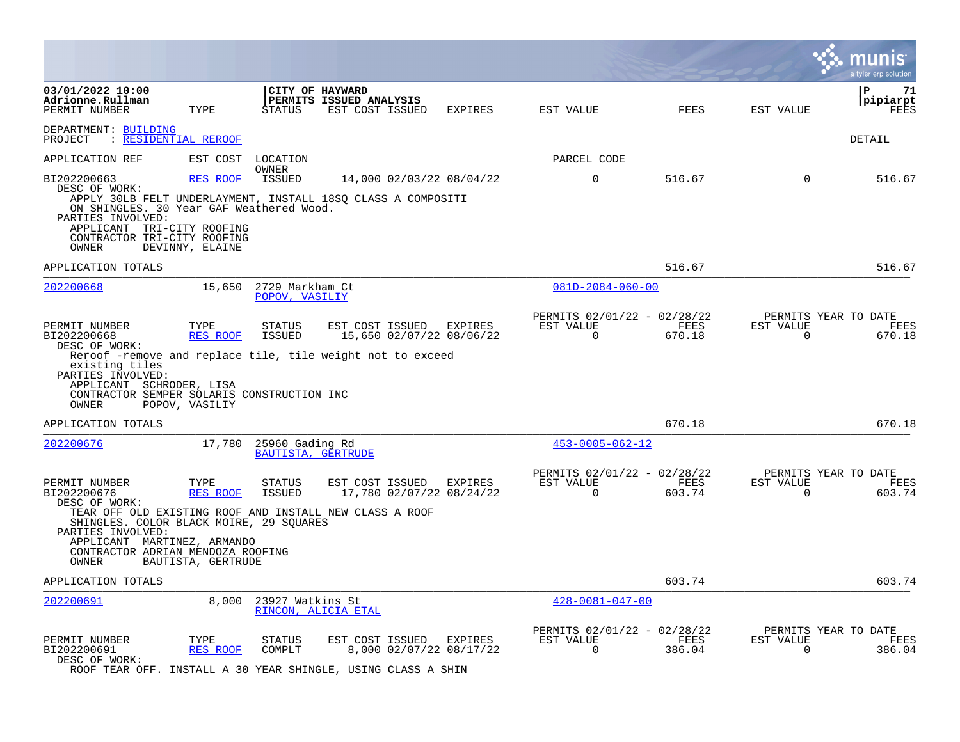|                                                                                                                                                                                   |                                    |                                          |                                                                                                                    |         |                                                         |                |                          | a tyler erp solution                   |
|-----------------------------------------------------------------------------------------------------------------------------------------------------------------------------------|------------------------------------|------------------------------------------|--------------------------------------------------------------------------------------------------------------------|---------|---------------------------------------------------------|----------------|--------------------------|----------------------------------------|
| 03/01/2022 10:00<br>Adrionne.Rullman<br>PERMIT NUMBER                                                                                                                             | TYPE                               | STATUS                                   | CITY OF HAYWARD<br>PERMITS ISSUED ANALYSIS<br>EST COST ISSUED                                                      | EXPIRES | EST VALUE                                               | FEES           | EST VALUE                | l P<br>71<br> pipiarpt<br>FEES         |
| DEPARTMENT: BUILDING<br>PROJECT : RESIDENTIAL REROOF                                                                                                                              |                                    |                                          |                                                                                                                    |         |                                                         |                |                          | DETAIL                                 |
| APPLICATION REF                                                                                                                                                                   | EST COST LOCATION                  |                                          |                                                                                                                    |         | PARCEL CODE                                             |                |                          |                                        |
| BI202200663<br>DESC OF WORK:<br>ON SHINGLES. 30 Year GAF Weathered Wood.<br>PARTIES INVOLVED:<br>APPLICANT TRI-CITY ROOFING<br>CONTRACTOR TRI-CITY ROOFING<br>OWNER               | <b>RES ROOF</b><br>DEVINNY, ELAINE | OWNER<br>ISSUED                          | 14,000 02/03/22 08/04/22<br>APPLY 30LB FELT UNDERLAYMENT, INSTALL 18SQ CLASS A COMPOSITI                           |         | $\mathbf 0$                                             | 516.67         | $\mathbf 0$              | 516.67                                 |
| APPLICATION TOTALS                                                                                                                                                                |                                    |                                          |                                                                                                                    |         |                                                         | 516.67         |                          | 516.67                                 |
| 202200668                                                                                                                                                                         |                                    | 15,650 2729 Markham Ct<br>POPOV, VASILIY |                                                                                                                    |         | $081D - 2084 - 060 - 00$                                |                |                          |                                        |
| PERMIT NUMBER<br>BI202200668<br>DESC OF WORK:<br>existing tiles<br>PARTIES INVOLVED:<br>APPLICANT SCHRODER, LISA<br>CONTRACTOR SEMPER SOLARIS CONSTRUCTION INC                    | TYPE<br>RES ROOF                   | STATUS<br>ISSUED                         | EST COST ISSUED<br>15,650 02/07/22 08/06/22<br>Reroof -remove and replace tile, tile weight not to exceed          | EXPIRES | PERMITS 02/01/22 - 02/28/22<br>EST VALUE<br>$\mathbf 0$ | FEES<br>670.18 | EST VALUE<br>0           | PERMITS YEAR TO DATE<br>FEES<br>670.18 |
| OWNER                                                                                                                                                                             | POPOV, VASILIY                     |                                          |                                                                                                                    |         |                                                         |                |                          |                                        |
| APPLICATION TOTALS                                                                                                                                                                |                                    |                                          |                                                                                                                    |         |                                                         | 670.18         |                          | 670.18                                 |
| 202200676                                                                                                                                                                         | 17,780                             | 25960 Gading Rd<br>BAUTISTA, GERTRUDE    |                                                                                                                    |         | $453 - 0005 - 062 - 12$                                 |                |                          |                                        |
| PERMIT NUMBER<br>BI202200676<br>DESC OF WORK:<br>SHINGLES. COLOR BLACK MOIRE, 29 SQUARES<br>PARTIES INVOLVED:<br>APPLICANT MARTINEZ, ARMANDO<br>CONTRACTOR ADRIAN MENDOZA ROOFING | TYPE<br>RES ROOF                   | STATUS<br>ISSUED                         | EST COST ISSUED<br>17,780 02/07/22 08/24/22<br>TEAR OFF OLD EXISTING ROOF AND INSTALL NEW CLASS A ROOF             | EXPIRES | PERMITS 02/01/22 - 02/28/22<br>EST VALUE<br>$\Omega$    | FEES<br>603.74 | EST VALUE<br>$\Omega$    | PERMITS YEAR TO DATE<br>FEES<br>603.74 |
| OWNER                                                                                                                                                                             | BAUTISTA, GERTRUDE                 |                                          |                                                                                                                    |         |                                                         |                |                          |                                        |
| APPLICATION TOTALS                                                                                                                                                                |                                    |                                          |                                                                                                                    |         |                                                         | 603.74         |                          | 603.74                                 |
| 202200691                                                                                                                                                                         | 8,000                              | 23927 Watkins St                         | RINCON, ALICIA ETAL                                                                                                |         | $428 - 0081 - 047 - 00$                                 |                |                          |                                        |
| PERMIT NUMBER<br>BI202200691<br>DESC OF WORK:                                                                                                                                     | TYPE<br>RES ROOF                   | STATUS<br>COMPLT                         | EST COST ISSUED EXPIRES<br>8,000 02/07/22 08/17/22<br>ROOF TEAR OFF. INSTALL A 30 YEAR SHINGLE, USING CLASS A SHIN |         | PERMITS 02/01/22 - 02/28/22<br>EST VALUE<br>$\Omega$    | FEES<br>386.04 | EST VALUE<br>$\mathbf 0$ | PERMITS YEAR TO DATE<br>FEES<br>386.04 |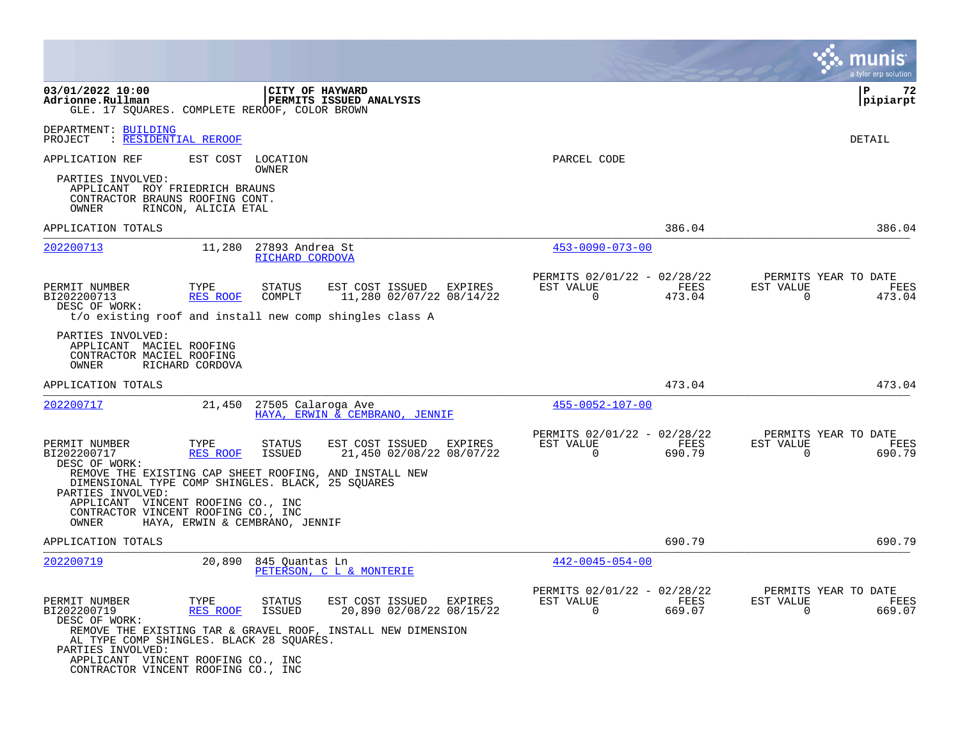|                                                                                                                                            |                     |                                    |                                                                                                                |                                                          |                | a tyler erp solution                                            |
|--------------------------------------------------------------------------------------------------------------------------------------------|---------------------|------------------------------------|----------------------------------------------------------------------------------------------------------------|----------------------------------------------------------|----------------|-----------------------------------------------------------------|
| 03/01/2022 10:00<br>Adrionne.Rullman<br>GLE. 17 SQUARES. COMPLETE REROOF, COLOR BROWN                                                      |                     | CITY OF HAYWARD                    | <b>PERMITS ISSUED ANALYSIS</b>                                                                                 |                                                          |                | l P<br>72<br> pipiarpt                                          |
| DEPARTMENT: BUILDING<br>PROJECT<br>: RESIDENTIAL REROOF                                                                                    |                     |                                    |                                                                                                                |                                                          |                | DETAIL                                                          |
| APPLICATION REF                                                                                                                            |                     | EST COST LOCATION<br>OWNER         |                                                                                                                | PARCEL CODE                                              |                |                                                                 |
| PARTIES INVOLVED:<br>APPLICANT ROY FRIEDRICH BRAUNS<br>CONTRACTOR BRAUNS ROOFING CONT.<br>OWNER                                            | RINCON, ALICIA ETAL |                                    |                                                                                                                |                                                          |                |                                                                 |
| APPLICATION TOTALS                                                                                                                         |                     |                                    |                                                                                                                |                                                          | 386.04         | 386.04                                                          |
| 202200713                                                                                                                                  | 11,280              | 27893 Andrea St<br>RICHARD CORDOVA |                                                                                                                | $453 - 0090 - 073 - 00$                                  |                |                                                                 |
| PERMIT NUMBER<br>BI202200713<br>DESC OF WORK:                                                                                              | TYPE<br>RES ROOF    | <b>STATUS</b><br>COMPLT            | EST COST ISSUED EXPIRES<br>11,280 02/07/22 08/14/22<br>t/o existing roof and install new comp shingles class A | PERMITS 02/01/22 - 02/28/22<br>EST VALUE<br>$\Omega$     | FEES<br>473.04 | PERMITS YEAR TO DATE<br>EST VALUE<br>FEES<br>$\Omega$<br>473.04 |
| PARTIES INVOLVED:<br>APPLICANT MACIEL ROOFING<br>CONTRACTOR MACIEL ROOFING<br>OWNER                                                        | RICHARD CORDOVA     |                                    |                                                                                                                |                                                          |                |                                                                 |
| APPLICATION TOTALS                                                                                                                         |                     |                                    |                                                                                                                |                                                          | 473.04         | 473.04                                                          |
| 202200717                                                                                                                                  | 21,450              | 27505 Calaroga Ave                 | HAYA, ERWIN & CEMBRANO, JENNIF                                                                                 | $455 - 0052 - 107 - 00$                                  |                |                                                                 |
| PERMIT NUMBER<br>BI202200717<br>DESC OF WORK:                                                                                              | TYPE<br>RES ROOF    | STATUS<br><b>ISSUED</b>            | EST COST ISSUED<br>EXPIRES<br>21,450 02/08/22 08/07/22                                                         | PERMITS 02/01/22 - 02/28/22<br>EST VALUE<br>0            | FEES<br>690.79 | PERMITS YEAR TO DATE<br>FEES<br>EST VALUE<br>0<br>690.79        |
| REMOVE THE EXISTING CAP SHEET ROOFING, AND INSTALL NEW<br>DIMENSIONAL TYPE COMP SHINGLES. BLACK, 25 SQUARES<br>PARTIES INVOLVED:           |                     |                                    |                                                                                                                |                                                          |                |                                                                 |
| APPLICANT VINCENT ROOFING CO., INC<br>CONTRACTOR VINCENT ROOFING CO., INC<br>OWNER                                                         |                     | HAYA, ERWIN & CEMBRANO, JENNIF     |                                                                                                                |                                                          |                |                                                                 |
| APPLICATION TOTALS                                                                                                                         |                     |                                    |                                                                                                                |                                                          | 690.79         | 690.79                                                          |
| 202200719                                                                                                                                  | 20,890              | 845 Quantas Ln                     | PETERSON, C L & MONTERIE                                                                                       | $442 - 0045 - 054 - 00$                                  |                |                                                                 |
| PERMIT NUMBER<br>BI202200719<br>DESC OF WORK:                                                                                              | TYPE<br>RES ROOF    | STATUS<br>ISSUED                   | EST COST ISSUED<br>EXPIRES<br>20,890 02/08/22 08/15/22                                                         | PERMITS 02/01/22 - 02/28/22<br>EST VALUE<br>$\mathbf{0}$ | FEES<br>669.07 | PERMITS YEAR TO DATE<br>EST VALUE<br>FEES<br>0<br>669.07        |
| AL TYPE COMP SHINGLES. BLACK 28 SQUARES.<br>PARTIES INVOLVED:<br>APPLICANT VINCENT ROOFING CO., INC<br>CONTRACTOR VINCENT ROOFING CO., INC |                     |                                    | REMOVE THE EXISTING TAR & GRAVEL ROOF, INSTALL NEW DIMENSION                                                   |                                                          |                |                                                                 |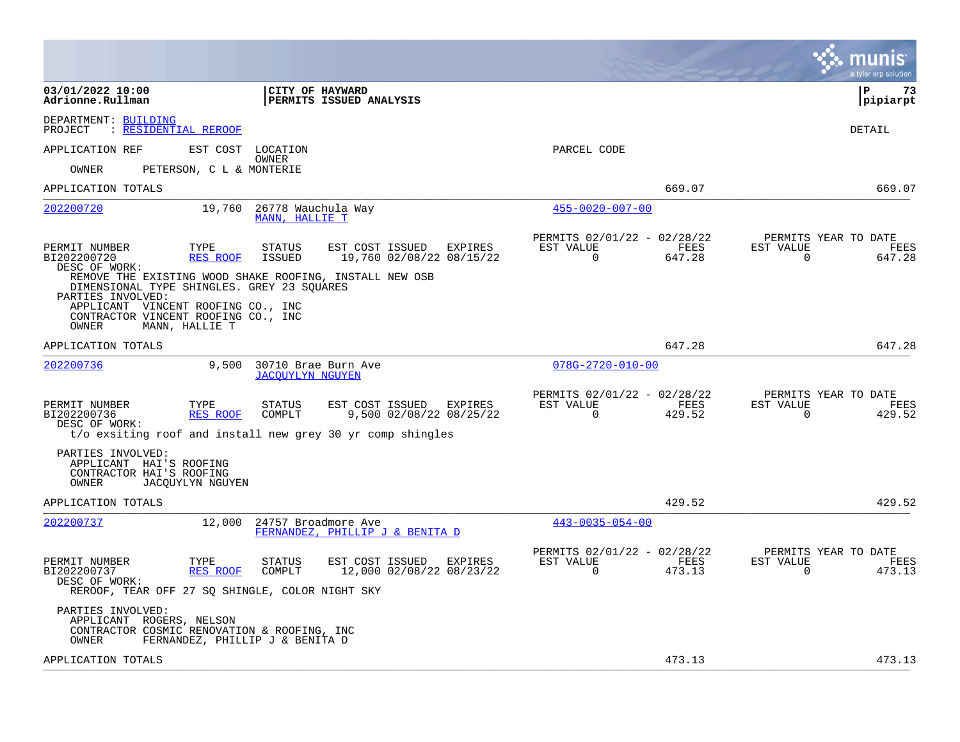|                                                                                                                                                                                                                                                             | a tyler erp solution                                                                                                                                 |
|-------------------------------------------------------------------------------------------------------------------------------------------------------------------------------------------------------------------------------------------------------------|------------------------------------------------------------------------------------------------------------------------------------------------------|
| 03/01/2022 10:00<br>CITY OF HAYWARD<br>Adrionne.Rullman<br><b>PERMITS ISSUED ANALYSIS</b>                                                                                                                                                                   | l P<br>73<br> pipiarpt                                                                                                                               |
| DEPARTMENT: BUILDING<br>: RESIDENTIAL REROOF<br>PROJECT                                                                                                                                                                                                     | DETAIL                                                                                                                                               |
| APPLICATION REF<br>EST COST LOCATION<br><b>OWNER</b>                                                                                                                                                                                                        | PARCEL CODE                                                                                                                                          |
| OWNER<br>PETERSON, C L & MONTERIE                                                                                                                                                                                                                           |                                                                                                                                                      |
| APPLICATION TOTALS                                                                                                                                                                                                                                          | 669.07<br>669.07                                                                                                                                     |
| 19,760<br>26778 Wauchula Way<br>202200720<br>MANN, HALLIE T                                                                                                                                                                                                 | $455 - 0020 - 007 - 00$                                                                                                                              |
| TYPE<br><b>STATUS</b><br>EST COST ISSUED<br>PERMIT NUMBER<br>BI202200720<br><b>RES ROOF</b><br>ISSUED<br>19,760 02/08/22 08/15/22<br>DESC OF WORK:<br>REMOVE THE EXISTING WOOD SHAKE ROOFING, INSTALL NEW OSB<br>DIMENSIONAL TYPE SHINGLES. GREY 23 SQUARES | PERMITS 02/01/22 - 02/28/22<br>PERMITS YEAR TO DATE<br>FEES<br>EXPIRES<br>EST VALUE<br>FEES<br>EST VALUE<br>$\Omega$<br>647.28<br>0<br>647.28        |
| PARTIES INVOLVED:<br>APPLICANT VINCENT ROOFING CO., INC<br>CONTRACTOR VINCENT ROOFING CO., INC<br>OWNER<br>MANN, HALLIE T                                                                                                                                   |                                                                                                                                                      |
| APPLICATION TOTALS                                                                                                                                                                                                                                          | 647.28<br>647.28                                                                                                                                     |
| 202200736<br>9,500<br>30710 Brae Burn Ave<br><b>JACOUYLYN NGUYEN</b>                                                                                                                                                                                        | $078G - 2720 - 010 - 00$                                                                                                                             |
| EST COST ISSUED EXPIRES<br>PERMIT NUMBER<br>TYPE<br>STATUS<br>9,500 02/08/22 08/25/22<br>BI202200736<br>RES ROOF<br>COMPLT<br>DESC OF WORK:<br>t/o exsiting roof and install new grey 30 yr comp shingles                                                   | PERMITS 02/01/22 - 02/28/22<br>PERMITS YEAR TO DATE<br>EST VALUE<br>FEES<br>FEES<br>EST VALUE<br>0<br>429.52<br>0<br>429.52                          |
| PARTIES INVOLVED:<br>APPLICANT HAI'S ROOFING<br>CONTRACTOR HAI'S ROOFING<br>OWNER<br><b>JACOUYLYN NGUYEN</b>                                                                                                                                                |                                                                                                                                                      |
| APPLICATION TOTALS                                                                                                                                                                                                                                          | 429.52<br>429.52                                                                                                                                     |
| 202200737<br>12,000<br>24757 Broadmore Ave<br>FERNANDEZ, PHILLIP J & BENITA D                                                                                                                                                                               | $443 - 0035 - 054 - 00$                                                                                                                              |
| PERMIT NUMBER<br>TYPE<br>EST COST ISSUED<br>STATUS<br>12,000 02/08/22 08/23/22<br>BI202200737<br>RES ROOF<br>COMPLT<br>DESC OF WORK:<br>REROOF, TEAR OFF 27 SQ SHINGLE, COLOR NIGHT SKY                                                                     | PERMITS 02/01/22 - 02/28/22<br>PERMITS YEAR TO DATE<br>EST VALUE<br>EST VALUE<br>FEES<br>EXPIRES<br>FEES<br>473.13<br>$\Omega$<br>473.13<br>$\Omega$ |
| PARTIES INVOLVED:<br>APPLICANT ROGERS, NELSON<br>CONTRACTOR COSMIC RENOVATION & ROOFING, INC<br>FERNANDEZ, PHILLIP J & BENITA D<br>OWNER                                                                                                                    |                                                                                                                                                      |
| APPLICATION TOTALS                                                                                                                                                                                                                                          | 473.13<br>473.13                                                                                                                                     |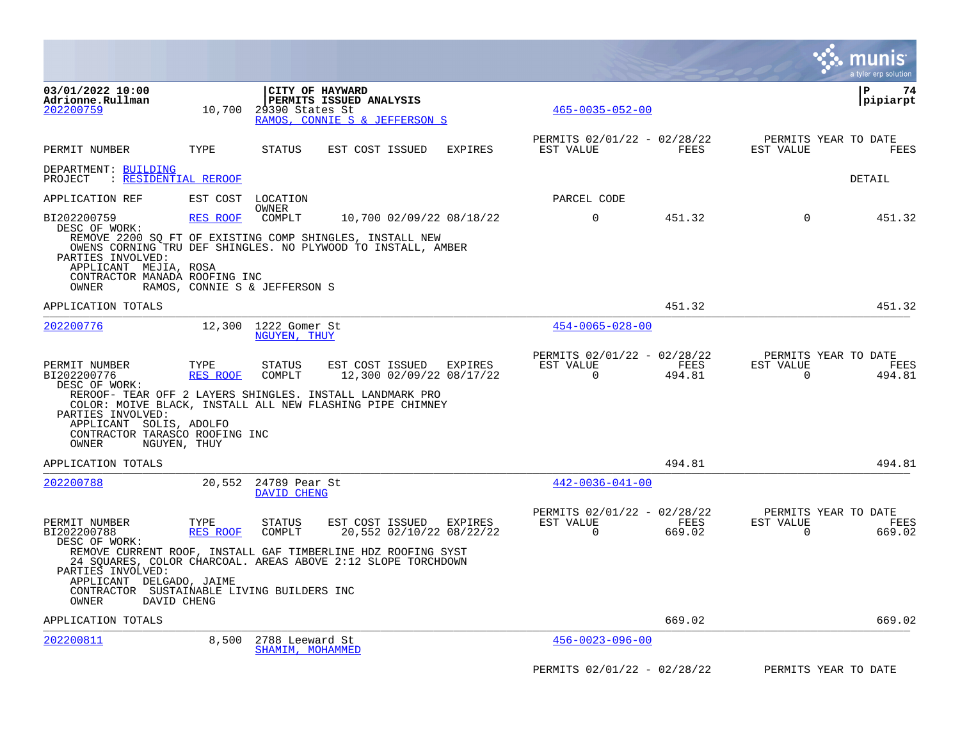|                                                                                                       |                               |                                      |                                                                                                                              |                |                                                      |                |                       | a tyler erp solution                   |
|-------------------------------------------------------------------------------------------------------|-------------------------------|--------------------------------------|------------------------------------------------------------------------------------------------------------------------------|----------------|------------------------------------------------------|----------------|-----------------------|----------------------------------------|
| 03/01/2022 10:00<br>Adrionne.Rullman<br>202200759                                                     | 10,700                        | 29390 States St                      | CITY OF HAYWARD<br>PERMITS ISSUED ANALYSIS<br>RAMOS, CONNIE S & JEFFERSON S                                                  |                | $465 - 0035 - 052 - 00$                              |                |                       | l P<br>74<br> pipiarpt                 |
| PERMIT NUMBER                                                                                         | TYPE                          | STATUS                               | EST COST ISSUED                                                                                                              | <b>EXPIRES</b> | PERMITS 02/01/22 - 02/28/22<br>EST VALUE             | FEES           | EST VALUE             | PERMITS YEAR TO DATE<br><b>FEES</b>    |
| DEPARTMENT: BUILDING<br>: RESIDENTIAL REROOF<br>PROJECT                                               |                               |                                      |                                                                                                                              |                |                                                      |                |                       | DETAIL                                 |
| APPLICATION REF                                                                                       |                               | EST COST LOCATION                    |                                                                                                                              |                | PARCEL CODE                                          |                |                       |                                        |
| BI202200759                                                                                           | <b>RES ROOF</b>               | OWNER<br>COMPLT                      | 10,700 02/09/22 08/18/22                                                                                                     |                | $\mathbf 0$                                          | 451.32         | $\mathbf 0$           | 451.32                                 |
| DESC OF WORK:<br>PARTIES INVOLVED:<br>APPLICANT MEJIA, ROSA<br>CONTRACTOR MANADA ROOFING INC<br>OWNER | RAMOS, CONNIE S & JEFFERSON S |                                      | REMOVE 2200 SQ FT OF EXISTING COMP SHINGLES, INSTALL NEW<br>OWENS CORNING TRU DEF SHINGLES. NO PLYWOOD TO INSTALL, AMBER     |                |                                                      |                |                       |                                        |
| APPLICATION TOTALS                                                                                    |                               |                                      |                                                                                                                              |                |                                                      | 451.32         |                       | 451.32                                 |
| 202200776                                                                                             |                               | 12,300 1222 Gomer St<br>NGUYEN, THUY |                                                                                                                              |                | $454 - 0065 - 028 - 00$                              |                |                       |                                        |
| PERMIT NUMBER<br>BI202200776<br>DESC OF WORK:                                                         | TYPE<br>RES ROOF              | STATUS<br>COMPLT                     | EST COST ISSUED EXPIRES<br>12,300 02/09/22 08/17/22<br>REROOF- TEAR OFF 2 LAYERS SHINGLES. INSTALL LANDMARK PRO              |                | PERMITS 02/01/22 - 02/28/22<br>EST VALUE<br>$\Omega$ | FEES<br>494.81 | EST VALUE<br>$\Omega$ | PERMITS YEAR TO DATE<br>FEES<br>494.81 |
| PARTIES INVOLVED:<br>APPLICANT SOLIS, ADOLFO<br>CONTRACTOR TARASCO ROOFING INC<br>OWNER               | NGUYEN, THUY                  |                                      | COLOR: MOIVE BLACK, INSTALL ALL NEW FLASHING PIPE CHIMNEY                                                                    |                |                                                      |                |                       |                                        |
| APPLICATION TOTALS                                                                                    |                               |                                      |                                                                                                                              |                |                                                      | 494.81         |                       | 494.81                                 |
| 202200788                                                                                             |                               | 20,552 24789 Pear St<br>DAVID CHENG  |                                                                                                                              |                | $442 - 0036 - 041 - 00$                              |                |                       |                                        |
| PERMIT NUMBER<br>BI202200788<br>DESC OF WORK:                                                         | TYPE<br>RES ROOF              | STATUS<br>COMPLT                     | EST COST ISSUED<br>20,552 02/10/22 08/22/22                                                                                  | EXPIRES        | PERMITS 02/01/22 - 02/28/22<br>EST VALUE<br>$\Omega$ | FEES<br>669.02 | EST VALUE<br>$\Omega$ | PERMITS YEAR TO DATE<br>FEES<br>669.02 |
| PARTIES INVOLVED:<br>APPLICANT DELGADO, JAIME                                                         |                               |                                      | REMOVE CURRENT ROOF, INSTALL GAF TIMBERLINE HDZ ROOFING SYST<br>24 SQUARES, COLOR CHARCOAL. AREAS ABOVE 2:12 SLOPE TORCHDOWN |                |                                                      |                |                       |                                        |
| CONTRACTOR SUSTAINABLE LIVING BUILDERS INC<br>OWNER                                                   | DAVID CHENG                   |                                      |                                                                                                                              |                |                                                      |                |                       |                                        |
| APPLICATION TOTALS                                                                                    |                               |                                      |                                                                                                                              |                |                                                      | 669.02         |                       | 669.02                                 |
| 202200811                                                                                             | 8,500                         | 2788 Leeward St<br>SHAMIM, MOHAMMED  |                                                                                                                              |                | $456 - 0023 - 096 - 00$                              |                |                       |                                        |
|                                                                                                       |                               |                                      |                                                                                                                              |                | PERMITS 02/01/22 - 02/28/22                          |                |                       | PERMITS YEAR TO DATE                   |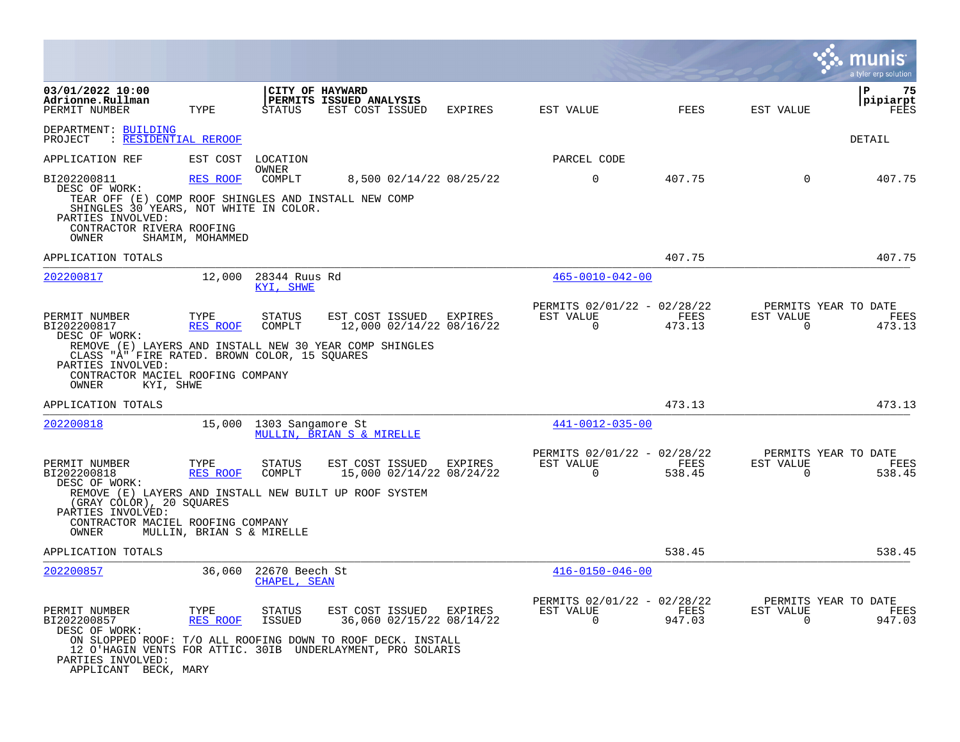|                                                                                                                                                                                                                         |                           |                                  |                                            |                                            |                                                         |                |                          | a tyler erp solution                   |
|-------------------------------------------------------------------------------------------------------------------------------------------------------------------------------------------------------------------------|---------------------------|----------------------------------|--------------------------------------------|--------------------------------------------|---------------------------------------------------------|----------------|--------------------------|----------------------------------------|
| 03/01/2022 10:00<br>Adrionne.Rullman<br>PERMIT NUMBER                                                                                                                                                                   | TYPE                      | <b>CITY OF HAYWARD</b><br>STATUS | PERMITS ISSUED ANALYSIS<br>EST COST ISSUED | EXPIRES                                    | EST VALUE                                               | FEES           | EST VALUE                | ΙP<br>75<br> pipiarpt<br>FEES          |
| DEPARTMENT: BUILDING<br>: RESIDENTIAL REROOF<br>PROJECT                                                                                                                                                                 |                           |                                  |                                            |                                            |                                                         |                |                          | DETAIL                                 |
| APPLICATION REF                                                                                                                                                                                                         | EST COST                  | LOCATION<br>OWNER                |                                            |                                            | PARCEL CODE                                             |                |                          |                                        |
| BI202200811<br>DESC OF WORK:                                                                                                                                                                                            | <b>RES ROOF</b>           | COMPLT                           |                                            | 8,500 02/14/22 08/25/22                    | $\Omega$                                                | 407.75         | $\Omega$                 | 407.75                                 |
| TEAR OFF (E) COMP ROOF SHINGLES AND INSTALL NEW COMP<br>SHINGLES 30 YEARS, NOT WHITE IN COLOR.<br>PARTIES INVOLVED:                                                                                                     |                           |                                  |                                            |                                            |                                                         |                |                          |                                        |
| CONTRACTOR RIVERA ROOFING<br>OWNER                                                                                                                                                                                      | SHAMIM, MOHAMMED          |                                  |                                            |                                            |                                                         |                |                          |                                        |
| APPLICATION TOTALS                                                                                                                                                                                                      |                           |                                  |                                            |                                            |                                                         | 407.75         |                          | 407.75                                 |
| 202200817                                                                                                                                                                                                               | 12,000                    | 28344 Ruus Rd<br>KYI, SHWE       |                                            |                                            | $465 - 0010 - 042 - 00$                                 |                |                          |                                        |
| PERMIT NUMBER<br>BI202200817<br>DESC OF WORK:                                                                                                                                                                           | TYPE<br><b>RES ROOF</b>   | STATUS<br>COMPLT                 | EST COST ISSUED EXPIRES                    | 12,000 02/14/22 08/16/22                   | PERMITS 02/01/22 - 02/28/22<br>EST VALUE<br>$\mathbf 0$ | FEES<br>473.13 | EST VALUE<br>$\mathbf 0$ | PERMITS YEAR TO DATE<br>FEES<br>473.13 |
| REMOVE (E) LAYERS AND INSTALL NEW 30 YEAR COMP SHINGLES<br>CLASS "A" FIRE RATED. BROWN COLOR, 15 SOUARES<br>PARTIES INVOLVED:<br>CONTRACTOR MACIEL ROOFING COMPANY<br>KYI, SHWE<br>OWNER                                |                           |                                  |                                            |                                            |                                                         |                |                          |                                        |
| APPLICATION TOTALS                                                                                                                                                                                                      |                           |                                  |                                            |                                            |                                                         | 473.13         |                          | 473.13                                 |
| <u>202200818</u>                                                                                                                                                                                                        |                           | 15,000 1303 Sangamore St         | MULLIN, BRIAN S & MIRELLE                  |                                            | 441-0012-035-00                                         |                |                          |                                        |
| PERMIT NUMBER<br>BI202200818                                                                                                                                                                                            | TYPE<br>RES ROOF          | STATUS<br>COMPLT                 | EST COST ISSUED                            | <b>EXPIRES</b><br>15,000 02/14/22 08/24/22 | PERMITS 02/01/22 - 02/28/22<br>EST VALUE<br>$\Omega$    | FEES<br>538.45 | EST VALUE<br>$\Omega$    | PERMITS YEAR TO DATE<br>FEES<br>538.45 |
| DESC OF WORK:<br>REMOVE (E) LAYERS AND INSTALL NEW BUILT UP ROOF SYSTEM<br>(GRAY COLOR), 20 SQUARES<br>PARTIES INVOLVED:                                                                                                |                           |                                  |                                            |                                            |                                                         |                |                          |                                        |
| CONTRACTOR MACIEL ROOFING COMPANY<br>OWNER                                                                                                                                                                              | MULLIN, BRIAN S & MIRELLE |                                  |                                            |                                            |                                                         |                |                          |                                        |
| APPLICATION TOTALS                                                                                                                                                                                                      |                           |                                  |                                            |                                            |                                                         | 538.45         |                          | 538.45                                 |
| 202200857                                                                                                                                                                                                               | 36,060                    | 22670 Beech St<br>CHAPEL, SEAN   |                                            |                                            | $416 - 0150 - 046 - 00$                                 |                |                          |                                        |
| PERMIT NUMBER<br>BI202200857<br>DESC OF WORK:<br>ON SLOPPED ROOF: T/O ALL ROOFING DOWN TO ROOF DECK. INSTALL<br>12 O'HAGIN VENTS FOR ATTIC. 30IB UNDERLAYMENT, PRO SOLARIS<br>PARTIES INVOLVED:<br>APPLICANT BECK, MARY | TYPE<br>RES ROOF          | STATUS<br><b>ISSUED</b>          | EST COST ISSUED EXPIRES                    | 36,060 02/15/22 08/14/22                   | PERMITS 02/01/22 - 02/28/22<br>EST VALUE<br>$\Omega$    | FEES<br>947.03 | EST VALUE<br>$\Omega$    | PERMITS YEAR TO DATE<br>FEES<br>947.03 |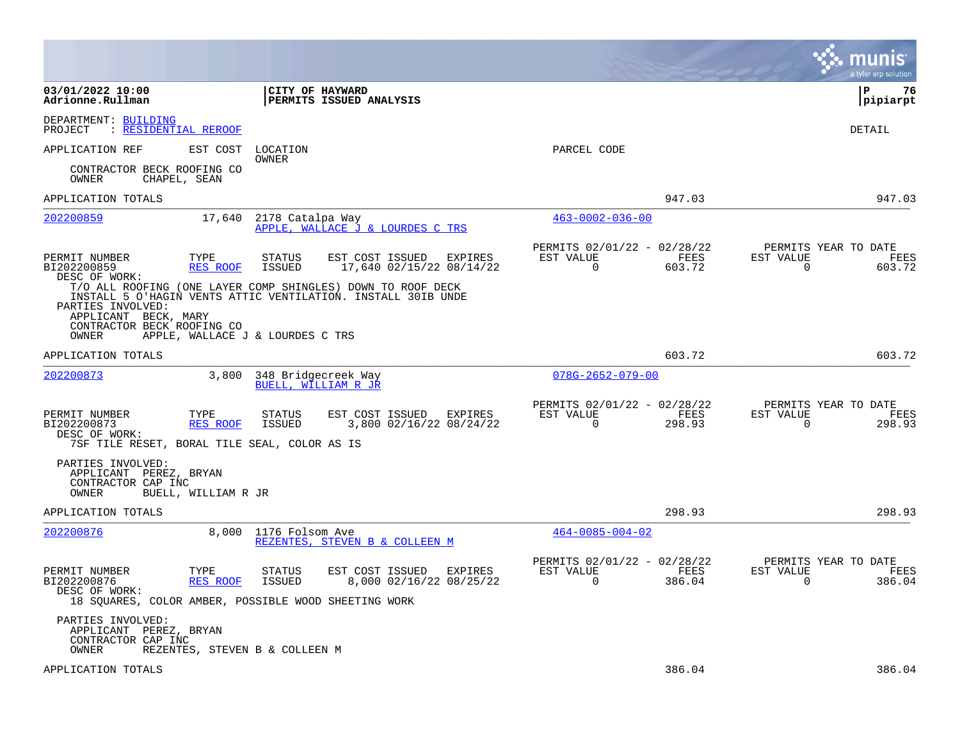|                                                                                                       |                         |                                            |                                                                                                                             |                                                         |                | munis<br>a tyler erp solution                                      |
|-------------------------------------------------------------------------------------------------------|-------------------------|--------------------------------------------|-----------------------------------------------------------------------------------------------------------------------------|---------------------------------------------------------|----------------|--------------------------------------------------------------------|
| 03/01/2022 10:00<br>Adrionne.Rullman                                                                  |                         | CITY OF HAYWARD                            | PERMITS ISSUED ANALYSIS                                                                                                     |                                                         |                | P<br>76<br> pipiarpt                                               |
| DEPARTMENT: BUILDING<br>: RESIDENTIAL REROOF<br>PROJECT                                               |                         |                                            |                                                                                                                             |                                                         |                | DETAIL                                                             |
| APPLICATION REF                                                                                       | EST COST                | LOCATION                                   |                                                                                                                             | PARCEL CODE                                             |                |                                                                    |
| CONTRACTOR BECK ROOFING CO<br>OWNER<br>CHAPEL, SEAN                                                   |                         | OWNER                                      |                                                                                                                             |                                                         |                |                                                                    |
| APPLICATION TOTALS                                                                                    |                         |                                            |                                                                                                                             |                                                         | 947.03         | 947.03                                                             |
| 202200859                                                                                             | 17,640                  | 2178 Catalpa Way                           | APPLE, WALLACE J & LOURDES C TRS                                                                                            | $463 - 0002 - 036 - 00$                                 |                |                                                                    |
| PERMIT NUMBER<br>BI202200859<br>DESC OF WORK:                                                         | TYPE<br>RES ROOF        | STATUS<br>ISSUED                           | EST COST ISSUED<br>EXPIRES<br>17,640 02/15/22 08/14/22                                                                      | PERMITS 02/01/22 - 02/28/22<br>EST VALUE<br>0           | FEES<br>603.72 | PERMITS YEAR TO DATE<br>EST VALUE<br>FEES<br>0<br>603.72           |
| PARTIES INVOLVED:<br>APPLICANT BECK, MARY<br>CONTRACTOR BECK ROOFING CO                               |                         |                                            | T/O ALL ROOFING (ONE LAYER COMP SHINGLES) DOWN TO ROOF DECK<br>INSTALL 5 O'HAGIN VENTS ATTIC VENTILATION. INSTALL 30IB UNDE |                                                         |                |                                                                    |
| OWNER                                                                                                 |                         | APPLE, WALLACE J & LOURDES C TRS           |                                                                                                                             |                                                         |                |                                                                    |
| APPLICATION TOTALS                                                                                    |                         |                                            |                                                                                                                             |                                                         | 603.72         | 603.72                                                             |
| <u>202200873</u>                                                                                      | 3,800                   | 348 Bridgecreek Way<br>BUELL, WILLIAM R JR |                                                                                                                             | $078G - 2652 - 079 - 00$                                |                |                                                                    |
| PERMIT NUMBER<br>BI202200873<br>DESC OF WORK:<br>7SF TILE RESET, BORAL TILE SEAL, COLOR AS IS         | TYPE<br><b>RES ROOF</b> | STATUS<br><b>ISSUED</b>                    | EST COST ISSUED<br>EXPIRES<br>3,800 02/16/22 08/24/22                                                                       | PERMITS 02/01/22 - 02/28/22<br>EST VALUE<br>$\mathbf 0$ | FEES<br>298.93 | PERMITS YEAR TO DATE<br>EST VALUE<br>FEES<br>$\mathbf 0$<br>298.93 |
| PARTIES INVOLVED:<br>APPLICANT PEREZ, BRYAN<br>CONTRACTOR CAP INC<br>OWNER                            | BUELL, WILLIAM R JR     |                                            |                                                                                                                             |                                                         |                |                                                                    |
| APPLICATION TOTALS                                                                                    |                         |                                            |                                                                                                                             |                                                         | 298.93         | 298.93                                                             |
| 202200876                                                                                             | 8,000                   | 1176 Folsom Ave                            | REZENTES, STEVEN B & COLLEEN M                                                                                              | $464 - 0085 - 004 - 02$                                 |                |                                                                    |
| PERMIT NUMBER<br>BI202200876<br>DESC OF WORK:<br>18 SQUARES, COLOR AMBER, POSSIBLE WOOD SHEETING WORK | TYPE<br><b>RES ROOF</b> | <b>STATUS</b><br>ISSUED                    | EST COST ISSUED<br>EXPIRES<br>8,000 02/16/22 08/25/22                                                                       | PERMITS 02/01/22 - 02/28/22<br>EST VALUE<br>$\Omega$    | FEES<br>386.04 | PERMITS YEAR TO DATE<br>EST VALUE<br>FEES<br>$\Omega$<br>386.04    |
| PARTIES INVOLVED:<br>APPLICANT PEREZ, BRYAN<br>CONTRACTOR CAP INC<br>OWNER                            |                         | REZENTES, STEVEN B & COLLEEN M             |                                                                                                                             |                                                         |                |                                                                    |
| APPLICATION TOTALS                                                                                    |                         |                                            |                                                                                                                             |                                                         | 386.04         | 386.04                                                             |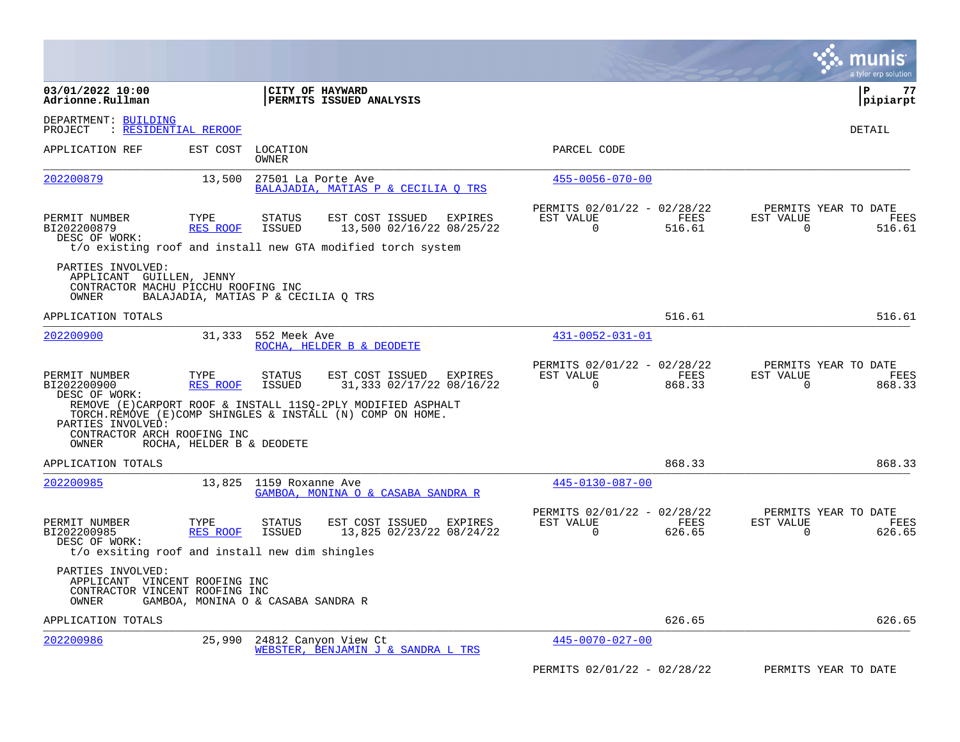|                                                                                                 |                           |                                     |                                                                                                                              |                                                      |                |                       | munis<br>a tyler erp solution                 |
|-------------------------------------------------------------------------------------------------|---------------------------|-------------------------------------|------------------------------------------------------------------------------------------------------------------------------|------------------------------------------------------|----------------|-----------------------|-----------------------------------------------|
| 03/01/2022 10:00<br>Adrionne.Rullman                                                            |                           |                                     | CITY OF HAYWARD<br><b>PERMITS ISSUED ANALYSIS</b>                                                                            |                                                      |                |                       | P<br>77<br> pipiarpt                          |
| DEPARTMENT: BUILDING<br>: RESIDENTIAL REROOF<br>PROJECT                                         |                           |                                     |                                                                                                                              |                                                      |                |                       | <b>DETAIL</b>                                 |
| APPLICATION REF                                                                                 | EST COST                  | LOCATION<br>OWNER                   |                                                                                                                              | PARCEL CODE                                          |                |                       |                                               |
| 202200879                                                                                       | 13,500                    | 27501 La Porte Ave                  | BALAJADIA, MATIAS P & CECILIA O TRS                                                                                          | $455 - 0056 - 070 - 00$                              |                |                       |                                               |
| PERMIT NUMBER<br>BI202200879<br>DESC OF WORK:                                                   | TYPE<br><b>RES ROOF</b>   | <b>STATUS</b><br><b>ISSUED</b>      | EST COST ISSUED<br><b>EXPIRES</b><br>13,500 02/16/22 08/25/22<br>t/o existing roof and install new GTA modified torch system | PERMITS 02/01/22 - 02/28/22<br>EST VALUE<br>$\Omega$ | FEES<br>516.61 | EST VALUE<br>$\Omega$ | PERMITS YEAR TO DATE<br><b>FEES</b><br>516.61 |
| PARTIES INVOLVED:<br>APPLICANT GUILLEN, JENNY<br>CONTRACTOR MACHU PICCHU ROOFING INC<br>OWNER   |                           | BALAJADIA, MATIAS P & CECILIA Q TRS |                                                                                                                              |                                                      |                |                       |                                               |
| APPLICATION TOTALS                                                                              |                           |                                     |                                                                                                                              |                                                      | 516.61         |                       | 516.61                                        |
| 202200900                                                                                       | 31,333                    | 552 Meek Ave                        | ROCHA, HELDER B & DEODETE                                                                                                    | 431-0052-031-01                                      |                |                       |                                               |
| PERMIT NUMBER<br>BI202200900<br>DESC OF WORK:                                                   | TYPE<br>RES ROOF          | STATUS<br><b>ISSUED</b>             | EST COST ISSUED<br>EXPIRES<br>31,333 02/17/22 08/16/22                                                                       | PERMITS 02/01/22 - 02/28/22<br>EST VALUE<br>0        | FEES<br>868.33 | EST VALUE<br>0        | PERMITS YEAR TO DATE<br>FEES<br>868.33        |
| PARTIES INVOLVED:<br>CONTRACTOR ARCH ROOFING INC<br>OWNER                                       | ROCHA, HELDER B & DEODETE |                                     | REMOVE (E) CARPORT ROOF & INSTALL 11SO-2PLY MODIFIED ASPHALT<br>TORCH.REMOVE (E)COMP SHINGLES & INSTALL (N) COMP ON HOME.    |                                                      |                |                       |                                               |
| APPLICATION TOTALS                                                                              |                           |                                     |                                                                                                                              |                                                      | 868.33         |                       | 868.33                                        |
| 202200985                                                                                       | 13,825                    | 1159 Roxanne Ave                    | GAMBOA, MONINA O & CASABA SANDRA R                                                                                           | 445-0130-087-00                                      |                |                       |                                               |
| PERMIT NUMBER<br>BI202200985<br>DESC OF WORK:<br>t/o exsiting roof and install new dim shingles | TYPE<br><b>RES ROOF</b>   | <b>STATUS</b><br><b>ISSUED</b>      | EST COST ISSUED<br><b>EXPIRES</b><br>13,825 02/23/22 08/24/22                                                                | PERMITS 02/01/22 - 02/28/22<br>EST VALUE<br>$\Omega$ | FEES<br>626.65 | EST VALUE<br>$\Omega$ | PERMITS YEAR TO DATE<br>FEES<br>626.65        |
| PARTIES INVOLVED:<br>APPLICANT VINCENT ROOFING INC<br>CONTRACTOR VINCENT ROOFING INC<br>OWNER   |                           | GAMBOA, MONINA O & CASABA SANDRA R  |                                                                                                                              |                                                      |                |                       |                                               |
| APPLICATION TOTALS                                                                              |                           |                                     |                                                                                                                              |                                                      | 626.65         |                       | 626.65                                        |
| 202200986                                                                                       | 25,990                    |                                     | 24812 Canyon View Ct<br>WEBSTER, BENJAMIN J & SANDRA L TRS                                                                   | 445-0070-027-00                                      |                |                       |                                               |
|                                                                                                 |                           |                                     |                                                                                                                              | PERMITS 02/01/22 - 02/28/22                          |                |                       | PERMITS YEAR TO DATE                          |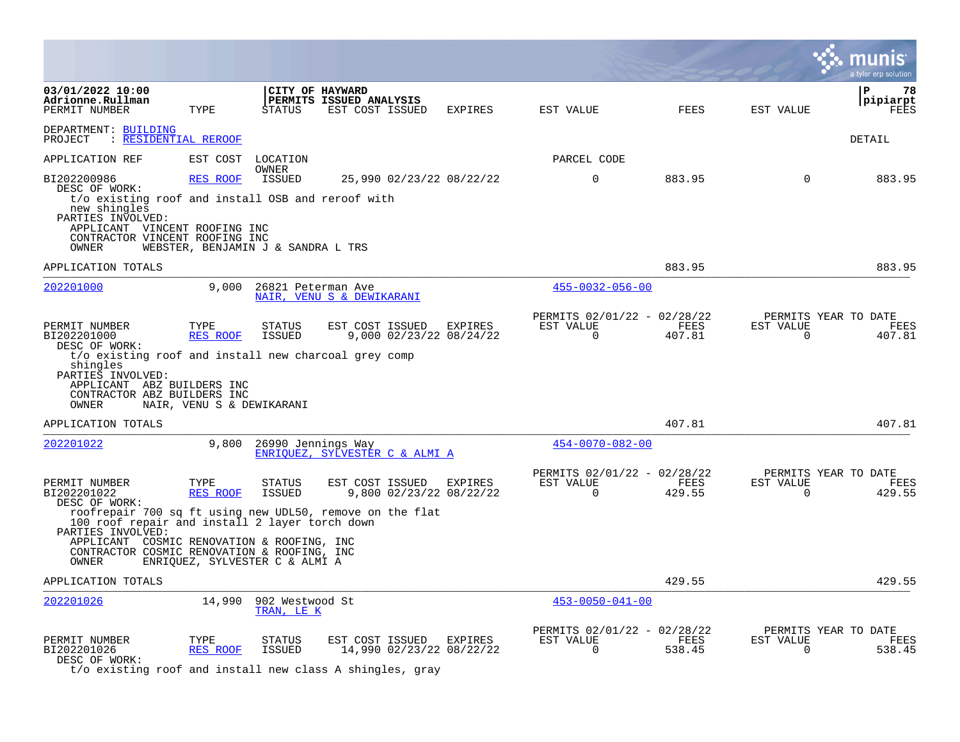|                                                                                                                                                                                                              |                                                      |                                                                     |                                                               |                                            |                                                         |                         |                       |                          | a tyler erp solution                          |
|--------------------------------------------------------------------------------------------------------------------------------------------------------------------------------------------------------------|------------------------------------------------------|---------------------------------------------------------------------|---------------------------------------------------------------|--------------------------------------------|---------------------------------------------------------|-------------------------|-----------------------|--------------------------|-----------------------------------------------|
| 03/01/2022 10:00<br>Adrionne.Rullman<br>PERMIT NUMBER                                                                                                                                                        | TYPE                                                 | <b>STATUS</b>                                                       | CITY OF HAYWARD<br>PERMITS ISSUED ANALYSIS<br>EST COST ISSUED | <b>EXPIRES</b>                             | EST VALUE                                               |                         | <b>FEES</b>           | EST VALUE                | 78<br>P<br>pipiarpt<br>FEES                   |
| DEPARTMENT: BUILDING<br>PROJECT<br>: RESIDENTIAL REROOF                                                                                                                                                      |                                                      |                                                                     |                                                               |                                            |                                                         |                         |                       |                          | <b>DETAIL</b>                                 |
| APPLICATION REF                                                                                                                                                                                              | EST COST                                             | LOCATION                                                            |                                                               |                                            | PARCEL CODE                                             |                         |                       |                          |                                               |
| BI202200986<br>DESC OF WORK:<br>t/o existing roof and install OSB and reroof with<br>new shingles<br>PARTIES INVOLVED:<br>APPLICANT VINCENT ROOFING INC<br>CONTRACTOR VINCENT ROOFING INC<br>OWNER           | RES ROOF                                             | <b>OWNER</b><br><b>ISSUED</b><br>WEBSTER, BENJAMIN J & SANDRA L TRS |                                                               | 25,990 02/23/22 08/22/22                   | $\mathbf 0$                                             |                         | 883.95                | $\Omega$                 | 883.95                                        |
| APPLICATION TOTALS                                                                                                                                                                                           |                                                      |                                                                     |                                                               |                                            |                                                         |                         | 883.95                |                          | 883.95                                        |
| 202201000                                                                                                                                                                                                    | 9.000                                                | 26821 Peterman Ave                                                  | NAIR, VENU S & DEWIKARANI                                     |                                            |                                                         | $455 - 0032 - 056 - 00$ |                       |                          |                                               |
| PERMIT NUMBER<br>BI202201000<br>DESC OF WORK:<br>t/o existing roof and install new charcoal grey comp<br>shingles<br>PARTIES INVOLVED:<br>APPLICANT ABZ BUILDERS INC<br>CONTRACTOR ABZ BUILDERS INC<br>OWNER | TYPE<br><b>RES ROOF</b><br>NAIR, VENU S & DEWIKARANI | <b>STATUS</b><br><b>ISSUED</b>                                      | EST COST ISSUED                                               | EXPIRES<br>9,000 02/23/22 08/24/22         | PERMITS 02/01/22 - 02/28/22<br>EST VALUE<br>$\Omega$    |                         | FEES<br>407.81        | EST VALUE<br>$\mathbf 0$ | PERMITS YEAR TO DATE<br>FEES<br>407.81        |
| APPLICATION TOTALS                                                                                                                                                                                           |                                                      |                                                                     |                                                               |                                            |                                                         |                         | 407.81                |                          | 407.81                                        |
| 202201022                                                                                                                                                                                                    | 9,800                                                | 26990 Jennings Way                                                  | ENRIOUEZ, SYLVESTER C & ALMI A                                |                                            |                                                         | $454 - 0070 - 082 - 00$ |                       |                          |                                               |
| PERMIT NUMBER<br>BI202201022<br>DESC OF WORK:<br>roofrepair 700 sq ft using new UDL50, remove on the flat<br>100 roof repair and install 2 layer torch down                                                  | TYPE<br><b>RES ROOF</b>                              | <b>STATUS</b><br><b>ISSUED</b>                                      | EST COST ISSUED EXPIRES                                       | 9,800 02/23/22 08/22/22                    | PERMITS 02/01/22 - 02/28/22<br>EST VALUE<br>$\Omega$    |                         | FEES<br>429.55        | EST VALUE<br>$\mathbf 0$ | PERMITS YEAR TO DATE<br>FEES<br>429.55        |
| PARTIES INVOLVED:<br>APPLICANT COSMIC RENOVATION & ROOFING, INC<br>CONTRACTOR COSMIC RENOVATION & ROOFING, INC<br>OWNER                                                                                      |                                                      | ENRIQUEZ, SYLVESTER C & ALMI A                                      |                                                               |                                            |                                                         |                         |                       |                          |                                               |
| APPLICATION TOTALS                                                                                                                                                                                           |                                                      |                                                                     |                                                               |                                            |                                                         |                         | 429.55                |                          | 429.55                                        |
| 202201026                                                                                                                                                                                                    | 14,990                                               | 902 Westwood St<br>TRAN, LE K                                       |                                                               |                                            |                                                         | $453 - 0050 - 041 - 00$ |                       |                          |                                               |
| PERMIT NUMBER<br>BI202201026<br>DESC OF WORK:                                                                                                                                                                | TYPE<br><b>RES ROOF</b>                              | <b>STATUS</b><br><b>ISSUED</b>                                      | EST COST ISSUED                                               | <b>EXPIRES</b><br>14,990 02/23/22 08/22/22 | PERMITS 02/01/22 - 02/28/22<br>EST VALUE<br>$\mathbf 0$ |                         | <b>FEES</b><br>538.45 | EST VALUE<br>$\mathbf 0$ | PERMITS YEAR TO DATE<br><b>FEES</b><br>538.45 |

t/o existing roof and install new class A shingles, gray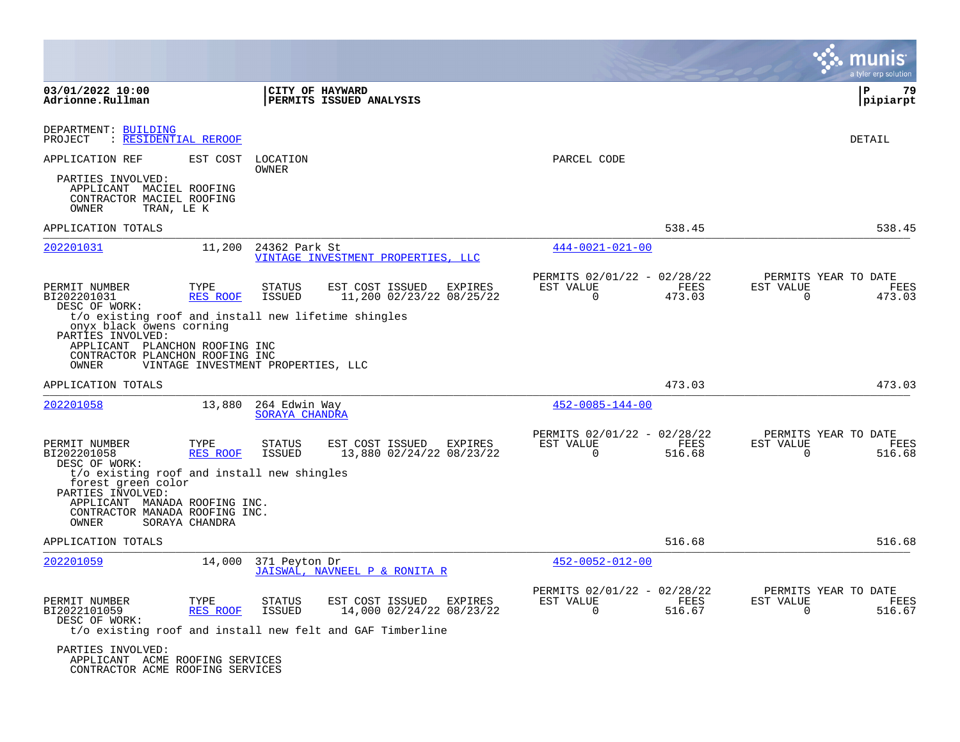|                                                                                                                                                                                    |                  |                                    |                                                           |         |                                                      |                |                       | a tyler erp solution                          |
|------------------------------------------------------------------------------------------------------------------------------------------------------------------------------------|------------------|------------------------------------|-----------------------------------------------------------|---------|------------------------------------------------------|----------------|-----------------------|-----------------------------------------------|
| 03/01/2022 10:00<br>Adrionne.Rullman                                                                                                                                               |                  | CITY OF HAYWARD                    | PERMITS ISSUED ANALYSIS                                   |         |                                                      |                |                       | P<br>79<br> pipiarpt                          |
| DEPARTMENT: BUILDING<br>: RESIDENTIAL REROOF<br>PROJECT                                                                                                                            |                  |                                    |                                                           |         |                                                      |                |                       | DETAIL                                        |
| APPLICATION REF<br>PARTIES INVOLVED:<br>APPLICANT MACIEL ROOFING                                                                                                                   | EST COST         | LOCATION<br>OWNER                  |                                                           |         | PARCEL CODE                                          |                |                       |                                               |
| CONTRACTOR MACIEL ROOFING<br>OWNER<br>TRAN, LE K                                                                                                                                   |                  |                                    |                                                           |         |                                                      |                |                       |                                               |
| APPLICATION TOTALS                                                                                                                                                                 |                  |                                    |                                                           |         |                                                      | 538.45         |                       | 538.45                                        |
| 202201031                                                                                                                                                                          | 11,200           | 24362 Park St                      | VINTAGE INVESTMENT PROPERTIES, LLC                        |         | $444 - 0021 - 021 - 00$                              |                |                       |                                               |
| PERMIT NUMBER<br>BI202201031<br>DESC OF WORK:                                                                                                                                      | TYPE<br>RES ROOF | <b>STATUS</b><br><b>ISSUED</b>     | EST COST ISSUED<br>11,200 02/23/22 08/25/22               | EXPIRES | PERMITS 02/01/22 - 02/28/22<br>EST VALUE<br>$\Omega$ | FEES<br>473.03 | EST VALUE<br>$\Omega$ | PERMITS YEAR TO DATE<br>FEES<br>473.03        |
| t/o existing roof and install new lifetime shingles<br>onyx black owens corning<br>PARTIES INVOLVED:<br>APPLICANT PLANCHON ROOFING INC<br>CONTRACTOR PLANCHON ROOFING INC<br>OWNER |                  | VINTAGE INVESTMENT PROPERTIES, LLC |                                                           |         |                                                      |                |                       |                                               |
| APPLICATION TOTALS                                                                                                                                                                 |                  |                                    |                                                           |         |                                                      | 473.03         |                       | 473.03                                        |
| 202201058                                                                                                                                                                          | 13,880           | 264 Edwin Way<br>SORAYA CHANDRA    |                                                           |         | $452 - 0085 - 144 - 00$                              |                |                       |                                               |
| PERMIT NUMBER<br>BI202201058<br>DESC OF WORK:                                                                                                                                      | TYPE<br>RES ROOF | <b>STATUS</b><br>ISSUED            | EST COST ISSUED<br>13,880 02/24/22 08/23/22               | EXPIRES | PERMITS 02/01/22 - 02/28/22<br>EST VALUE<br>$\Omega$ | FEES<br>516.68 | EST VALUE<br>$\Omega$ | PERMITS YEAR TO DATE<br><b>FEES</b><br>516.68 |
| t/o existing roof and install new shingles<br>forest green color                                                                                                                   |                  |                                    |                                                           |         |                                                      |                |                       |                                               |
| PARTIES INVOLVED:<br>APPLICANT MANADA ROOFING INC.<br>CONTRACTOR MANADA ROOFING INC.<br>OWNER                                                                                      | SORAYA CHANDRA   |                                    |                                                           |         |                                                      |                |                       |                                               |
| APPLICATION TOTALS                                                                                                                                                                 |                  |                                    |                                                           |         |                                                      | 516.68         |                       | 516.68                                        |
| 202201059                                                                                                                                                                          | 14,000           | 371 Peyton Dr                      | JAISWAL, NAVNEEL P & RONITA R                             |         | $452 - 0052 - 012 - 00$                              |                |                       |                                               |
| PERMIT NUMBER<br>BI2022101059<br>DESC OF WORK:                                                                                                                                     | TYPE<br>RES ROOF | <b>STATUS</b><br>ISSUED            | EST COST ISSUED<br>14,000 02/24/22 08/23/22               | EXPIRES | PERMITS 02/01/22 - 02/28/22<br>EST VALUE<br>$\Omega$ | FEES<br>516.67 | EST VALUE<br>$\Omega$ | PERMITS YEAR TO DATE<br><b>FEES</b><br>516.67 |
|                                                                                                                                                                                    |                  |                                    | t/o existing roof and install new felt and GAF Timberline |         |                                                      |                |                       |                                               |
| PARTIES INVOLVED:<br>APPLICANT ACME ROOFING SERVICES<br>CONTRACTOR ACME ROOFING SERVICES                                                                                           |                  |                                    |                                                           |         |                                                      |                |                       |                                               |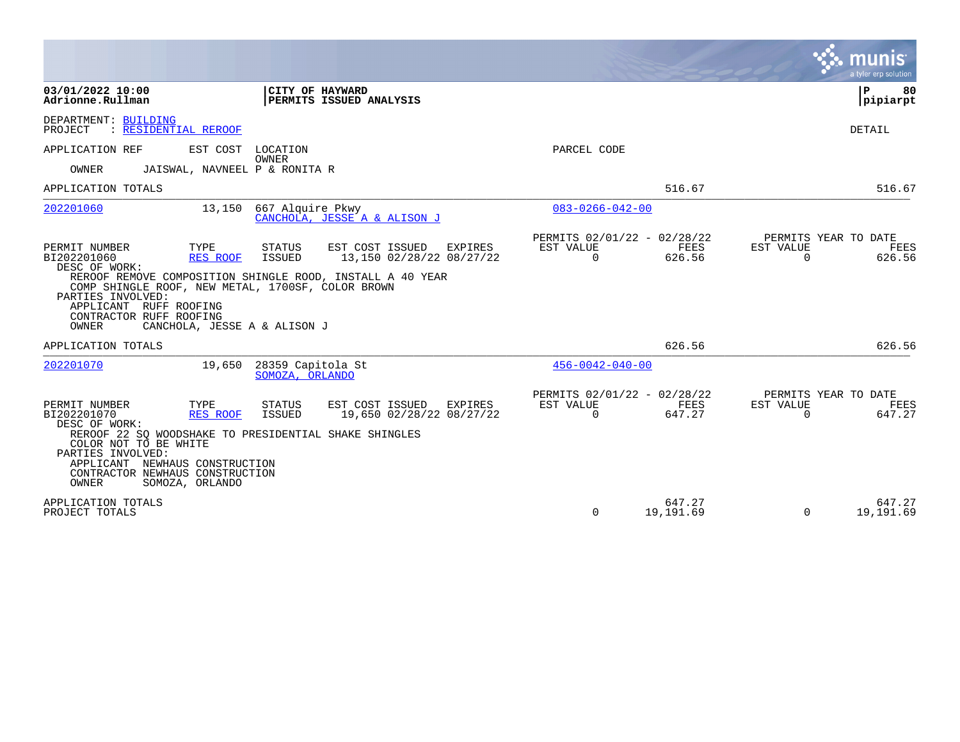|                                                                                                                                                                                                                                                                           |                                                                                                                                         |                                                      |                     |                       | munis<br>a tyler erp solution          |
|---------------------------------------------------------------------------------------------------------------------------------------------------------------------------------------------------------------------------------------------------------------------------|-----------------------------------------------------------------------------------------------------------------------------------------|------------------------------------------------------|---------------------|-----------------------|----------------------------------------|
| 03/01/2022 10:00<br>Adrionne.Rullman                                                                                                                                                                                                                                      | CITY OF HAYWARD<br>PERMITS ISSUED ANALYSIS                                                                                              |                                                      |                     |                       | ΙP<br>80<br>pipiarpt                   |
| DEPARTMENT: BUILDING<br>PROJECT<br>: RESIDENTIAL REROOF                                                                                                                                                                                                                   |                                                                                                                                         |                                                      |                     |                       | DETAIL                                 |
| EST COST<br>APPLICATION REF                                                                                                                                                                                                                                               | LOCATION<br>OWNER                                                                                                                       | PARCEL CODE                                          |                     |                       |                                        |
| JAISWAL, NAVNEEL P & RONITA R<br>OWNER                                                                                                                                                                                                                                    |                                                                                                                                         |                                                      |                     |                       |                                        |
| APPLICATION TOTALS                                                                                                                                                                                                                                                        |                                                                                                                                         |                                                      | 516.67              |                       | 516.67                                 |
| 202201060<br>13,150                                                                                                                                                                                                                                                       | 667 Alquire Pkwy<br>CANCHOLA, JESSE A & ALISON J                                                                                        | $083 - 0266 - 042 - 00$                              |                     |                       |                                        |
| PERMIT NUMBER<br>TYPE<br>BI202201060<br>RES ROOF<br>DESC OF WORK:<br>COMP SHINGLE ROOF, NEW METAL, 1700SF, COLOR BROWN<br>PARTIES INVOLVED:<br>APPLICANT RUFF ROOFING<br>CONTRACTOR RUFF ROOFING<br>OWNER<br>CANCHOLA, JESSE A & ALISON J                                 | STATUS<br>EST COST ISSUED<br>EXPIRES<br>ISSUED<br>13,150 02/28/22 08/27/22<br>REROOF REMOVE COMPOSITION SHINGLE ROOD, INSTALL A 40 YEAR | PERMITS 02/01/22 - 02/28/22<br>EST VALUE<br>$\Omega$ | FEES<br>626.56      | EST VALUE<br>$\Omega$ | PERMITS YEAR TO DATE<br>FEES<br>626.56 |
| APPLICATION TOTALS                                                                                                                                                                                                                                                        |                                                                                                                                         |                                                      | 626.56              |                       | 626.56                                 |
| 202201070<br>19,650                                                                                                                                                                                                                                                       | 28359 Capitola St<br>SOMOZA, ORLANDO                                                                                                    | $456 - 0042 - 040 - 00$                              |                     |                       |                                        |
| PERMIT NUMBER<br>TYPE<br>RES ROOF<br>BI202201070<br>DESC OF WORK:<br>REROOF 22 SQ WOODSHAKE TO PRESIDENTIAL SHAKE SHINGLES<br>COLOR NOT TO BE WHITE<br>PARTIES INVOLVED:<br>APPLICANT NEWHAUS CONSTRUCTION<br>CONTRACTOR NEWHAUS CONSTRUCTION<br>OWNER<br>SOMOZA, ORLANDO | <b>STATUS</b><br>EST COST ISSUED<br>EXPIRES<br><b>ISSUED</b><br>19,650 02/28/22 08/27/22                                                | PERMITS 02/01/22 - 02/28/22<br>EST VALUE<br>$\Omega$ | FEES<br>647.27      | EST VALUE<br>$\Omega$ | PERMITS YEAR TO DATE<br>FEES<br>647.27 |
| APPLICATION TOTALS<br>PROJECT TOTALS                                                                                                                                                                                                                                      |                                                                                                                                         | $\Omega$                                             | 647.27<br>19,191.69 | $\Omega$              | 647.27<br>19,191.69                    |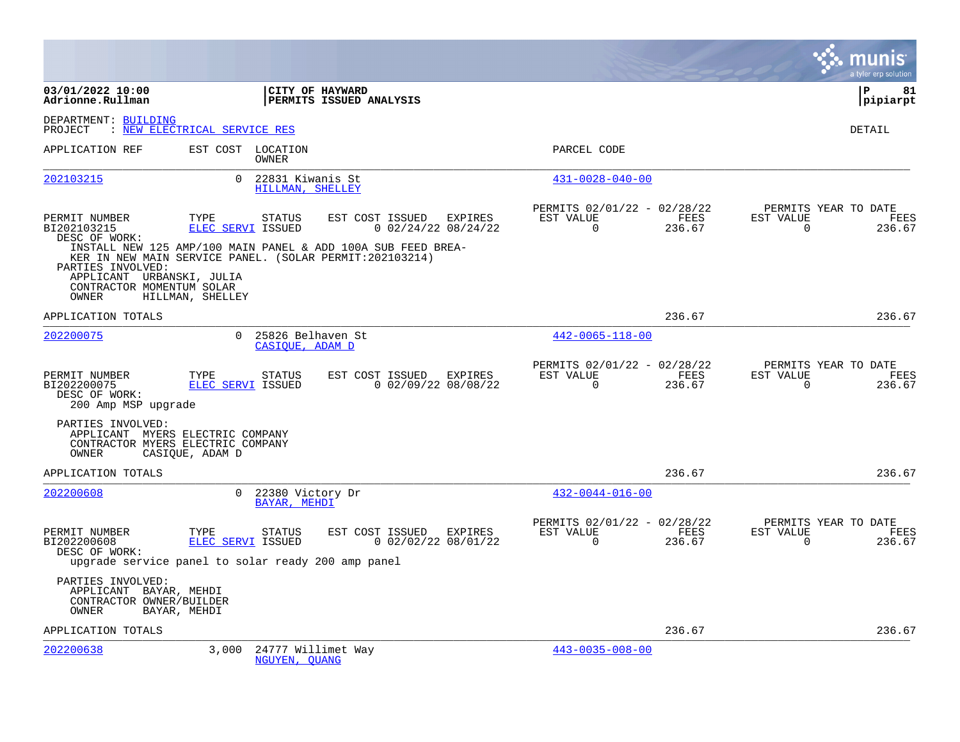|                                                                                      |                                                                                           |                                                              |                                                      |                |                       | a tyler erp solution                   |
|--------------------------------------------------------------------------------------|-------------------------------------------------------------------------------------------|--------------------------------------------------------------|------------------------------------------------------|----------------|-----------------------|----------------------------------------|
| 03/01/2022 10:00<br>Adrionne.Rullman                                                 |                                                                                           | CITY OF HAYWARD<br>PERMITS ISSUED ANALYSIS                   |                                                      |                |                       | ΙP<br>81<br> pipiarpt                  |
| DEPARTMENT: BUILDING<br>PROJECT                                                      | : NEW ELECTRICAL SERVICE RES                                                              |                                                              |                                                      |                |                       | DETAIL                                 |
| APPLICATION REF                                                                      | EST COST LOCATION<br>OWNER                                                                |                                                              | PARCEL CODE                                          |                |                       |                                        |
| 202103215                                                                            | $\Omega$<br>22831 Kiwanis St<br>HILLMAN, SHELLEY                                          |                                                              | $431 - 0028 - 040 - 00$                              |                |                       |                                        |
| PERMIT NUMBER<br>BI202103215<br>DESC OF WORK:                                        | TYPE<br>STATUS<br><b>ELEC SERVI ISSUED</b>                                                | EST COST ISSUED EXPIRES<br>$0$ 02/24/22 08/24/22             | PERMITS 02/01/22 - 02/28/22<br>EST VALUE<br>$\Omega$ | FEES<br>236.67 | EST VALUE<br>$\Omega$ | PERMITS YEAR TO DATE<br>FEES<br>236.67 |
| PARTIES INVOLVED:<br>APPLICANT URBANSKI, JULIA<br>CONTRACTOR MOMENTUM SOLAR<br>OWNER | KER IN NEW MAIN SERVICE PANEL. (SOLAR PERMIT:202103214)<br>HILLMAN, SHELLEY               | INSTALL NEW 125 AMP/100 MAIN PANEL & ADD 100A SUB FEED BREA- |                                                      |                |                       |                                        |
| APPLICATION TOTALS                                                                   |                                                                                           |                                                              |                                                      | 236.67         |                       | 236.67                                 |
| 202200075                                                                            | 0 25826 Belhaven St<br>CASIOUE, ADAM D                                                    |                                                              | $442 - 0065 - 118 - 00$                              |                |                       |                                        |
| PERMIT NUMBER<br>BI202200075<br>DESC OF WORK:<br>200 Amp MSP upgrade                 | TYPE<br>STATUS<br>ELEC SERVI ISSUED                                                       | EST COST ISSUED EXPIRES<br>$0$ 02/09/22 08/08/22             | PERMITS 02/01/22 - 02/28/22<br>EST VALUE<br>$\Omega$ | FEES<br>236.67 | EST VALUE<br>$\Omega$ | PERMITS YEAR TO DATE<br>FEES<br>236.67 |
| PARTIES INVOLVED:<br>OWNER                                                           | APPLICANT MYERS ELECTRIC COMPANY<br>CONTRACTOR MYERS ELECTRIC COMPANY<br>CASIQUE, ADAM D  |                                                              |                                                      |                |                       |                                        |
| APPLICATION TOTALS                                                                   |                                                                                           |                                                              |                                                      | 236.67         |                       | 236.67                                 |
| 202200608                                                                            | 0 22380 Victory Dr<br><b>BAYAR, MEHDI</b>                                                 |                                                              | $432 - 0044 - 016 - 00$                              |                |                       |                                        |
| PERMIT NUMBER<br>BI202200608<br>DESC OF WORK:                                        | TYPE<br>STATUS<br>ELEC SERVI ISSUED<br>upgrade service panel to solar ready 200 amp panel | EST COST ISSUED EXPIRES<br>$0$ 02/02/22 08/01/22             | PERMITS 02/01/22 - 02/28/22<br>EST VALUE<br>$\Omega$ | FEES<br>236.67 | EST VALUE<br>$\Omega$ | PERMITS YEAR TO DATE<br>FEES<br>236.67 |
| PARTIES INVOLVED:<br>APPLICANT BAYAR, MEHDI<br>CONTRACTOR OWNER/BUILDER<br>OWNER     | BAYAR, MEHDI                                                                              |                                                              |                                                      |                |                       |                                        |
| APPLICATION TOTALS                                                                   |                                                                                           |                                                              |                                                      | 236.67         |                       | 236.67                                 |
| 202200638                                                                            | 3,000<br>24777 Willimet Way<br>NGUYEN, QUANG                                              |                                                              | $443 - 0035 - 008 - 00$                              |                |                       |                                        |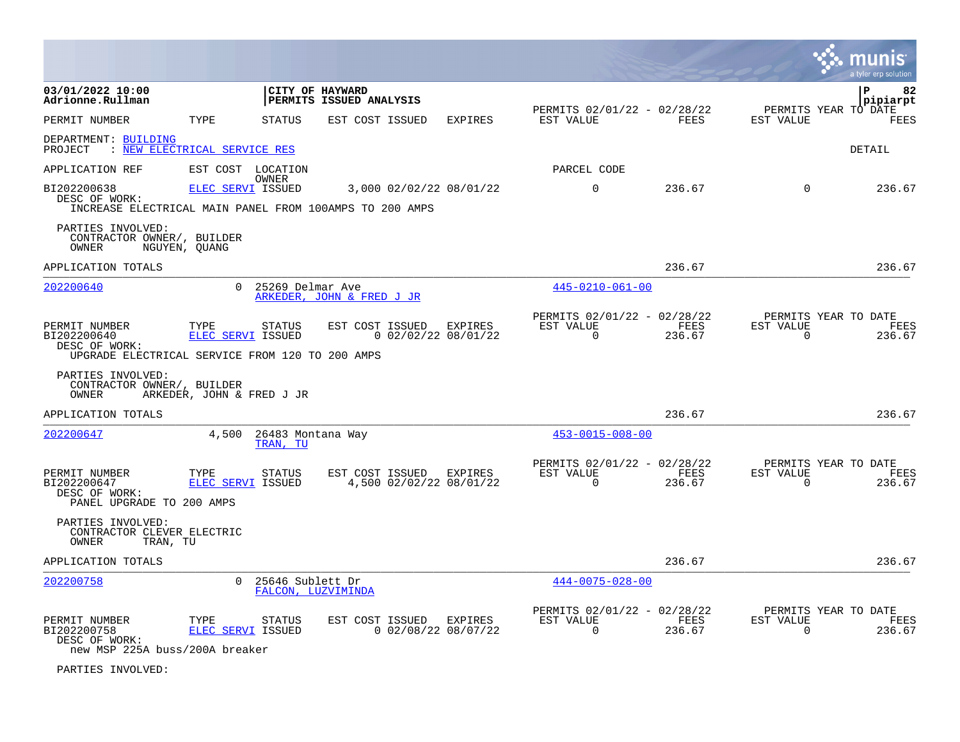|                                                                                                  |                           |                                        |                                            |                |                                                         |                |                          | a tyler erp solution                   |
|--------------------------------------------------------------------------------------------------|---------------------------|----------------------------------------|--------------------------------------------|----------------|---------------------------------------------------------|----------------|--------------------------|----------------------------------------|
| 03/01/2022 10:00<br>Adrionne.Rullman                                                             |                           | CITY OF HAYWARD                        | PERMITS ISSUED ANALYSIS                    |                |                                                         |                |                          | ΙP<br>82<br>pipiarpt                   |
| PERMIT NUMBER                                                                                    | TYPE                      | <b>STATUS</b>                          | EST COST ISSUED                            | <b>EXPIRES</b> | PERMITS 02/01/22 - 02/28/22<br>EST VALUE                | <b>FEES</b>    | EST VALUE                | PERMITS YEAR TO DATE<br>FEES           |
| DEPARTMENT: BUILDING<br>: NEW ELECTRICAL SERVICE RES<br>PROJECT                                  |                           |                                        |                                            |                |                                                         |                |                          | <b>DETAIL</b>                          |
| APPLICATION REF                                                                                  | EST COST LOCATION         | OWNER                                  |                                            |                | PARCEL CODE                                             |                |                          |                                        |
| BI202200638<br>DESC OF WORK:<br>INCREASE ELECTRICAL MAIN PANEL FROM 100AMPS TO 200 AMPS          | ELEC SERVI ISSUED         |                                        | 3,000 02/02/22 08/01/22                    |                | 0                                                       | 236.67         | $\mathbf 0$              | 236.67                                 |
| PARTIES INVOLVED:<br>CONTRACTOR OWNER/, BUILDER<br>OWNER                                         | NGUYEN, QUANG             |                                        |                                            |                |                                                         |                |                          |                                        |
| APPLICATION TOTALS                                                                               |                           |                                        |                                            |                |                                                         | 236.67         |                          | 236.67                                 |
| 202200640                                                                                        | $\Omega$                  | 25269 Delmar Ave                       | ARKEDER, JOHN & FRED J JR                  |                | $445 - 0210 - 061 - 00$                                 |                |                          |                                        |
| PERMIT NUMBER<br>BI202200640<br>DESC OF WORK:<br>UPGRADE ELECTRICAL SERVICE FROM 120 TO 200 AMPS | TYPE<br>ELEC SERVI ISSUED | <b>STATUS</b>                          | EST COST ISSUED<br>$0$ 02/02/22 08/01/22   | <b>EXPIRES</b> | PERMITS 02/01/22 - 02/28/22<br>EST VALUE<br>$\Omega$    | FEES<br>236.67 | EST VALUE<br>$\Omega$    | PERMITS YEAR TO DATE<br>FEES<br>236.67 |
| PARTIES INVOLVED:<br>CONTRACTOR OWNER/, BUILDER<br>OWNER                                         | ARKEDER, JOHN & FRED J JR |                                        |                                            |                |                                                         |                |                          |                                        |
| APPLICATION TOTALS                                                                               |                           |                                        |                                            |                |                                                         | 236.67         |                          | 236.67                                 |
| 202200647                                                                                        | 4,500                     | 26483 Montana Way<br>TRAN, TU          |                                            |                | $453 - 0015 - 008 - 00$                                 |                |                          |                                        |
| PERMIT NUMBER<br>BI202200647<br>DESC OF WORK:<br>PANEL UPGRADE TO 200 AMPS                       | TYPE<br>ELEC SERVI ISSUED | <b>STATUS</b>                          | EST COST ISSUED<br>4,500 02/02/22 08/01/22 | EXPIRES        | PERMITS 02/01/22 - 02/28/22<br>EST VALUE<br>$\Omega$    | FEES<br>236.67 | EST VALUE<br>$\Omega$    | PERMITS YEAR TO DATE<br>FEES<br>236.67 |
| PARTIES INVOLVED:<br>CONTRACTOR CLEVER ELECTRIC<br>OWNER<br>TRAN, TU                             |                           |                                        |                                            |                |                                                         |                |                          |                                        |
| APPLICATION TOTALS                                                                               |                           |                                        |                                            |                |                                                         | 236.67         |                          | 236.67                                 |
| 202200758                                                                                        | $\Omega$                  | 25646 Sublett Dr<br>FALCON, LUZVIMINDA |                                            |                | $444 - 0075 - 028 - 00$                                 |                |                          |                                        |
| PERMIT NUMBER<br>BI202200758<br>DESC OF WORK:<br>new MSP 225A buss/200A breaker                  | TYPE<br>ELEC SERVI ISSUED | <b>STATUS</b>                          | EST COST ISSUED<br>$0$ 02/08/22 08/07/22   | EXPIRES        | PERMITS 02/01/22 - 02/28/22<br>EST VALUE<br>$\mathbf 0$ | FEES<br>236.67 | EST VALUE<br>$\mathbf 0$ | PERMITS YEAR TO DATE<br>FEES<br>236.67 |

PARTIES INVOLVED: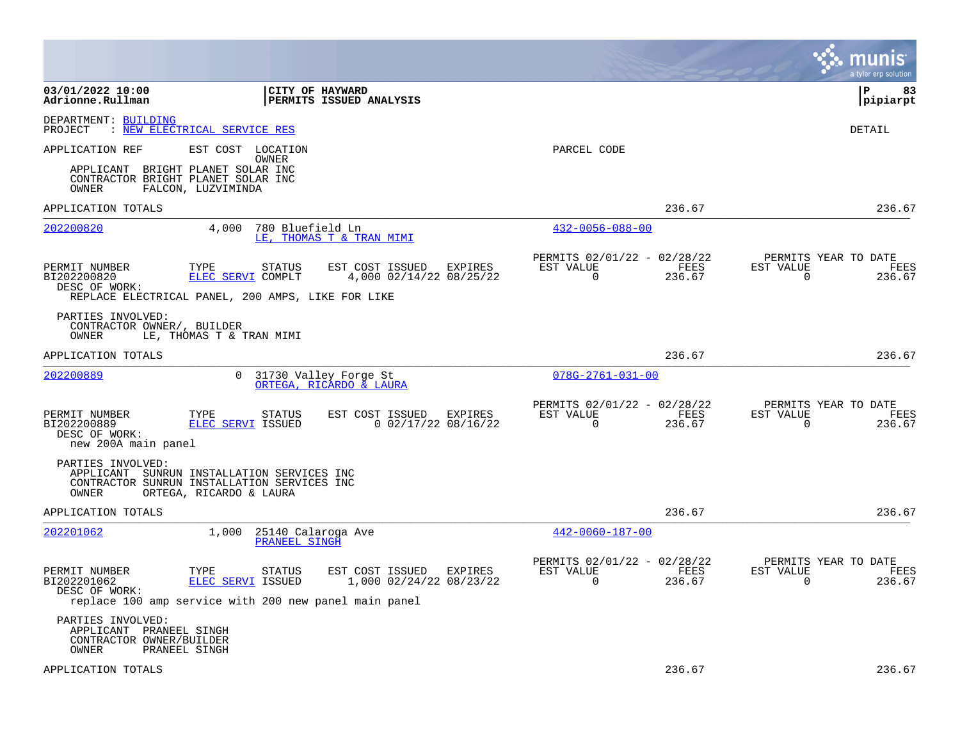|                                                                                   |                                                                                                                      |                                                       |                                                         |                | a tyler erp solution                                               |
|-----------------------------------------------------------------------------------|----------------------------------------------------------------------------------------------------------------------|-------------------------------------------------------|---------------------------------------------------------|----------------|--------------------------------------------------------------------|
| 03/01/2022 10:00<br>Adrionne.Rullman                                              | CITY OF HAYWARD                                                                                                      | PERMITS ISSUED ANALYSIS                               |                                                         |                | ∣P<br>83<br> pipiarpt                                              |
| DEPARTMENT: BUILDING<br>PROJECT                                                   | : NEW ELECTRICAL SERVICE RES                                                                                         |                                                       |                                                         |                | DETAIL                                                             |
| APPLICATION REF                                                                   | EST COST LOCATION<br>OWNER                                                                                           |                                                       | PARCEL CODE                                             |                |                                                                    |
| OWNER                                                                             | APPLICANT BRIGHT PLANET SOLAR INC<br>CONTRACTOR BRIGHT PLANET SOLAR INC<br>FALCON, LUZVIMINDA                        |                                                       |                                                         |                |                                                                    |
| APPLICATION TOTALS                                                                |                                                                                                                      |                                                       |                                                         | 236.67         | 236.67                                                             |
| 202200820                                                                         | 4,000<br>780 Bluefield Ln                                                                                            | LE, THOMAS T & TRAN MIMI                              | $432 - 0056 - 088 - 00$                                 |                |                                                                    |
| PERMIT NUMBER<br>BI202200820<br>DESC OF WORK:                                     | TYPE<br>STATUS<br>ELEC SERVI COMPLT                                                                                  | EST COST ISSUED<br>EXPIRES<br>4,000 02/14/22 08/25/22 | PERMITS 02/01/22 - 02/28/22<br>EST VALUE<br>$\Omega$    | FEES<br>236.67 | PERMITS YEAR TO DATE<br>EST VALUE<br>FEES<br>$\Omega$<br>236.67    |
|                                                                                   | REPLACE ELECTRICAL PANEL, 200 AMPS, LIKE FOR LIKE                                                                    |                                                       |                                                         |                |                                                                    |
| PARTIES INVOLVED:<br>CONTRACTOR OWNER/, BUILDER<br>OWNER                          | LE, THOMAS T & TRAN MIMI                                                                                             |                                                       |                                                         |                |                                                                    |
| APPLICATION TOTALS                                                                |                                                                                                                      |                                                       |                                                         | 236.67         | 236.67                                                             |
| 202200889                                                                         | $\Omega$                                                                                                             | 31730 Valley Forge St<br>ORTEGA, RICARDO & LAURA      | $078G - 2761 - 031 - 00$                                |                |                                                                    |
| PERMIT NUMBER<br>BI202200889<br>DESC OF WORK:<br>new 200A main panel              | TYPE<br><b>STATUS</b><br>ELEC SERVI ISSUED                                                                           | EST COST ISSUED<br>EXPIRES<br>$0$ 02/17/22 08/16/22   | PERMITS 02/01/22 - 02/28/22<br>EST VALUE<br>$\mathbf 0$ | FEES<br>236.67 | PERMITS YEAR TO DATE<br>EST VALUE<br>FEES<br>$\mathbf 0$<br>236.67 |
| PARTIES INVOLVED:<br>OWNER                                                        | APPLICANT SUNRUN INSTALLATION SERVICES INC<br>CONTRACTOR SUNRUN INSTALLATION SERVICES INC<br>ORTEGA, RICARDO & LAURA |                                                       |                                                         |                |                                                                    |
| APPLICATION TOTALS                                                                |                                                                                                                      |                                                       |                                                         | 236.67         | 236.67                                                             |
| 202201062                                                                         | 1,000<br>25140 Calaroga Ave<br>PRANEEL SINGH                                                                         |                                                       | $442 - 0060 - 187 - 00$                                 |                |                                                                    |
| PERMIT NUMBER<br>BI202201062<br>DESC OF WORK:                                     | TYPE<br>STATUS<br>ELEC SERVI ISSUED<br>replace 100 amp service with 200 new panel main panel                         | EST COST ISSUED<br>EXPIRES<br>1,000 02/24/22 08/23/22 | PERMITS 02/01/22 - 02/28/22<br>EST VALUE<br>0           | FEES<br>236.67 | PERMITS YEAR TO DATE<br>EST VALUE<br>FEES<br>$\mathbf 0$<br>236.67 |
| PARTIES INVOLVED:<br>APPLICANT PRANEEL SINGH<br>CONTRACTOR OWNER/BUILDER<br>OWNER | PRANEEL SINGH                                                                                                        |                                                       |                                                         |                |                                                                    |
| APPLICATION TOTALS                                                                |                                                                                                                      |                                                       |                                                         | 236.67         | 236.67                                                             |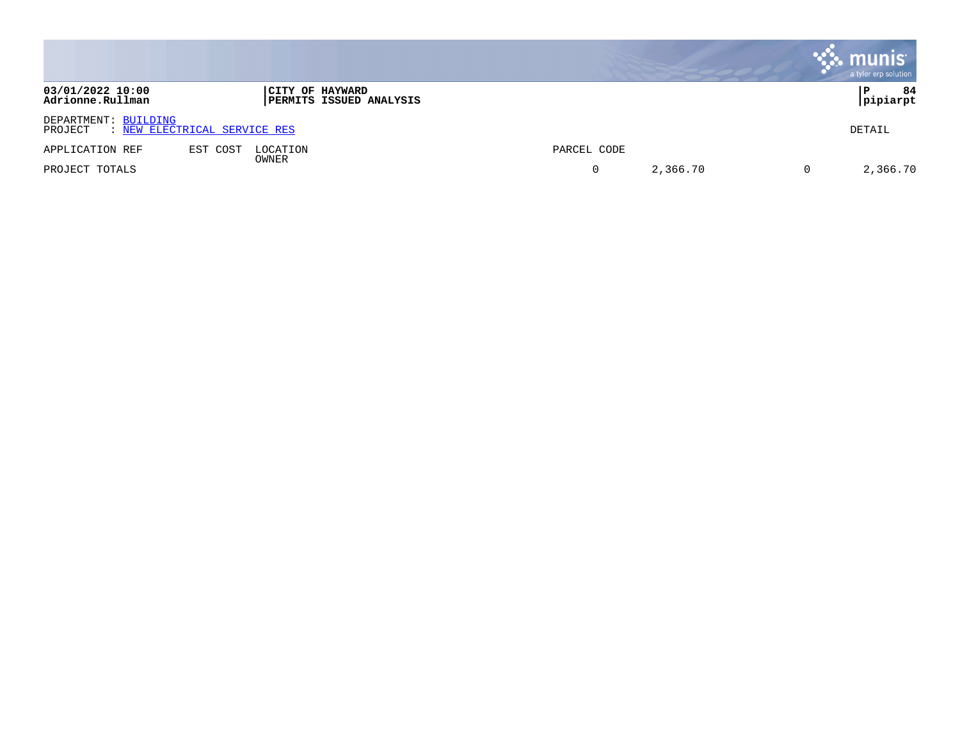|                                      |                                                   |             |          |     | munis<br>a tyler erp solution |
|--------------------------------------|---------------------------------------------------|-------------|----------|-----|-------------------------------|
| 03/01/2022 10:00<br>Adrionne.Rullman | CITY OF HAYWARD<br><b>PERMITS ISSUED ANALYSIS</b> |             |          |     | 84<br>Р<br>pipiarpt           |
| DEPARTMENT: BUILDING<br>PROJECT      | : NEW ELECTRICAL SERVICE RES                      |             |          |     | DETAIL                        |
| APPLICATION REF                      | EST COST<br>LOCATION                              | PARCEL CODE |          |     |                               |
| PROJECT TOTALS                       | OWNER                                             |             | 2,366.70 | . O | 2,366.70                      |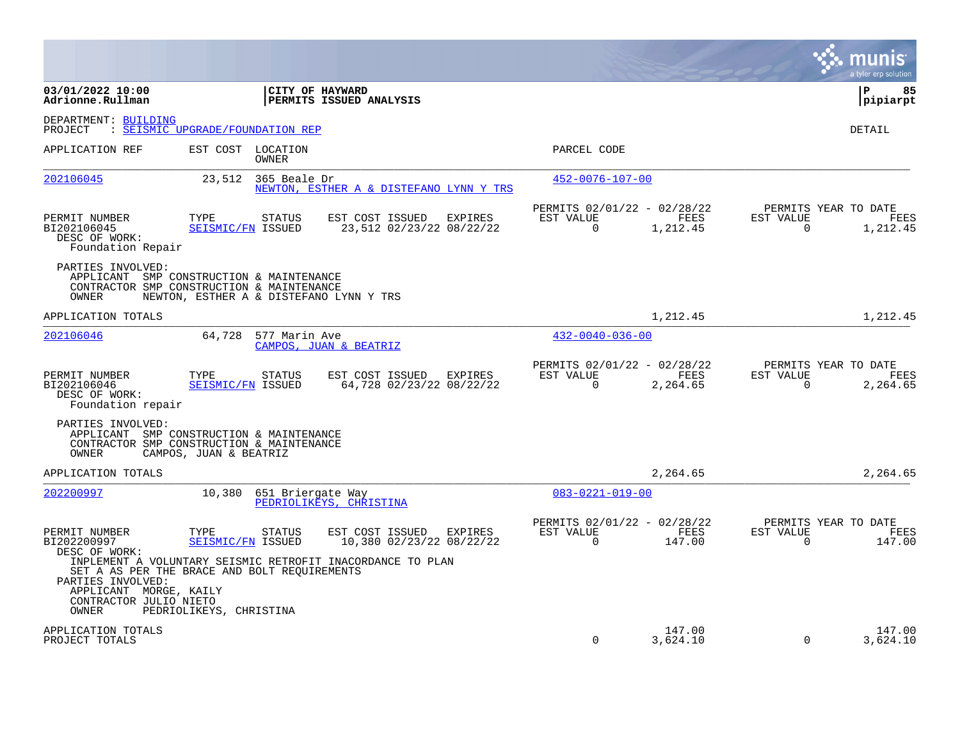|                                                                                                                     |                                  |                            |                                                                                                                      |                                                      |                    |                       | a tyler erp solution                            |
|---------------------------------------------------------------------------------------------------------------------|----------------------------------|----------------------------|----------------------------------------------------------------------------------------------------------------------|------------------------------------------------------|--------------------|-----------------------|-------------------------------------------------|
| 03/01/2022 10:00<br>Adrionne.Rullman                                                                                |                                  | <b>CITY OF HAYWARD</b>     | PERMITS ISSUED ANALYSIS                                                                                              |                                                      |                    |                       | l P<br>85<br> pipiarpt                          |
| DEPARTMENT: BUILDING<br>PROJECT                                                                                     | : SEISMIC UPGRADE/FOUNDATION REP |                            |                                                                                                                      |                                                      |                    |                       | <b>DETAIL</b>                                   |
| APPLICATION REF                                                                                                     |                                  | EST COST LOCATION<br>OWNER |                                                                                                                      | PARCEL CODE                                          |                    |                       |                                                 |
| 202106045                                                                                                           | 23,512                           | 365 Beale Dr               | NEWTON, ESTHER A & DISTEFANO LYNN Y TRS                                                                              | $452 - 0076 - 107 - 00$                              |                    |                       |                                                 |
| PERMIT NUMBER<br>BI202106045<br>DESC OF WORK:<br>Foundation Repair                                                  | TYPE<br>SEISMIC/FN ISSUED        | STATUS                     | EST COST ISSUED<br>EXPIRES<br>23,512 02/23/22 08/22/22                                                               | PERMITS 02/01/22 - 02/28/22<br>EST VALUE<br>$\Omega$ | FEES<br>1,212.45   | EST VALUE<br>$\Omega$ | PERMITS YEAR TO DATE<br><b>FEES</b><br>1,212.45 |
| PARTIES INVOLVED:<br>APPLICANT SMP CONSTRUCTION & MAINTENANCE<br>CONTRACTOR SMP CONSTRUCTION & MAINTENANCE<br>OWNER |                                  |                            | NEWTON, ESTHER A & DISTEFANO LYNN Y TRS                                                                              |                                                      |                    |                       |                                                 |
| APPLICATION TOTALS                                                                                                  |                                  |                            |                                                                                                                      |                                                      | 1,212.45           |                       | 1,212.45                                        |
| 202106046                                                                                                           | 64,728                           | 577 Marin Ave              | CAMPOS, JUAN & BEATRIZ                                                                                               | $432 - 0040 - 036 - 00$                              |                    |                       |                                                 |
| PERMIT NUMBER<br>BI202106046<br>DESC OF WORK:<br>Foundation repair                                                  | TYPE<br>SEISMIC/FN ISSUED        | <b>STATUS</b>              | EST COST ISSUED EXPIRES<br>64,728 02/23/22 08/22/22                                                                  | PERMITS 02/01/22 - 02/28/22<br>EST VALUE<br>$\Omega$ | FEES<br>2,264.65   | EST VALUE<br>$\Omega$ | PERMITS YEAR TO DATE<br><b>FEES</b><br>2,264.65 |
| PARTIES INVOLVED:<br>APPLICANT SMP CONSTRUCTION & MAINTENANCE<br>CONTRACTOR SMP CONSTRUCTION & MAINTENANCE<br>OWNER | CAMPOS, JUAN & BEATRIZ           |                            |                                                                                                                      |                                                      |                    |                       |                                                 |
| APPLICATION TOTALS                                                                                                  |                                  |                            |                                                                                                                      |                                                      | 2,264.65           |                       | 2,264.65                                        |
| 202200997                                                                                                           | 10,380                           | 651 Briergate Way          | PEDRIOLIKEYS, CHRISTINA                                                                                              | $083 - 0221 - 019 - 00$                              |                    |                       |                                                 |
| PERMIT NUMBER<br>BI202200997<br>DESC OF WORK:<br>SET A AS PER THE BRACE AND BOLT REQUIREMENTS<br>PARTIES INVOLVED:  | TYPE<br>SEISMIC/FN ISSUED        | <b>STATUS</b>              | EST COST ISSUED<br>EXPIRES<br>10,380 02/23/22 08/22/22<br>INPLEMENT A VOLUNTARY SEISMIC RETROFIT INACORDANCE TO PLAN | PERMITS 02/01/22 - 02/28/22<br>EST VALUE<br>$\Omega$ | FEES<br>147.00     | EST VALUE<br>$\Omega$ | PERMITS YEAR TO DATE<br>FEES<br>147.00          |
| APPLICANT MORGE, KAILY<br>CONTRACTOR JULIO NIETO<br>OWNER                                                           | PEDRIOLIKEYS, CHRISTINA          |                            |                                                                                                                      |                                                      |                    |                       |                                                 |
| APPLICATION TOTALS<br>PROJECT TOTALS                                                                                |                                  |                            |                                                                                                                      | $\mathbf 0$                                          | 147.00<br>3,624.10 | $\mathbf 0$           | 147.00<br>3,624.10                              |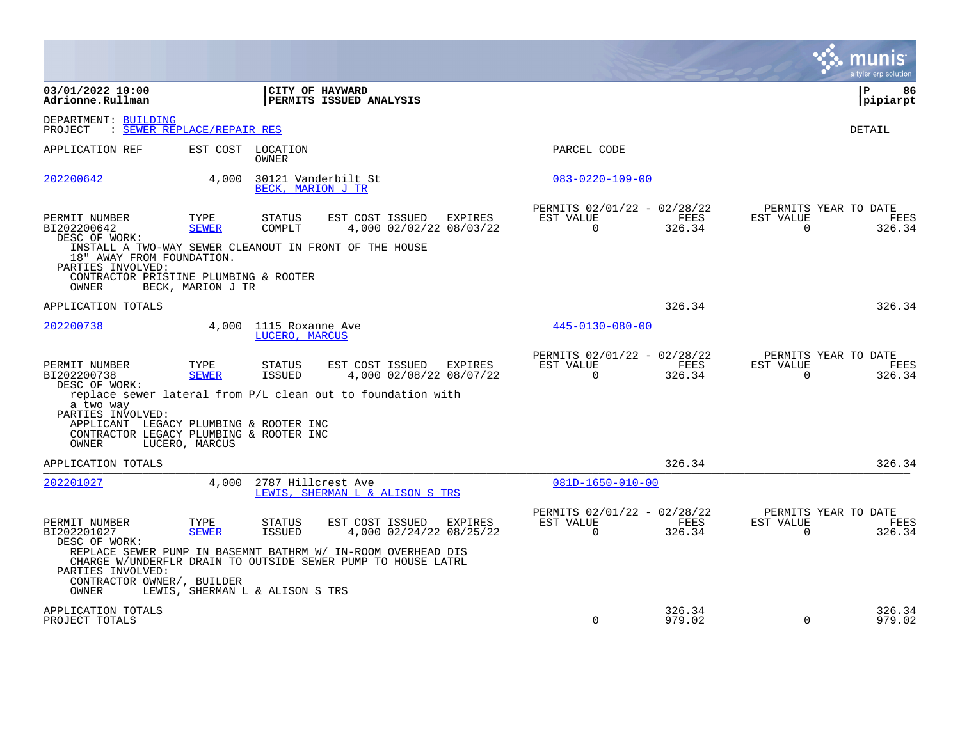|                                                                                                                                                   |                                 |                                    |                                                                                 |                                    |                                                      |                  |                       | munis<br>a tyler erp solution                 |
|---------------------------------------------------------------------------------------------------------------------------------------------------|---------------------------------|------------------------------------|---------------------------------------------------------------------------------|------------------------------------|------------------------------------------------------|------------------|-----------------------|-----------------------------------------------|
| 03/01/2022 10:00<br>Adrionne.Rullman                                                                                                              |                                 |                                    | CITY OF HAYWARD<br>PERMITS ISSUED ANALYSIS                                      |                                    |                                                      |                  |                       | l P<br>86<br> pipiarpt                        |
| DEPARTMENT: BUILDING<br>PROJECT                                                                                                                   | : SEWER REPLACE/REPAIR RES      |                                    |                                                                                 |                                    |                                                      |                  |                       | DETAIL                                        |
| APPLICATION REF                                                                                                                                   |                                 | EST COST LOCATION<br>OWNER         |                                                                                 |                                    | PARCEL CODE                                          |                  |                       |                                               |
| 202200642                                                                                                                                         | 4,000                           | BECK, MARION J TR                  | 30121 Vanderbilt St                                                             |                                    | $083 - 0220 - 109 - 00$                              |                  |                       |                                               |
| PERMIT NUMBER<br>BI202200642<br>DESC OF WORK:                                                                                                     | TYPE<br><b>SEWER</b>            | STATUS<br>COMPLT                   | EST COST ISSUED                                                                 | EXPIRES<br>4,000 02/02/22 08/03/22 | PERMITS 02/01/22 - 02/28/22<br>EST VALUE<br>$\Omega$ | FEES<br>326.34   | EST VALUE<br>$\Omega$ | PERMITS YEAR TO DATE<br><b>FEES</b><br>326.34 |
| INSTALL A TWO-WAY SEWER CLEANOUT IN FRONT OF THE HOUSE<br>18" AWAY FROM FOUNDATION.<br>PARTIES INVOLVED:<br>CONTRACTOR PRISTINE PLUMBING & ROOTER |                                 |                                    |                                                                                 |                                    |                                                      |                  |                       |                                               |
| OWNER                                                                                                                                             | BECK, MARION J TR               |                                    |                                                                                 |                                    |                                                      |                  |                       |                                               |
| APPLICATION TOTALS                                                                                                                                |                                 |                                    |                                                                                 |                                    |                                                      | 326.34           |                       | 326.34                                        |
| 202200738                                                                                                                                         | 4,000                           | 1115 Roxanne Ave<br>LUCERO, MARCUS |                                                                                 |                                    | $445 - 0130 - 080 - 00$                              |                  |                       |                                               |
| PERMIT NUMBER<br>BI202200738<br>DESC OF WORK:                                                                                                     | TYPE<br><b>SEWER</b>            | <b>STATUS</b><br>ISSUED            | EST COST ISSUED<br>replace sewer lateral from P/L clean out to foundation with  | EXPIRES<br>4,000 02/08/22 08/07/22 | PERMITS 02/01/22 - 02/28/22<br>EST VALUE<br>$\Omega$ | FEES<br>326.34   | EST VALUE<br>$\Omega$ | PERMITS YEAR TO DATE<br><b>FEES</b><br>326.34 |
| a two way<br>PARTIES INVOLVED:<br>APPLICANT LEGACY PLUMBING & ROOTER INC<br>CONTRACTOR LEGACY PLUMBING & ROOTER INC<br>OWNER                      | LUCERO, MARCUS                  |                                    |                                                                                 |                                    |                                                      |                  |                       |                                               |
| APPLICATION TOTALS                                                                                                                                |                                 |                                    |                                                                                 |                                    |                                                      | 326.34           |                       | 326.34                                        |
| 202201027                                                                                                                                         | 4.000                           | 2787 Hillcrest Ave                 | LEWIS, SHERMAN L & ALISON S TRS                                                 |                                    | $081D-1650-010-00$                                   |                  |                       |                                               |
| PERMIT NUMBER<br>BI202201027<br>DESC OF WORK:                                                                                                     | TYPE<br><b>SEWER</b>            | STATUS<br>ISSUED                   | EST COST ISSUED<br>REPLACE SEWER PUMP IN BASEMNT BATHRM W/ IN-ROOM OVERHEAD DIS | EXPIRES<br>4,000 02/24/22 08/25/22 | PERMITS 02/01/22 - 02/28/22<br>EST VALUE<br>$\Omega$ | FEES<br>326.34   | EST VALUE<br>$\Omega$ | PERMITS YEAR TO DATE<br>FEES<br>326.34        |
| PARTIES INVOLVED:<br>CONTRACTOR OWNER/, BUILDER<br>OWNER                                                                                          | LEWIS, SHERMAN L & ALISON S TRS |                                    | CHARGE W/UNDERFLR DRAIN TO OUTSIDE SEWER PUMP TO HOUSE LATRL                    |                                    |                                                      |                  |                       |                                               |
| APPLICATION TOTALS<br>PROJECT TOTALS                                                                                                              |                                 |                                    |                                                                                 |                                    | $\Omega$                                             | 326.34<br>979.02 | $\Omega$              | 326.34<br>979.02                              |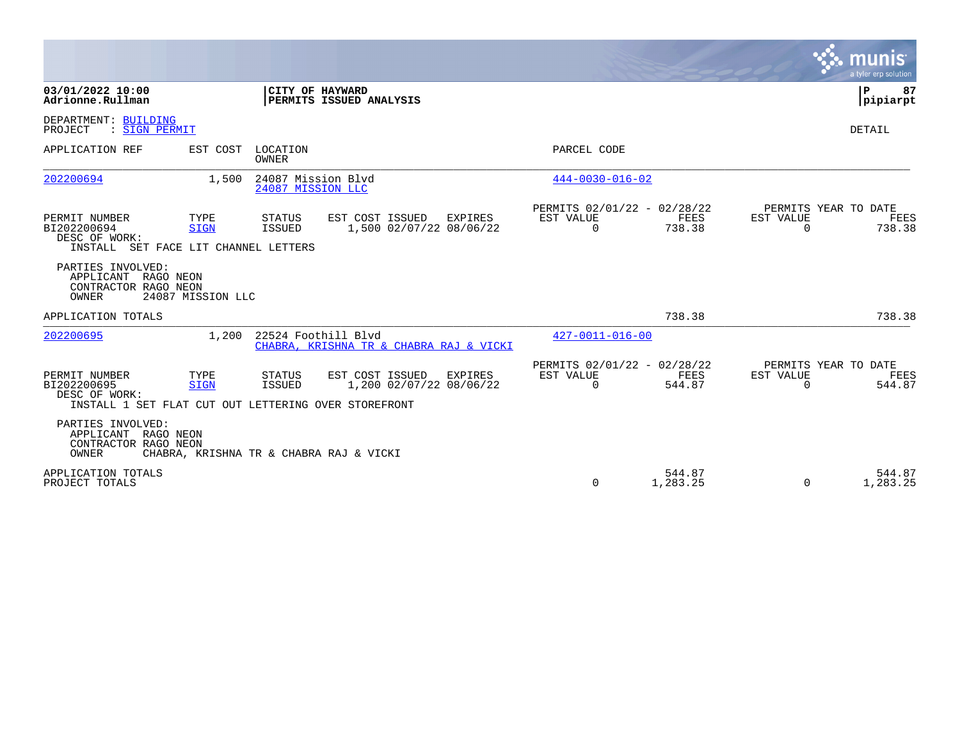|                                                                                                       |                                |                                         |                                                                |         |                                                      |                    |                       | munis<br>a tyler erp solution                 |
|-------------------------------------------------------------------------------------------------------|--------------------------------|-----------------------------------------|----------------------------------------------------------------|---------|------------------------------------------------------|--------------------|-----------------------|-----------------------------------------------|
| 03/01/2022 10:00<br>Adrionne.Rullman                                                                  |                                |                                         | CITY OF HAYWARD<br>PERMITS ISSUED ANALYSIS                     |         |                                                      |                    |                       | l P<br>87<br> pipiarpt                        |
| DEPARTMENT: BUILDING<br>: SIGN PERMIT<br>PROJECT                                                      |                                |                                         |                                                                |         |                                                      |                    |                       | <b>DETAIL</b>                                 |
| APPLICATION REF                                                                                       | EST COST                       | LOCATION<br>OWNER                       |                                                                |         | PARCEL CODE                                          |                    |                       |                                               |
| 202200694                                                                                             | 1,500                          | 24087 Mission Blvd<br>24087 MISSION LLC |                                                                |         | $444 - 0030 - 016 - 02$                              |                    |                       |                                               |
| PERMIT NUMBER<br>BI202200694<br>DESC OF WORK:<br>INSTALL SET FACE LIT CHANNEL LETTERS                 | TYPE<br><b>SIGN</b>            | STATUS<br>ISSUED                        | EST COST ISSUED<br>1,500 02/07/22 08/06/22                     | EXPIRES | PERMITS 02/01/22 - 02/28/22<br>EST VALUE<br>$\Omega$ | FEES<br>738.38     | EST VALUE<br>0        | PERMITS YEAR TO DATE<br><b>FEES</b><br>738.38 |
| PARTIES INVOLVED:<br>APPLICANT<br>CONTRACTOR RAGO NEON<br><b>OWNER</b>                                | RAGO NEON<br>24087 MISSION LLC |                                         |                                                                |         |                                                      |                    |                       |                                               |
| APPLICATION TOTALS                                                                                    |                                |                                         |                                                                |         |                                                      | 738.38             |                       | 738.38                                        |
| 202200695                                                                                             | 1,200                          |                                         | 22524 Foothill Blyd<br>CHABRA, KRISHNA TR & CHABRA RAJ & VICKI |         | $427 - 0011 - 016 - 00$                              |                    |                       |                                               |
| PERMIT NUMBER<br>BI202200695<br>DESC OF WORK:<br>INSTALL 1 SET FLAT CUT OUT LETTERING OVER STOREFRONT | TYPE<br><b>SIGN</b>            | STATUS<br><b>ISSUED</b>                 | EST COST ISSUED<br>1,200 02/07/22 08/06/22                     | EXPIRES | PERMITS 02/01/22 - 02/28/22<br>EST VALUE<br>$\Omega$ | FEES<br>544.87     | EST VALUE<br>$\Omega$ | PERMITS YEAR TO DATE<br>FEES<br>544.87        |
| PARTIES INVOLVED:<br>APPLICANT RAGO NEON<br>CONTRACTOR RAGO NEON<br>OWNER                             |                                |                                         | CHABRA, KRISHNA TR & CHABRA RAJ & VICKI                        |         |                                                      |                    |                       |                                               |
| APPLICATION TOTALS<br>PROJECT TOTALS                                                                  |                                |                                         |                                                                |         | $\Omega$                                             | 544.87<br>1,283.25 | $\Omega$              | 544.87<br>1,283.25                            |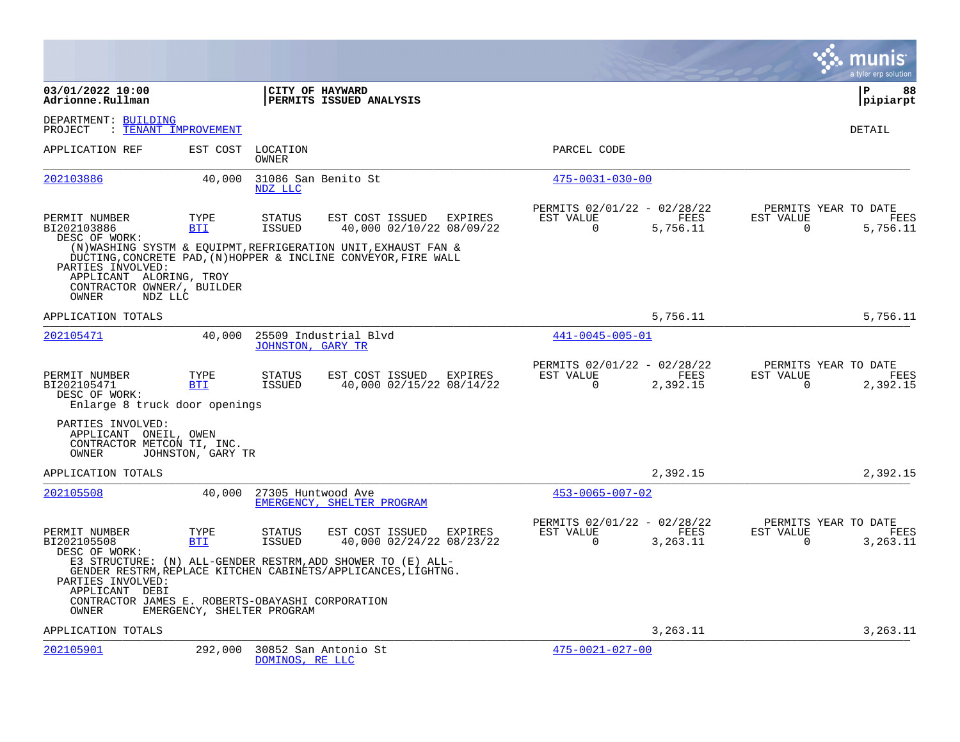|                                                                                                |                    |                                |                                                                                                                              |                                                      |                  |                                               | a tyler erp solution   |
|------------------------------------------------------------------------------------------------|--------------------|--------------------------------|------------------------------------------------------------------------------------------------------------------------------|------------------------------------------------------|------------------|-----------------------------------------------|------------------------|
| 03/01/2022 10:00<br>Adrionne.Rullman                                                           |                    |                                | CITY OF HAYWARD<br>PERMITS ISSUED ANALYSIS                                                                                   |                                                      |                  |                                               | l P<br>88<br> pipiarpt |
| DEPARTMENT: BUILDING<br>PROJECT<br>: TENANT IMPROVEMENT                                        |                    |                                |                                                                                                                              |                                                      |                  |                                               | DETAIL                 |
| APPLICATION REF                                                                                | EST COST           | LOCATION<br><b>OWNER</b>       |                                                                                                                              | PARCEL CODE                                          |                  |                                               |                        |
| 202103886                                                                                      | 40,000             | NDZ LLC                        | 31086 San Benito St                                                                                                          | $475 - 0031 - 030 - 00$                              |                  |                                               |                        |
| PERMIT NUMBER<br>BI202103886<br>DESC OF WORK:                                                  | TYPE<br>BTI        | <b>STATUS</b><br><b>ISSUED</b> | EST COST ISSUED EXPIRES<br>40,000 02/10/22 08/09/22<br>(N) WASHING SYSTM & EQUIPMT, REFRIGERATION UNIT, EXHAUST FAN &        | PERMITS 02/01/22 - 02/28/22<br>EST VALUE<br>$\Omega$ | FEES<br>5,756.11 | PERMITS YEAR TO DATE<br>EST VALUE<br>$\Omega$ | FEES<br>5,756.11       |
| PARTIES INVOLVED:<br>APPLICANT ALORING, TROY<br>CONTRACTOR OWNER/, BUILDER<br>OWNER<br>NDZ LLC |                    |                                | DUCTING, CONCRETE PAD, (N) HOPPER & INCLINE CONVEYOR, FIRE WALL                                                              |                                                      |                  |                                               |                        |
| APPLICATION TOTALS                                                                             |                    |                                |                                                                                                                              |                                                      | 5,756.11         |                                               | 5,756.11               |
| 202105471                                                                                      | 40,000             | <b>JOHNSTON, GARY TR</b>       | 25509 Industrial Blvd                                                                                                        | 441-0045-005-01                                      |                  |                                               |                        |
| PERMIT NUMBER<br>BI202105471<br>DESC OF WORK:<br>Enlarge 8 truck door openings                 | TYPE<br><b>BTI</b> | <b>STATUS</b><br><b>ISSUED</b> | EST COST ISSUED EXPIRES<br>40,000 02/15/22 08/14/22                                                                          | PERMITS 02/01/22 - 02/28/22<br>EST VALUE<br>$\Omega$ | FEES<br>2,392.15 | PERMITS YEAR TO DATE<br>EST VALUE<br>$\Omega$ | FEES<br>2,392.15       |
| PARTIES INVOLVED:<br>APPLICANT ONEIL, OWEN<br>CONTRACTOR METCON TI, INC.<br>OWNER              | JOHNSTON, GARY TR  |                                |                                                                                                                              |                                                      |                  |                                               |                        |
| APPLICATION TOTALS                                                                             |                    |                                |                                                                                                                              |                                                      | 2,392.15         |                                               | 2,392.15               |
| 202105508                                                                                      | 40,000             | 27305 Huntwood Ave             | EMERGENCY, SHELTER PROGRAM                                                                                                   | $453 - 0065 - 007 - 02$                              |                  |                                               |                        |
| PERMIT NUMBER<br>BI202105508<br>DESC OF WORK:                                                  | TYPE<br><b>BTI</b> | <b>STATUS</b><br><b>ISSUED</b> | EST COST ISSUED<br>EXPIRES<br>40,000 02/24/22 08/23/22                                                                       | PERMITS 02/01/22 - 02/28/22<br>EST VALUE<br>$\Omega$ | FEES<br>3,263.11 | PERMITS YEAR TO DATE<br>EST VALUE<br>$\Omega$ | FEES<br>3,263.11       |
| PARTIES INVOLVED:<br>APPLICANT DEBI                                                            |                    |                                | E3 STRUCTURE: (N) ALL-GENDER RESTRM, ADD SHOWER TO (E) ALL-<br>GENDER RESTRM, REPLACE KITCHEN CABINETS/APPLICANCES, LIGHTNG. |                                                      |                  |                                               |                        |
| CONTRACTOR JAMES E. ROBERTS-OBAYASHI CORPORATION<br>OWNER                                      |                    | EMERGENCY, SHELTER PROGRAM     |                                                                                                                              |                                                      |                  |                                               |                        |
| APPLICATION TOTALS                                                                             |                    |                                |                                                                                                                              |                                                      | 3,263.11         |                                               | 3,263.11               |
| 202105901                                                                                      | 292,000            | DOMINOS, RE LLC                | 30852 San Antonio St                                                                                                         | $475 - 0021 - 027 - 00$                              |                  |                                               |                        |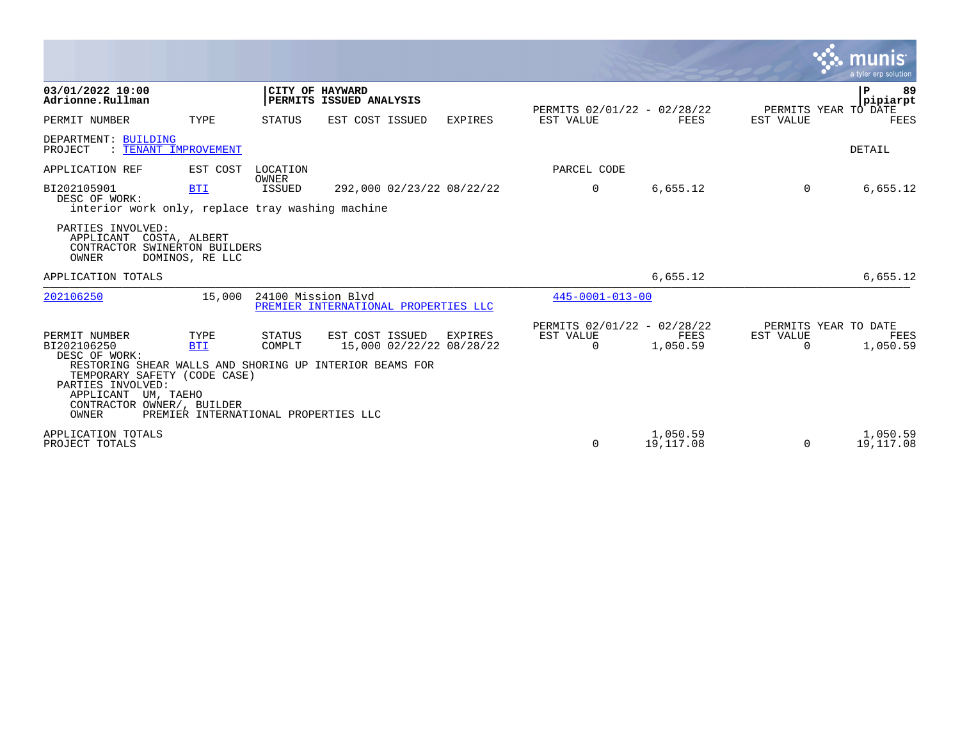|                                                                                                                                                                  |                                                            |                          |                                                                                                        |         |                                                      |                       |                                               | <b>S. MUNIS</b><br>a tyler erp solution |
|------------------------------------------------------------------------------------------------------------------------------------------------------------------|------------------------------------------------------------|--------------------------|--------------------------------------------------------------------------------------------------------|---------|------------------------------------------------------|-----------------------|-----------------------------------------------|-----------------------------------------|
| 03/01/2022 10:00<br>Adrionne.Rullman                                                                                                                             |                                                            | CITY OF HAYWARD          | PERMITS ISSUED ANALYSIS                                                                                |         | PERMITS 02/01/22 - 02/28/22                          |                       |                                               | l P<br>-89<br>pipiarpt                  |
| PERMIT NUMBER                                                                                                                                                    | TYPE                                                       | STATUS                   | EST COST ISSUED                                                                                        | EXPIRES | EST VALUE                                            | FEES                  | PERMITS YEAR TO DATE<br>EST VALUE             | <b>FEES</b>                             |
| DEPARTMENT: BUILDING<br>: TENANT IMPROVEMENT<br>PROJECT                                                                                                          |                                                            |                          |                                                                                                        |         |                                                      |                       |                                               | <b>DETAIL</b>                           |
| APPLICATION REF                                                                                                                                                  | EST COST                                                   | LOCATION<br><b>OWNER</b> |                                                                                                        |         | PARCEL CODE                                          |                       |                                               |                                         |
| BI202105901<br>DESC OF WORK:<br>interior work only, replace tray washing machine                                                                                 | <b>BTI</b>                                                 | <b>ISSUED</b>            | 292,000 02/23/22 08/22/22                                                                              |         | $\Omega$                                             | 6,655.12              | $\Omega$                                      | 6,655.12                                |
| PARTIES INVOLVED:<br>APPLICANT COSTA, ALBERT<br>CONTRACTOR SWINERTON BUILDERS<br>OWNER                                                                           | DOMINOS, RE LLC                                            |                          |                                                                                                        |         |                                                      |                       |                                               |                                         |
| APPLICATION TOTALS                                                                                                                                               |                                                            |                          |                                                                                                        |         |                                                      | 6,655.12              |                                               | 6,655.12                                |
| 202106250                                                                                                                                                        | 15,000                                                     | 24100 Mission Blvd       | PREMIER INTERNATIONAL PROPERTIES LLC                                                                   |         | $445 - 0001 - 013 - 00$                              |                       |                                               |                                         |
| PERMIT NUMBER<br>BI202106250<br>DESC OF WORK:<br>TEMPORARY SAFETY (CODE CASE)<br>PARTIES INVOLVED:<br>APPLICANT UM, TAEHO<br>CONTRACTOR OWNER/, BUILDER<br>OWNER | TYPE<br><b>BTI</b><br>PREMIER INTERNATIONAL PROPERTIES LLC | STATUS<br>COMPLT         | EST COST ISSUED<br>15,000 02/22/22 08/28/22<br>RESTORING SHEAR WALLS AND SHORING UP INTERIOR BEAMS FOR | EXPIRES | PERMITS 02/01/22 - 02/28/22<br>EST VALUE<br>$\Omega$ | FEES<br>1,050.59      | PERMITS YEAR TO DATE<br>EST VALUE<br>$\Omega$ | FEES<br>1,050.59                        |
| APPLICATION TOTALS<br>PROJECT TOTALS                                                                                                                             |                                                            |                          |                                                                                                        |         | $\Omega$                                             | 1,050.59<br>19,117.08 | 0                                             | 1,050.59<br>19,117.08                   |

the contract of the contract of the contract of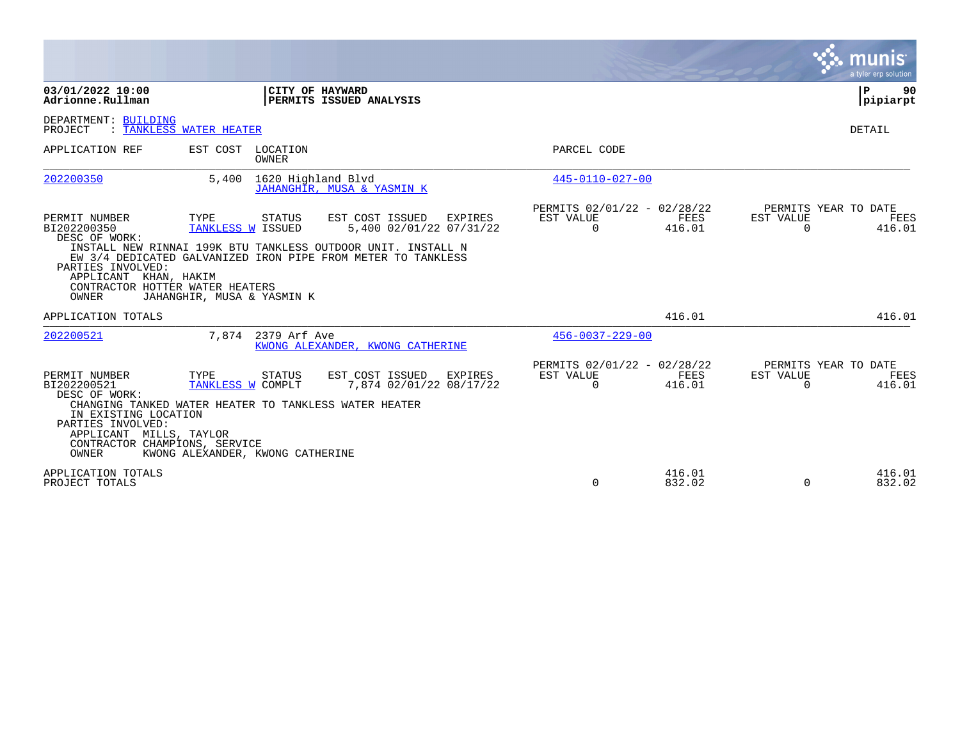|                                                                                                                                                                 |                                                                                                                                  |                                                                                                                                                                                       |                                                      |                  |                                               | a tyler erp solution |
|-----------------------------------------------------------------------------------------------------------------------------------------------------------------|----------------------------------------------------------------------------------------------------------------------------------|---------------------------------------------------------------------------------------------------------------------------------------------------------------------------------------|------------------------------------------------------|------------------|-----------------------------------------------|----------------------|
| 03/01/2022 10:00<br>Adrionne.Rullman                                                                                                                            |                                                                                                                                  | CITY OF HAYWARD<br>PERMITS ISSUED ANALYSIS                                                                                                                                            |                                                      |                  |                                               | P<br>90<br> pipiarpt |
| DEPARTMENT: BUILDING<br>PROJECT                                                                                                                                 | : TANKLESS WATER HEATER                                                                                                          |                                                                                                                                                                                       |                                                      |                  |                                               | DETAIL               |
| APPLICATION REF                                                                                                                                                 | EST COST LOCATION<br><b>OWNER</b>                                                                                                |                                                                                                                                                                                       | PARCEL CODE                                          |                  |                                               |                      |
| 202200350                                                                                                                                                       | 5,400 1620 Highland Blvd                                                                                                         | JAHANGHIR, MUSA & YASMIN K                                                                                                                                                            | 445-0110-027-00                                      |                  |                                               |                      |
| PERMIT NUMBER<br>BI202200350<br>DESC OF WORK:<br>PARTIES INVOLVED:<br>APPLICANT KHAN, HAKIM<br><b>OWNER</b>                                                     | TYPE<br>STATUS<br>TANKLESS W ISSUED<br>CONTRACTOR HOTTER WATER HEATERS<br>JAHANGHIR, MUSA & YASMIN K                             | EST COST ISSUED<br>EXPIRES<br>5,400 02/01/22 07/31/22<br>INSTALL NEW RINNAI 199K BTU TANKLESS OUTDOOR UNIT. INSTALL N<br>EW 3/4 DEDICATED GALVANIZED IRON PIPE FROM METER TO TANKLESS | PERMITS 02/01/22 - 02/28/22<br>EST VALUE<br>$\Omega$ | FEES<br>416.01   | PERMITS YEAR TO DATE<br>EST VALUE<br>$\Omega$ | FEES<br>416.01       |
| APPLICATION TOTALS                                                                                                                                              |                                                                                                                                  |                                                                                                                                                                                       |                                                      | 416.01           |                                               | 416.01               |
| 202200521                                                                                                                                                       | 7.874 2379 Arf Ave                                                                                                               | KWONG ALEXANDER, KWONG CATHERINE                                                                                                                                                      | $456 - 0037 - 229 - 00$                              |                  |                                               |                      |
| PERMIT NUMBER<br>BI202200521<br>DESC OF WORK:<br>IN EXISTING LOCATION<br>PARTIES INVOLVED:<br>APPLICANT MILLS, TAYLOR<br>CONTRACTOR CHAMPIONS, SERVICE<br>OWNER | TYPE<br>STATUS<br>TANKLESS W COMPLT<br>CHANGING TANKED WATER HEATER TO TANKLESS WATER HEATER<br>KWONG ALEXANDER, KWONG CATHERINE | EST COST ISSUED<br>EXPIRES<br>7,874 02/01/22 08/17/22                                                                                                                                 | PERMITS 02/01/22 - 02/28/22<br>EST VALUE<br>$\Omega$ | FEES<br>416.01   | PERMITS YEAR TO DATE<br>EST VALUE<br>$\Omega$ | FEES<br>416.01       |
| APPLICATION TOTALS<br>PROJECT TOTALS                                                                                                                            |                                                                                                                                  |                                                                                                                                                                                       | $\Omega$                                             | 416.01<br>832.02 | $\Omega$                                      | 416.01<br>832.02     |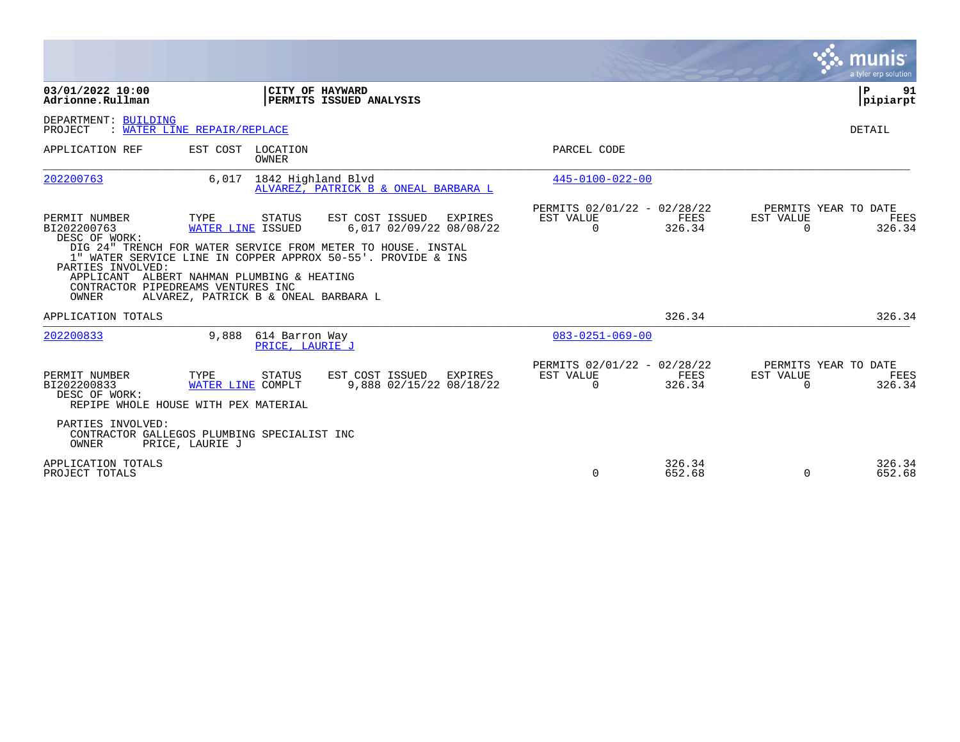|                                                                                                                                                                 |                                                                   |                                   |                                                                                                                                                                                       |                                                      |                       |                                               | munis<br>a tyler erp solution |
|-----------------------------------------------------------------------------------------------------------------------------------------------------------------|-------------------------------------------------------------------|-----------------------------------|---------------------------------------------------------------------------------------------------------------------------------------------------------------------------------------|------------------------------------------------------|-----------------------|-----------------------------------------------|-------------------------------|
| 03/01/2022 10:00<br>Adrionne.Rullman                                                                                                                            |                                                                   |                                   | CITY OF HAYWARD<br>PERMITS ISSUED ANALYSIS                                                                                                                                            |                                                      |                       |                                               | P<br>91<br> pipiarpt          |
| DEPARTMENT: BUILDING<br>PROJECT                                                                                                                                 | : WATER LINE REPAIR/REPLACE                                       |                                   |                                                                                                                                                                                       |                                                      |                       |                                               | DETAIL                        |
| APPLICATION REF                                                                                                                                                 | EST COST LOCATION                                                 | OWNER                             |                                                                                                                                                                                       | PARCEL CODE                                          |                       |                                               |                               |
| 202200763                                                                                                                                                       |                                                                   | 6,017 1842 Highland Blvd          | ALVAREZ, PATRICK B & ONEAL BARBARA L                                                                                                                                                  | $445 - 0100 - 022 - 00$                              |                       |                                               |                               |
| PERMIT NUMBER<br>BI202200763<br>DESC OF WORK:<br>PARTIES INVOLVED:<br>APPLICANT ALBERT NAHMAN PLUMBING & HEATING<br>CONTRACTOR PIPEDREAMS VENTURES INC<br>OWNER | TYPE<br>WATER LINE ISSUED<br>ALVAREZ, PATRICK B & ONEAL BARBARA L | STATUS                            | EST COST ISSUED<br>EXPIRES<br>6,017 02/09/22 08/08/22<br>DIG 24" TRENCH FOR WATER SERVICE FROM METER TO HOUSE. INSTAL<br>1" WATER SERVICE LINE IN COPPER APPROX 50-55'. PROVIDE & INS | PERMITS 02/01/22 - 02/28/22<br>EST VALUE<br>$\Omega$ | FEES<br>326.34        | PERMITS YEAR TO DATE<br>EST VALUE<br>$\Omega$ | FEES<br>326.34                |
| APPLICATION TOTALS                                                                                                                                              |                                                                   |                                   |                                                                                                                                                                                       |                                                      | 326.34                |                                               | 326.34                        |
| 202200833                                                                                                                                                       | 9,888                                                             | 614 Barron Way<br>PRICE, LAURIE J |                                                                                                                                                                                       | $083 - 0251 - 069 - 00$                              |                       |                                               |                               |
| PERMIT NUMBER<br>BI202200833<br>DESC OF WORK:<br>REPIPE WHOLE HOUSE WITH PEX MATERIAL                                                                           | TYPE<br>WATER LINE COMPLT                                         | STATUS                            | EST COST ISSUED<br><b>EXPIRES</b><br>9,888 02/15/22 08/18/22                                                                                                                          | PERMITS 02/01/22 - 02/28/22<br>EST VALUE<br>$\Omega$ | <b>FEES</b><br>326.34 | PERMITS YEAR TO DATE<br>EST VALUE<br>$\Omega$ | FEES<br>326.34                |
| PARTIES INVOLVED:<br>CONTRACTOR GALLEGOS PLUMBING SPECIALIST INC<br><b>OWNER</b>                                                                                | PRICE, LAURIE J                                                   |                                   |                                                                                                                                                                                       |                                                      |                       |                                               |                               |
| APPLICATION TOTALS<br>PROJECT TOTALS                                                                                                                            |                                                                   |                                   |                                                                                                                                                                                       | $\Omega$                                             | 326.34<br>652.68      | $\Omega$                                      | 326.34<br>652.68              |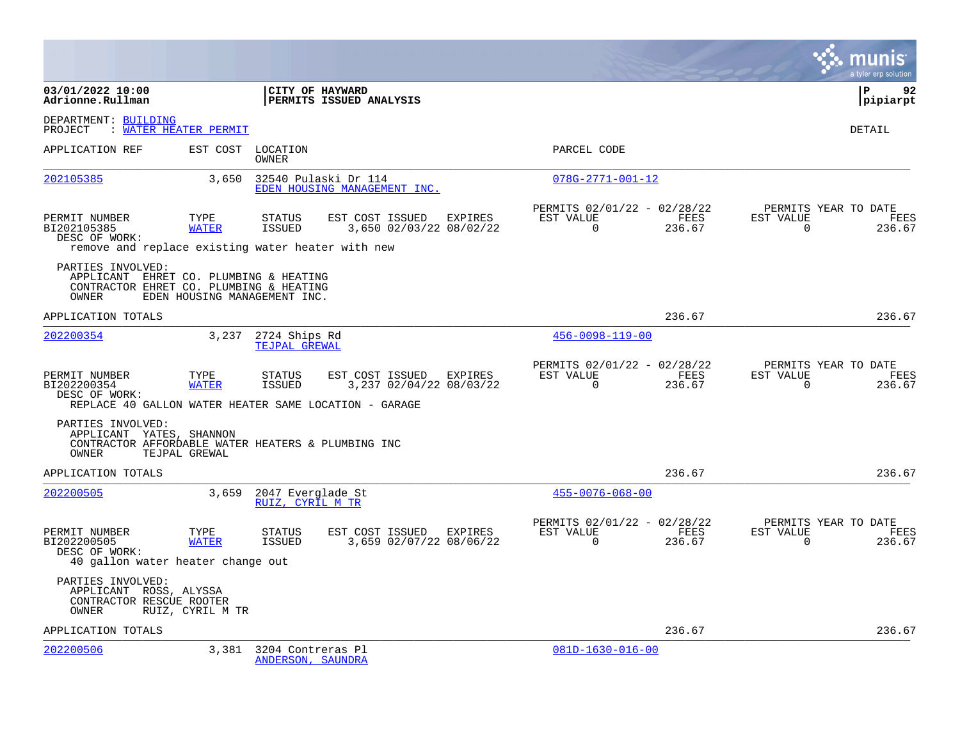|                                                                                                                 |                              |                                        |                                                                                                             |                                                      |                |                       | munis<br>a tyler erp solution          |
|-----------------------------------------------------------------------------------------------------------------|------------------------------|----------------------------------------|-------------------------------------------------------------------------------------------------------------|------------------------------------------------------|----------------|-----------------------|----------------------------------------|
| 03/01/2022 10:00<br>Adrionne.Rullman                                                                            |                              |                                        | CITY OF HAYWARD<br>PERMITS ISSUED ANALYSIS                                                                  |                                                      |                |                       | Þ<br>92<br>pipiarpt                    |
| DEPARTMENT: BUILDING<br>PROJECT                                                                                 | : WATER HEATER PERMIT        |                                        |                                                                                                             |                                                      |                |                       | DETAIL                                 |
| APPLICATION REF                                                                                                 | EST COST                     | LOCATION<br>OWNER                      |                                                                                                             | PARCEL CODE                                          |                |                       |                                        |
| 202105385                                                                                                       | 3,650                        |                                        | 32540 Pulaski Dr 114<br>EDEN HOUSING MANAGEMENT INC.                                                        | $078G - 2771 - 001 - 12$                             |                |                       |                                        |
| PERMIT NUMBER<br>BI202105385<br>DESC OF WORK:<br>remove and replace existing water heater with new              | TYPE<br><b>WATER</b>         | STATUS<br>ISSUED                       | EST COST ISSUED EXPIRES<br>3,650 02/03/22 08/02/22                                                          | PERMITS 02/01/22 - 02/28/22<br>EST VALUE<br>$\Omega$ | FEES<br>236.67 | EST VALUE<br>$\Omega$ | PERMITS YEAR TO DATE<br>FEES<br>236.67 |
| PARTIES INVOLVED:<br>APPLICANT EHRET CO. PLUMBING & HEATING<br>CONTRACTOR EHRET CO. PLUMBING & HEATING<br>OWNER | EDEN HOUSING MANAGEMENT INC. |                                        |                                                                                                             |                                                      |                |                       |                                        |
| APPLICATION TOTALS                                                                                              |                              |                                        |                                                                                                             |                                                      | 236.67         |                       | 236.67                                 |
| 202200354                                                                                                       | 3,237                        | 2724 Ships Rd<br>TEJPAL GREWAL         |                                                                                                             | $456 - 0098 - 119 - 00$                              |                |                       |                                        |
| PERMIT NUMBER<br>BI202200354<br>DESC OF WORK:                                                                   | TYPE<br><b>WATER</b>         | <b>STATUS</b><br>ISSUED                | EST COST ISSUED EXPIRES<br>3,237 02/04/22 08/03/22<br>REPLACE 40 GALLON WATER HEATER SAME LOCATION - GARAGE | PERMITS 02/01/22 - 02/28/22<br>EST VALUE<br>$\Omega$ | FEES<br>236.67 | EST VALUE<br>$\Omega$ | PERMITS YEAR TO DATE<br>FEES<br>236.67 |
| PARTIES INVOLVED:<br>APPLICANT YATES, SHANNON<br>CONTRACTOR AFFORDABLE WATER HEATERS & PLUMBING INC<br>OWNER    | TEJPAL GREWAL                |                                        |                                                                                                             |                                                      |                |                       |                                        |
| APPLICATION TOTALS                                                                                              |                              |                                        |                                                                                                             |                                                      | 236.67         |                       | 236.67                                 |
| 202200505                                                                                                       | 3,659                        | 2047 Everglade St<br>RUIZ, CYRIL M TR  |                                                                                                             | $455 - 0076 - 068 - 00$                              |                |                       |                                        |
| PERMIT NUMBER<br>BI202200505<br>DESC OF WORK:<br>40 gallon water heater change out                              | TYPE<br><b>WATER</b>         | STATUS<br>ISSUED                       | EST COST ISSUED EXPIRES<br>3,659 02/07/22 08/06/22                                                          | PERMITS 02/01/22 - 02/28/22<br>EST VALUE<br>$\Omega$ | FEES<br>236.67 | EST VALUE<br>$\Omega$ | PERMITS YEAR TO DATE<br>FEES<br>236.67 |
| PARTIES INVOLVED:<br>APPLICANT ROSS, ALYSSA<br>CONTRACTOR RESCUE ROOTER<br>OWNER                                | RUIZ, CYRIL M TR             |                                        |                                                                                                             |                                                      |                |                       |                                        |
| APPLICATION TOTALS                                                                                              |                              |                                        |                                                                                                             |                                                      | 236.67         |                       | 236.67                                 |
| 202200506                                                                                                       | 3,381                        | 3204 Contreras Pl<br>ANDERSON, SAUNDRA |                                                                                                             | $081D-1630-016-00$                                   |                |                       |                                        |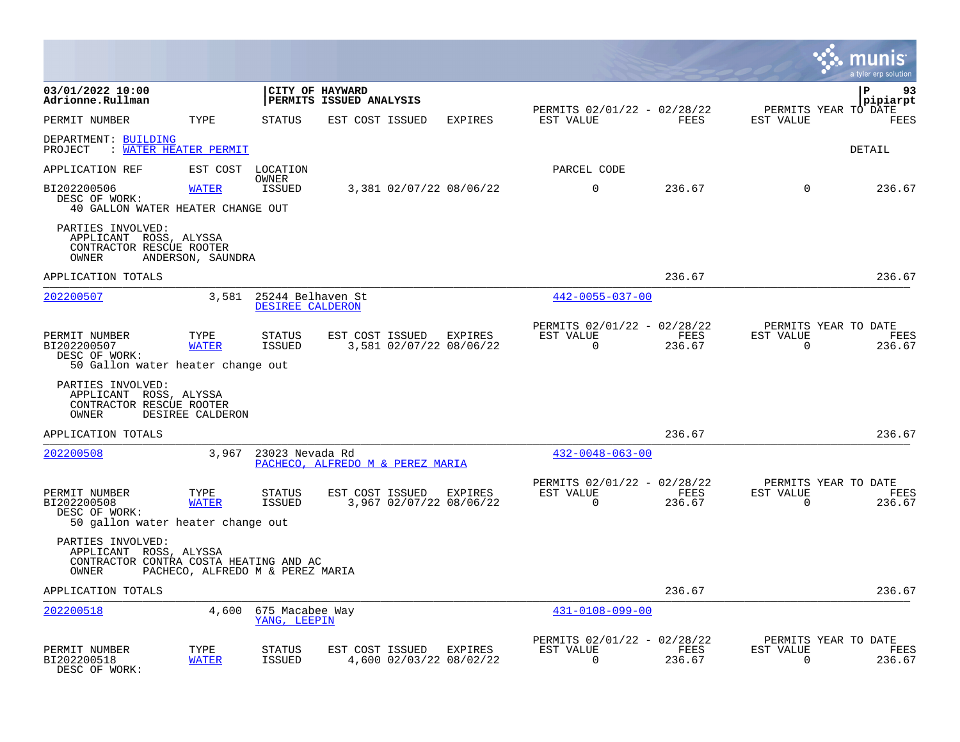|                                                                                                |                                  |                                       |                                            |                                    |                                                         |                |                          | lunis<br>a tyler erp solution          |
|------------------------------------------------------------------------------------------------|----------------------------------|---------------------------------------|--------------------------------------------|------------------------------------|---------------------------------------------------------|----------------|--------------------------|----------------------------------------|
| 03/01/2022 10:00<br>Adrionne.Rullman                                                           |                                  |                                       | CITY OF HAYWARD<br>PERMITS ISSUED ANALYSIS |                                    |                                                         |                |                          | P<br>93<br>pipiarpt                    |
| PERMIT NUMBER                                                                                  | TYPE                             | STATUS                                | EST COST ISSUED                            | <b>EXPIRES</b>                     | PERMITS 02/01/22 - 02/28/22<br>EST VALUE                | FEES           | EST VALUE                | PERMITS YEAR TO DATE<br>FEES           |
| DEPARTMENT: BUILDING<br>PROJECT                                                                | : WATER HEATER PERMIT            |                                       |                                            |                                    |                                                         |                |                          | DETAIL                                 |
| APPLICATION REF                                                                                | EST COST                         | LOCATION                              |                                            |                                    | PARCEL CODE                                             |                |                          |                                        |
| BI202200506<br>DESC OF WORK:<br>40 GALLON WATER HEATER CHANGE OUT                              | <b>WATER</b>                     | OWNER<br>ISSUED                       |                                            | 3,381 02/07/22 08/06/22            | $\mathbf 0$                                             | 236.67         | $\Omega$                 | 236.67                                 |
| PARTIES INVOLVED:<br>APPLICANT ROSS, ALYSSA<br>CONTRACTOR RESCUE ROOTER<br>OWNER               | ANDERSON, SAUNDRA                |                                       |                                            |                                    |                                                         |                |                          |                                        |
| APPLICATION TOTALS                                                                             |                                  |                                       |                                            |                                    |                                                         | 236.67         |                          | 236.67                                 |
| 202200507                                                                                      | 3,581                            | 25244 Belhaven St<br>DESIREE CALDERON |                                            |                                    | $442 - 0055 - 037 - 00$                                 |                |                          |                                        |
| PERMIT NUMBER<br>BI202200507<br>DESC OF WORK:<br>50 Gallon water heater change out             | TYPE<br><b>WATER</b>             | <b>STATUS</b><br><b>ISSUED</b>        | EST COST ISSUED                            | EXPIRES<br>3,581 02/07/22 08/06/22 | PERMITS 02/01/22 - 02/28/22<br>EST VALUE<br>$\mathbf 0$ | FEES<br>236.67 | EST VALUE<br>$\Omega$    | PERMITS YEAR TO DATE<br>FEES<br>236.67 |
| PARTIES INVOLVED:<br>APPLICANT ROSS, ALYSSA<br>CONTRACTOR RESCUE ROOTER<br>OWNER               | DESIREE CALDERON                 |                                       |                                            |                                    |                                                         |                |                          |                                        |
| APPLICATION TOTALS                                                                             |                                  |                                       |                                            |                                    |                                                         | 236.67         |                          | 236.67                                 |
| 202200508                                                                                      | 3,967                            | 23023 Nevada Rd                       | PACHECO, ALFREDO M & PEREZ MARIA           |                                    | $432 - 0048 - 063 - 00$                                 |                |                          |                                        |
| PERMIT NUMBER<br>BI202200508<br>DESC OF WORK:<br>50 gallon water heater change out             | TYPE<br><b>WATER</b>             | STATUS<br><b>ISSUED</b>               | EST COST ISSUED                            | EXPIRES<br>3,967 02/07/22 08/06/22 | PERMITS 02/01/22 - 02/28/22<br>EST VALUE<br>$\Omega$    | FEES<br>236.67 | EST VALUE<br>$\Omega$    | PERMITS YEAR TO DATE<br>FEES<br>236.67 |
| PARTIES INVOLVED:<br>APPLICANT ROSS, ALYSSA<br>CONTRACTOR CONTRA COSTA HEATING AND AC<br>OWNER | PACHECO, ALFREDO M & PEREZ MARIA |                                       |                                            |                                    |                                                         |                |                          |                                        |
| APPLICATION TOTALS                                                                             |                                  |                                       |                                            |                                    |                                                         | 236.67         |                          | 236.67                                 |
| 202200518                                                                                      | 4,600                            | 675 Macabee Way<br>YANG, LEEPIN       |                                            |                                    | 431-0108-099-00                                         |                |                          |                                        |
| PERMIT NUMBER<br>BI202200518<br>DESC OF WORK:                                                  | TYPE<br><b>WATER</b>             | STATUS<br><b>ISSUED</b>               | EST COST ISSUED EXPIRES                    | 4,600 02/03/22 08/02/22            | PERMITS 02/01/22 - 02/28/22<br>EST VALUE<br>$\Omega$    | FEES<br>236.67 | EST VALUE<br>$\mathbf 0$ | PERMITS YEAR TO DATE<br>FEES<br>236.67 |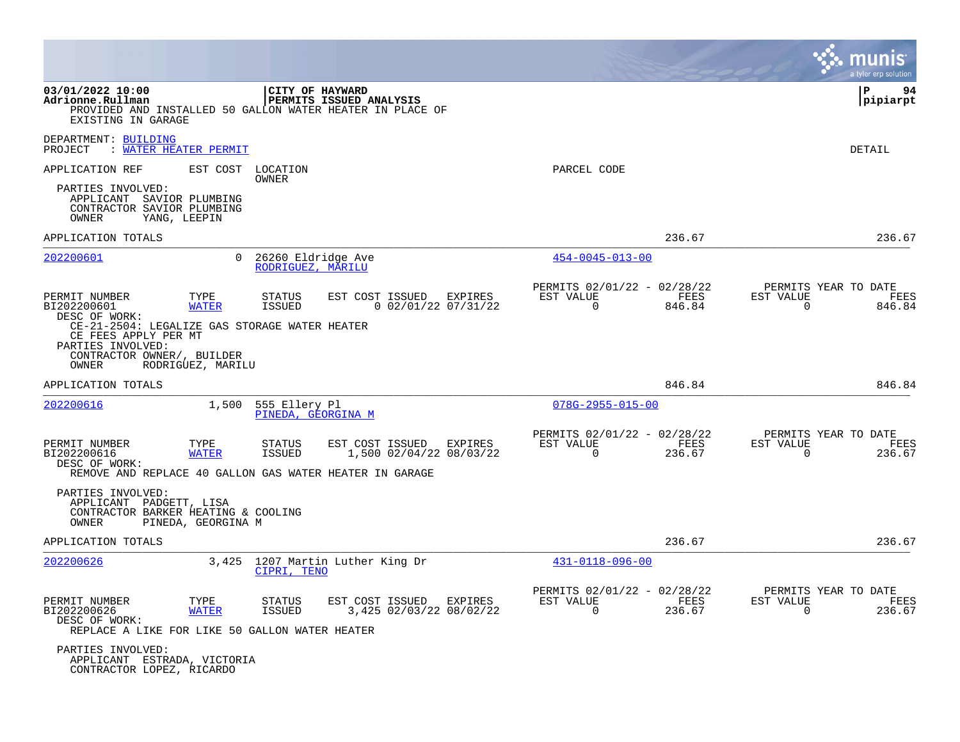|                                                                                                                                   |                      |                                         |                            |                                    |                                                            |                |                             | a tyler erp solution                          |
|-----------------------------------------------------------------------------------------------------------------------------------|----------------------|-----------------------------------------|----------------------------|------------------------------------|------------------------------------------------------------|----------------|-----------------------------|-----------------------------------------------|
| 03/01/2022 10:00<br>Adrionne.Rullman<br>PROVIDED AND INSTALLED 50 GALLON WATER HEATER IN PLACE OF<br>EXISTING IN GARAGE           |                      | CITY OF HAYWARD                         | PERMITS ISSUED ANALYSIS    |                                    |                                                            |                |                             | l P<br>94<br> pipiarpt                        |
| DEPARTMENT: BUILDING<br>PROJECT<br><u>WATER HEATER PERMIT</u>                                                                     |                      |                                         |                            |                                    |                                                            |                |                             | <b>DETAIL</b>                                 |
| APPLICATION REF                                                                                                                   | EST COST             | LOCATION<br>OWNER                       |                            |                                    | PARCEL CODE                                                |                |                             |                                               |
| PARTIES INVOLVED:<br>APPLICANT SAVIOR PLUMBING<br>CONTRACTOR SAVIOR PLUMBING<br>OWNER                                             | YANG, LEEPIN         |                                         |                            |                                    |                                                            |                |                             |                                               |
| APPLICATION TOTALS                                                                                                                |                      |                                         |                            |                                    |                                                            | 236.67         |                             | 236.67                                        |
| 202200601                                                                                                                         | $\Omega$             | 26260 Eldridge Ave<br>RODRIGUEZ, MARILU |                            |                                    | $454 - 0045 - 013 - 00$                                    |                |                             |                                               |
| PERMIT NUMBER<br>BI202200601<br>DESC OF WORK:                                                                                     | TYPE<br><b>WATER</b> | <b>STATUS</b><br>ISSUED                 | EST COST ISSUED            | EXPIRES<br>$0$ 02/01/22 07/31/22   | PERMITS 02/01/22 - 02/28/22<br>EST VALUE<br>$\overline{0}$ | FEES<br>846.84 | EST VALUE<br>$\Omega$       | PERMITS YEAR TO DATE<br><b>FEES</b><br>846.84 |
| CE-21-2504: LEGALIZE GAS STORAGE WATER HEATER<br>CE FEES APPLY PER MT<br>PARTIES INVOLVED:<br>CONTRACTOR OWNER/, BUILDER<br>OWNER | RODRIGUEZ, MARILU    |                                         |                            |                                    |                                                            |                |                             |                                               |
| APPLICATION TOTALS                                                                                                                |                      |                                         |                            |                                    |                                                            | 846.84         |                             | 846.84                                        |
| 202200616                                                                                                                         | 1,500                | 555 Ellery Pl<br>PINEDA, GEORGINA M     |                            |                                    | $078G - 2955 - 015 - 00$                                   |                |                             |                                               |
| PERMIT NUMBER<br>BI202200616<br>DESC OF WORK:<br>REMOVE AND REPLACE 40 GALLON GAS WATER HEATER IN GARAGE                          | TYPE<br><b>WATER</b> | STATUS<br>ISSUED                        | EST COST ISSUED            | EXPIRES<br>1,500 02/04/22 08/03/22 | PERMITS 02/01/22 - 02/28/22<br>EST VALUE<br>$\mathbf 0$    | FEES<br>236.67 | EST VALUE<br>$\mathbf 0$    | PERMITS YEAR TO DATE<br>FEES<br>236.67        |
| PARTIES INVOLVED:<br>APPLICANT PADGETT, LISA<br>CONTRACTOR BARKER HEATING & COOLING<br>OWNER                                      | PINEDA, GEORGINA M   |                                         |                            |                                    |                                                            |                |                             |                                               |
| APPLICATION TOTALS                                                                                                                |                      |                                         |                            |                                    |                                                            | 236.67         |                             | 236.67                                        |
| 202200626                                                                                                                         | 3,425                | CIPRI, TENO                             | 1207 Martin Luther King Dr |                                    | $431 - 0118 - 096 - 00$                                    |                |                             |                                               |
| PERMIT NUMBER<br>BI202200626<br>DESC OF WORK:                                                                                     | TYPE<br><b>WATER</b> | STATUS<br><b>ISSUED</b>                 | EST COST ISSUED            | EXPIRES<br>3,425 02/03/22 08/02/22 | PERMITS 02/01/22 - 02/28/22<br>EST VALUE<br>0              | FEES<br>236.67 | EST VALUE<br>$\overline{0}$ | PERMITS YEAR TO DATE<br>FEES<br>236.67        |
| REPLACE A LIKE FOR LIKE 50 GALLON WATER HEATER<br>PARTIES INVOLVED:<br>APPLICANT ESTRADA, VICTORIA<br>CONTRACTOR LOPEZ, RICARDO   |                      |                                         |                            |                                    |                                                            |                |                             |                                               |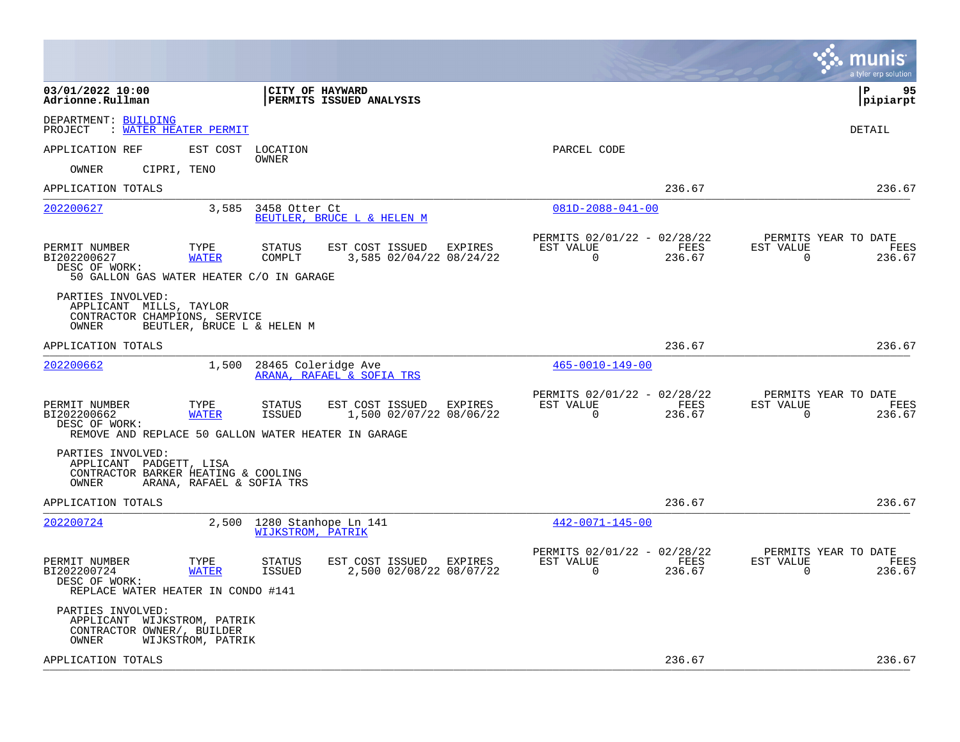|                                                                                                                              |                                                                                  |                                                                              | munis<br>a tyler erp solution                                             |
|------------------------------------------------------------------------------------------------------------------------------|----------------------------------------------------------------------------------|------------------------------------------------------------------------------|---------------------------------------------------------------------------|
| 03/01/2022 10:00<br>Adrionne.Rullman                                                                                         | <b>CITY OF HAYWARD</b><br>PERMITS ISSUED ANALYSIS                                |                                                                              | l P<br>95<br> pipiarpt                                                    |
| DEPARTMENT: BUILDING<br>PROJECT<br><b>WATER HEATER PERMIT</b>                                                                |                                                                                  |                                                                              | DETAIL                                                                    |
| EST COST LOCATION<br>APPLICATION REF                                                                                         | OWNER                                                                            | PARCEL CODE                                                                  |                                                                           |
| OWNER<br>CIPRI, TENO                                                                                                         |                                                                                  |                                                                              |                                                                           |
| APPLICATION TOTALS                                                                                                           |                                                                                  | 236.67                                                                       | 236.67                                                                    |
| 202200627<br>3,585                                                                                                           | 3458 Otter Ct<br>BEUTLER, BRUCE L & HELEN M                                      | $081D - 2088 - 041 - 00$                                                     |                                                                           |
| PERMIT NUMBER<br>TYPE<br>BI202200627<br><b>WATER</b><br>DESC OF WORK:<br>50 GALLON GAS WATER HEATER C/O IN GARAGE            | EST COST ISSUED<br><b>STATUS</b><br>EXPIRES<br>COMPLT<br>3,585 02/04/22 08/24/22 | PERMITS 02/01/22 - 02/28/22<br>EST VALUE<br>FEES<br>$\Omega$<br>236.67       | PERMITS YEAR TO DATE<br>EST VALUE<br><b>FEES</b><br>$\mathbf 0$<br>236.67 |
| PARTIES INVOLVED:<br>APPLICANT MILLS, TAYLOR<br>CONTRACTOR CHAMPIONS, SERVICE<br>BEUTLER, BRUCE L & HELEN M<br>OWNER         |                                                                                  |                                                                              |                                                                           |
| APPLICATION TOTALS                                                                                                           |                                                                                  | 236.67                                                                       | 236.67                                                                    |
| 1,500<br>202200662                                                                                                           | 28465 Coleridge Ave<br>ARANA, RAFAEL & SOFIA TRS                                 | $465 - 0010 - 149 - 00$                                                      |                                                                           |
| TYPE<br>PERMIT NUMBER<br>BI202200662<br><b>WATER</b><br>DESC OF WORK:<br>REMOVE AND REPLACE 50 GALLON WATER HEATER IN GARAGE | EST COST ISSUED<br><b>STATUS</b><br>EXPIRES<br>ISSUED<br>1,500 02/07/22 08/06/22 | PERMITS 02/01/22 - 02/28/22<br>EST VALUE<br>FEES<br>$\overline{0}$<br>236.67 | PERMITS YEAR TO DATE<br>FEES<br>EST VALUE<br>0<br>236.67                  |
| PARTIES INVOLVED:<br>APPLICANT PADGETT, LISA<br>CONTRACTOR BARKER HEATING & COOLING<br>ARANA, RAFAEL & SOFIA TRS<br>OWNER    |                                                                                  |                                                                              |                                                                           |
| APPLICATION TOTALS                                                                                                           |                                                                                  | 236.67                                                                       | 236.67                                                                    |
| 202200724<br>2,500                                                                                                           | 1280 Stanhope Ln 141<br><b>WIJKSTROM, PATRIK</b>                                 | $442 - 0071 - 145 - 00$                                                      |                                                                           |
| PERMIT NUMBER<br>TYPE<br>BI202200724<br><b>WATER</b><br>DESC OF WORK:<br>REPLACE WATER HEATER IN CONDO #141                  | STATUS<br>EST COST ISSUED EXPIRES<br>2,500 02/08/22 08/07/22<br><b>ISSUED</b>    | PERMITS 02/01/22 - 02/28/22<br>EST VALUE<br>FEES<br>$\Omega$<br>236.67       | PERMITS YEAR TO DATE<br>FEES<br>EST VALUE<br>236.67<br>$\Omega$           |
| PARTIES INVOLVED:<br>APPLICANT WIJKSTROM, PATRIK<br>CONTRACTOR OWNER/, BUILDER<br>WIJKSTROM, PATRIK<br>OWNER                 |                                                                                  |                                                                              |                                                                           |
| APPLICATION TOTALS                                                                                                           |                                                                                  | 236.67                                                                       | 236.67                                                                    |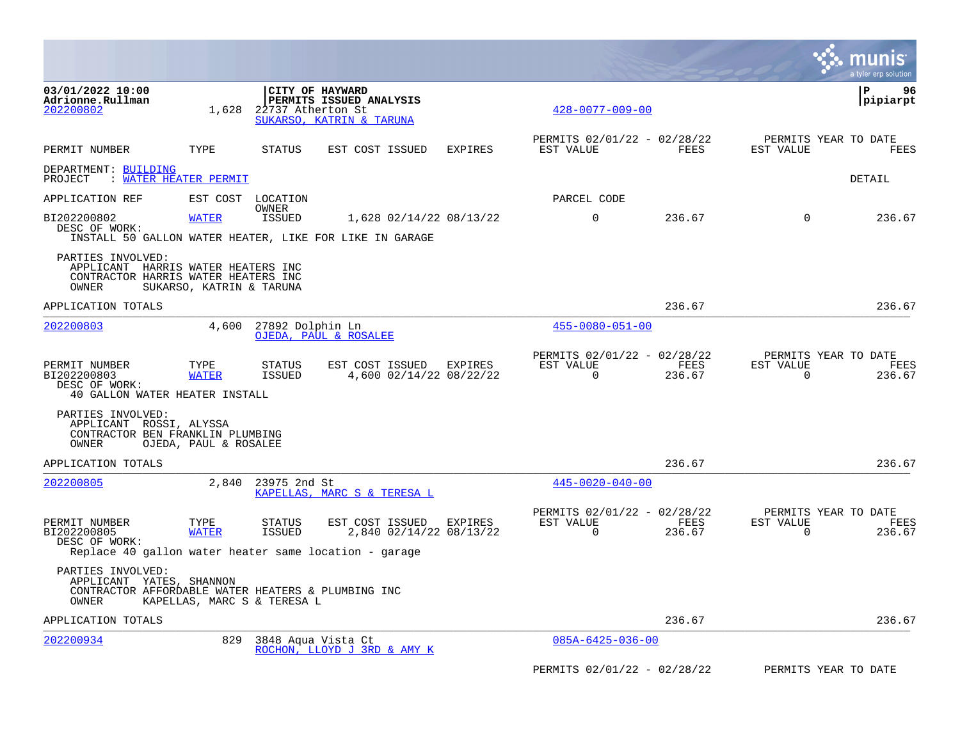|                                                                                                              |                             |                               |                                                                                                     |                |                                                      |                |                       | a tyler erp solution                   |
|--------------------------------------------------------------------------------------------------------------|-----------------------------|-------------------------------|-----------------------------------------------------------------------------------------------------|----------------|------------------------------------------------------|----------------|-----------------------|----------------------------------------|
| 03/01/2022 10:00<br>Adrionne.Rullman<br>202200802                                                            | 1,628                       | 22737 Atherton St             | CITY OF HAYWARD<br>PERMITS ISSUED ANALYSIS<br>SUKARSO, KATRIN & TARUNA                              |                | $428 - 0077 - 009 - 00$                              |                |                       | l P<br>96<br> pipiarpt                 |
| PERMIT NUMBER                                                                                                | TYPE                        | STATUS                        | EST COST ISSUED                                                                                     | <b>EXPIRES</b> | PERMITS 02/01/22 - 02/28/22<br>EST VALUE             | FEES           | EST VALUE             | PERMITS YEAR TO DATE<br>FEES           |
| DEPARTMENT: BUILDING<br>PROJECT : WATER HEATER PERMIT                                                        |                             |                               |                                                                                                     |                |                                                      |                |                       | DETAIL                                 |
| APPLICATION REF                                                                                              |                             | EST COST LOCATION             |                                                                                                     |                | PARCEL CODE                                          |                |                       |                                        |
| BI202200802<br>DESC OF WORK:                                                                                 | <b>WATER</b>                | <b>OWNER</b><br><b>ISSUED</b> | 1,628 02/14/22 08/13/22<br>INSTALL 50 GALLON WATER HEATER, LIKE FOR LIKE IN GARAGE                  |                | $\mathbf 0$                                          | 236.67         | $\Omega$              | 236.67                                 |
| PARTIES INVOLVED:<br>APPLICANT HARRIS WATER HEATERS INC<br>CONTRACTOR HARRIS WATER HEATERS INC<br>OWNER      | SUKARSO, KATRIN & TARUNA    |                               |                                                                                                     |                |                                                      |                |                       |                                        |
| APPLICATION TOTALS                                                                                           |                             |                               |                                                                                                     |                |                                                      | 236.67         |                       | 236.67                                 |
| 202200803                                                                                                    | 4,600                       | 27892 Dolphin Ln              | OJEDA, PAUL & ROSALEE                                                                               |                | $455 - 0080 - 051 - 00$                              |                |                       |                                        |
| PERMIT NUMBER<br>BI202200803<br>DESC OF WORK:<br>40 GALLON WATER HEATER INSTALL                              | TYPE<br><b>WATER</b>        | STATUS<br>ISSUED              | EST COST ISSUED EXPIRES<br>4,600 02/14/22 08/22/22                                                  |                | PERMITS 02/01/22 - 02/28/22<br>EST VALUE<br>$\Omega$ | FEES<br>236.67 | EST VALUE<br>$\Omega$ | PERMITS YEAR TO DATE<br>FEES<br>236.67 |
| PARTIES INVOLVED:<br>APPLICANT ROSSI, ALYSSA<br>CONTRACTOR BEN FRANKLIN PLUMBING<br>OWNER                    | OJEDA, PAUL & ROSALEE       |                               |                                                                                                     |                |                                                      |                |                       |                                        |
| APPLICATION TOTALS                                                                                           |                             |                               |                                                                                                     |                |                                                      | 236.67         |                       | 236.67                                 |
| 202200805                                                                                                    |                             | 2,840 23975 2nd St            | KAPELLAS, MARC S & TERESA L                                                                         |                | $445 - 0020 - 040 - 00$                              |                |                       |                                        |
| PERMIT NUMBER<br>BI202200805<br>DESC OF WORK:                                                                | TYPE<br><b>WATER</b>        | <b>STATUS</b><br>ISSUED       | EST COST ISSUED<br>2,840 02/14/22 08/13/22<br>Replace 40 gallon water heater same location - garage | EXPIRES        | PERMITS 02/01/22 - 02/28/22<br>EST VALUE<br>$\Omega$ | FEES<br>236.67 | EST VALUE<br>0        | PERMITS YEAR TO DATE<br>FEES<br>236.67 |
| PARTIES INVOLVED:<br>APPLICANT YATES, SHANNON<br>CONTRACTOR AFFORDABLE WATER HEATERS & PLUMBING INC<br>OWNER | KAPELLAS, MARC S & TERESA L |                               |                                                                                                     |                |                                                      |                |                       |                                        |
| APPLICATION TOTALS                                                                                           |                             |                               |                                                                                                     |                |                                                      | 236.67         |                       | 236.67                                 |
| 202200934                                                                                                    | 829                         |                               | 3848 Aqua Vista Ct<br>ROCHON, LLOYD J 3RD & AMY K                                                   |                | $085A - 6425 - 036 - 00$                             |                |                       |                                        |
|                                                                                                              |                             |                               |                                                                                                     |                | PERMITS 02/01/22 - 02/28/22                          |                |                       | PERMITS YEAR TO DATE                   |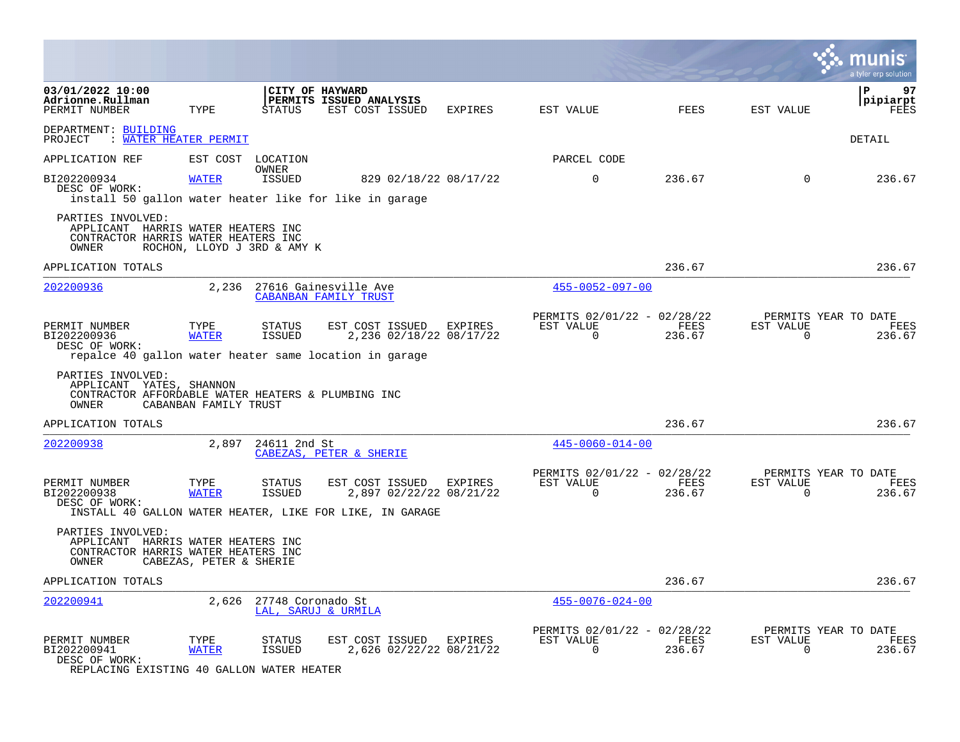|                                                                                                              |                         |                                |                                                                                                        |         |                                                         |                |                          | a tyler erp solution                   |
|--------------------------------------------------------------------------------------------------------------|-------------------------|--------------------------------|--------------------------------------------------------------------------------------------------------|---------|---------------------------------------------------------|----------------|--------------------------|----------------------------------------|
| 03/01/2022 10:00<br>Adrionne.Rullman<br>PERMIT NUMBER                                                        | TYPE                    | STATUS                         | CITY OF HAYWARD<br>PERMITS ISSUED ANALYSIS<br>EST COST ISSUED                                          | EXPIRES | EST VALUE                                               | FEES           | EST VALUE                | 97<br>P<br>pipiarpt<br><b>FEES</b>     |
| DEPARTMENT: BUILDING<br>PROJECT : WATER HEATER PERMIT                                                        |                         |                                |                                                                                                        |         |                                                         |                |                          | <b>DETAIL</b>                          |
| APPLICATION REF                                                                                              |                         | EST COST LOCATION              |                                                                                                        |         | PARCEL CODE                                             |                |                          |                                        |
| BI202200934<br>DESC OF WORK:<br>install 50 gallon water heater like for like in garage                       | <b>WATER</b>            | OWNER<br>ISSUED                | 829 02/18/22 08/17/22                                                                                  |         | $\mathbf 0$                                             | 236.67         | $\Omega$                 | 236.67                                 |
| PARTIES INVOLVED:<br>APPLICANT HARRIS WATER HEATERS INC<br>CONTRACTOR HARRIS WATER HEATERS INC<br>OWNER      |                         | ROCHON, LLOYD J 3RD & AMY K    |                                                                                                        |         |                                                         |                |                          |                                        |
| APPLICATION TOTALS                                                                                           |                         |                                |                                                                                                        |         |                                                         | 236.67         |                          | 236.67                                 |
| 202200936                                                                                                    |                         |                                | 2,236 27616 Gainesville Ave<br>CABANBAN FAMILY TRUST                                                   |         | $455 - 0052 - 097 - 00$                                 |                |                          |                                        |
| PERMIT NUMBER<br>BI202200936<br>DESC OF WORK:<br>repalce 40 gallon water heater same location in garage      | TYPE<br><b>WATER</b>    | <b>STATUS</b><br><b>ISSUED</b> | EST COST ISSUED EXPIRES<br>2,236 02/18/22 08/17/22                                                     |         | PERMITS 02/01/22 - 02/28/22<br>EST VALUE<br>$\mathbf 0$ | FEES<br>236.67 | EST VALUE<br>$\mathbf 0$ | PERMITS YEAR TO DATE<br>FEES<br>236.67 |
| PARTIES INVOLVED:<br>APPLICANT YATES, SHANNON<br>CONTRACTOR AFFORDABLE WATER HEATERS & PLUMBING INC<br>OWNER | CABANBAN FAMILY TRUST   |                                |                                                                                                        |         |                                                         |                |                          |                                        |
| APPLICATION TOTALS                                                                                           |                         |                                |                                                                                                        |         |                                                         | 236.67         |                          | 236.67                                 |
| 202200938                                                                                                    |                         | 2,897 24611 2nd St             | CABEZAS, PETER & SHERIE                                                                                |         | $445 - 0060 - 014 - 00$                                 |                |                          |                                        |
| PERMIT NUMBER<br>BI202200938<br>DESC OF WORK:                                                                | TYPE<br><b>WATER</b>    | STATUS<br><b>ISSUED</b>        | EST COST ISSUED<br>2,897 02/22/22 08/21/22<br>INSTALL 40 GALLON WATER HEATER, LIKE FOR LIKE, IN GARAGE | EXPIRES | PERMITS 02/01/22 - 02/28/22<br>EST VALUE<br>$\Omega$    | FEES<br>236.67 | EST VALUE<br>$\Omega$    | PERMITS YEAR TO DATE<br>FEES<br>236.67 |
| PARTIES INVOLVED:<br>APPLICANT HARRIS WATER HEATERS INC<br>CONTRACTOR HARRIS WATER HEATERS INC<br>OWNER      | CABEZAS, PETER & SHERIE |                                |                                                                                                        |         |                                                         |                |                          |                                        |
| APPLICATION TOTALS                                                                                           |                         |                                |                                                                                                        |         |                                                         | 236.67         |                          | 236.67                                 |
| 202200941                                                                                                    |                         | 2,626 27748 Coronado St        | LAL, SARUJ & URMILA                                                                                    |         | $455 - 0076 - 024 - 00$                                 |                |                          |                                        |
| PERMIT NUMBER<br>BI202200941<br>DESC OF WORK:<br>REPLACING EXISTING 40 GALLON WATER HEATER                   | TYPE<br><b>WATER</b>    | <b>STATUS</b><br><b>ISSUED</b> | EST COST ISSUED EXPIRES<br>2,626 02/22/22 08/21/22                                                     |         | PERMITS 02/01/22 - 02/28/22<br>EST VALUE<br>$\Omega$    | FEES<br>236.67 | EST VALUE<br>$\mathbf 0$ | PERMITS YEAR TO DATE<br>FEES<br>236.67 |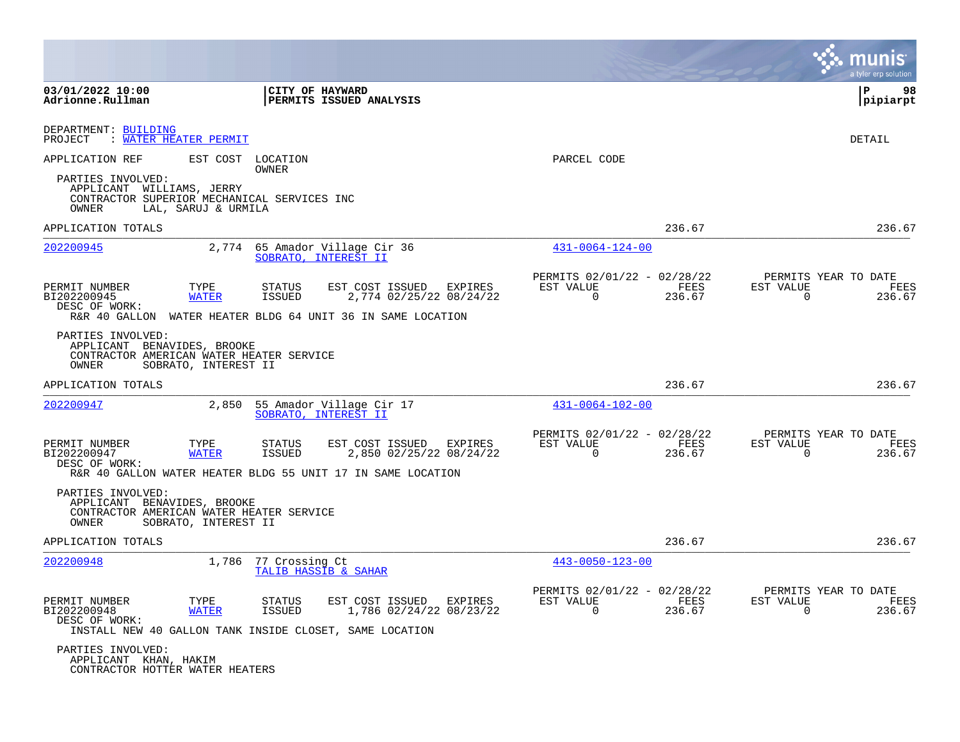|                                                                                                                               |                                                                                                                                                        |                                                                        | a tyler erp solution                                               |
|-------------------------------------------------------------------------------------------------------------------------------|--------------------------------------------------------------------------------------------------------------------------------------------------------|------------------------------------------------------------------------|--------------------------------------------------------------------|
| 03/01/2022 10:00<br>Adrionne.Rullman                                                                                          | CITY OF HAYWARD<br>PERMITS ISSUED ANALYSIS                                                                                                             |                                                                        | P<br>98<br> pipiarpt                                               |
| DEPARTMENT: BUILDING<br>: WATER HEATER PERMIT<br>PROJECT                                                                      |                                                                                                                                                        |                                                                        | DETAIL                                                             |
| APPLICATION REF<br>EST COST                                                                                                   | LOCATION<br>OWNER                                                                                                                                      | PARCEL CODE                                                            |                                                                    |
| PARTIES INVOLVED:<br>APPLICANT WILLIAMS, JERRY<br>CONTRACTOR SUPERIOR MECHANICAL SERVICES INC<br>OWNER<br>LAL, SARUJ & URMILA |                                                                                                                                                        |                                                                        |                                                                    |
| APPLICATION TOTALS                                                                                                            |                                                                                                                                                        | 236.67                                                                 | 236.67                                                             |
| 202200945<br>2,774                                                                                                            | 65 Amador Village Cir 36<br>SOBRATO, INTEREST II                                                                                                       | $431 - 0064 - 124 - 00$                                                |                                                                    |
| PERMIT NUMBER<br>TYPE<br>BI202200945<br><b>WATER</b><br>DESC OF WORK:                                                         | <b>STATUS</b><br>EST COST ISSUED<br>EXPIRES<br>ISSUED<br>2,774 02/25/22 08/24/22<br>R&R 40 GALLON WATER HEATER BLDG 64 UNIT 36 IN SAME LOCATION        | PERMITS 02/01/22 - 02/28/22<br>EST VALUE<br>FEES<br>$\Omega$<br>236.67 | PERMITS YEAR TO DATE<br>EST VALUE<br>FEES<br>$\Omega$<br>236.67    |
| PARTIES INVOLVED:<br>APPLICANT BENAVIDES, BROOKE<br>CONTRACTOR AMERICAN WATER HEATER SERVICE<br>SOBRATO, INTEREST II<br>OWNER |                                                                                                                                                        |                                                                        |                                                                    |
| APPLICATION TOTALS                                                                                                            |                                                                                                                                                        | 236.67                                                                 | 236.67                                                             |
| 202200947<br>2,850                                                                                                            | 55 Amador Village Cir 17<br>SOBRATO, INTEREST II                                                                                                       | $431 - 0064 - 102 - 00$                                                |                                                                    |
| PERMIT NUMBER<br>TYPE<br>BI202200947<br><b>WATER</b><br>DESC OF WORK:                                                         | <b>STATUS</b><br>EST COST ISSUED<br>EXPIRES<br>2,850 02/25/22 08/24/22<br><b>ISSUED</b><br>R&R 40 GALLON WATER HEATER BLDG 55 UNIT 17 IN SAME LOCATION | PERMITS 02/01/22 - 02/28/22<br>EST VALUE<br>FEES<br>$\Omega$<br>236.67 | PERMITS YEAR TO DATE<br>EST VALUE<br>FEES<br>$\Omega$<br>236.67    |
| PARTIES INVOLVED:<br>APPLICANT BENAVIDES, BROOKE<br>CONTRACTOR AMERICAN WATER HEATER SERVICE<br>OWNER<br>SOBRATO, INTEREST II |                                                                                                                                                        |                                                                        |                                                                    |
| APPLICATION TOTALS                                                                                                            |                                                                                                                                                        | 236.67                                                                 | 236.67                                                             |
| 202200948<br>1,786                                                                                                            | 77 Crossing Ct<br>TALIB HASSIB & SAHAR                                                                                                                 | $443 - 0050 - 123 - 00$                                                |                                                                    |
| PERMIT NUMBER<br>TYPE<br>BI202200948<br><b>WATER</b><br>DESC OF WORK:                                                         | EST COST ISSUED<br>EXPIRES<br>STATUS<br><b>ISSUED</b><br>1,786 02/24/22 08/23/22<br>INSTALL NEW 40 GALLON TANK INSIDE CLOSET, SAME LOCATION            | PERMITS 02/01/22 - 02/28/22<br>EST VALUE<br>FEES<br>0<br>236.67        | PERMITS YEAR TO DATE<br>EST VALUE<br>FEES<br>$\mathbf 0$<br>236.67 |
| PARTIES INVOLVED:<br>APPLICANT KHAN, HAKIM<br>CONTRACTOR HOTTER WATER HEATERS                                                 |                                                                                                                                                        |                                                                        |                                                                    |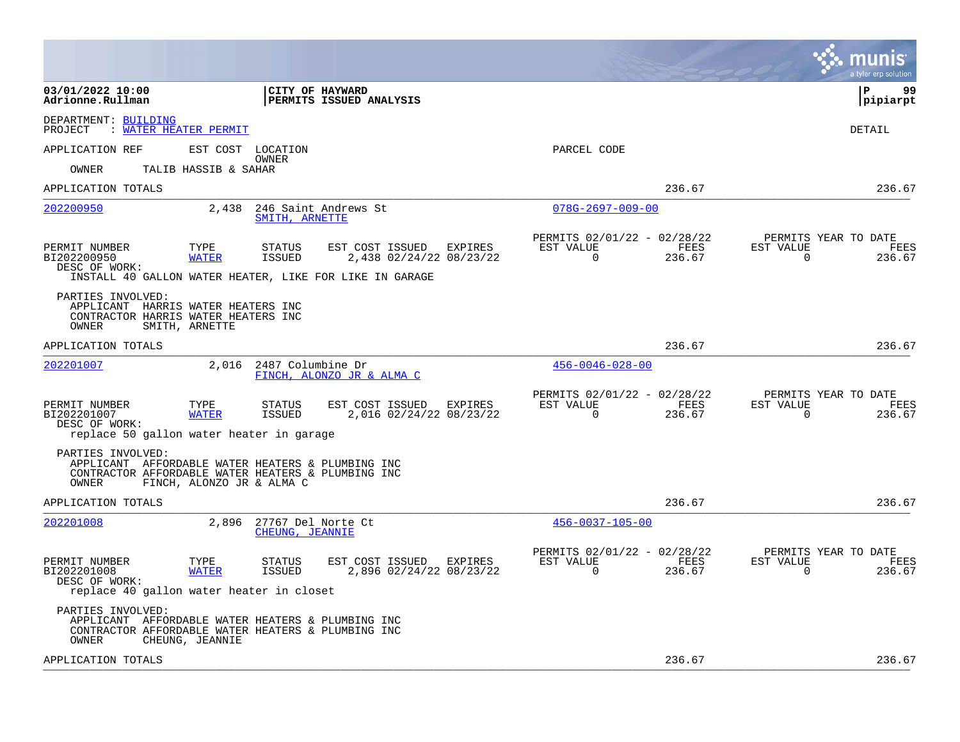|                                                                                                                                                                    |                                       |                                                    |         |                                                            |                |                          | munis<br>a tyler erp solution                 |
|--------------------------------------------------------------------------------------------------------------------------------------------------------------------|---------------------------------------|----------------------------------------------------|---------|------------------------------------------------------------|----------------|--------------------------|-----------------------------------------------|
| 03/01/2022 10:00<br>Adrionne.Rullman                                                                                                                               | <b>CITY OF HAYWARD</b>                | <b>PERMITS ISSUED ANALYSIS</b>                     |         |                                                            |                |                          | l P<br>99<br> pipiarpt                        |
| DEPARTMENT: BUILDING<br><b>WATER HEATER PERMIT</b><br>PROJECT                                                                                                      |                                       |                                                    |         |                                                            |                |                          | <b>DETAIL</b>                                 |
| APPLICATION REF<br>EST COST LOCATION                                                                                                                               | OWNER                                 |                                                    |         | PARCEL CODE                                                |                |                          |                                               |
| TALIB HASSIB & SAHAR<br>OWNER                                                                                                                                      |                                       |                                                    |         |                                                            |                |                          |                                               |
| APPLICATION TOTALS                                                                                                                                                 |                                       |                                                    |         |                                                            | 236.67         |                          | 236.67                                        |
| 202200950<br>2,438                                                                                                                                                 | SMITH, ARNETTE                        | 246 Saint Andrews St                               |         | $078G - 2697 - 009 - 00$                                   |                |                          |                                               |
| TYPE<br>PERMIT NUMBER<br>BI202200950<br><b>WATER</b><br>DESC OF WORK:<br>INSTALL 40 GALLON WATER HEATER, LIKE FOR LIKE IN GARAGE                                   | <b>STATUS</b><br>ISSUED               | EST COST ISSUED<br>2,438 02/24/22 08/23/22         | EXPIRES | PERMITS 02/01/22 - 02/28/22<br>EST VALUE<br>$\Omega$       | FEES<br>236.67 | EST VALUE<br>$\Omega$    | PERMITS YEAR TO DATE<br><b>FEES</b><br>236.67 |
| PARTIES INVOLVED:<br>APPLICANT HARRIS WATER HEATERS INC<br>CONTRACTOR HARRIS WATER HEATERS INC<br>OWNER<br>SMITH, ARNETTE                                          |                                       |                                                    |         |                                                            |                |                          |                                               |
| APPLICATION TOTALS                                                                                                                                                 |                                       |                                                    |         |                                                            | 236.67         |                          | 236.67                                        |
| 202201007<br>2,016                                                                                                                                                 | 2487 Columbine Dr                     | FINCH, ALONZO JR & ALMA C                          |         | $456 - 0046 - 028 - 00$                                    |                |                          |                                               |
| PERMIT NUMBER<br>TYPE<br>BI202201007<br><b>WATER</b><br>DESC OF WORK:<br>replace 50 gallon water heater in garage                                                  | STATUS<br>ISSUED                      | EST COST ISSUED EXPIRES<br>2,016 02/24/22 08/23/22 |         | PERMITS 02/01/22 - 02/28/22<br>EST VALUE<br>$\overline{0}$ | FEES<br>236.67 | EST VALUE<br>$\mathbf 0$ | PERMITS YEAR TO DATE<br>FEES<br>236.67        |
| PARTIES INVOLVED:<br>APPLICANT AFFORDABLE WATER HEATERS & PLUMBING INC<br>CONTRACTOR AFFORDABLE WATER HEATERS & PLUMBING INC<br>OWNER<br>FINCH, ALONZO JR & ALMA C |                                       |                                                    |         |                                                            |                |                          |                                               |
| APPLICATION TOTALS                                                                                                                                                 |                                       |                                                    |         |                                                            | 236.67         |                          | 236.67                                        |
| 202201008<br>2,896                                                                                                                                                 | 27767 Del Norte Ct<br>CHEUNG, JEANNIE |                                                    |         | $456 - 0037 - 105 - 00$                                    |                |                          |                                               |
| PERMIT NUMBER<br>TYPE<br>BI202201008<br><b>WATER</b><br>DESC OF WORK:<br>replace 40 gallon water heater in closet                                                  | STATUS<br>ISSUED                      | EST COST ISSUED<br>2,896 02/24/22 08/23/22         | EXPIRES | PERMITS 02/01/22 - 02/28/22<br>EST VALUE<br>$\Omega$       | FEES<br>236.67 | EST VALUE<br>$\Omega$    | PERMITS YEAR TO DATE<br>FEES<br>236.67        |
| PARTIES INVOLVED:<br>APPLICANT AFFORDABLE WATER HEATERS & PLUMBING INC<br>CONTRACTOR AFFORDABLE WATER HEATERS & PLUMBING INC<br>CHEUNG, JEANNIE<br>OWNER           |                                       |                                                    |         |                                                            |                |                          |                                               |
| APPLICATION TOTALS                                                                                                                                                 |                                       |                                                    |         |                                                            | 236.67         |                          | 236.67                                        |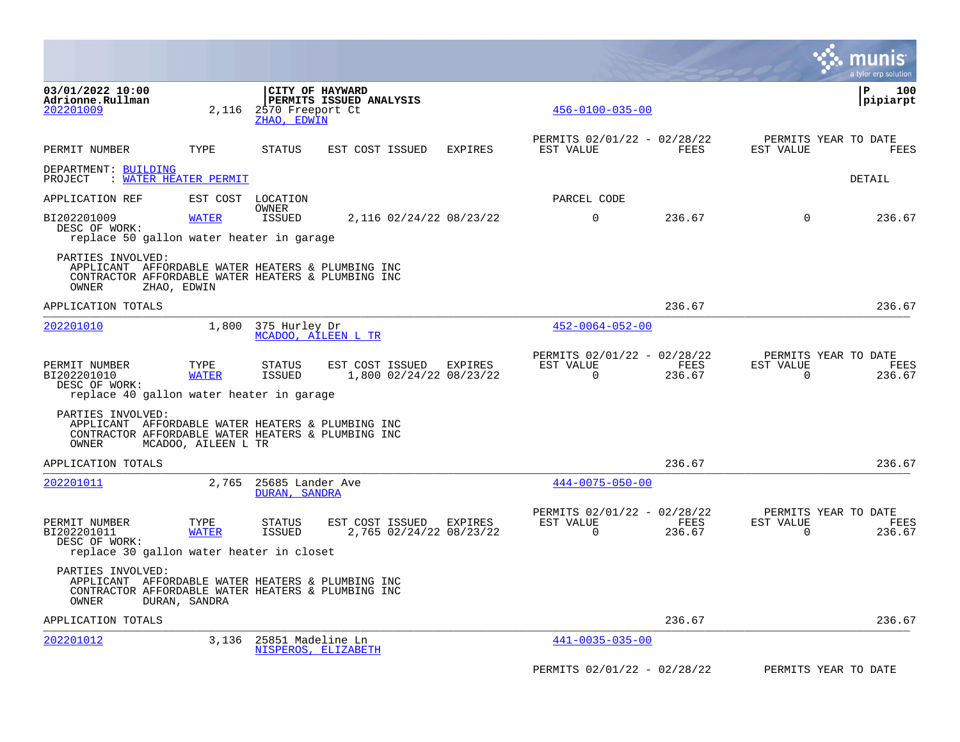|                                                                                                                                       |                       |                                                    |                                            |         |                                                         |                |                       | a tyler erp solution                   |
|---------------------------------------------------------------------------------------------------------------------------------------|-----------------------|----------------------------------------------------|--------------------------------------------|---------|---------------------------------------------------------|----------------|-----------------------|----------------------------------------|
| 03/01/2022 10:00<br>Adrionne.Rullman<br>202201009                                                                                     | 2,116                 | CITY OF HAYWARD<br>2570 Freeport Ct<br>ZHAO, EDWIN | PERMITS ISSUED ANALYSIS                    |         | $456 - 0100 - 035 - 00$                                 |                |                       | l P<br>100<br> pipiarpt                |
| PERMIT NUMBER                                                                                                                         | TYPE                  | STATUS                                             | EST COST ISSUED                            | EXPIRES | PERMITS 02/01/22 - 02/28/22<br>EST VALUE                | FEES           | EST VALUE             | PERMITS YEAR TO DATE<br><b>FEES</b>    |
| DEPARTMENT: BUILDING<br>PROJECT                                                                                                       | : WATER HEATER PERMIT |                                                    |                                            |         |                                                         |                |                       | DETAIL                                 |
| APPLICATION REF                                                                                                                       |                       | EST COST LOCATION                                  |                                            |         | PARCEL CODE                                             |                |                       |                                        |
| BI202201009<br>DESC OF WORK:<br>replace 50 gallon water heater in garage                                                              | <b>WATER</b>          | OWNER<br>ISSUED                                    | 2,116 02/24/22 08/23/22                    |         | $\Omega$                                                | 236.67         | $\Omega$              | 236.67                                 |
| PARTIES INVOLVED:<br>APPLICANT AFFORDABLE WATER HEATERS & PLUMBING INC<br>CONTRACTOR AFFORDABLE WATER HEATERS & PLUMBING INC<br>OWNER | ZHAO, EDWIN           |                                                    |                                            |         |                                                         |                |                       |                                        |
| APPLICATION TOTALS                                                                                                                    |                       |                                                    |                                            |         |                                                         | 236.67         |                       | 236.67                                 |
| 202201010                                                                                                                             | 1,800                 | 375 Hurley Dr<br>MCADOO, AILEEN L TR               |                                            |         | $452 - 0064 - 052 - 00$                                 |                |                       |                                        |
| PERMIT NUMBER<br>BI202201010<br>DESC OF WORK:<br>replace 40 gallon water heater in garage                                             | TYPE<br><b>WATER</b>  | <b>STATUS</b><br><b>ISSUED</b>                     | EST COST ISSUED<br>1,800 02/24/22 08/23/22 | EXPIRES | PERMITS 02/01/22 - 02/28/22<br>EST VALUE<br>$\mathbf 0$ | FEES<br>236.67 | EST VALUE<br>$\Omega$ | PERMITS YEAR TO DATE<br>FEES<br>236.67 |
| PARTIES INVOLVED:<br>APPLICANT AFFORDABLE WATER HEATERS & PLUMBING INC<br>CONTRACTOR AFFORDABLE WATER HEATERS & PLUMBING INC<br>OWNER | MCADOO, AILEEN L TR   |                                                    |                                            |         |                                                         |                |                       |                                        |
| APPLICATION TOTALS                                                                                                                    |                       |                                                    |                                            |         |                                                         | 236.67         |                       | 236.67                                 |
| 202201011                                                                                                                             |                       | 2,765 25685 Lander Ave<br>DURAN, SANDRA            |                                            |         | $444 - 0075 - 050 - 00$                                 |                |                       |                                        |
| PERMIT NUMBER<br>BI202201011<br>DESC OF WORK:<br>replace 30 gallon water heater in closet                                             | TYPE<br><b>WATER</b>  | <b>STATUS</b><br><b>ISSUED</b>                     | EST COST ISSUED<br>2,765 02/24/22 08/23/22 | EXPIRES | PERMITS 02/01/22 - 02/28/22<br>EST VALUE<br>0           | FEES<br>236.67 | EST VALUE<br>0        | PERMITS YEAR TO DATE<br>FEES<br>236.67 |
| PARTIES INVOLVED:<br>APPLICANT AFFORDABLE WATER HEATERS & PLUMBING INC<br>CONTRACTOR AFFORDABLE WATER HEATERS & PLUMBING INC<br>OWNER | DURAN, SANDRA         |                                                    |                                            |         |                                                         |                |                       |                                        |
| APPLICATION TOTALS                                                                                                                    |                       |                                                    |                                            |         |                                                         | 236.67         |                       | 236.67                                 |
| 202201012                                                                                                                             | 3,136                 | 25851 Madeline Ln<br>NISPEROS, ELIZABETH           |                                            |         | $441 - 0035 - 035 - 00$                                 |                |                       |                                        |
|                                                                                                                                       |                       |                                                    |                                            |         | PERMITS 02/01/22 - 02/28/22                             |                |                       | PERMITS YEAR TO DATE                   |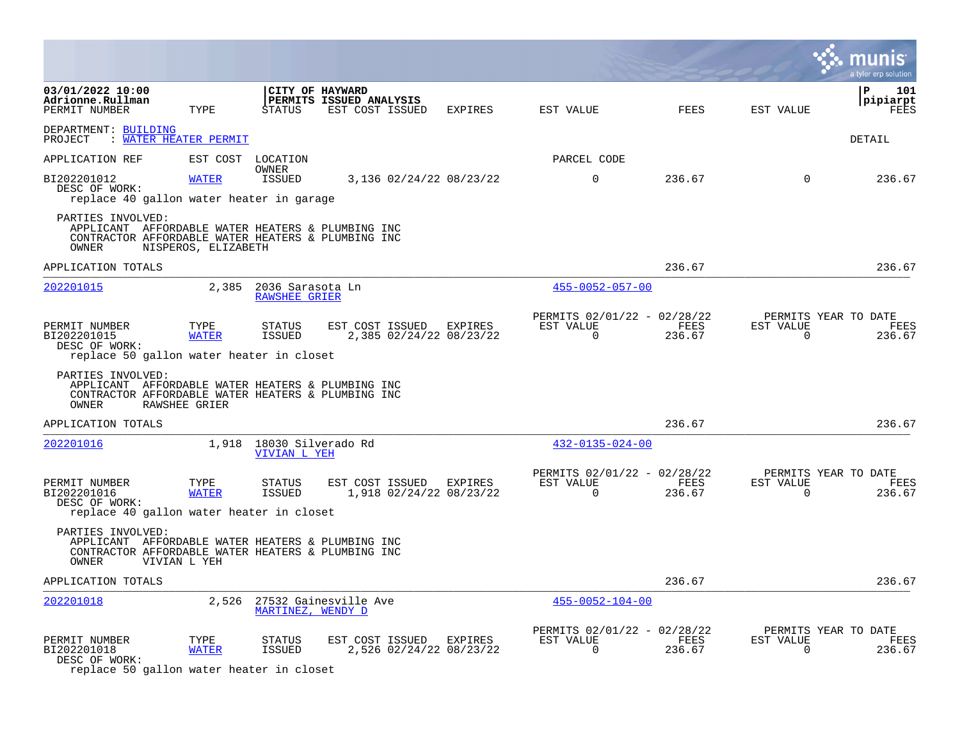|                                                                                                                                                                                   |                      |                                          |                                                    |                |                                                         |                       |                          | a tyler erp solution                   |
|-----------------------------------------------------------------------------------------------------------------------------------------------------------------------------------|----------------------|------------------------------------------|----------------------------------------------------|----------------|---------------------------------------------------------|-----------------------|--------------------------|----------------------------------------|
| 03/01/2022 10:00<br>Adrionne.Rullman<br>PERMIT NUMBER                                                                                                                             | TYPE                 | CITY OF HAYWARD<br><b>STATUS</b>         | PERMITS ISSUED ANALYSIS<br>EST COST ISSUED         | EXPIRES        | EST VALUE                                               | <b>FEES</b>           | EST VALUE                | P<br>101<br>pipiarpt<br>FEES           |
| DEPARTMENT: BUILDING<br>PROJECT<br>: WATER HEATER PERMIT                                                                                                                          |                      |                                          |                                                    |                |                                                         |                       |                          | <b>DETAIL</b>                          |
| APPLICATION REF                                                                                                                                                                   | EST COST LOCATION    |                                          |                                                    |                | PARCEL CODE                                             |                       |                          |                                        |
| BI202201012<br>DESC OF WORK:<br>replace 40 gallon water heater in garage                                                                                                          | <b>WATER</b>         | OWNER<br>ISSUED                          | 3,136 02/24/22 08/23/22                            |                | $\Omega$                                                | 236.67                | $\Omega$                 | 236.67                                 |
| PARTIES INVOLVED:<br>APPLICANT AFFORDABLE WATER HEATERS & PLUMBING INC<br>CONTRACTOR AFFORDABLE WATER HEATERS & PLUMBING INC<br>OWNER                                             | NISPEROS, ELIZABETH  |                                          |                                                    |                |                                                         |                       |                          |                                        |
| APPLICATION TOTALS                                                                                                                                                                |                      |                                          |                                                    |                |                                                         | 236.67                |                          | 236.67                                 |
| 202201015                                                                                                                                                                         | 2,385                | 2036 Sarasota Ln<br><b>RAWSHEE GRIER</b> |                                                    |                | $455 - 0052 - 057 - 00$                                 |                       |                          |                                        |
| PERMIT NUMBER<br>BI202201015<br>DESC OF WORK:<br>replace 50 gallon water heater in closet                                                                                         | TYPE<br><b>WATER</b> | STATUS<br><b>ISSUED</b>                  | EST COST ISSUED<br>2,385 02/24/22 08/23/22         | <b>EXPIRES</b> | PERMITS 02/01/22 - 02/28/22<br>EST VALUE<br>$\mathbf 0$ | FEES<br>236.67        | EST VALUE<br>0           | PERMITS YEAR TO DATE<br>FEES<br>236.67 |
| PARTIES INVOLVED:<br>APPLICANT AFFORDABLE WATER HEATERS & PLUMBING INC<br>CONTRACTOR AFFORDABLE WATER HEATERS & PLUMBING INC<br>OWNER                                             | <b>RAWSHEE GRIER</b> |                                          |                                                    |                |                                                         |                       |                          |                                        |
| APPLICATION TOTALS                                                                                                                                                                |                      |                                          |                                                    |                |                                                         | 236.67                |                          | 236.67                                 |
| 202201016                                                                                                                                                                         |                      | 1,918 18030 Silverado Rd<br>VIVIAN L YEH |                                                    |                | $432 - 0135 - 024 - 00$                                 |                       |                          |                                        |
| PERMIT NUMBER<br>BI202201016<br>DESC OF WORK:                                                                                                                                     | TYPE<br><b>WATER</b> | STATUS<br>ISSUED                         | EST COST ISSUED EXPIRES<br>1,918 02/24/22 08/23/22 |                | PERMITS 02/01/22 - 02/28/22<br>EST VALUE<br>$\mathbf 0$ | FEES<br>236.67        | EST VALUE<br>$\mathbf 0$ | PERMITS YEAR TO DATE<br>FEES<br>236.67 |
| replace 40 gallon water heater in closet<br>PARTIES INVOLVED:<br>APPLICANT AFFORDABLE WATER HEATERS & PLUMBING INC<br>CONTRACTOR AFFORDABLE WATER HEATERS & PLUMBING INC<br>OWNER | VIVIAN L YEH         |                                          |                                                    |                |                                                         |                       |                          |                                        |
| APPLICATION TOTALS                                                                                                                                                                |                      |                                          |                                                    |                |                                                         | 236.67                |                          | 236.67                                 |
| 202201018                                                                                                                                                                         | 2,526                | MARTINEZ, WENDY D                        | 27532 Gainesville Ave                              |                | $455 - 0052 - 104 - 00$                                 |                       |                          |                                        |
| PERMIT NUMBER<br>BI202201018<br>DESC OF WORK:                                                                                                                                     | TYPE<br><b>WATER</b> | STATUS<br><b>ISSUED</b>                  | EST COST ISSUED<br>2,526 02/24/22 08/23/22         | <b>EXPIRES</b> | PERMITS 02/01/22 - 02/28/22<br>EST VALUE<br>$\mathbf 0$ | <b>FEES</b><br>236.67 | EST VALUE<br>$\Omega$    | PERMITS YEAR TO DATE<br>FEES<br>236.67 |

replace 50 gallon water heater in closet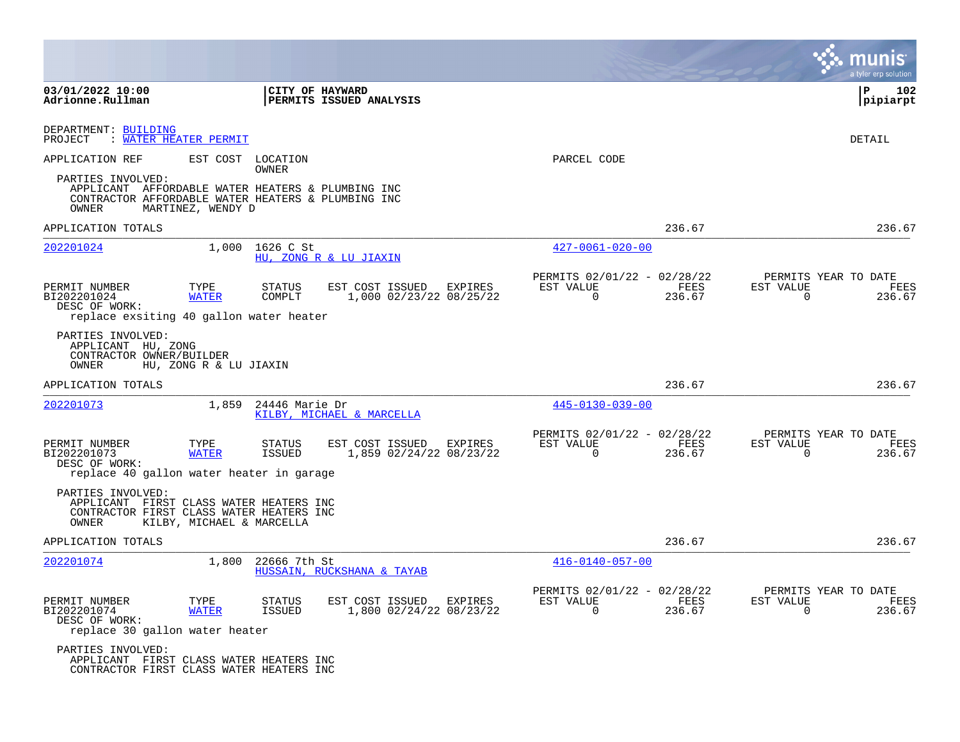|                                                                                                                                       |                           |                          |                                                   |         |                                                         |                |                          | a tyler erp solution                   |
|---------------------------------------------------------------------------------------------------------------------------------------|---------------------------|--------------------------|---------------------------------------------------|---------|---------------------------------------------------------|----------------|--------------------------|----------------------------------------|
| 03/01/2022 10:00<br>Adrionne.Rullman                                                                                                  |                           |                          | CITY OF HAYWARD<br><b>PERMITS ISSUED ANALYSIS</b> |         |                                                         |                |                          | l P<br>102<br> pipiarpt                |
| DEPARTMENT: BUILDING<br>WATER HEATER PERMIT<br>PROJECT                                                                                |                           |                          |                                                   |         |                                                         |                |                          | DETAIL                                 |
| APPLICATION REF                                                                                                                       | EST COST                  | LOCATION<br><b>OWNER</b> |                                                   |         | PARCEL CODE                                             |                |                          |                                        |
| PARTIES INVOLVED:<br>APPLICANT AFFORDABLE WATER HEATERS & PLUMBING INC<br>CONTRACTOR AFFORDABLE WATER HEATERS & PLUMBING INC<br>OWNER | MARTINEZ, WENDY D         |                          |                                                   |         |                                                         |                |                          |                                        |
| APPLICATION TOTALS                                                                                                                    |                           |                          |                                                   |         |                                                         | 236.67         |                          | 236.67                                 |
| 202201024                                                                                                                             | 1,000                     | 1626 C St                | HU, ZONG R & LU JIAXIN                            |         | $427 - 0061 - 020 - 00$                                 |                |                          |                                        |
| PERMIT NUMBER<br>BI202201024<br>DESC OF WORK:<br>replace exsiting 40 gallon water heater                                              | TYPE<br><b>WATER</b>      | STATUS<br>COMPLT         | EST COST ISSUED<br>1,000 02/23/22 08/25/22        | EXPIRES | PERMITS 02/01/22 - 02/28/22<br>EST VALUE<br>$\mathbf 0$ | FEES<br>236.67 | EST VALUE<br>$\mathbf 0$ | PERMITS YEAR TO DATE<br>FEES<br>236.67 |
| PARTIES INVOLVED:<br>APPLICANT HU, ZONG<br>CONTRACTOR OWNER/BUILDER<br>OWNER                                                          | HU, ZONG R & LU JIAXIN    |                          |                                                   |         |                                                         |                |                          |                                        |
| APPLICATION TOTALS                                                                                                                    |                           |                          |                                                   |         |                                                         | 236.67         |                          | 236.67                                 |
| 202201073                                                                                                                             | 1,859                     | 24446 Marie Dr           | KILBY, MICHAEL & MARCELLA                         |         | $445 - 0130 - 039 - 00$                                 |                |                          |                                        |
| PERMIT NUMBER<br>BI202201073<br>DESC OF WORK:<br>replace 40 gallon water heater in garage                                             | TYPE<br><b>WATER</b>      | STATUS<br>ISSUED         | EST COST ISSUED<br>1,859 02/24/22 08/23/22        | EXPIRES | PERMITS 02/01/22 - 02/28/22<br>EST VALUE<br>$\mathbf 0$ | FEES<br>236.67 | EST VALUE<br>$\mathbf 0$ | PERMITS YEAR TO DATE<br>FEES<br>236.67 |
| PARTIES INVOLVED:<br>APPLICANT FIRST CLASS WATER HEATERS INC<br>CONTRACTOR FIRST CLASS WATER HEATERS INC<br>OWNER                     | KILBY, MICHAEL & MARCELLA |                          |                                                   |         |                                                         |                |                          |                                        |
| APPLICATION TOTALS                                                                                                                    |                           |                          |                                                   |         |                                                         | 236.67         |                          | 236.67                                 |
| 202201074                                                                                                                             | 1,800                     | 22666 7th St             | HUSSAIN, RUCKSHANA & TAYAB                        |         | $416 - 0140 - 057 - 00$                                 |                |                          |                                        |
| PERMIT NUMBER<br>BI202201074<br>DESC OF WORK:<br>replace 30 gallon water heater                                                       | TYPE<br><b>WATER</b>      | STATUS<br>ISSUED         | EST COST ISSUED<br>1,800 02/24/22 08/23/22        | EXPIRES | PERMITS 02/01/22 - 02/28/22<br>EST VALUE<br>0           | FEES<br>236.67 | EST VALUE<br>0           | PERMITS YEAR TO DATE<br>FEES<br>236.67 |
| PARTIES INVOLVED:<br>APPLICANT FIRST CLASS WATER HEATERS INC<br>CONTRACTOR FIRST CLASS WATER HEATERS INC                              |                           |                          |                                                   |         |                                                         |                |                          |                                        |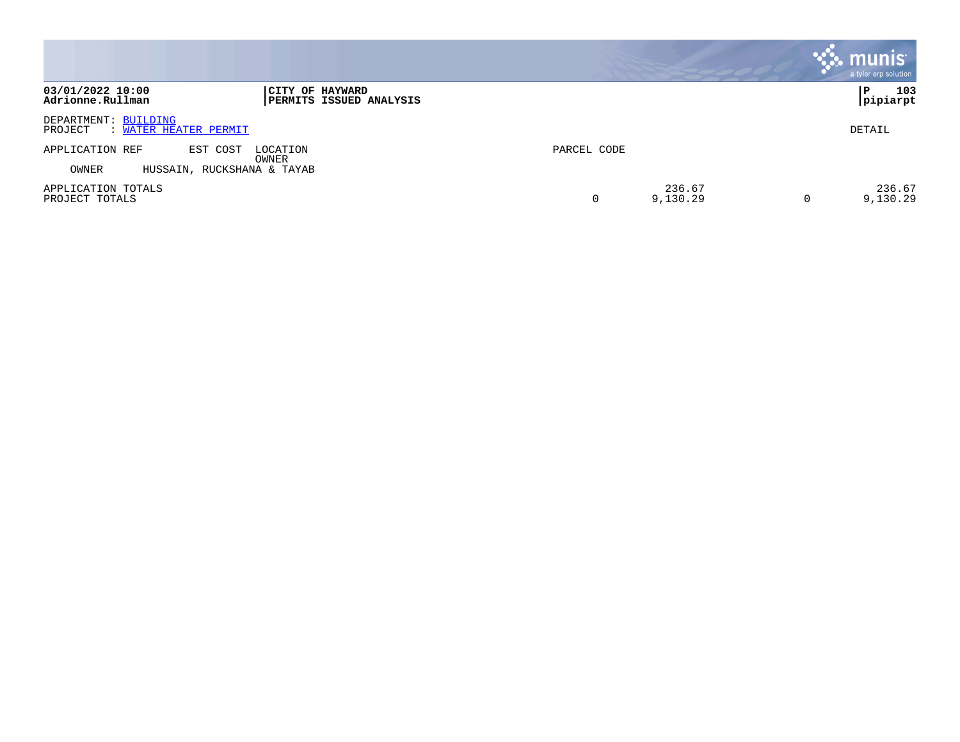|                                                                                           |                    | <b>munis</b><br>a tyler erp solution |
|-------------------------------------------------------------------------------------------|--------------------|--------------------------------------|
| 03/01/2022 10:00<br>CITY OF HAYWARD<br>Adrionne.Rullman<br><b>PERMITS ISSUED ANALYSIS</b> |                    | 103<br>P<br>pipiarpt                 |
| DEPARTMENT: BUILDING<br>: WATER HEATER PERMIT<br>PROJECT                                  |                    | DETAIL                               |
| APPLICATION REF<br>EST COST<br>LOCATION<br>OWNER<br>OWNER<br>HUSSAIN, RUCKSHANA & TAYAB   | PARCEL CODE        |                                      |
| APPLICATION TOTALS<br>PROJECT TOTALS                                                      | 236.67<br>9,130.29 | 236.67<br>9,130.29                   |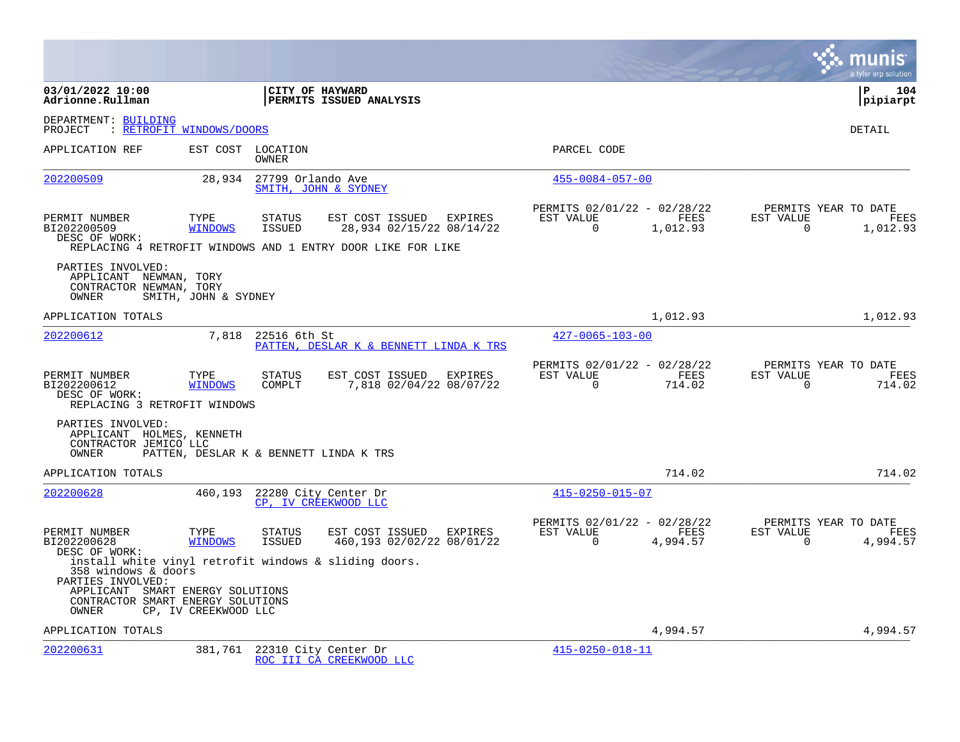|                                                                                                                                                                                     |                          |                            |                                                                                                            |         |                                                      |                  |                       | a tyler erp solution                     |
|-------------------------------------------------------------------------------------------------------------------------------------------------------------------------------------|--------------------------|----------------------------|------------------------------------------------------------------------------------------------------------|---------|------------------------------------------------------|------------------|-----------------------|------------------------------------------|
| 03/01/2022 10:00<br>Adrionne.Rullman                                                                                                                                                |                          | CITY OF HAYWARD            | PERMITS ISSUED ANALYSIS                                                                                    |         |                                                      |                  |                       | ΙP<br>104<br> pipiarpt                   |
| DEPARTMENT: BUILDING<br>PROJECT                                                                                                                                                     | : RETROFIT WINDOWS/DOORS |                            |                                                                                                            |         |                                                      |                  |                       | <b>DETAIL</b>                            |
| APPLICATION REF                                                                                                                                                                     |                          | EST COST LOCATION<br>OWNER |                                                                                                            |         | PARCEL CODE                                          |                  |                       |                                          |
| 202200509                                                                                                                                                                           | 28,934                   | 27799 Orlando Ave          | SMITH, JOHN & SYDNEY                                                                                       |         | $455 - 0084 - 057 - 00$                              |                  |                       |                                          |
| PERMIT NUMBER<br>BI202200509<br>DESC OF WORK:                                                                                                                                       | TYPE<br><b>WINDOWS</b>   | <b>STATUS</b><br>ISSUED    | EST COST ISSUED<br>28,934 02/15/22 08/14/22<br>REPLACING 4 RETROFIT WINDOWS AND 1 ENTRY DOOR LIKE FOR LIKE | EXPIRES | PERMITS 02/01/22 - 02/28/22<br>EST VALUE<br>$\Omega$ | FEES<br>1,012.93 | EST VALUE<br>$\Omega$ | PERMITS YEAR TO DATE<br>FEES<br>1,012.93 |
| PARTIES INVOLVED:<br>APPLICANT NEWMAN, TORY<br>CONTRACTOR NEWMAN, TORY<br>OWNER                                                                                                     | SMITH, JOHN & SYDNEY     |                            |                                                                                                            |         |                                                      |                  |                       |                                          |
| APPLICATION TOTALS                                                                                                                                                                  |                          |                            |                                                                                                            |         |                                                      | 1,012.93         |                       | 1,012.93                                 |
| 202200612                                                                                                                                                                           | 7,818                    | 22516 6th St               | PATTEN, DESLAR K & BENNETT LINDA K TRS                                                                     |         | $427 - 0065 - 103 - 00$                              |                  |                       |                                          |
| PERMIT NUMBER<br>BI202200612<br>DESC OF WORK:<br>REPLACING 3 RETROFIT WINDOWS                                                                                                       | TYPE<br><b>WINDOWS</b>   | <b>STATUS</b><br>COMPLT    | EST COST ISSUED<br>7,818 02/04/22 08/07/22                                                                 | EXPIRES | PERMITS 02/01/22 - 02/28/22<br>EST VALUE<br>$\Omega$ | FEES<br>714.02   | EST VALUE<br>$\Omega$ | PERMITS YEAR TO DATE<br>FEES<br>714.02   |
| PARTIES INVOLVED:<br>APPLICANT HOLMES, KENNETH<br>CONTRACTOR JEMICO LLC<br>OWNER                                                                                                    |                          |                            | PATTEN, DESLAR K & BENNETT LINDA K TRS                                                                     |         |                                                      |                  |                       |                                          |
| APPLICATION TOTALS                                                                                                                                                                  |                          |                            |                                                                                                            |         |                                                      | 714.02           |                       | 714.02                                   |
| 202200628                                                                                                                                                                           | 460,193                  |                            | 22280 City Center Dr<br>CP, IV CREEKWOOD LLC                                                               |         | $415 - 0250 - 015 - 07$                              |                  |                       |                                          |
| PERMIT NUMBER<br>BI202200628<br>DESC OF WORK:                                                                                                                                       | TYPE<br><b>WINDOWS</b>   | <b>STATUS</b><br>ISSUED    | EST COST ISSUED EXPIRES<br>460,193 02/02/22 08/01/22                                                       |         | PERMITS 02/01/22 - 02/28/22<br>EST VALUE<br>$\Omega$ | FEES<br>4,994.57 | EST VALUE<br>$\Omega$ | PERMITS YEAR TO DATE<br>FEES<br>4,994.57 |
| install white vinyl retrofit windows & sliding doors.<br>358 windows & doors<br>PARTIES INVOLVED:<br>APPLICANT SMART ENERGY SOLUTIONS<br>CONTRACTOR SMART ENERGY SOLUTIONS<br>OWNER | CP, IV CREEKWOOD LLC     |                            |                                                                                                            |         |                                                      |                  |                       |                                          |
| APPLICATION TOTALS                                                                                                                                                                  |                          |                            |                                                                                                            |         |                                                      | 4,994.57         |                       | 4,994.57                                 |
| 202200631                                                                                                                                                                           | 381,761                  |                            | 22310 City Center Dr<br>ROC III CÀ CREEKWOOD LLC                                                           |         | $415 - 0250 - 018 - 11$                              |                  |                       |                                          |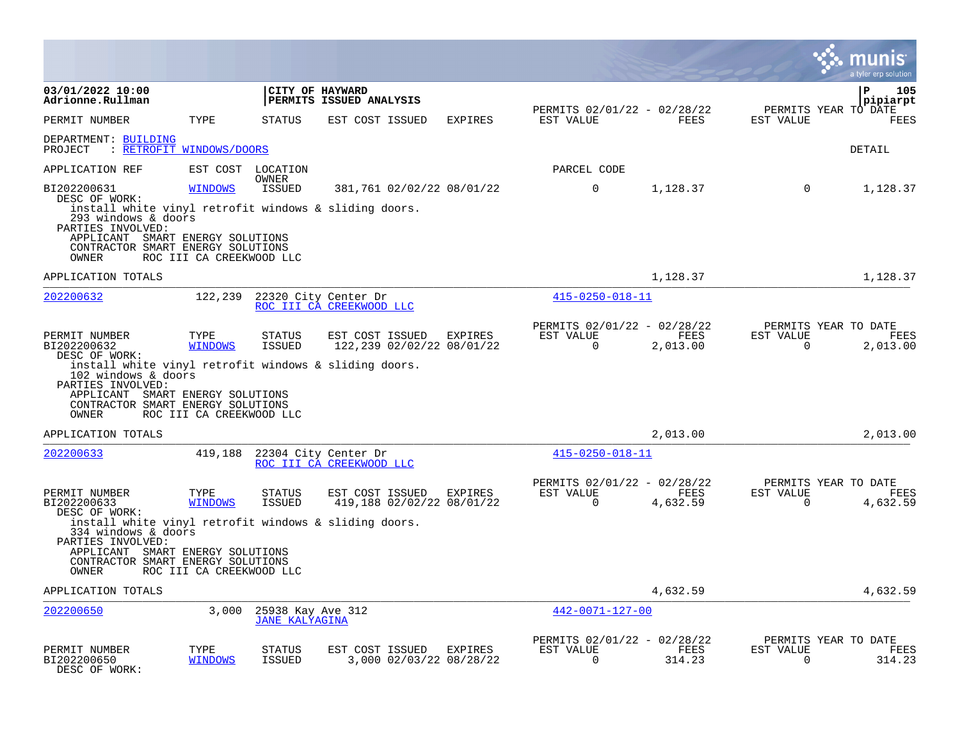|                                                                                                                                                                                                      |                          |                                            |                                                    |                |                                                      |                  |                       | munis<br>a tyler erp solution                   |
|------------------------------------------------------------------------------------------------------------------------------------------------------------------------------------------------------|--------------------------|--------------------------------------------|----------------------------------------------------|----------------|------------------------------------------------------|------------------|-----------------------|-------------------------------------------------|
| 03/01/2022 10:00<br>Adrionne.Rullman                                                                                                                                                                 |                          | CITY OF HAYWARD                            | PERMITS ISSUED ANALYSIS                            |                | PERMITS 02/01/22 - 02/28/22                          |                  |                       | l P<br>105<br>pipiarpt                          |
| PERMIT NUMBER                                                                                                                                                                                        | TYPE                     | <b>STATUS</b>                              | EST COST ISSUED                                    | <b>EXPIRES</b> | EST VALUE                                            | FEES             | EST VALUE             | PERMITS YEAR TO DATE<br><b>FEES</b>             |
| DEPARTMENT: BUILDING<br>: RETROFIT WINDOWS/DOORS<br>PROJECT                                                                                                                                          |                          |                                            |                                                    |                |                                                      |                  |                       | DETAIL                                          |
| APPLICATION REF                                                                                                                                                                                      | EST COST LOCATION        |                                            |                                                    |                | PARCEL CODE                                          |                  |                       |                                                 |
| BI202200631                                                                                                                                                                                          | <b>WINDOWS</b>           | OWNER<br><b>ISSUED</b>                     | 381,761 02/02/22 08/01/22                          |                | $\overline{0}$                                       | 1,128.37         | $\mathbf 0$           | 1,128.37                                        |
| DESC OF WORK:<br>install white vinyl retrofit windows & sliding doors.<br>293 windows & doors<br>PARTIES INVOLVED:<br>APPLICANT SMART ENERGY SOLUTIONS<br>CONTRACTOR SMART ENERGY SOLUTIONS<br>OWNER | ROC III CA CREEKWOOD LLC |                                            |                                                    |                |                                                      |                  |                       |                                                 |
| APPLICATION TOTALS                                                                                                                                                                                   |                          |                                            |                                                    |                |                                                      | 1,128.37         |                       | 1,128.37                                        |
| 202200632                                                                                                                                                                                            | 122,239                  |                                            | 22320 City Center Dr                               |                | $415 - 0250 - 018 - 11$                              |                  |                       |                                                 |
|                                                                                                                                                                                                      |                          |                                            | ROC III CA CREEKWOOD LLC                           |                |                                                      |                  |                       |                                                 |
| PERMIT NUMBER<br>BI202200632<br>DESC OF WORK:                                                                                                                                                        | TYPE<br><b>WINDOWS</b>   | <b>STATUS</b><br><b>ISSUED</b>             | EST COST ISSUED<br>122,239 02/02/22 08/01/22       | EXPIRES        | PERMITS 02/01/22 - 02/28/22<br>EST VALUE<br>$\Omega$ | FEES<br>2,013.00 | EST VALUE<br>$\Omega$ | PERMITS YEAR TO DATE<br>FEES<br>2,013.00        |
| install white vinyl retrofit windows & sliding doors.<br>102 windows & doors<br>PARTIES INVOLVED:<br>APPLICANT SMART ENERGY SOLUTIONS<br>CONTRACTOR SMART ENERGY SOLUTIONS<br>OWNER                  | ROC III CA CREEKWOOD LLC |                                            |                                                    |                |                                                      |                  |                       |                                                 |
| APPLICATION TOTALS                                                                                                                                                                                   |                          |                                            |                                                    |                |                                                      | 2,013.00         |                       | 2,013.00                                        |
| 202200633                                                                                                                                                                                            | 419,188                  |                                            | 22304 City Center Dr<br>ROC III CA CREEKWOOD LLC   |                | $415 - 0250 - 018 - 11$                              |                  |                       |                                                 |
| PERMIT NUMBER<br>BI202200633<br>DESC OF WORK:                                                                                                                                                        | TYPE<br><b>WINDOWS</b>   | <b>STATUS</b><br><b>ISSUED</b>             | EST COST ISSUED<br>419,188 02/02/22 08/01/22       | <b>EXPIRES</b> | PERMITS 02/01/22 - 02/28/22<br>EST VALUE<br>$\Omega$ | FEES<br>4,632.59 | EST VALUE<br>$\Omega$ | PERMITS YEAR TO DATE<br><b>FEES</b><br>4,632.59 |
| install white vinyl retrofit windows & sliding doors.<br>334 windows & doors<br>PARTIES INVOLVED:                                                                                                    |                          |                                            |                                                    |                |                                                      |                  |                       |                                                 |
| APPLICANT SMART ENERGY SOLUTIONS<br>CONTRACTOR SMART ENERGY SOLUTIONS<br>OWNER                                                                                                                       | ROC III CA CREEKWOOD LLC |                                            |                                                    |                |                                                      |                  |                       |                                                 |
| APPLICATION TOTALS                                                                                                                                                                                   |                          |                                            |                                                    |                |                                                      | 4,632.59         |                       | 4,632.59                                        |
| 202200650                                                                                                                                                                                            | 3,000                    | 25938 Kay Ave 312<br><b>JANE KALYAGINA</b> |                                                    |                | 442-0071-127-00                                      |                  |                       |                                                 |
| PERMIT NUMBER<br>BI202200650<br>DESC OF WORK:                                                                                                                                                        | TYPE<br><b>WINDOWS</b>   | STATUS<br><b>ISSUED</b>                    | EST COST ISSUED EXPIRES<br>3,000 02/03/22 08/28/22 |                | PERMITS 02/01/22 - 02/28/22<br>EST VALUE<br>$\Omega$ | FEES<br>314.23   | EST VALUE<br>$\Omega$ | PERMITS YEAR TO DATE<br>FEES<br>314.23          |

 $\bullet$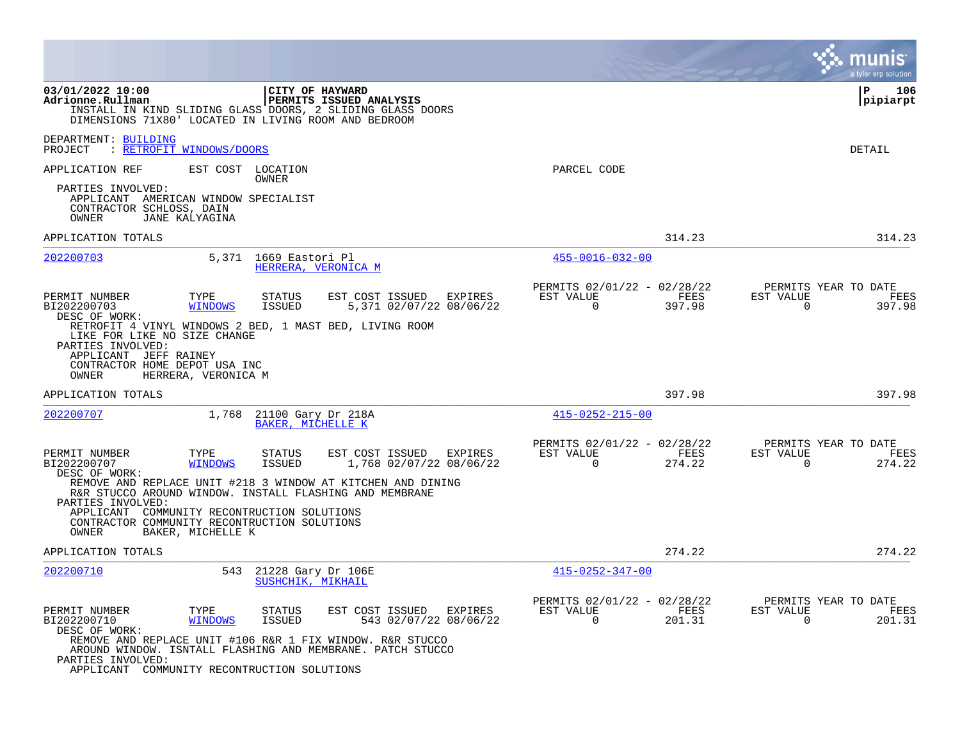|                                                                                                                           |                               |                                         |                                                                                                                         |         |                                                         |                | munis<br>a tyler erp solution                                      |
|---------------------------------------------------------------------------------------------------------------------------|-------------------------------|-----------------------------------------|-------------------------------------------------------------------------------------------------------------------------|---------|---------------------------------------------------------|----------------|--------------------------------------------------------------------|
| 03/01/2022 10:00<br>Adrionne.Rullman<br>DIMENSIONS 71X80' LOCATED IN LIVING ROOM AND BEDROOM                              |                               |                                         | CITY OF HAYWARD<br>PERMITS ISSUED ANALYSIS<br>INSTALL IN KIND SLIDING GLASS DOORS, 2 SLIDING GLASS DOORS                |         |                                                         |                | ΙP<br>106<br> pipiarpt                                             |
| DEPARTMENT: BUILDING<br>PROJECT                                                                                           | <b>RETROFIT WINDOWS/DOORS</b> |                                         |                                                                                                                         |         |                                                         |                | DETAIL                                                             |
| APPLICATION REF                                                                                                           |                               | EST COST LOCATION                       |                                                                                                                         |         | PARCEL CODE                                             |                |                                                                    |
| PARTIES INVOLVED:<br>APPLICANT AMERICAN WINDOW SPECIALIST<br>CONTRACTOR SCHLOSS, DAIN<br>OWNER                            | JANE KALYAGINA                | OWNER                                   |                                                                                                                         |         |                                                         |                |                                                                    |
| APPLICATION TOTALS                                                                                                        |                               |                                         |                                                                                                                         |         |                                                         | 314.23         | 314.23                                                             |
| 202200703                                                                                                                 |                               | 5,371 1669 Eastori Pl                   | HERRERA, VERONICA M                                                                                                     |         | $455 - 0016 - 032 - 00$                                 |                |                                                                    |
| PERMIT NUMBER<br>BI202200703<br>DESC OF WORK:                                                                             | TYPE<br><b>WINDOWS</b>        | STATUS<br><b>ISSUED</b>                 | EST COST ISSUED<br>5,371 02/07/22 08/06/22                                                                              | EXPIRES | PERMITS 02/01/22 - 02/28/22<br>EST VALUE<br>$\Omega$    | FEES<br>397.98 | PERMITS YEAR TO DATE<br>EST VALUE<br>FEES<br>$\Omega$<br>397.98    |
| LIKE FOR LIKE NO SIZE CHANGE<br>PARTIES INVOLVED:<br>APPLICANT JEFF RAINEY<br>CONTRACTOR HOME DEPOT USA INC<br>OWNER      | HERRERA, VERONICA M           |                                         | RETROFIT 4 VINYL WINDOWS 2 BED, 1 MAST BED, LIVING ROOM                                                                 |         |                                                         |                |                                                                    |
| APPLICATION TOTALS                                                                                                        |                               |                                         |                                                                                                                         |         |                                                         | 397.98         | 397.98                                                             |
| 202200707                                                                                                                 | 1,768                         | 21100 Gary Dr 218A<br>BAKER, MICHELLE K |                                                                                                                         |         | $415 - 0252 - 215 - 00$                                 |                |                                                                    |
| PERMIT NUMBER<br>BI202200707<br>DESC OF WORK:                                                                             | TYPE<br><b>WINDOWS</b>        | STATUS<br><b>ISSUED</b>                 | EST COST ISSUED<br>1,768 02/07/22 08/06/22                                                                              | EXPIRES | PERMITS 02/01/22 - 02/28/22<br>EST VALUE<br>$\mathbf 0$ | FEES<br>274.22 | PERMITS YEAR TO DATE<br>EST VALUE<br>FEES<br>$\mathbf 0$<br>274.22 |
| PARTIES INVOLVED:<br>APPLICANT COMMUNITY RECONTRUCTION SOLUTIONS<br>CONTRACTOR COMMUNITY RECONTRUCTION SOLUTIONS<br>OWNER | BAKER, MICHELLE K             |                                         | REMOVE AND REPLACE UNIT #218 3 WINDOW AT KITCHEN AND DINING<br>R&R STUCCO AROUND WINDOW. INSTALL FLASHING AND MEMBRANE  |         |                                                         |                |                                                                    |
| APPLICATION TOTALS                                                                                                        |                               |                                         |                                                                                                                         |         |                                                         | 274.22         | 274.22                                                             |
| 202200710                                                                                                                 | 543                           | 21228 Gary Dr 106E<br>SUSHCHIK, MIKHAIL |                                                                                                                         |         | $415 - 0252 - 347 - 00$                                 |                |                                                                    |
| PERMIT NUMBER<br>BI202200710<br>DESC OF WORK:                                                                             | TYPE<br><b>WINDOWS</b>        | STATUS<br><b>ISSUED</b>                 | EST COST ISSUED<br>543 02/07/22 08/06/22                                                                                | EXPIRES | PERMITS 02/01/22 - 02/28/22<br>EST VALUE<br>$\Omega$    | FEES<br>201.31 | PERMITS YEAR TO DATE<br>EST VALUE<br>FEES<br>201.31<br>$\mathbf 0$ |
| PARTIES INVOLVED:<br>APPLICANT COMMUNITY RECONTRUCTION SOLUTIONS                                                          |                               |                                         | REMOVE AND REPLACE UNIT #106 R&R 1 FIX WINDOW. R&R STUCCO<br>AROUND WINDOW. ISNTALL FLASHING AND MEMBRANE. PATCH STUCCO |         |                                                         |                |                                                                    |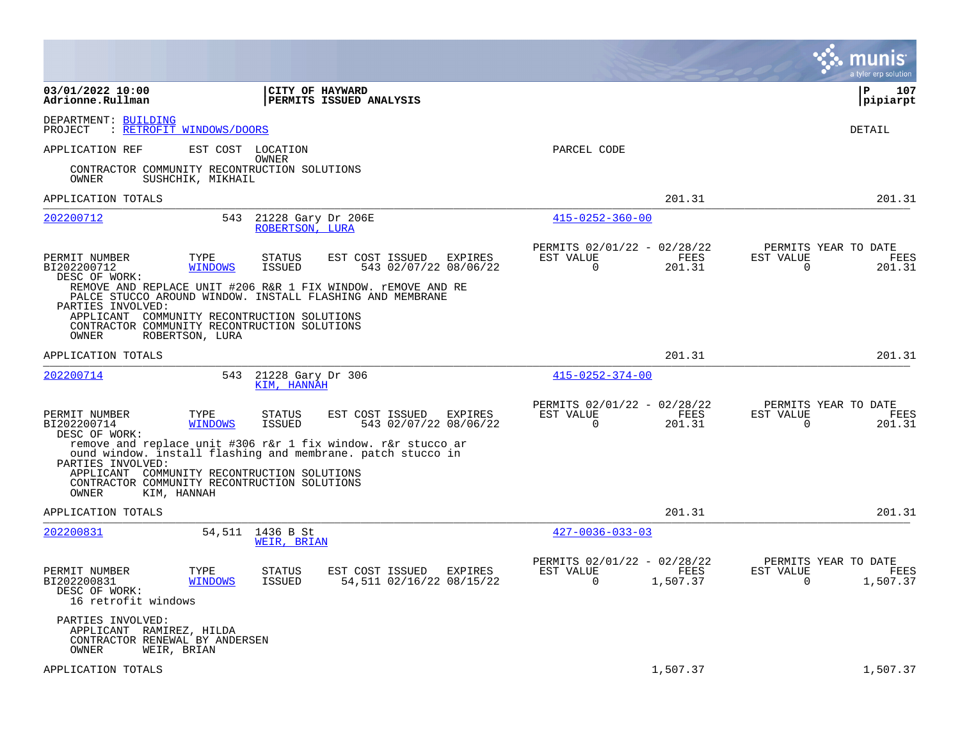|                                                                                                                                          |                        |                                       |                                                                                                                             |                                                         |                  |                          | a tyler erp solution                     |
|------------------------------------------------------------------------------------------------------------------------------------------|------------------------|---------------------------------------|-----------------------------------------------------------------------------------------------------------------------------|---------------------------------------------------------|------------------|--------------------------|------------------------------------------|
| 03/01/2022 10:00<br>Adrionne.Rullman                                                                                                     |                        | CITY OF HAYWARD                       | PERMITS ISSUED ANALYSIS                                                                                                     |                                                         |                  |                          | P<br>107<br>pipiarpt                     |
| DEPARTMENT: BUILDING<br>PROJECT<br>: RETROFIT WINDOWS/DOORS                                                                              |                        |                                       |                                                                                                                             |                                                         |                  |                          | DETAIL                                   |
| APPLICATION REF                                                                                                                          |                        | EST COST LOCATION<br>OWNER            |                                                                                                                             | PARCEL CODE                                             |                  |                          |                                          |
| CONTRACTOR COMMUNITY RECONTRUCTION SOLUTIONS<br>OWNER                                                                                    | SUSHCHIK, MIKHAIL      |                                       |                                                                                                                             |                                                         |                  |                          |                                          |
| APPLICATION TOTALS                                                                                                                       |                        |                                       |                                                                                                                             |                                                         | 201.31           |                          | 201.31                                   |
| 202200712                                                                                                                                | 543                    | 21228 Gary Dr 206E<br>ROBERTSON, LURA |                                                                                                                             | $415 - 0252 - 360 - 00$                                 |                  |                          |                                          |
| PERMIT NUMBER<br>BI202200712<br>DESC OF WORK:                                                                                            | TYPE<br>WINDOWS        | STATUS<br>ISSUED                      | EST COST ISSUED<br>EXPIRES<br>543 02/07/22 08/06/22                                                                         | PERMITS 02/01/22 - 02/28/22<br>EST VALUE<br>$\Omega$    | FEES<br>201.31   | EST VALUE<br>$\Omega$    | PERMITS YEAR TO DATE<br>FEES<br>201.31   |
| PARTIES INVOLVED:<br>APPLICANT COMMUNITY RECONTRUCTION SOLUTIONS<br>CONTRACTOR COMMUNITY RECONTRUCTION SOLUTIONS<br>OWNER                | ROBERTSON, LURA        |                                       | REMOVE AND REPLACE UNIT #206 R&R 1 FIX WINDOW. rEMOVE AND RE<br>PALCE STUCCO AROUND WINDOW. INSTALL FLASHING AND MEMBRANE   |                                                         |                  |                          |                                          |
| APPLICATION TOTALS                                                                                                                       |                        |                                       |                                                                                                                             |                                                         | 201.31           |                          | 201.31                                   |
| 202200714                                                                                                                                | 543                    | 21228 Gary Dr 306<br>KIM, HANNAH      |                                                                                                                             | $415 - 0252 - 374 - 00$                                 |                  |                          |                                          |
| PERMIT NUMBER<br>BI202200714<br>DESC OF WORK:                                                                                            | TYPE<br><b>WINDOWS</b> | <b>STATUS</b><br>ISSUED               | EST COST ISSUED<br>EXPIRES<br>543 02/07/22 08/06/22                                                                         | PERMITS 02/01/22 - 02/28/22<br>EST VALUE<br>$\mathbf 0$ | FEES<br>201.31   | EST VALUE<br>$\mathbf 0$ | PERMITS YEAR TO DATE<br>FEES<br>201.31   |
| PARTIES INVOLVED:<br>APPLICANT COMMUNITY RECONTRUCTION SOLUTIONS<br>CONTRACTOR COMMUNITY RECONTRUCTION SOLUTIONS<br>OWNER<br>KIM, HANNAH |                        |                                       | remove and replace unit #306 r&r 1 fix window. r&r stucco ar<br>ound window. Install flashing and membrane. patch stucco in |                                                         |                  |                          |                                          |
| APPLICATION TOTALS                                                                                                                       |                        |                                       |                                                                                                                             |                                                         | 201.31           |                          | 201.31                                   |
| 202200831                                                                                                                                |                        | 54,511 1436 B St<br>WEIR, BRIAN       |                                                                                                                             | $427 - 0036 - 033 - 03$                                 |                  |                          |                                          |
| PERMIT NUMBER<br>BI202200831<br>DESC OF WORK:<br>16 retrofit windows                                                                     | TYPE<br><b>WINDOWS</b> | STATUS<br><b>ISSUED</b>               | EST COST ISSUED<br>EXPIRES<br>54,511 02/16/22 08/15/22                                                                      | PERMITS 02/01/22 - 02/28/22<br>EST VALUE<br>0           | FEES<br>1,507.37 | EST VALUE<br>0           | PERMITS YEAR TO DATE<br>FEES<br>1,507.37 |
| PARTIES INVOLVED:<br>APPLICANT RAMIREZ, HILDA<br>CONTRACTOR RENEWAL BY ANDERSEN<br>OWNER<br>WEIR, BRIAN                                  |                        |                                       |                                                                                                                             |                                                         |                  |                          |                                          |
| APPLICATION TOTALS                                                                                                                       |                        |                                       |                                                                                                                             |                                                         | 1,507.37         |                          | 1,507.37                                 |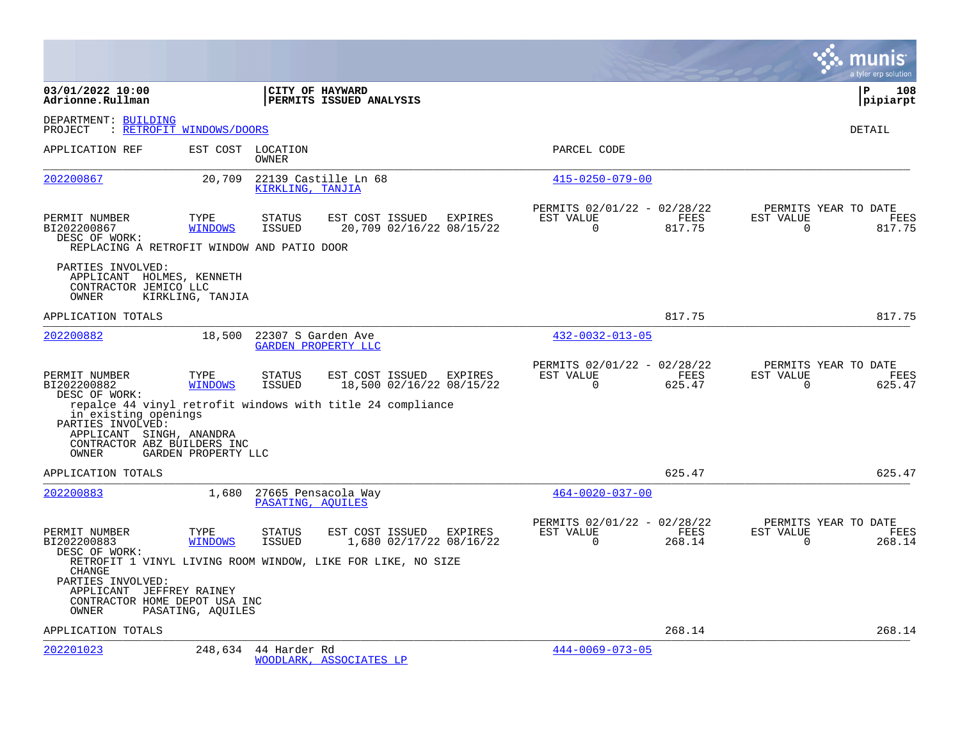|                                                                                                                                                       |                          |                                |                                                                                                                   |         |                                                      |                |                       | a tyler erp solution                   |
|-------------------------------------------------------------------------------------------------------------------------------------------------------|--------------------------|--------------------------------|-------------------------------------------------------------------------------------------------------------------|---------|------------------------------------------------------|----------------|-----------------------|----------------------------------------|
| 03/01/2022 10:00<br>Adrionne.Rullman                                                                                                                  |                          |                                | CITY OF HAYWARD<br>PERMITS ISSUED ANALYSIS                                                                        |         |                                                      |                |                       | l P<br>108<br> pipiarpt                |
| DEPARTMENT: BUILDING<br>PROJECT                                                                                                                       | : RETROFIT WINDOWS/DOORS |                                |                                                                                                                   |         |                                                      |                |                       | <b>DETAIL</b>                          |
| APPLICATION REF                                                                                                                                       |                          | EST COST LOCATION<br>OWNER     |                                                                                                                   |         | PARCEL CODE                                          |                |                       |                                        |
| 202200867                                                                                                                                             | 20,709                   | KIRKLING, TANJIA               | 22139 Castille Ln 68                                                                                              |         | $415 - 0250 - 079 - 00$                              |                |                       |                                        |
| PERMIT NUMBER<br>BI202200867<br>DESC OF WORK:<br>REPLACING A RETROFIT WINDOW AND PATIO DOOR                                                           | TYPE<br><b>WINDOWS</b>   | <b>STATUS</b><br>ISSUED        | EST COST ISSUED EXPIRES<br>20,709 02/16/22 08/15/22                                                               |         | PERMITS 02/01/22 - 02/28/22<br>EST VALUE<br>$\Omega$ | FEES<br>817.75 | EST VALUE<br>$\Omega$ | PERMITS YEAR TO DATE<br>FEES<br>817.75 |
| PARTIES INVOLVED:<br>APPLICANT HOLMES, KENNETH<br>CONTRACTOR JEMICO LLC<br>OWNER                                                                      | KIRKLING, TANJIA         |                                |                                                                                                                   |         |                                                      |                |                       |                                        |
| APPLICATION TOTALS                                                                                                                                    |                          |                                |                                                                                                                   |         |                                                      | 817.75         |                       | 817.75                                 |
| 202200882                                                                                                                                             | 18,500                   | 22307 S Garden Ave             | <b>GARDEN PROPERTY LLC</b>                                                                                        |         | $432 - 0032 - 013 - 05$                              |                |                       |                                        |
| PERMIT NUMBER<br>BI202200882<br>DESC OF WORK:<br>in existing openings<br>PARTIES INVOLVED:<br>APPLICANT SINGH, ANANDRA<br>CONTRACTOR ABZ BUILDERS INC | TYPE<br><b>WINDOWS</b>   | <b>STATUS</b><br><b>ISSUED</b> | EST COST ISSUED<br>18,500 02/16/22 08/15/22<br>repalce 44 vinyl retrofit windows with title 24 compliance         | EXPIRES | PERMITS 02/01/22 - 02/28/22<br>EST VALUE<br>$\Omega$ | FEES<br>625.47 | EST VALUE<br>$\Omega$ | PERMITS YEAR TO DATE<br>FEES<br>625.47 |
| OWNER                                                                                                                                                 | GARDEN PROPERTY LLC      |                                |                                                                                                                   |         |                                                      |                |                       |                                        |
| APPLICATION TOTALS<br>202200883                                                                                                                       | 1,680                    | PASATING, AOUILES              | 27665 Pensacola Way                                                                                               |         | $464 - 0020 - 037 - 00$                              | 625.47         |                       | 625.47                                 |
| PERMIT NUMBER<br>BI202200883<br>DESC OF WORK:                                                                                                         | TYPE<br><b>WINDOWS</b>   | <b>STATUS</b><br><b>ISSUED</b> | EST COST ISSUED EXPIRES<br>1,680 02/17/22 08/16/22<br>RETROFIT 1 VINYL LIVING ROOM WINDOW, LIKE FOR LIKE, NO SIZE |         | PERMITS 02/01/22 - 02/28/22<br>EST VALUE<br>$\Omega$ | FEES<br>268.14 | EST VALUE<br>$\Omega$ | PERMITS YEAR TO DATE<br>FEES<br>268.14 |
| CHANGE<br>PARTIES INVOLVED:<br>APPLICANT JEFFREY RAINEY<br>CONTRACTOR HOME DEPOT USA INC<br>OWNER                                                     | PASATING, AQUILES        |                                |                                                                                                                   |         |                                                      |                |                       |                                        |
| APPLICATION TOTALS                                                                                                                                    |                          |                                |                                                                                                                   |         |                                                      | 268.14         |                       | 268.14                                 |
| 202201023                                                                                                                                             | 248,634                  | 44 Harder Rd                   | WOODLARK, ASSOCIATES LP                                                                                           |         | $444 - 0069 - 073 - 05$                              |                |                       |                                        |

**College**